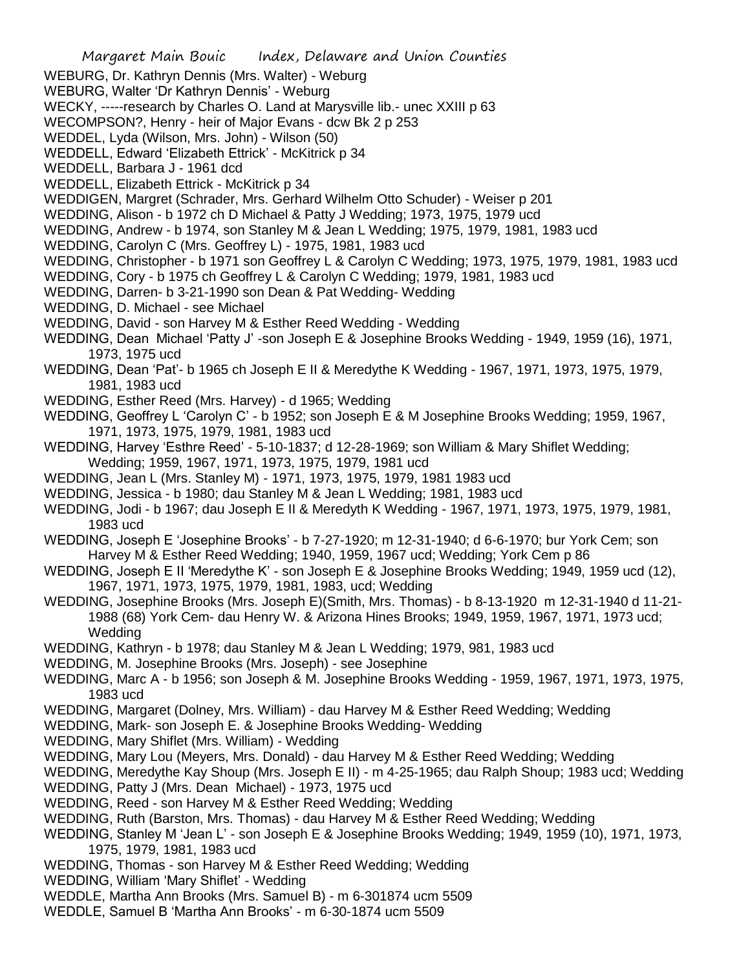- WEBURG, Dr. Kathryn Dennis (Mrs. Walter) Weburg
- WEBURG, Walter 'Dr Kathryn Dennis' Weburg
- WECKY, -----research by Charles O. Land at Marysville lib.- unec XXIII p 63
- WECOMPSON?, Henry heir of Major Evans dcw Bk 2 p 253
- WEDDEL, Lyda (Wilson, Mrs. John) Wilson (50)
- WEDDELL, Edward 'Elizabeth Ettrick' McKitrick p 34
- WEDDELL, Barbara J 1961 dcd
- WEDDELL, Elizabeth Ettrick McKitrick p 34
- WEDDIGEN, Margret (Schrader, Mrs. Gerhard Wilhelm Otto Schuder) Weiser p 201
- WEDDING, Alison b 1972 ch D Michael & Patty J Wedding; 1973, 1975, 1979 ucd
- WEDDING, Andrew b 1974, son Stanley M & Jean L Wedding; 1975, 1979, 1981, 1983 ucd
- WEDDING, Carolyn C (Mrs. Geoffrey L) 1975, 1981, 1983 ucd
- WEDDING, Christopher b 1971 son Geoffrey L & Carolyn C Wedding; 1973, 1975, 1979, 1981, 1983 ucd
- WEDDING, Cory b 1975 ch Geoffrey L & Carolyn C Wedding; 1979, 1981, 1983 ucd
- WEDDING, Darren- b 3-21-1990 son Dean & Pat Wedding- Wedding
- WEDDING, D. Michael see Michael
- WEDDING, David son Harvey M & Esther Reed Wedding Wedding
- WEDDING, Dean Michael 'Patty J' -son Joseph E & Josephine Brooks Wedding 1949, 1959 (16), 1971, 1973, 1975 ucd
- WEDDING, Dean 'Pat'- b 1965 ch Joseph E II & Meredythe K Wedding 1967, 1971, 1973, 1975, 1979, 1981, 1983 ucd
- WEDDING, Esther Reed (Mrs. Harvey) d 1965; Wedding
- WEDDING, Geoffrey L 'Carolyn C' b 1952; son Joseph E & M Josephine Brooks Wedding; 1959, 1967, 1971, 1973, 1975, 1979, 1981, 1983 ucd
- WEDDING, Harvey 'Esthre Reed' 5-10-1837; d 12-28-1969; son William & Mary Shiflet Wedding; Wedding; 1959, 1967, 1971, 1973, 1975, 1979, 1981 ucd
- WEDDING, Jean L (Mrs. Stanley M) 1971, 1973, 1975, 1979, 1981 1983 ucd
- WEDDING, Jessica b 1980; dau Stanley M & Jean L Wedding; 1981, 1983 ucd
- WEDDING, Jodi b 1967; dau Joseph E II & Meredyth K Wedding 1967, 1971, 1973, 1975, 1979, 1981, 1983 ucd
- WEDDING, Joseph E 'Josephine Brooks' b 7-27-1920; m 12-31-1940; d 6-6-1970; bur York Cem; son Harvey M & Esther Reed Wedding; 1940, 1959, 1967 ucd; Wedding; York Cem p 86
- WEDDING, Joseph E II 'Meredythe K' son Joseph E & Josephine Brooks Wedding; 1949, 1959 ucd (12), 1967, 1971, 1973, 1975, 1979, 1981, 1983, ucd; Wedding
- WEDDING, Josephine Brooks (Mrs. Joseph E)(Smith, Mrs. Thomas) b 8-13-1920 m 12-31-1940 d 11-21- 1988 (68) York Cem- dau Henry W. & Arizona Hines Brooks; 1949, 1959, 1967, 1971, 1973 ucd; **Wedding**
- WEDDING, Kathryn b 1978; dau Stanley M & Jean L Wedding; 1979, 981, 1983 ucd
- WEDDING, M. Josephine Brooks (Mrs. Joseph) see Josephine
- WEDDING, Marc A b 1956; son Joseph & M. Josephine Brooks Wedding 1959, 1967, 1971, 1973, 1975, 1983 ucd
- WEDDING, Margaret (Dolney, Mrs. William) dau Harvey M & Esther Reed Wedding; Wedding
- WEDDING, Mark- son Joseph E. & Josephine Brooks Wedding- Wedding
- WEDDING, Mary Shiflet (Mrs. William) Wedding
- WEDDING, Mary Lou (Meyers, Mrs. Donald) dau Harvey M & Esther Reed Wedding; Wedding
- WEDDING, Meredythe Kay Shoup (Mrs. Joseph E II) m 4-25-1965; dau Ralph Shoup; 1983 ucd; Wedding
- WEDDING, Patty J (Mrs. Dean Michael) 1973, 1975 ucd
- WEDDING, Reed son Harvey M & Esther Reed Wedding; Wedding
- WEDDING, Ruth (Barston, Mrs. Thomas) dau Harvey M & Esther Reed Wedding; Wedding
- WEDDING, Stanley M 'Jean L' son Joseph E & Josephine Brooks Wedding; 1949, 1959 (10), 1971, 1973, 1975, 1979, 1981, 1983 ucd
- WEDDING, Thomas son Harvey M & Esther Reed Wedding; Wedding
- WEDDING, William 'Mary Shiflet' Wedding
- WEDDLE, Martha Ann Brooks (Mrs. Samuel B) m 6-301874 ucm 5509
- WEDDLE, Samuel B 'Martha Ann Brooks' m 6-30-1874 ucm 5509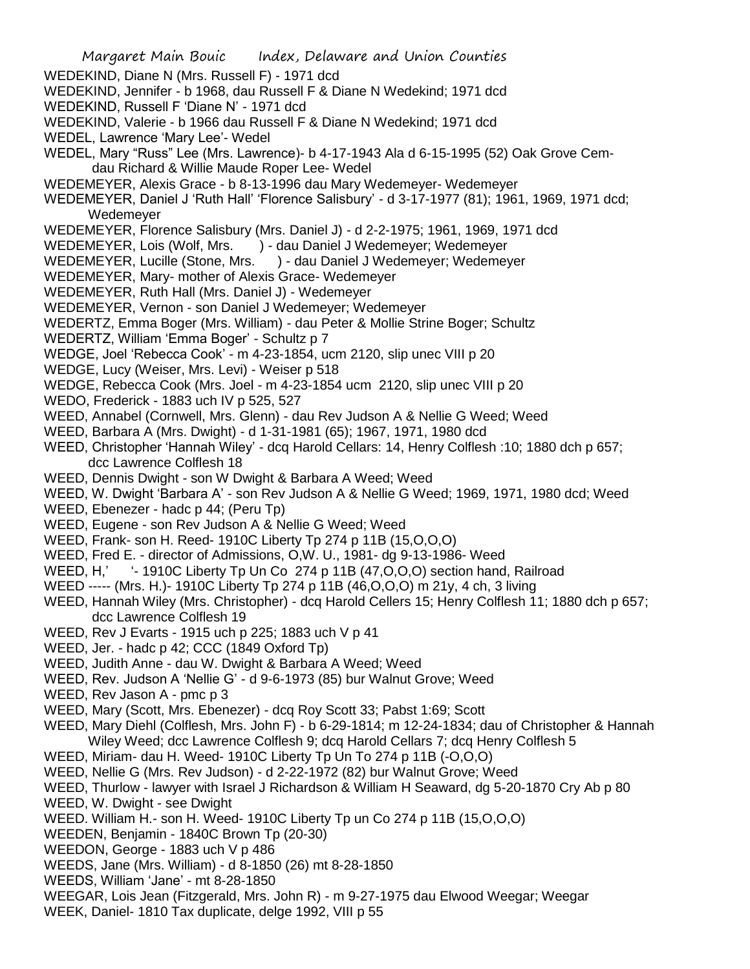WEDEKIND, Diane N (Mrs. Russell F) - 1971 dcd

WEDEKIND, Jennifer - b 1968, dau Russell F & Diane N Wedekind; 1971 dcd

WEDEKIND, Russell F 'Diane N' - 1971 dcd

- WEDEKIND, Valerie b 1966 dau Russell F & Diane N Wedekind; 1971 dcd
- WEDEL, Lawrence 'Mary Lee'- Wedel
- WEDEL, Mary "Russ" Lee (Mrs. Lawrence)- b 4-17-1943 Ala d 6-15-1995 (52) Oak Grove Cem dau Richard & Willie Maude Roper Lee- Wedel
- WEDEMEYER, Alexis Grace b 8-13-1996 dau Mary Wedemeyer- Wedemeyer
- WEDEMEYER, Daniel J 'Ruth Hall' 'Florence Salisbury' d 3-17-1977 (81); 1961, 1969, 1971 dcd; Wedemeyer
- WEDEMEYER, Florence Salisbury (Mrs. Daniel J) d 2-2-1975; 1961, 1969, 1971 dcd
- WEDEMEYER, Lois (Wolf, Mrs. ) dau Daniel J Wedemeyer; Wedemeyer
- WEDEMEYER, Lucille (Stone, Mrs. ) dau Daniel J Wedemeyer; Wedemeyer
- WEDEMEYER, Mary- mother of Alexis Grace- Wedemeyer
- WEDEMEYER, Ruth Hall (Mrs. Daniel J) Wedemeyer
- WEDEMEYER, Vernon son Daniel J Wedemeyer; Wedemeyer
- WEDERTZ, Emma Boger (Mrs. William) dau Peter & Mollie Strine Boger; Schultz
- WEDERTZ, William 'Emma Boger' Schultz p 7
- WEDGE, Joel 'Rebecca Cook' m 4-23-1854, ucm 2120, slip unec VIII p 20
- WEDGE, Lucy (Weiser, Mrs. Levi) Weiser p 518
- WEDGE, Rebecca Cook (Mrs. Joel m 4-23-1854 ucm 2120, slip unec VIII p 20
- WEDO, Frederick 1883 uch IV p 525, 527
- WEED, Annabel (Cornwell, Mrs. Glenn) dau Rev Judson A & Nellie G Weed; Weed
- WEED, Barbara A (Mrs. Dwight) d 1-31-1981 (65); 1967, 1971, 1980 dcd
- WEED, Christopher 'Hannah Wiley' dcq Harold Cellars: 14, Henry Colflesh :10; 1880 dch p 657; dcc Lawrence Colflesh 18
- WEED, Dennis Dwight son W Dwight & Barbara A Weed; Weed
- WEED, W. Dwight 'Barbara A' son Rev Judson A & Nellie G Weed; 1969, 1971, 1980 dcd; Weed
- WEED, Ebenezer hadc p 44; (Peru Tp)
- WEED, Eugene son Rev Judson A & Nellie G Weed; Weed
- WEED, Frank- son H. Reed- 1910C Liberty Tp 274 p 11B (15,O,O,O)
- WEED, Fred E. director of Admissions, O,W. U., 1981- dg 9-13-1986- Weed
- WEED, H,' '-1910C Liberty Tp Un Co 274 p 11B (47, O, O, O) section hand, Railroad
- WEED ----- (Mrs. H.)- 1910C Liberty Tp 274 p 11B (46,O,O,O) m 21y, 4 ch, 3 living
- WEED, Hannah Wiley (Mrs. Christopher) dcq Harold Cellers 15; Henry Colflesh 11; 1880 dch p 657; dcc Lawrence Colflesh 19
- WEED, Rev J Evarts 1915 uch p 225; 1883 uch V p 41
- WEED, Jer. hadc p 42; CCC (1849 Oxford Tp)
- WEED, Judith Anne dau W. Dwight & Barbara A Weed; Weed
- WEED, Rev. Judson A 'Nellie G' d 9-6-1973 (85) bur Walnut Grove; Weed
- WEED, Rev Jason A pmc p 3
- WEED, Mary (Scott, Mrs. Ebenezer) dcq Roy Scott 33; Pabst 1:69; Scott
- WEED, Mary Diehl (Colflesh, Mrs. John F) b 6-29-1814; m 12-24-1834; dau of Christopher & Hannah Wiley Weed; dcc Lawrence Colflesh 9; dcq Harold Cellars 7; dcq Henry Colflesh 5
- WEED, Miriam- dau H. Weed- 1910C Liberty Tp Un To 274 p 11B (-O,O,O)
- WEED, Nellie G (Mrs. Rev Judson) d 2-22-1972 (82) bur Walnut Grove; Weed
- WEED, Thurlow lawyer with Israel J Richardson & William H Seaward, dg 5-20-1870 Cry Ab p 80
- WEED, W. Dwight see Dwight
- WEED. William H.- son H. Weed- 1910C Liberty Tp un Co 274 p 11B (15,O,O,O)
- WEEDEN, Benjamin 1840C Brown Tp (20-30)
- WEEDON, George 1883 uch V p 486
- WEEDS, Jane (Mrs. William) d 8-1850 (26) mt 8-28-1850
- WEEDS, William 'Jane' mt 8-28-1850
- WEEGAR, Lois Jean (Fitzgerald, Mrs. John R) m 9-27-1975 dau Elwood Weegar; Weegar
- WEEK, Daniel- 1810 Tax duplicate, delge 1992, VIII p 55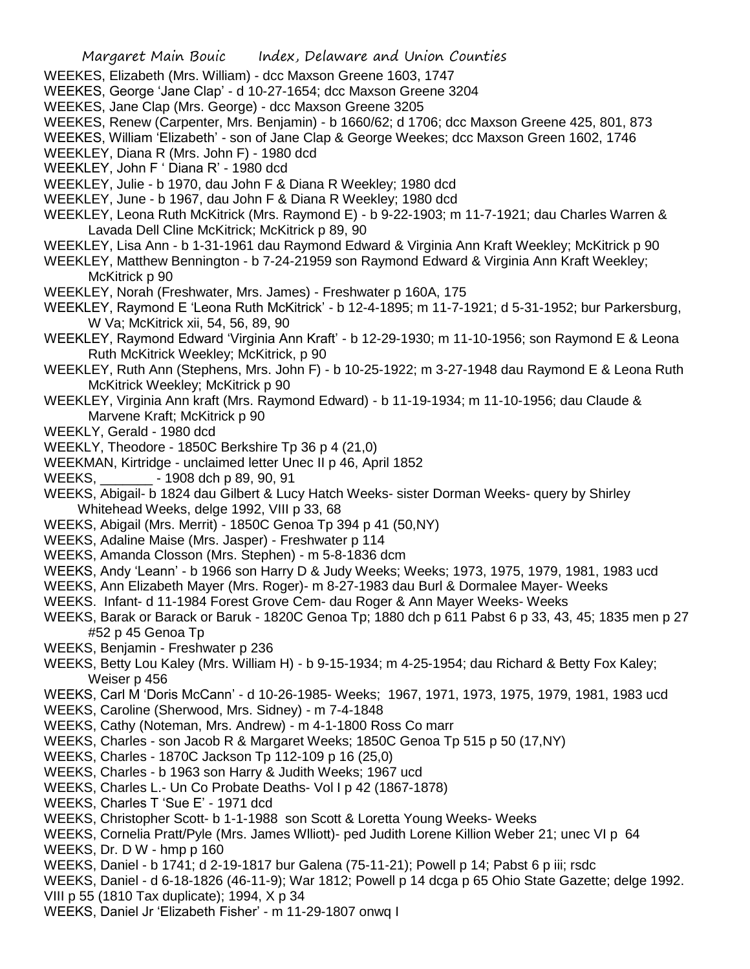- WEEKES, Elizabeth (Mrs. William) dcc Maxson Greene 1603, 1747
- WEEKES, George 'Jane Clap' d 10-27-1654; dcc Maxson Greene 3204
- WEEKES, Jane Clap (Mrs. George) dcc Maxson Greene 3205
- WEEKES, Renew (Carpenter, Mrs. Benjamin) b 1660/62; d 1706; dcc Maxson Greene 425, 801, 873
- WEEKES, William 'Elizabeth' son of Jane Clap & George Weekes; dcc Maxson Green 1602, 1746
- WEEKLEY, Diana R (Mrs. John F) 1980 dcd
- WEEKLEY, John F ' Diana R' 1980 dcd
- WEEKLEY, Julie b 1970, dau John F & Diana R Weekley; 1980 dcd
- WEEKLEY, June b 1967, dau John F & Diana R Weekley; 1980 dcd
- WEEKLEY, Leona Ruth McKitrick (Mrs. Raymond E) b 9-22-1903; m 11-7-1921; dau Charles Warren & Lavada Dell Cline McKitrick; McKitrick p 89, 90
- WEEKLEY, Lisa Ann b 1-31-1961 dau Raymond Edward & Virginia Ann Kraft Weekley; McKitrick p 90
- WEEKLEY, Matthew Bennington b 7-24-21959 son Raymond Edward & Virginia Ann Kraft Weekley; McKitrick p 90
- WEEKLEY, Norah (Freshwater, Mrs. James) Freshwater p 160A, 175
- WEEKLEY, Raymond E 'Leona Ruth McKitrick' b 12-4-1895; m 11-7-1921; d 5-31-1952; bur Parkersburg, W Va; McKitrick xii, 54, 56, 89, 90
- WEEKLEY, Raymond Edward 'Virginia Ann Kraft' b 12-29-1930; m 11-10-1956; son Raymond E & Leona Ruth McKitrick Weekley; McKitrick, p 90
- WEEKLEY, Ruth Ann (Stephens, Mrs. John F) b 10-25-1922; m 3-27-1948 dau Raymond E & Leona Ruth McKitrick Weekley; McKitrick p 90
- WEEKLEY, Virginia Ann kraft (Mrs. Raymond Edward) b 11-19-1934; m 11-10-1956; dau Claude & Marvene Kraft; McKitrick p 90
- WEEKLY, Gerald 1980 dcd
- WEEKLY, Theodore 1850C Berkshire Tp 36 p 4 (21,0)
- WEEKMAN, Kirtridge unclaimed letter Unec II p 46, April 1852
- WEEKS, \_\_\_\_\_\_\_ 1908 dch p 89, 90, 91
- WEEKS, Abigail- b 1824 dau Gilbert & Lucy Hatch Weeks- sister Dorman Weeks- query by Shirley Whitehead Weeks, delge 1992, VIII p 33, 68
- WEEKS, Abigail (Mrs. Merrit) 1850C Genoa Tp 394 p 41 (50,NY)
- WEEKS, Adaline Maise (Mrs. Jasper) Freshwater p 114
- WEEKS, Amanda Closson (Mrs. Stephen) m 5-8-1836 dcm
- WEEKS, Andy 'Leann' b 1966 son Harry D & Judy Weeks; Weeks; 1973, 1975, 1979, 1981, 1983 ucd
- WEEKS, Ann Elizabeth Mayer (Mrs. Roger)- m 8-27-1983 dau Burl & Dormalee Mayer- Weeks
- WEEKS. Infant- d 11-1984 Forest Grove Cem- dau Roger & Ann Mayer Weeks- Weeks
- WEEKS, Barak or Barack or Baruk 1820C Genoa Tp; 1880 dch p 611 Pabst 6 p 33, 43, 45; 1835 men p 27 #52 p 45 Genoa Tp
- WEEKS, Benjamin Freshwater p 236
- WEEKS, Betty Lou Kaley (Mrs. William H) b 9-15-1934; m 4-25-1954; dau Richard & Betty Fox Kaley; Weiser p 456
- WEEKS, Carl M 'Doris McCann' d 10-26-1985- Weeks; 1967, 1971, 1973, 1975, 1979, 1981, 1983 ucd
- WEEKS, Caroline (Sherwood, Mrs. Sidney) m 7-4-1848
- WEEKS, Cathy (Noteman, Mrs. Andrew) m 4-1-1800 Ross Co marr
- WEEKS, Charles son Jacob R & Margaret Weeks; 1850C Genoa Tp 515 p 50 (17,NY)
- WEEKS, Charles 1870C Jackson Tp 112-109 p 16 (25,0)
- WEEKS, Charles b 1963 son Harry & Judith Weeks; 1967 ucd
- WEEKS, Charles L.- Un Co Probate Deaths- Vol I p 42 (1867-1878)
- WEEKS, Charles T 'Sue E' 1971 dcd
- WEEKS, Christopher Scott- b 1-1-1988 son Scott & Loretta Young Weeks- Weeks
- WEEKS, Cornelia Pratt/Pyle (Mrs. James Wlliott)- ped Judith Lorene Killion Weber 21; unec VI p 64 WEEKS, Dr. D W - hmp p 160
- WEEKS, Daniel b 1741; d 2-19-1817 bur Galena (75-11-21); Powell p 14; Pabst 6 p iii; rsdc
- WEEKS, Daniel d 6-18-1826 (46-11-9); War 1812; Powell p 14 dcga p 65 Ohio State Gazette; delge 1992.
- VIII p 55 (1810 Tax duplicate); 1994, X p 34
- WEEKS, Daniel Jr 'Elizabeth Fisher' m 11-29-1807 onwq I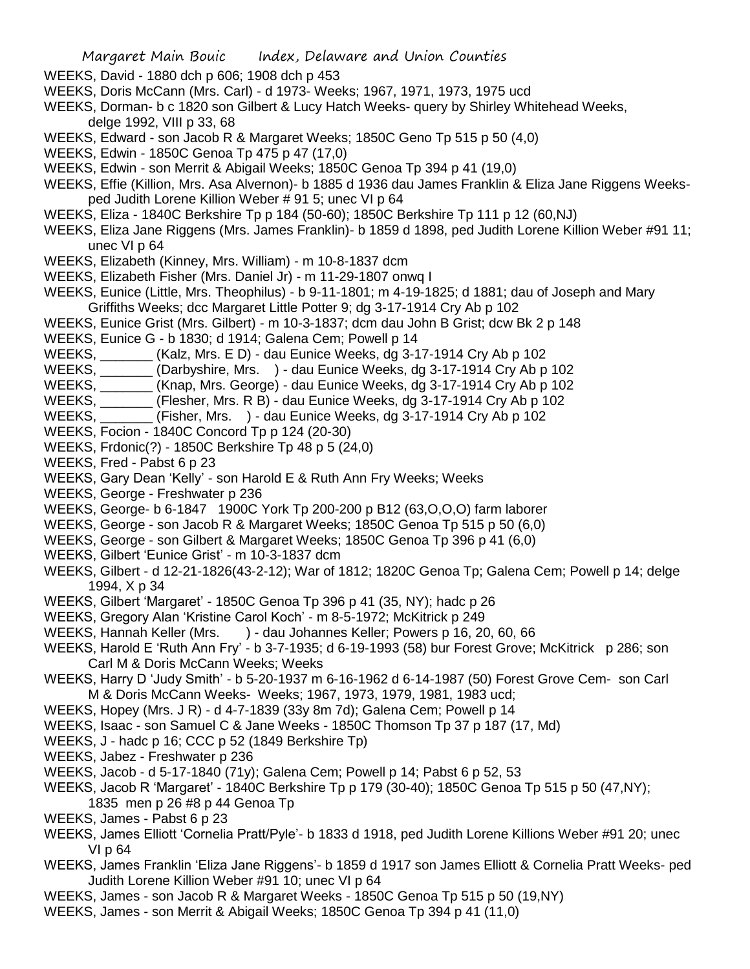WEEKS, David - 1880 dch p 606; 1908 dch p 453

- WEEKS, Doris McCann (Mrs. Carl) d 1973- Weeks; 1967, 1971, 1973, 1975 ucd
- WEEKS, Dorman- b c 1820 son Gilbert & Lucy Hatch Weeks- query by Shirley Whitehead Weeks, delge 1992, VIII p 33, 68
- WEEKS, Edward son Jacob R & Margaret Weeks; 1850C Geno Tp 515 p 50 (4,0)
- WEEKS, Edwin 1850C Genoa Tp 475 p 47 (17,0)
- WEEKS, Edwin son Merrit & Abigail Weeks; 1850C Genoa Tp 394 p 41 (19,0)
- WEEKS, Effie (Killion, Mrs. Asa Alvernon)- b 1885 d 1936 dau James Franklin & Eliza Jane Riggens Weeksped Judith Lorene Killion Weber # 91 5; unec VI p 64
- WEEKS, Eliza 1840C Berkshire Tp p 184 (50-60); 1850C Berkshire Tp 111 p 12 (60,NJ)
- WEEKS, Eliza Jane Riggens (Mrs. James Franklin)- b 1859 d 1898, ped Judith Lorene Killion Weber #91 11; unec VI p 64
- WEEKS, Elizabeth (Kinney, Mrs. William) m 10-8-1837 dcm
- WEEKS, Elizabeth Fisher (Mrs. Daniel Jr) m 11-29-1807 onwq I
- WEEKS, Eunice (Little, Mrs. Theophilus) b 9-11-1801; m 4-19-1825; d 1881; dau of Joseph and Mary Griffiths Weeks; dcc Margaret Little Potter 9; dg 3-17-1914 Cry Ab p 102
- WEEKS, Eunice Grist (Mrs. Gilbert) m 10-3-1837; dcm dau John B Grist; dcw Bk 2 p 148
- WEEKS, Eunice G b 1830; d 1914; Galena Cem; Powell p 14
- WEEKS, \_\_\_\_\_\_\_ (Kalz, Mrs. E D) dau Eunice Weeks, dg 3-17-1914 Cry Ab p 102
- WEEKS, \_\_\_\_\_\_\_ (Darbyshire, Mrs. ) dau Eunice Weeks, dg 3-17-1914 Cry Ab p 102
- WEEKS, \_\_\_\_\_\_\_ (Knap, Mrs. George) dau Eunice Weeks, dg 3-17-1914 Cry Ab p 102
- WEEKS, \_\_\_\_\_\_\_ (Flesher, Mrs. R B) dau Eunice Weeks, dg 3-17-1914 Cry Ab p 102
- WEEKS, \_\_\_\_\_\_\_ (Fisher, Mrs. ) dau Eunice Weeks, dg 3-17-1914 Cry Ab p 102
- WEEKS, Focion 1840C Concord Tp p 124 (20-30)
- WEEKS, Frdonic(?) 1850C Berkshire Tp 48 p 5 (24,0)
- WEEKS, Fred Pabst 6 p 23
- WEEKS, Gary Dean 'Kelly' son Harold E & Ruth Ann Fry Weeks; Weeks
- WEEKS, George Freshwater p 236
- WEEKS, George- b 6-1847 1900C York Tp 200-200 p B12 (63,O,O,O) farm laborer
- WEEKS, George son Jacob R & Margaret Weeks; 1850C Genoa Tp 515 p 50 (6,0)
- WEEKS, George son Gilbert & Margaret Weeks; 1850C Genoa Tp 396 p 41 (6,0)
- WEEKS, Gilbert 'Eunice Grist' m 10-3-1837 dcm
- WEEKS, Gilbert d 12-21-1826(43-2-12); War of 1812; 1820C Genoa Tp; Galena Cem; Powell p 14; delge 1994, X p 34
- WEEKS, Gilbert 'Margaret' 1850C Genoa Tp 396 p 41 (35, NY); hadc p 26
- WEEKS, Gregory Alan 'Kristine Carol Koch' m 8-5-1972; McKitrick p 249
- WEEKS, Hannah Keller (Mrs. ) dau Johannes Keller; Powers p 16, 20, 60, 66
- WEEKS, Harold E 'Ruth Ann Fry' b 3-7-1935; d 6-19-1993 (58) bur Forest Grove; McKitrick p 286; son Carl M & Doris McCann Weeks; Weeks
- WEEKS, Harry D 'Judy Smith' b 5-20-1937 m 6-16-1962 d 6-14-1987 (50) Forest Grove Cem- son Carl M & Doris McCann Weeks- Weeks; 1967, 1973, 1979, 1981, 1983 ucd;
- WEEKS, Hopey (Mrs. J R) d 4-7-1839 (33y 8m 7d); Galena Cem; Powell p 14
- WEEKS, Isaac son Samuel C & Jane Weeks 1850C Thomson Tp 37 p 187 (17, Md)
- WEEKS, J hadc p 16; CCC p 52 (1849 Berkshire Tp)
- WEEKS, Jabez Freshwater p 236
- WEEKS, Jacob d 5-17-1840 (71y); Galena Cem; Powell p 14; Pabst 6 p 52, 53
- WEEKS, Jacob R 'Margaret' 1840C Berkshire Tp p 179 (30-40); 1850C Genoa Tp 515 p 50 (47,NY); 1835 men p 26 #8 p 44 Genoa Tp
- WEEKS, James Pabst 6 p 23
- WEEKS, James Elliott 'Cornelia Pratt/Pyle'- b 1833 d 1918, ped Judith Lorene Killions Weber #91 20; unec VI p 64
- WEEKS, James Franklin 'Eliza Jane Riggens'- b 1859 d 1917 son James Elliott & Cornelia Pratt Weeks- ped Judith Lorene Killion Weber #91 10; unec VI p 64
- WEEKS, James son Jacob R & Margaret Weeks 1850C Genoa Tp 515 p 50 (19,NY)
- WEEKS, James son Merrit & Abigail Weeks; 1850C Genoa Tp 394 p 41 (11,0)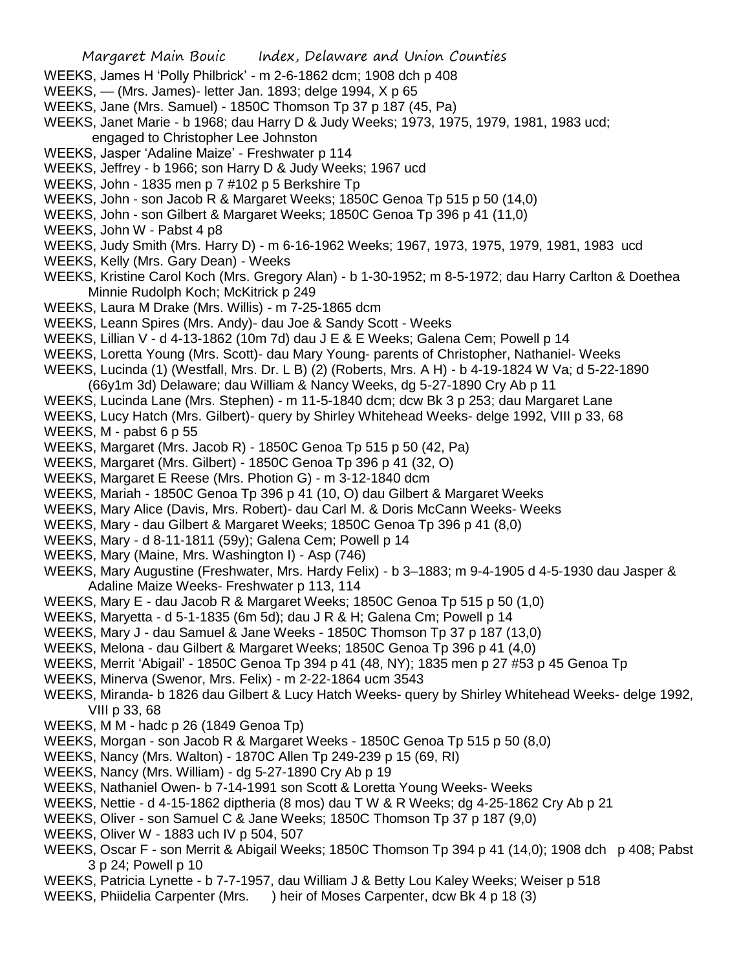- WEEKS, James H 'Polly Philbrick' m 2-6-1862 dcm; 1908 dch p 408
- WEEKS, (Mrs. James)- letter Jan. 1893; delge 1994, X p 65
- WEEKS, Jane (Mrs. Samuel) 1850C Thomson Tp 37 p 187 (45, Pa)
- WEEKS, Janet Marie b 1968; dau Harry D & Judy Weeks; 1973, 1975, 1979, 1981, 1983 ucd; engaged to Christopher Lee Johnston
- WEEKS, Jasper 'Adaline Maize' Freshwater p 114
- WEEKS, Jeffrey b 1966; son Harry D & Judy Weeks; 1967 ucd
- WEEKS, John 1835 men p 7 #102 p 5 Berkshire Tp
- WEEKS, John son Jacob R & Margaret Weeks; 1850C Genoa Tp 515 p 50 (14,0)
- WEEKS, John son Gilbert & Margaret Weeks; 1850C Genoa Tp 396 p 41 (11,0)
- WEEKS, John W Pabst 4 p8
- WEEKS, Judy Smith (Mrs. Harry D) m 6-16-1962 Weeks; 1967, 1973, 1975, 1979, 1981, 1983 ucd
- WEEKS, Kelly (Mrs. Gary Dean) Weeks
- WEEKS, Kristine Carol Koch (Mrs. Gregory Alan) b 1-30-1952; m 8-5-1972; dau Harry Carlton & Doethea Minnie Rudolph Koch; McKitrick p 249
- WEEKS, Laura M Drake (Mrs. Willis) m 7-25-1865 dcm
- WEEKS, Leann Spires (Mrs. Andy)- dau Joe & Sandy Scott Weeks
- WEEKS, Lillian V d 4-13-1862 (10m 7d) dau J E & E Weeks; Galena Cem; Powell p 14
- WEEKS, Loretta Young (Mrs. Scott)- dau Mary Young- parents of Christopher, Nathaniel- Weeks
- WEEKS, Lucinda (1) (Westfall, Mrs. Dr. L B) (2) (Roberts, Mrs. A H) b 4-19-1824 W Va; d 5-22-1890 (66y1m 3d) Delaware; dau William & Nancy Weeks, dg 5-27-1890 Cry Ab p 11
- WEEKS, Lucinda Lane (Mrs. Stephen) m 11-5-1840 dcm; dcw Bk 3 p 253; dau Margaret Lane
- WEEKS, Lucy Hatch (Mrs. Gilbert)- query by Shirley Whitehead Weeks- delge 1992, VIII p 33, 68 WEEKS, M - pabst 6 p 55
- WEEKS, Margaret (Mrs. Jacob R) 1850C Genoa Tp 515 p 50 (42, Pa)
- WEEKS, Margaret (Mrs. Gilbert) 1850C Genoa Tp 396 p 41 (32, O)
- WEEKS, Margaret E Reese (Mrs. Photion G) m 3-12-1840 dcm
- WEEKS, Mariah 1850C Genoa Tp 396 p 41 (10, O) dau Gilbert & Margaret Weeks
- WEEKS, Mary Alice (Davis, Mrs. Robert)- dau Carl M. & Doris McCann Weeks- Weeks
- WEEKS, Mary dau Gilbert & Margaret Weeks; 1850C Genoa Tp 396 p 41 (8,0)
- WEEKS, Mary d 8-11-1811 (59y); Galena Cem; Powell p 14
- WEEKS, Mary (Maine, Mrs. Washington I) Asp (746)
- WEEKS, Mary Augustine (Freshwater, Mrs. Hardy Felix) b 3–1883; m 9-4-1905 d 4-5-1930 dau Jasper & Adaline Maize Weeks- Freshwater p 113, 114
- WEEKS, Mary E dau Jacob R & Margaret Weeks; 1850C Genoa Tp 515 p 50 (1,0)
- WEEKS, Maryetta d 5-1-1835 (6m 5d); dau J R & H; Galena Cm; Powell p 14
- WEEKS, Mary J dau Samuel & Jane Weeks 1850C Thomson Tp 37 p 187 (13,0)
- WEEKS, Melona dau Gilbert & Margaret Weeks; 1850C Genoa Tp 396 p 41 (4,0)
- WEEKS, Merrit 'Abigail' 1850C Genoa Tp 394 p 41 (48, NY); 1835 men p 27 #53 p 45 Genoa Tp
- WEEKS, Minerva (Swenor, Mrs. Felix) m 2-22-1864 ucm 3543
- WEEKS, Miranda- b 1826 dau Gilbert & Lucy Hatch Weeks- query by Shirley Whitehead Weeks- delge 1992, VIII p 33, 68
- WEEKS, M M hadc p 26 (1849 Genoa Tp)
- WEEKS, Morgan son Jacob R & Margaret Weeks 1850C Genoa Tp 515 p 50 (8,0)
- WEEKS, Nancy (Mrs. Walton) 1870C Allen Tp 249-239 p 15 (69, RI)
- WEEKS, Nancy (Mrs. William) dg 5-27-1890 Cry Ab p 19
- WEEKS, Nathaniel Owen- b 7-14-1991 son Scott & Loretta Young Weeks- Weeks
- WEEKS, Nettie d 4-15-1862 diptheria (8 mos) dau T W & R Weeks; dg 4-25-1862 Cry Ab p 21
- WEEKS, Oliver son Samuel C & Jane Weeks; 1850C Thomson Tp 37 p 187 (9,0)
- WEEKS, Oliver W 1883 uch IV p 504, 507
- WEEKS, Oscar F son Merrit & Abigail Weeks; 1850C Thomson Tp 394 p 41 (14,0); 1908 dch p 408; Pabst 3 p 24; Powell p 10
- WEEKS, Patricia Lynette b 7-7-1957, dau William J & Betty Lou Kaley Weeks; Weiser p 518
- WEEKS, Phiidelia Carpenter (Mrs. ) heir of Moses Carpenter, dcw Bk 4 p 18 (3)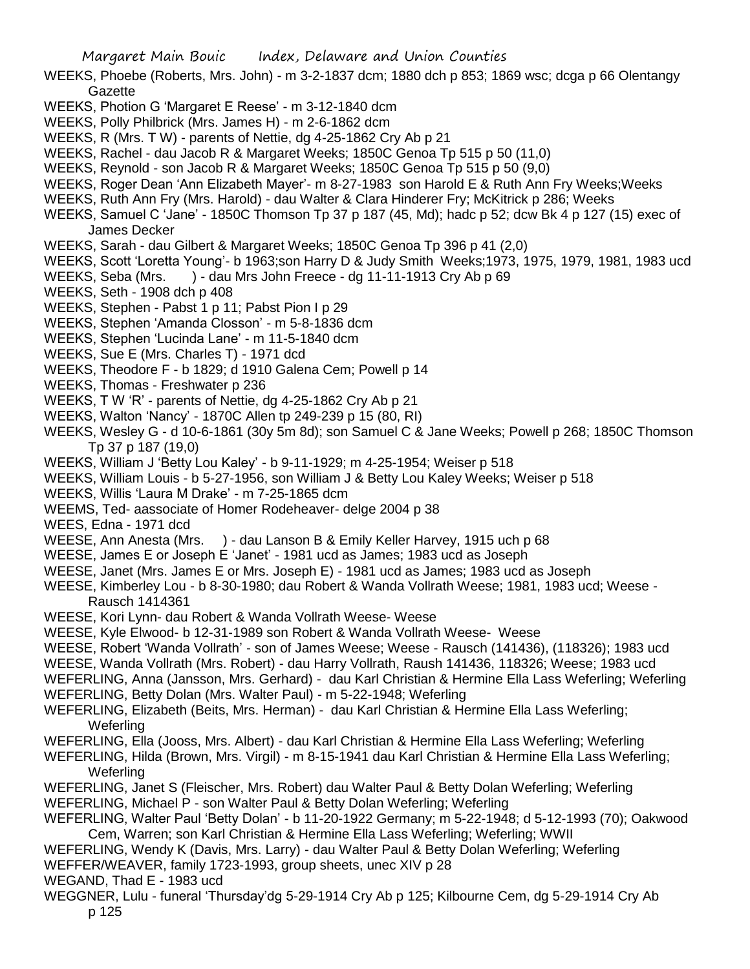WEEKS, Phoebe (Roberts, Mrs. John) - m 3-2-1837 dcm; 1880 dch p 853; 1869 wsc; dcga p 66 Olentangy Gazette

- WEEKS, Photion G 'Margaret E Reese' m 3-12-1840 dcm
- WEEKS, Polly Philbrick (Mrs. James H) m 2-6-1862 dcm
- WEEKS, R (Mrs. T W) parents of Nettie, dg 4-25-1862 Cry Ab p 21
- WEEKS, Rachel dau Jacob R & Margaret Weeks; 1850C Genoa Tp 515 p 50 (11,0)
- WEEKS, Reynold son Jacob R & Margaret Weeks; 1850C Genoa Tp 515 p 50 (9,0)
- WEEKS, Roger Dean 'Ann Elizabeth Mayer'- m 8-27-1983 son Harold E & Ruth Ann Fry Weeks;Weeks
- WEEKS, Ruth Ann Fry (Mrs. Harold) dau Walter & Clara Hinderer Fry; McKitrick p 286; Weeks
- WEEKS, Samuel C 'Jane' 1850C Thomson Tp 37 p 187 (45, Md); hadc p 52; dcw Bk 4 p 127 (15) exec of James Decker
- WEEKS, Sarah dau Gilbert & Margaret Weeks; 1850C Genoa Tp 396 p 41 (2,0)
- WEEKS, Scott 'Loretta Young'- b 1963;son Harry D & Judy Smith Weeks;1973, 1975, 1979, 1981, 1983 ucd
- WEEKS, Seba (Mrs. ) dau Mrs John Freece dg 11-11-1913 Cry Ab p 69
- WEEKS, Seth 1908 dch p 408
- WEEKS, Stephen Pabst 1 p 11; Pabst Pion I p 29
- WEEKS, Stephen 'Amanda Closson' m 5-8-1836 dcm
- WEEKS, Stephen 'Lucinda Lane' m 11-5-1840 dcm
- WEEKS, Sue E (Mrs. Charles T) 1971 dcd
- WEEKS, Theodore F b 1829; d 1910 Galena Cem; Powell p 14
- WEEKS, Thomas Freshwater p 236
- WEEKS, T W 'R' parents of Nettie, dg 4-25-1862 Cry Ab p 21
- WEEKS, Walton 'Nancy' 1870C Allen tp 249-239 p 15 (80, RI)
- WEEKS, Wesley G d 10-6-1861 (30y 5m 8d); son Samuel C & Jane Weeks; Powell p 268; 1850C Thomson Tp 37 p 187 (19,0)
- WEEKS, William J 'Betty Lou Kaley' b 9-11-1929; m 4-25-1954; Weiser p 518
- WEEKS, William Louis b 5-27-1956, son William J & Betty Lou Kaley Weeks; Weiser p 518
- WEEKS, Willis 'Laura M Drake' m 7-25-1865 dcm
- WEEMS, Ted- aassociate of Homer Rodeheaver- delge 2004 p 38

WEES, Edna - 1971 dcd

- WEESE, Ann Anesta (Mrs. ) dau Lanson B & Emily Keller Harvey, 1915 uch p 68
- WEESE, James E or Joseph E 'Janet' 1981 ucd as James; 1983 ucd as Joseph
- WEESE, Janet (Mrs. James E or Mrs. Joseph E) 1981 ucd as James; 1983 ucd as Joseph
- WEESE, Kimberley Lou b 8-30-1980; dau Robert & Wanda Vollrath Weese; 1981, 1983 ucd; Weese Rausch 1414361
- WEESE, Kori Lynn- dau Robert & Wanda Vollrath Weese- Weese
- WEESE, Kyle Elwood- b 12-31-1989 son Robert & Wanda Vollrath Weese- Weese
- WEESE, Robert 'Wanda Vollrath' son of James Weese; Weese Rausch (141436), (118326); 1983 ucd
- WEESE, Wanda Vollrath (Mrs. Robert) dau Harry Vollrath, Raush 141436, 118326; Weese; 1983 ucd
- WEFERLING, Anna (Jansson, Mrs. Gerhard) dau Karl Christian & Hermine Ella Lass Weferling; Weferling WEFERLING, Betty Dolan (Mrs. Walter Paul) - m 5-22-1948; Weferling
- 
- WEFERLING, Elizabeth (Beits, Mrs. Herman) dau Karl Christian & Hermine Ella Lass Weferling; **Weferling**
- WEFERLING, Ella (Jooss, Mrs. Albert) dau Karl Christian & Hermine Ella Lass Weferling; Weferling
- WEFERLING, Hilda (Brown, Mrs. Virgil) m 8-15-1941 dau Karl Christian & Hermine Ella Lass Weferling; Weferling
- WEFERLING, Janet S (Fleischer, Mrs. Robert) dau Walter Paul & Betty Dolan Weferling; Weferling
- WEFERLING, Michael P son Walter Paul & Betty Dolan Weferling; Weferling
- WEFERLING, Walter Paul 'Betty Dolan' b 11-20-1922 Germany; m 5-22-1948; d 5-12-1993 (70); Oakwood Cem, Warren; son Karl Christian & Hermine Ella Lass Weferling; Weferling; WWII
- WEFERLING, Wendy K (Davis, Mrs. Larry) dau Walter Paul & Betty Dolan Weferling; Weferling WEFFER/WEAVER, family 1723-1993, group sheets, unec XIV p 28
- WEGAND, Thad E 1983 ucd
- WEGGNER, Lulu funeral 'Thursday'dg 5-29-1914 Cry Ab p 125; Kilbourne Cem, dg 5-29-1914 Cry Ab p 125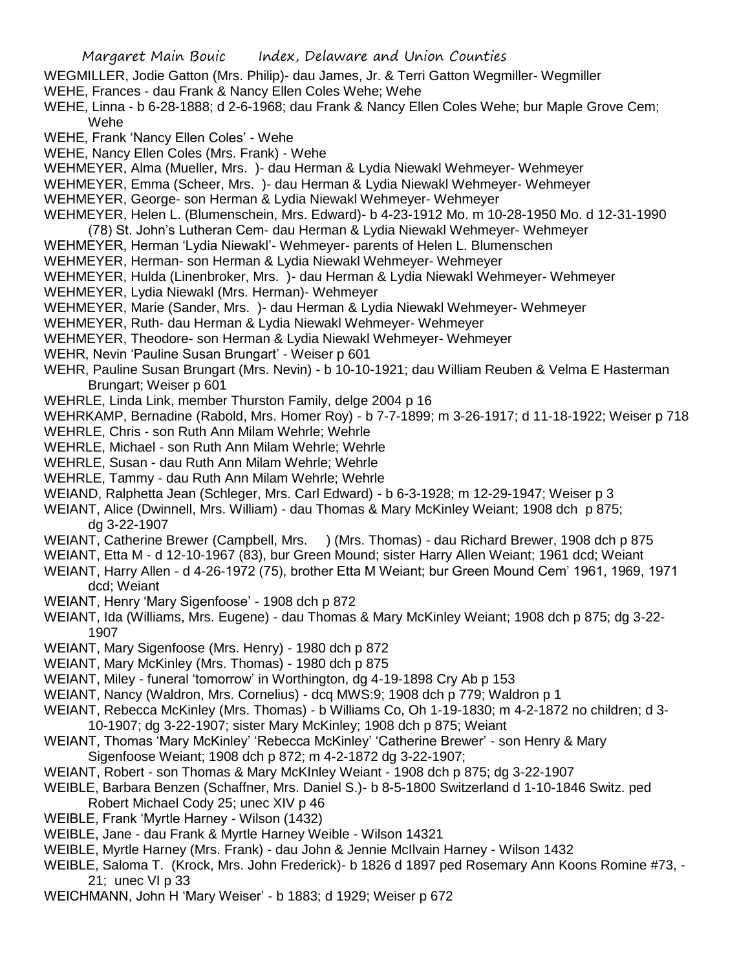- WEGMILLER, Jodie Gatton (Mrs. Philip)- dau James, Jr. & Terri Gatton Wegmiller- Wegmiller WEHE, Frances - dau Frank & Nancy Ellen Coles Wehe; Wehe
- WEHE, Linna b 6-28-1888; d 2-6-1968; dau Frank & Nancy Ellen Coles Wehe; bur Maple Grove Cem; Wehe
- WEHE, Frank 'Nancy Ellen Coles' Wehe
- WEHE, Nancy Ellen Coles (Mrs. Frank) Wehe
- WEHMEYER, Alma (Mueller, Mrs. )- dau Herman & Lydia Niewakl Wehmeyer- Wehmeyer
- WEHMEYER, Emma (Scheer, Mrs. )- dau Herman & Lydia Niewakl Wehmeyer- Wehmeyer
- WEHMEYER, George- son Herman & Lydia Niewakl Wehmeyer- Wehmeyer
- WEHMEYER, Helen L. (Blumenschein, Mrs. Edward)- b 4-23-1912 Mo. m 10-28-1950 Mo. d 12-31-1990
- (78) St. John's Lutheran Cem- dau Herman & Lydia Niewakl Wehmeyer- Wehmeyer
- WEHMEYER, Herman 'Lydia Niewakl'- Wehmeyer- parents of Helen L. Blumenschen
- WEHMEYER, Herman- son Herman & Lydia Niewakl Wehmeyer- Wehmeyer
- WEHMEYER, Hulda (Linenbroker, Mrs. )- dau Herman & Lydia Niewakl Wehmeyer- Wehmeyer
- WEHMEYER, Lydia Niewakl (Mrs. Herman)- Wehmeyer
- WEHMEYER, Marie (Sander, Mrs. )- dau Herman & Lydia Niewakl Wehmeyer- Wehmeyer
- WEHMEYER, Ruth- dau Herman & Lydia Niewakl Wehmeyer- Wehmeyer
- WEHMEYER, Theodore- son Herman & Lydia Niewakl Wehmeyer- Wehmeyer
- WEHR, Nevin 'Pauline Susan Brungart' Weiser p 601
- WEHR, Pauline Susan Brungart (Mrs. Nevin) b 10-10-1921; dau William Reuben & Velma E Hasterman Brungart: Weiser p 601
- WEHRLE, Linda Link, member Thurston Family, delge 2004 p 16
- WEHRKAMP, Bernadine (Rabold, Mrs. Homer Roy) b 7-7-1899; m 3-26-1917; d 11-18-1922; Weiser p 718
- WEHRLE, Chris son Ruth Ann Milam Wehrle; Wehrle
- WEHRLE, Michael son Ruth Ann Milam Wehrle; Wehrle
- WEHRLE, Susan dau Ruth Ann Milam Wehrle; Wehrle
- WEHRLE, Tammy dau Ruth Ann Milam Wehrle; Wehrle
- WEIAND, Ralphetta Jean (Schleger, Mrs. Carl Edward) b 6-3-1928; m 12-29-1947; Weiser p 3
- WEIANT, Alice (Dwinnell, Mrs. William) dau Thomas & Mary McKinley Weiant; 1908 dch p 875; dg 3-22-1907
- WEIANT, Catherine Brewer (Campbell, Mrs. ) (Mrs. Thomas) dau Richard Brewer, 1908 dch p 875
- WEIANT, Etta M d 12-10-1967 (83), bur Green Mound; sister Harry Allen Weiant; 1961 dcd; Weiant
- WEIANT, Harry Allen d 4-26-1972 (75), brother Etta M Weiant; bur Green Mound Cem' 1961, 1969, 1971 dcd; Weiant
- WEIANT, Henry 'Mary Sigenfoose' 1908 dch p 872
- WEIANT, Ida (Williams, Mrs. Eugene) dau Thomas & Mary McKinley Weiant; 1908 dch p 875; dg 3-22- 1907
- WEIANT, Mary Sigenfoose (Mrs. Henry) 1980 dch p 872
- WEIANT, Mary McKinley (Mrs. Thomas) 1980 dch p 875
- WEIANT, Miley funeral 'tomorrow' in Worthington, dg 4-19-1898 Cry Ab p 153
- WEIANT, Nancy (Waldron, Mrs. Cornelius) dcq MWS:9; 1908 dch p 779; Waldron p 1
- WEIANT, Rebecca McKinley (Mrs. Thomas) b Williams Co, Oh 1-19-1830; m 4-2-1872 no children; d 3- 10-1907; dg 3-22-1907; sister Mary McKinley; 1908 dch p 875; Weiant
- WEIANT, Thomas 'Mary McKinley' 'Rebecca McKinley' 'Catherine Brewer' son Henry & Mary Sigenfoose Weiant; 1908 dch p 872; m 4-2-1872 dg 3-22-1907;
- WEIANT, Robert son Thomas & Mary McKInley Weiant 1908 dch p 875; dg 3-22-1907
- WEIBLE, Barbara Benzen (Schaffner, Mrs. Daniel S.)- b 8-5-1800 Switzerland d 1-10-1846 Switz. ped Robert Michael Cody 25; unec XIV p 46
- WEIBLE, Frank 'Myrtle Harney Wilson (1432)
- WEIBLE, Jane dau Frank & Myrtle Harney Weible Wilson 14321
- WEIBLE, Myrtle Harney (Mrs. Frank) dau John & Jennie McIlvain Harney Wilson 1432
- WEIBLE, Saloma T. (Krock, Mrs. John Frederick)- b 1826 d 1897 ped Rosemary Ann Koons Romine #73, 21; unec VI p 33
- WEICHMANN, John H 'Mary Weiser' b 1883; d 1929; Weiser p 672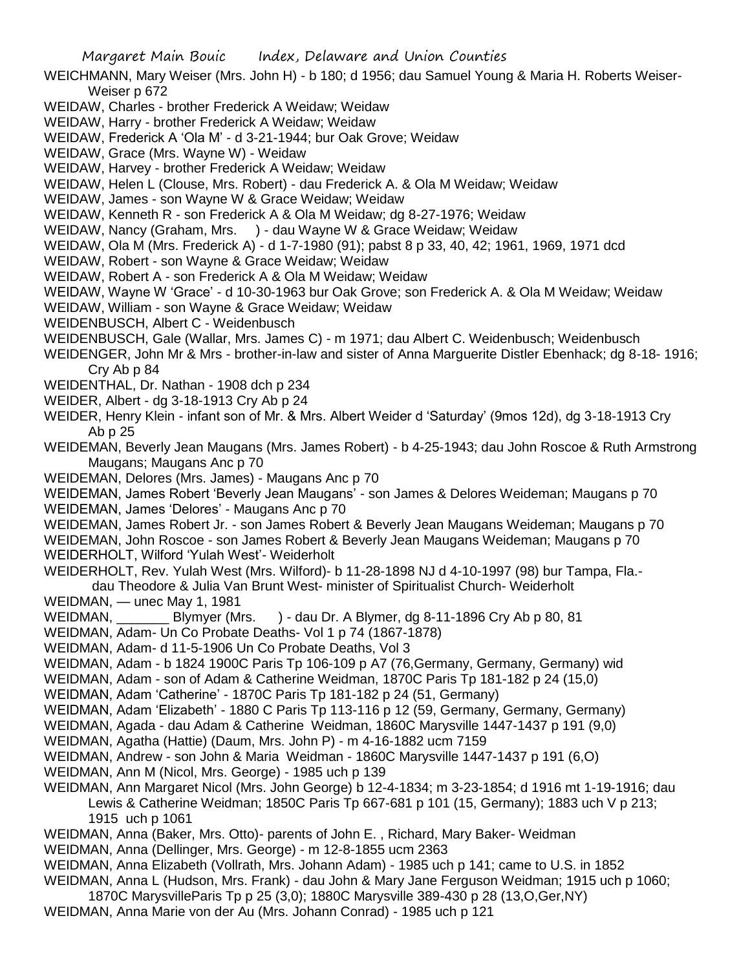- WEICHMANN, Mary Weiser (Mrs. John H) b 180; d 1956; dau Samuel Young & Maria H. Roberts Weiser-Weiser p 672
- WEIDAW, Charles brother Frederick A Weidaw; Weidaw
- WEIDAW, Harry brother Frederick A Weidaw; Weidaw
- WEIDAW, Frederick A 'Ola M' d 3-21-1944; bur Oak Grove; Weidaw
- WEIDAW, Grace (Mrs. Wayne W) Weidaw
- WEIDAW, Harvey brother Frederick A Weidaw; Weidaw
- WEIDAW, Helen L (Clouse, Mrs. Robert) dau Frederick A. & Ola M Weidaw; Weidaw
- WEIDAW, James son Wayne W & Grace Weidaw; Weidaw
- WEIDAW, Kenneth R son Frederick A & Ola M Weidaw; dg 8-27-1976; Weidaw
- WEIDAW, Nancy (Graham, Mrs. ) dau Wayne W & Grace Weidaw; Weidaw
- WEIDAW, Ola M (Mrs. Frederick A) d 1-7-1980 (91); pabst 8 p 33, 40, 42; 1961, 1969, 1971 dcd
- WEIDAW, Robert son Wayne & Grace Weidaw; Weidaw
- WEIDAW, Robert A son Frederick A & Ola M Weidaw; Weidaw
- WEIDAW, Wayne W 'Grace' d 10-30-1963 bur Oak Grove; son Frederick A. & Ola M Weidaw; Weidaw
- WEIDAW, William son Wayne & Grace Weidaw; Weidaw
- WEIDENBUSCH, Albert C Weidenbusch
- WEIDENBUSCH, Gale (Wallar, Mrs. James C) m 1971; dau Albert C. Weidenbusch; Weidenbusch
- WEIDENGER, John Mr & Mrs brother-in-law and sister of Anna Marguerite Distler Ebenhack; dg 8-18- 1916; Cry Ab p 84
- WEIDENTHAL, Dr. Nathan 1908 dch p 234
- WEIDER, Albert dg 3-18-1913 Cry Ab p 24
- WEIDER, Henry Klein infant son of Mr. & Mrs. Albert Weider d 'Saturday' (9mos 12d), dg 3-18-1913 Cry Ab p 25
- WEIDEMAN, Beverly Jean Maugans (Mrs. James Robert) b 4-25-1943; dau John Roscoe & Ruth Armstrong Maugans; Maugans Anc p 70
- WEIDEMAN, Delores (Mrs. James) Maugans Anc p 70
- WEIDEMAN, James Robert 'Beverly Jean Maugans' son James & Delores Weideman; Maugans p 70 WEIDEMAN, James 'Delores' - Maugans Anc p 70
- WEIDEMAN, James Robert Jr. son James Robert & Beverly Jean Maugans Weideman; Maugans p 70 WEIDEMAN, John Roscoe - son James Robert & Beverly Jean Maugans Weideman; Maugans p 70 WEIDERHOLT, Wilford 'Yulah West'- Weiderholt
- WEIDERHOLT, Rev. Yulah West (Mrs. Wilford)- b 11-28-1898 NJ d 4-10-1997 (98) bur Tampa, Fla. dau Theodore & Julia Van Brunt West- minister of Spiritualist Church- Weiderholt
- WEIDMAN, unec May 1, 1981
- WEIDMAN, Blymyer (Mrs. ) dau Dr. A Blymer, dg 8-11-1896 Cry Ab p 80, 81
- WEIDMAN, Adam- Un Co Probate Deaths- Vol 1 p 74 (1867-1878)
- WEIDMAN, Adam- d 11-5-1906 Un Co Probate Deaths, Vol 3
- WEIDMAN, Adam b 1824 1900C Paris Tp 106-109 p A7 (76,Germany, Germany, Germany) wid
- WEIDMAN, Adam son of Adam & Catherine Weidman, 1870C Paris Tp 181-182 p 24 (15,0)
- WEIDMAN, Adam 'Catherine' 1870C Paris Tp 181-182 p 24 (51, Germany)
- WEIDMAN, Adam 'Elizabeth' 1880 C Paris Tp 113-116 p 12 (59, Germany, Germany, Germany)
- WEIDMAN, Agada dau Adam & Catherine Weidman, 1860C Marysville 1447-1437 p 191 (9,0)
- WEIDMAN, Agatha (Hattie) (Daum, Mrs. John P) m 4-16-1882 ucm 7159
- WEIDMAN, Andrew son John & Maria Weidman 1860C Marysville 1447-1437 p 191 (6,O)
- WEIDMAN, Ann M (Nicol, Mrs. George) 1985 uch p 139
- WEIDMAN, Ann Margaret Nicol (Mrs. John George) b 12-4-1834; m 3-23-1854; d 1916 mt 1-19-1916; dau Lewis & Catherine Weidman; 1850C Paris Tp 667-681 p 101 (15, Germany); 1883 uch V p 213;
	- 1915 uch p 1061
- WEIDMAN, Anna (Baker, Mrs. Otto)- parents of John E. , Richard, Mary Baker- Weidman
- WEIDMAN, Anna (Dellinger, Mrs. George) m 12-8-1855 ucm 2363
- WEIDMAN, Anna Elizabeth (Vollrath, Mrs. Johann Adam) 1985 uch p 141; came to U.S. in 1852 WEIDMAN, Anna L (Hudson, Mrs. Frank) - dau John & Mary Jane Ferguson Weidman; 1915 uch p 1060;
- 1870C MarysvilleParis Tp p 25 (3,0); 1880C Marysville 389-430 p 28 (13,O,Ger,NY)
- WEIDMAN, Anna Marie von der Au (Mrs. Johann Conrad) 1985 uch p 121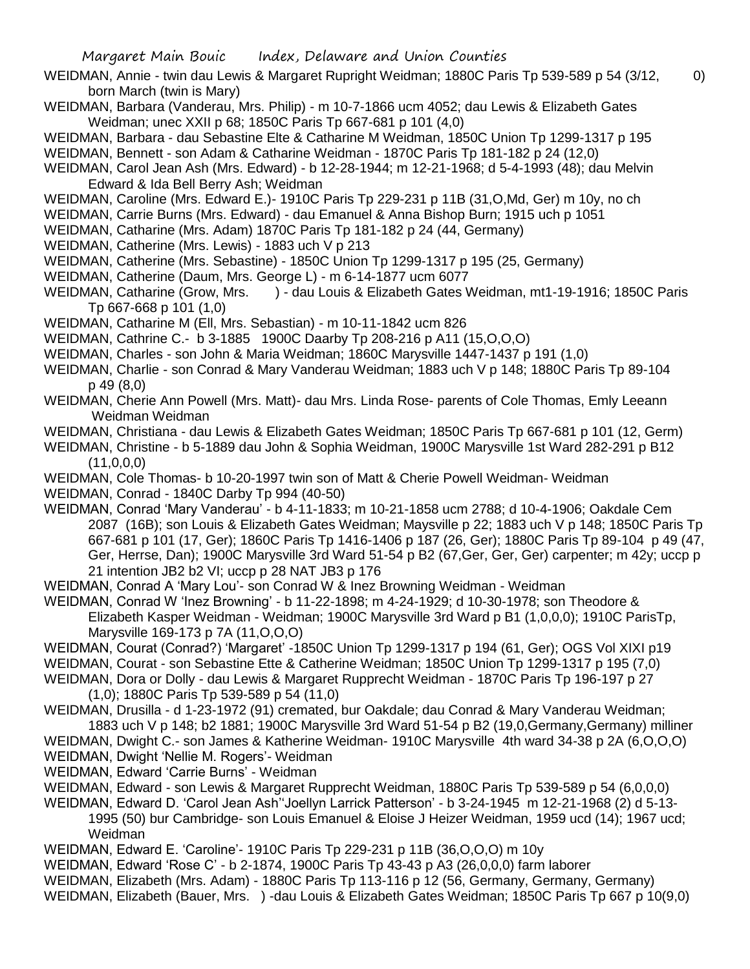- WEIDMAN, Annie twin dau Lewis & Margaret Rupright Weidman; 1880C Paris Tp 539-589 p 54 (3/12, 0) born March (twin is Mary)
- WEIDMAN, Barbara (Vanderau, Mrs. Philip) m 10-7-1866 ucm 4052; dau Lewis & Elizabeth Gates Weidman; unec XXII p 68; 1850C Paris Tp 667-681 p 101 (4,0)
- WEIDMAN, Barbara dau Sebastine Elte & Catharine M Weidman, 1850C Union Tp 1299-1317 p 195
- WEIDMAN, Bennett son Adam & Catharine Weidman 1870C Paris Tp 181-182 p 24 (12,0)
- WEIDMAN, Carol Jean Ash (Mrs. Edward) b 12-28-1944; m 12-21-1968; d 5-4-1993 (48); dau Melvin Edward & Ida Bell Berry Ash; Weidman
- WEIDMAN, Caroline (Mrs. Edward E.)- 1910C Paris Tp 229-231 p 11B (31,O,Md, Ger) m 10y, no ch
- WEIDMAN, Carrie Burns (Mrs. Edward) dau Emanuel & Anna Bishop Burn; 1915 uch p 1051
- WEIDMAN, Catharine (Mrs. Adam) 1870C Paris Tp 181-182 p 24 (44, Germany)
- WEIDMAN, Catherine (Mrs. Lewis) 1883 uch V p 213
- WEIDMAN, Catherine (Mrs. Sebastine) 1850C Union Tp 1299-1317 p 195 (25, Germany)
- WEIDMAN, Catherine (Daum, Mrs. George L) m 6-14-1877 ucm 6077
- WEIDMAN, Catharine (Grow, Mrs. ) dau Louis & Elizabeth Gates Weidman, mt1-19-1916; 1850C Paris Tp 667-668 p 101 (1,0)
- WEIDMAN, Catharine M (Ell, Mrs. Sebastian) m 10-11-1842 ucm 826
- WEIDMAN, Cathrine C.- b 3-1885 1900C Daarby Tp 208-216 p A11 (15,O,O,O)
- WEIDMAN, Charles son John & Maria Weidman; 1860C Marysville 1447-1437 p 191 (1,0)
- WEIDMAN, Charlie son Conrad & Mary Vanderau Weidman; 1883 uch V p 148; 1880C Paris Tp 89-104 p 49 (8,0)
- WEIDMAN, Cherie Ann Powell (Mrs. Matt)- dau Mrs. Linda Rose- parents of Cole Thomas, Emly Leeann Weidman Weidman
- WEIDMAN, Christiana dau Lewis & Elizabeth Gates Weidman; 1850C Paris Tp 667-681 p 101 (12, Germ)
- WEIDMAN, Christine b 5-1889 dau John & Sophia Weidman, 1900C Marysville 1st Ward 282-291 p B12  $(11,0,0,0)$
- WEIDMAN, Cole Thomas- b 10-20-1997 twin son of Matt & Cherie Powell Weidman- Weidman
- WEIDMAN, Conrad 1840C Darby Tp 994 (40-50)
- WEIDMAN, Conrad 'Mary Vanderau' b 4-11-1833; m 10-21-1858 ucm 2788; d 10-4-1906; Oakdale Cem 2087 (16B); son Louis & Elizabeth Gates Weidman; Maysville p 22; 1883 uch V p 148; 1850C Paris Tp 667-681 p 101 (17, Ger); 1860C Paris Tp 1416-1406 p 187 (26, Ger); 1880C Paris Tp 89-104 p 49 (47, Ger, Herrse, Dan); 1900C Marysville 3rd Ward 51-54 p B2 (67,Ger, Ger, Ger) carpenter; m 42y; uccp p 21 intention JB2 b2 VI; uccp p 28 NAT JB3 p 176
- WEIDMAN, Conrad A 'Mary Lou'- son Conrad W & Inez Browning Weidman Weidman
- WEIDMAN, Conrad W 'Inez Browning' b 11-22-1898; m 4-24-1929; d 10-30-1978; son Theodore & Elizabeth Kasper Weidman - Weidman; 1900C Marysville 3rd Ward p B1 (1,0,0,0); 1910C ParisTp, Marysville 169-173 p 7A (11,O,O,O)
- WEIDMAN, Courat (Conrad?) 'Margaret' -1850C Union Tp 1299-1317 p 194 (61, Ger); OGS Vol XIXI p19 WEIDMAN, Courat - son Sebastine Ette & Catherine Weidman; 1850C Union Tp 1299-1317 p 195 (7,0)
- WEIDMAN, Dora or Dolly dau Lewis & Margaret Rupprecht Weidman 1870C Paris Tp 196-197 p 27 (1,0); 1880C Paris Tp 539-589 p 54 (11,0)
- WEIDMAN, Drusilla d 1-23-1972 (91) cremated, bur Oakdale; dau Conrad & Mary Vanderau Weidman; 1883 uch V p 148; b2 1881; 1900C Marysville 3rd Ward 51-54 p B2 (19,0,Germany,Germany) milliner
- WEIDMAN, Dwight C.- son James & Katherine Weidman- 1910C Marysville 4th ward 34-38 p 2A (6,O,O,O)
- WEIDMAN, Dwight 'Nellie M. Rogers'- Weidman
- WEIDMAN, Edward 'Carrie Burns' Weidman
- WEIDMAN, Edward son Lewis & Margaret Rupprecht Weidman, 1880C Paris Tp 539-589 p 54 (6,0,0,0)
- WEIDMAN, Edward D. 'Carol Jean Ash''Joellyn Larrick Patterson' b 3-24-1945 m 12-21-1968 (2) d 5-13- 1995 (50) bur Cambridge- son Louis Emanuel & Eloise J Heizer Weidman, 1959 ucd (14); 1967 ucd; Weidman
- WEIDMAN, Edward E. 'Caroline'- 1910C Paris Tp 229-231 p 11B (36,O,O,O) m 10y
- WEIDMAN, Edward 'Rose C' b 2-1874, 1900C Paris Tp 43-43 p A3 (26,0,0,0) farm laborer
- WEIDMAN, Elizabeth (Mrs. Adam) 1880C Paris Tp 113-116 p 12 (56, Germany, Germany, Germany)
- WEIDMAN, Elizabeth (Bauer, Mrs. ) -dau Louis & Elizabeth Gates Weidman; 1850C Paris Tp 667 p 10(9,0)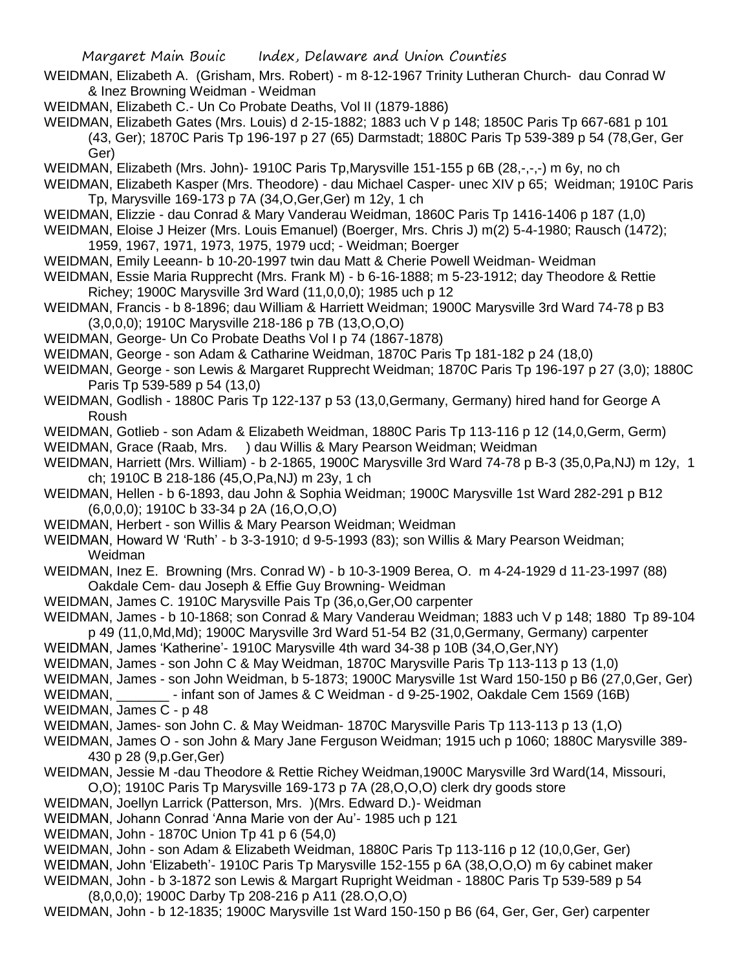- WEIDMAN, Elizabeth A. (Grisham, Mrs. Robert) m 8-12-1967 Trinity Lutheran Church- dau Conrad W & Inez Browning Weidman - Weidman
- WEIDMAN, Elizabeth C.- Un Co Probate Deaths, Vol II (1879-1886)

WEIDMAN, Elizabeth Gates (Mrs. Louis) d 2-15-1882; 1883 uch V p 148; 1850C Paris Tp 667-681 p 101 (43, Ger); 1870C Paris Tp 196-197 p 27 (65) Darmstadt; 1880C Paris Tp 539-389 p 54 (78,Ger, Ger Ger)

WEIDMAN, Elizabeth (Mrs. John)- 1910C Paris Tp, Marysville 151-155 p 6B (28,-,-,-) m 6y, no ch

WEIDMAN, Elizabeth Kasper (Mrs. Theodore) - dau Michael Casper- unec XIV p 65; Weidman; 1910C Paris Tp, Marysville 169-173 p 7A (34,O,Ger,Ger) m 12y, 1 ch

- WEIDMAN, Elizzie dau Conrad & Mary Vanderau Weidman, 1860C Paris Tp 1416-1406 p 187 (1,0)
- WEIDMAN, Eloise J Heizer (Mrs. Louis Emanuel) (Boerger, Mrs. Chris J) m(2) 5-4-1980; Rausch (1472);
- 1959, 1967, 1971, 1973, 1975, 1979 ucd; Weidman; Boerger
- WEIDMAN, Emily Leeann- b 10-20-1997 twin dau Matt & Cherie Powell Weidman- Weidman
- WEIDMAN, Essie Maria Rupprecht (Mrs. Frank M) b 6-16-1888; m 5-23-1912; day Theodore & Rettie Richey; 1900C Marysville 3rd Ward (11,0,0,0); 1985 uch p 12
- WEIDMAN, Francis b 8-1896; dau William & Harriett Weidman; 1900C Marysville 3rd Ward 74-78 p B3 (3,0,0,0); 1910C Marysville 218-186 p 7B (13,O,O,O)
- WEIDMAN, George- Un Co Probate Deaths Vol I p 74 (1867-1878)
- WEIDMAN, George son Adam & Catharine Weidman, 1870C Paris Tp 181-182 p 24 (18,0)
- WEIDMAN, George son Lewis & Margaret Rupprecht Weidman; 1870C Paris Tp 196-197 p 27 (3,0); 1880C Paris Tp 539-589 p 54 (13,0)
- WEIDMAN, Godlish 1880C Paris Tp 122-137 p 53 (13,0,Germany, Germany) hired hand for George A Roush
- WEIDMAN, Gotlieb son Adam & Elizabeth Weidman, 1880C Paris Tp 113-116 p 12 (14,0,Germ, Germ) WEIDMAN, Grace (Raab, Mrs. ) dau Willis & Mary Pearson Weidman; Weidman
- WEIDMAN, Harriett (Mrs. William) b 2-1865, 1900C Marysville 3rd Ward 74-78 p B-3 (35,0,Pa,NJ) m 12y, 1 ch; 1910C B 218-186 (45,O,Pa,NJ) m 23y, 1 ch
- WEIDMAN, Hellen b 6-1893, dau John & Sophia Weidman; 1900C Marysville 1st Ward 282-291 p B12 (6,0,0,0); 1910C b 33-34 p 2A (16,O,O,O)
- WEIDMAN, Herbert son Willis & Mary Pearson Weidman; Weidman
- WEIDMAN, Howard W 'Ruth' b 3-3-1910; d 9-5-1993 (83); son Willis & Mary Pearson Weidman; Weidman
- WEIDMAN, Inez E. Browning (Mrs. Conrad W) b 10-3-1909 Berea, O. m 4-24-1929 d 11-23-1997 (88) Oakdale Cem- dau Joseph & Effie Guy Browning- Weidman
- WEIDMAN, James C. 1910C Marysville Pais Tp (36,o,Ger,O0 carpenter
- WEIDMAN, James b 10-1868; son Conrad & Mary Vanderau Weidman; 1883 uch V p 148; 1880 Tp 89-104 p 49 (11,0,Md,Md); 1900C Marysville 3rd Ward 51-54 B2 (31,0,Germany, Germany) carpenter
- WEIDMAN, James 'Katherine'- 1910C Marysville 4th ward 34-38 p 10B (34,O,Ger,NY)
- WEIDMAN, James son John C & May Weidman, 1870C Marysville Paris Tp 113-113 p 13 (1,0)
- WEIDMAN, James son John Weidman, b 5-1873; 1900C Marysville 1st Ward 150-150 p B6 (27,0,Ger, Ger)
- WEIDMAN, Finfant son of James & C Weidman d 9-25-1902, Oakdale Cem 1569 (16B) WEIDMAN, James C - p 48
- WEIDMAN, James- son John C. & May Weidman- 1870C Marysville Paris Tp 113-113 p 13 (1,O)
- WEIDMAN, James O son John & Mary Jane Ferguson Weidman; 1915 uch p 1060; 1880C Marysville 389- 430 p 28 (9,p.Ger,Ger)
- WEIDMAN, Jessie M -dau Theodore & Rettie Richey Weidman,1900C Marysville 3rd Ward(14, Missouri,
- O,O); 1910C Paris Tp Marysville 169-173 p 7A (28,O,O,O) clerk dry goods store
- WEIDMAN, Joellyn Larrick (Patterson, Mrs. )(Mrs. Edward D.)- Weidman
- WEIDMAN, Johann Conrad 'Anna Marie von der Au'- 1985 uch p 121
- WEIDMAN, John 1870C Union Tp 41 p 6 (54,0)
- WEIDMAN, John son Adam & Elizabeth Weidman, 1880C Paris Tp 113-116 p 12 (10,0,Ger, Ger)
- WEIDMAN, John 'Elizabeth'- 1910C Paris Tp Marysville 152-155 p 6A (38,O,O,O) m 6y cabinet maker WEIDMAN, John - b 3-1872 son Lewis & Margart Rupright Weidman - 1880C Paris Tp 539-589 p 54
- (8,0,0,0); 1900C Darby Tp 208-216 p A11 (28.O,O,O)
- WEIDMAN, John b 12-1835; 1900C Marysville 1st Ward 150-150 p B6 (64, Ger, Ger, Ger) carpenter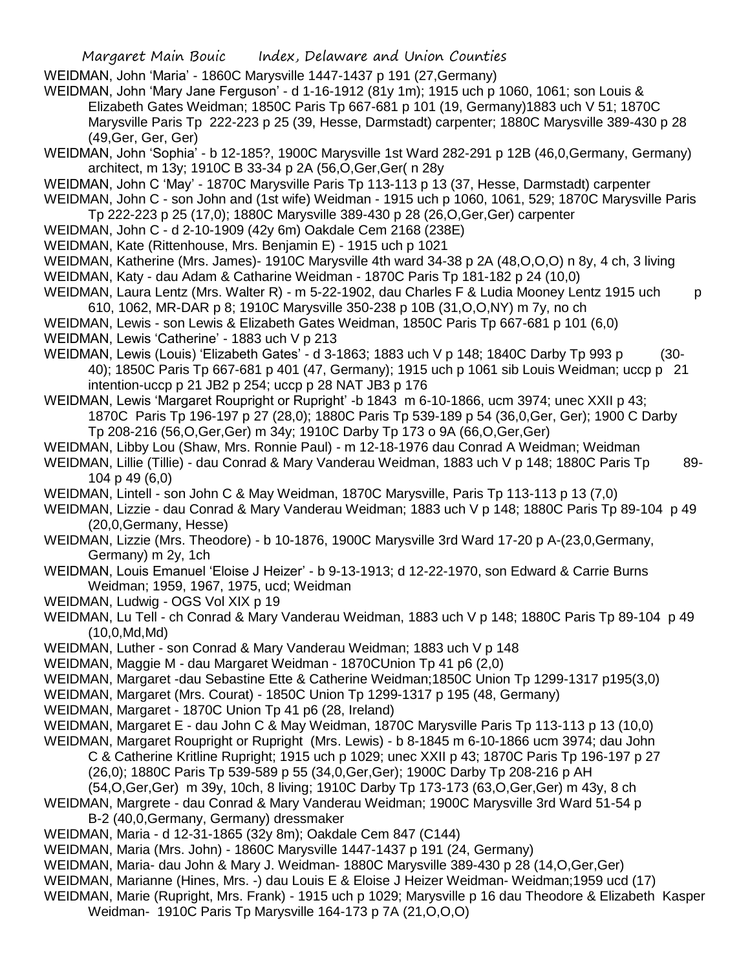WEIDMAN, John 'Maria' - 1860C Marysville 1447-1437 p 191 (27,Germany)

WEIDMAN, John 'Mary Jane Ferguson' - d 1-16-1912 (81y 1m); 1915 uch p 1060, 1061; son Louis & Elizabeth Gates Weidman; 1850C Paris Tp 667-681 p 101 (19, Germany)1883 uch V 51; 1870C Marysville Paris Tp 222-223 p 25 (39, Hesse, Darmstadt) carpenter; 1880C Marysville 389-430 p 28 (49,Ger, Ger, Ger)

WEIDMAN, John 'Sophia' - b 12-185?, 1900C Marysville 1st Ward 282-291 p 12B (46,0,Germany, Germany) architect, m 13y; 1910C B 33-34 p 2A (56,O,Ger,Ger( n 28y

WEIDMAN, John C 'May' - 1870C Marysville Paris Tp 113-113 p 13 (37, Hesse, Darmstadt) carpenter

WEIDMAN, John C - son John and (1st wife) Weidman - 1915 uch p 1060, 1061, 529; 1870C Marysville Paris Tp 222-223 p 25 (17,0); 1880C Marysville 389-430 p 28 (26,O,Ger,Ger) carpenter

- WEIDMAN, John C d 2-10-1909 (42y 6m) Oakdale Cem 2168 (238E)
- WEIDMAN, Kate (Rittenhouse, Mrs. Benjamin E) 1915 uch p 1021

WEIDMAN, Katherine (Mrs. James)- 1910C Marysville 4th ward 34-38 p 2A (48,O,O,O) n 8y, 4 ch, 3 living WEIDMAN, Katy - dau Adam & Catharine Weidman - 1870C Paris Tp 181-182 p 24 (10,0)

- WEIDMAN, Laura Lentz (Mrs. Walter R) m 5-22-1902, dau Charles F & Ludia Mooney Lentz 1915 uch p 610, 1062, MR-DAR p 8; 1910C Marysville 350-238 p 10B (31,O,O,NY) m 7y, no ch
- WEIDMAN, Lewis son Lewis & Elizabeth Gates Weidman, 1850C Paris Tp 667-681 p 101 (6,0)
- WEIDMAN, Lewis 'Catherine' 1883 uch V p 213

WEIDMAN, Lewis (Louis) 'Elizabeth Gates' - d 3-1863; 1883 uch V p 148; 1840C Darby Tp 993 p (30-40); 1850C Paris Tp 667-681 p 401 (47, Germany); 1915 uch p 1061 sib Louis Weidman; uccp p 21 intention-uccp p 21 JB2 p 254; uccp p 28 NAT JB3 p 176

WEIDMAN, Lewis 'Margaret Roupright or Rupright' -b 1843 m 6-10-1866, ucm 3974; unec XXII p 43; 1870C Paris Tp 196-197 p 27 (28,0); 1880C Paris Tp 539-189 p 54 (36,0,Ger, Ger); 1900 C Darby Tp 208-216 (56,O,Ger,Ger) m 34y; 1910C Darby Tp 173 o 9A (66,O,Ger,Ger)

- WEIDMAN, Libby Lou (Shaw, Mrs. Ronnie Paul) m 12-18-1976 dau Conrad A Weidman; Weidman
- WEIDMAN, Lillie (Tillie) dau Conrad & Mary Vanderau Weidman, 1883 uch V p 148; 1880C Paris Tp 89-104 p 49 (6,0)
- WEIDMAN, Lintell son John C & May Weidman, 1870C Marysville, Paris Tp 113-113 p 13 (7,0)
- WEIDMAN, Lizzie dau Conrad & Mary Vanderau Weidman; 1883 uch V p 148; 1880C Paris Tp 89-104 p 49 (20,0,Germany, Hesse)
- WEIDMAN, Lizzie (Mrs. Theodore) b 10-1876, 1900C Marysville 3rd Ward 17-20 p A-(23,0,Germany, Germany) m 2y, 1ch

WEIDMAN, Louis Emanuel 'Eloise J Heizer' - b 9-13-1913; d 12-22-1970, son Edward & Carrie Burns Weidman; 1959, 1967, 1975, ucd; Weidman

WEIDMAN, Ludwig - OGS Vol XIX p 19

WEIDMAN, Lu Tell - ch Conrad & Mary Vanderau Weidman, 1883 uch V p 148; 1880C Paris Tp 89-104 p 49  $(10, 0, Md, Md)$ 

- WEIDMAN, Luther son Conrad & Mary Vanderau Weidman; 1883 uch V p 148
- WEIDMAN, Maggie M dau Margaret Weidman 1870CUnion Tp 41 p6 (2,0)
- WEIDMAN, Margaret -dau Sebastine Ette & Catherine Weidman;1850C Union Tp 1299-1317 p195(3,0)
- WEIDMAN, Margaret (Mrs. Courat) 1850C Union Tp 1299-1317 p 195 (48, Germany)
- WEIDMAN, Margaret 1870C Union Tp 41 p6 (28, Ireland)
- WEIDMAN, Margaret E dau John C & May Weidman, 1870C Marysville Paris Tp 113-113 p 13 (10,0)
- WEIDMAN, Margaret Roupright or Rupright (Mrs. Lewis) b 8-1845 m 6-10-1866 ucm 3974; dau John
	- C & Catherine Kritline Rupright; 1915 uch p 1029; unec XXII p 43; 1870C Paris Tp 196-197 p 27 (26,0); 1880C Paris Tp 539-589 p 55 (34,0,Ger,Ger); 1900C Darby Tp 208-216 p AH
	- (54,O,Ger,Ger) m 39y, 10ch, 8 living; 1910C Darby Tp 173-173 (63,O,Ger,Ger) m 43y, 8 ch

WEIDMAN, Margrete - dau Conrad & Mary Vanderau Weidman; 1900C Marysville 3rd Ward 51-54 p

- B-2 (40,0,Germany, Germany) dressmaker
- WEIDMAN, Maria d 12-31-1865 (32y 8m); Oakdale Cem 847 (C144)
- WEIDMAN, Maria (Mrs. John) 1860C Marysville 1447-1437 p 191 (24, Germany)

WEIDMAN, Maria- dau John & Mary J. Weidman- 1880C Marysville 389-430 p 28 (14,O,Ger,Ger)

WEIDMAN, Marianne (Hines, Mrs. -) dau Louis E & Eloise J Heizer Weidman- Weidman;1959 ucd (17)

WEIDMAN, Marie (Rupright, Mrs. Frank) - 1915 uch p 1029; Marysville p 16 dau Theodore & Elizabeth Kasper Weidman- 1910C Paris Tp Marysville 164-173 p 7A (21,O,O,O)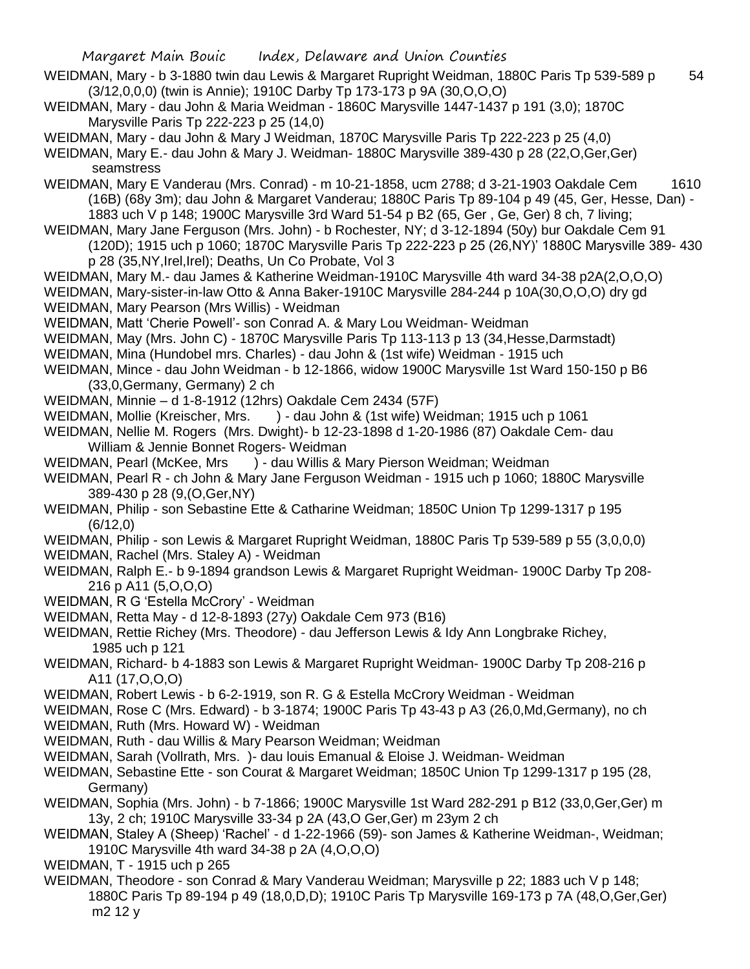- Margaret Main Bouic Index, Delaware and Union Counties WEIDMAN, Mary - b 3-1880 twin dau Lewis & Margaret Rupright Weidman, 1880C Paris Tp 539-589 p 54 (3/12,0,0,0) (twin is Annie); 1910C Darby Tp 173-173 p 9A (30,O,O,O) WEIDMAN, Mary - dau John & Maria Weidman - 1860C Marysville 1447-1437 p 191 (3,0); 1870C Marysville Paris Tp 222-223 p 25 (14,0) WEIDMAN, Mary - dau John & Mary J Weidman, 1870C Marysville Paris Tp 222-223 p 25 (4,0) WEIDMAN, Mary E.- dau John & Mary J. Weidman- 1880C Marysville 389-430 p 28 (22,O,Ger,Ger) seamstress WEIDMAN, Mary E Vanderau (Mrs. Conrad) - m 10-21-1858, ucm 2788; d 3-21-1903 Oakdale Cem 1610 (16B) (68y 3m); dau John & Margaret Vanderau; 1880C Paris Tp 89-104 p 49 (45, Ger, Hesse, Dan) - 1883 uch V p 148; 1900C Marysville 3rd Ward 51-54 p B2 (65, Ger , Ge, Ger) 8 ch, 7 living; WEIDMAN, Mary Jane Ferguson (Mrs. John) - b Rochester, NY; d 3-12-1894 (50y) bur Oakdale Cem 91 (120D); 1915 uch p 1060; 1870C Marysville Paris Tp 222-223 p 25 (26,NY)' 1880C Marysville 389- 430 p 28 (35,NY,Irel,Irel); Deaths, Un Co Probate, Vol 3 WEIDMAN, Mary M.- dau James & Katherine Weidman-1910C Marysville 4th ward 34-38 p2A(2,O,O,O) WEIDMAN, Mary-sister-in-law Otto & Anna Baker-1910C Marysville 284-244 p 10A(30,O,O,O) dry gd WEIDMAN, Mary Pearson (Mrs Willis) - Weidman WEIDMAN, Matt 'Cherie Powell'- son Conrad A. & Mary Lou Weidman- Weidman WEIDMAN, May (Mrs. John C) - 1870C Marysville Paris Tp 113-113 p 13 (34,Hesse,Darmstadt) WEIDMAN, Mina (Hundobel mrs. Charles) - dau John & (1st wife) Weidman - 1915 uch WEIDMAN, Mince - dau John Weidman - b 12-1866, widow 1900C Marysville 1st Ward 150-150 p B6 (33,0,Germany, Germany) 2 ch WEIDMAN, Minnie – d 1-8-1912 (12hrs) Oakdale Cem 2434 (57F) WEIDMAN, Mollie (Kreischer, Mrs. ) - dau John & (1st wife) Weidman; 1915 uch p 1061 WEIDMAN, Nellie M. Rogers (Mrs. Dwight)- b 12-23-1898 d 1-20-1986 (87) Oakdale Cem- dau William & Jennie Bonnet Rogers- Weidman WEIDMAN, Pearl (McKee, Mrs ) - dau Willis & Mary Pierson Weidman; Weidman WEIDMAN, Pearl R - ch John & Mary Jane Ferguson Weidman - 1915 uch p 1060; 1880C Marysville 389-430 p 28 (9,(O,Ger,NY) WEIDMAN, Philip - son Sebastine Ette & Catharine Weidman; 1850C Union Tp 1299-1317 p 195 (6/12,0) WEIDMAN, Philip - son Lewis & Margaret Rupright Weidman, 1880C Paris Tp 539-589 p 55 (3,0,0,0) WEIDMAN, Rachel (Mrs. Staley A) - Weidman WEIDMAN, Ralph E.- b 9-1894 grandson Lewis & Margaret Rupright Weidman- 1900C Darby Tp 208- 216 p A11 (5,O,O,O) WEIDMAN, R G 'Estella McCrory' - Weidman WEIDMAN, Retta May - d 12-8-1893 (27y) Oakdale Cem 973 (B16) WEIDMAN, Rettie Richey (Mrs. Theodore) - dau Jefferson Lewis & Idy Ann Longbrake Richey, 1985 uch p 121 WEIDMAN, Richard- b 4-1883 son Lewis & Margaret Rupright Weidman- 1900C Darby Tp 208-216 p A11 (17,O,O,O) WEIDMAN, Robert Lewis - b 6-2-1919, son R. G & Estella McCrory Weidman - Weidman WEIDMAN, Rose C (Mrs. Edward) - b 3-1874; 1900C Paris Tp 43-43 p A3 (26,0,Md,Germany), no ch WEIDMAN, Ruth (Mrs. Howard W) - Weidman WEIDMAN, Ruth - dau Willis & Mary Pearson Weidman; Weidman WEIDMAN, Sarah (Vollrath, Mrs. )- dau louis Emanual & Eloise J. Weidman- Weidman WEIDMAN, Sebastine Ette - son Courat & Margaret Weidman; 1850C Union Tp 1299-1317 p 195 (28, Germany) WEIDMAN, Sophia (Mrs. John) - b 7-1866; 1900C Marysville 1st Ward 282-291 p B12 (33,0,Ger,Ger) m 13y, 2 ch; 1910C Marysville 33-34 p 2A (43,O Ger,Ger) m 23ym 2 ch WEIDMAN, Staley A (Sheep) 'Rachel' - d 1-22-1966 (59)- son James & Katherine Weidman-, Weidman; 1910C Marysville 4th ward 34-38 p 2A (4,O,O,O) WEIDMAN, T - 1915 uch p 265 WEIDMAN, Theodore - son Conrad & Mary Vanderau Weidman; Marysville p 22; 1883 uch V p 148;
	- 1880C Paris Tp 89-194 p 49 (18,0,D,D); 1910C Paris Tp Marysville 169-173 p 7A (48,O,Ger,Ger) m2 12 y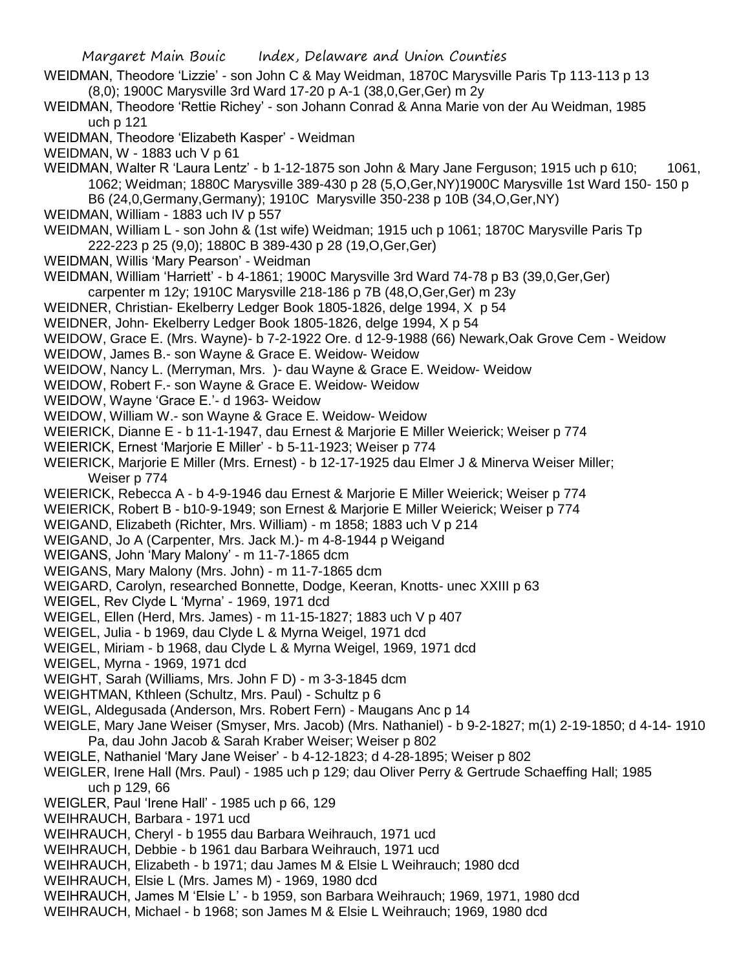- Margaret Main Bouic Index, Delaware and Union Counties WEIDMAN, Theodore 'Lizzie' - son John C & May Weidman, 1870C Marysville Paris Tp 113-113 p 13 (8,0); 1900C Marysville 3rd Ward 17-20 p A-1 (38,0,Ger,Ger) m 2y WEIDMAN, Theodore 'Rettie Richey' - son Johann Conrad & Anna Marie von der Au Weidman, 1985 uch p 121 WEIDMAN, Theodore 'Elizabeth Kasper' - Weidman WEIDMAN, W - 1883 uch V p 61 WEIDMAN, Walter R 'Laura Lentz' - b 1-12-1875 son John & Mary Jane Ferguson; 1915 uch p 610; 1061, 1062; Weidman; 1880C Marysville 389-430 p 28 (5,O,Ger,NY)1900C Marysville 1st Ward 150- 150 p B6 (24,0,Germany,Germany); 1910C Marysville 350-238 p 10B (34,O,Ger,NY) WEIDMAN, William - 1883 uch IV p 557 WEIDMAN, William L - son John & (1st wife) Weidman; 1915 uch p 1061; 1870C Marysville Paris Tp 222-223 p 25 (9,0); 1880C B 389-430 p 28 (19,O,Ger,Ger) WEIDMAN, Willis 'Mary Pearson' - Weidman WEIDMAN, William 'Harriett' - b 4-1861; 1900C Marysville 3rd Ward 74-78 p B3 (39,0,Ger,Ger) carpenter m 12y; 1910C Marysville 218-186 p 7B (48,O,Ger,Ger) m 23y WEIDNER, Christian- Ekelberry Ledger Book 1805-1826, delge 1994, X p 54 WEIDNER, John- Ekelberry Ledger Book 1805-1826, delge 1994, X p 54 WEIDOW, Grace E. (Mrs. Wayne)- b 7-2-1922 Ore. d 12-9-1988 (66) Newark,Oak Grove Cem - Weidow WEIDOW, James B.- son Wayne & Grace E. Weidow- Weidow WEIDOW, Nancy L. (Merryman, Mrs. )- dau Wayne & Grace E. Weidow- Weidow WEIDOW, Robert F.- son Wayne & Grace E. Weidow- Weidow WEIDOW, Wayne 'Grace E.'- d 1963- Weidow WEIDOW, William W.- son Wayne & Grace E. Weidow- Weidow WEIERICK, Dianne E - b 11-1-1947, dau Ernest & Marjorie E Miller Weierick; Weiser p 774 WEIERICK, Ernest 'Marjorie E Miller' - b 5-11-1923; Weiser p 774 WEIERICK, Marjorie E Miller (Mrs. Ernest) - b 12-17-1925 dau Elmer J & Minerva Weiser Miller; Weiser p 774 WEIERICK, Rebecca A - b 4-9-1946 dau Ernest & Marjorie E Miller Weierick; Weiser p 774 WEIERICK, Robert B - b10-9-1949; son Ernest & Marjorie E Miller Weierick; Weiser p 774 WEIGAND, Elizabeth (Richter, Mrs. William) - m 1858; 1883 uch V p 214 WEIGAND, Jo A (Carpenter, Mrs. Jack M.)- m 4-8-1944 p Weigand WEIGANS, John 'Mary Malony' - m 11-7-1865 dcm WEIGANS, Mary Malony (Mrs. John) - m 11-7-1865 dcm WEIGARD, Carolyn, researched Bonnette, Dodge, Keeran, Knotts- unec XXIII p 63 WEIGEL, Rev Clyde L 'Myrna' - 1969, 1971 dcd WEIGEL, Ellen (Herd, Mrs. James) - m 11-15-1827; 1883 uch V p 407 WEIGEL, Julia - b 1969, dau Clyde L & Myrna Weigel, 1971 dcd WEIGEL, Miriam - b 1968, dau Clyde L & Myrna Weigel, 1969, 1971 dcd WEIGEL, Myrna - 1969, 1971 dcd WEIGHT, Sarah (Williams, Mrs. John F D) - m 3-3-1845 dcm WEIGHTMAN, Kthleen (Schultz, Mrs. Paul) - Schultz p 6 WEIGL, Aldegusada (Anderson, Mrs. Robert Fern) - Maugans Anc p 14 WEIGLE, Mary Jane Weiser (Smyser, Mrs. Jacob) (Mrs. Nathaniel) - b 9-2-1827; m(1) 2-19-1850; d 4-14- 1910 Pa, dau John Jacob & Sarah Kraber Weiser; Weiser p 802 WEIGLE, Nathaniel 'Mary Jane Weiser' - b 4-12-1823; d 4-28-1895; Weiser p 802 WEIGLER, Irene Hall (Mrs. Paul) - 1985 uch p 129; dau Oliver Perry & Gertrude Schaeffing Hall; 1985 uch p 129, 66 WEIGLER, Paul 'Irene Hall' - 1985 uch p 66, 129 WEIHRAUCH, Barbara - 1971 ucd WEIHRAUCH, Cheryl - b 1955 dau Barbara Weihrauch, 1971 ucd WEIHRAUCH, Debbie - b 1961 dau Barbara Weihrauch, 1971 ucd WEIHRAUCH, Elizabeth - b 1971; dau James M & Elsie L Weihrauch; 1980 dcd WEIHRAUCH, Elsie L (Mrs. James M) - 1969, 1980 dcd WEIHRAUCH, James M 'Elsie L' - b 1959, son Barbara Weihrauch; 1969, 1971, 1980 dcd
- WEIHRAUCH, Michael b 1968; son James M & Elsie L Weihrauch; 1969, 1980 dcd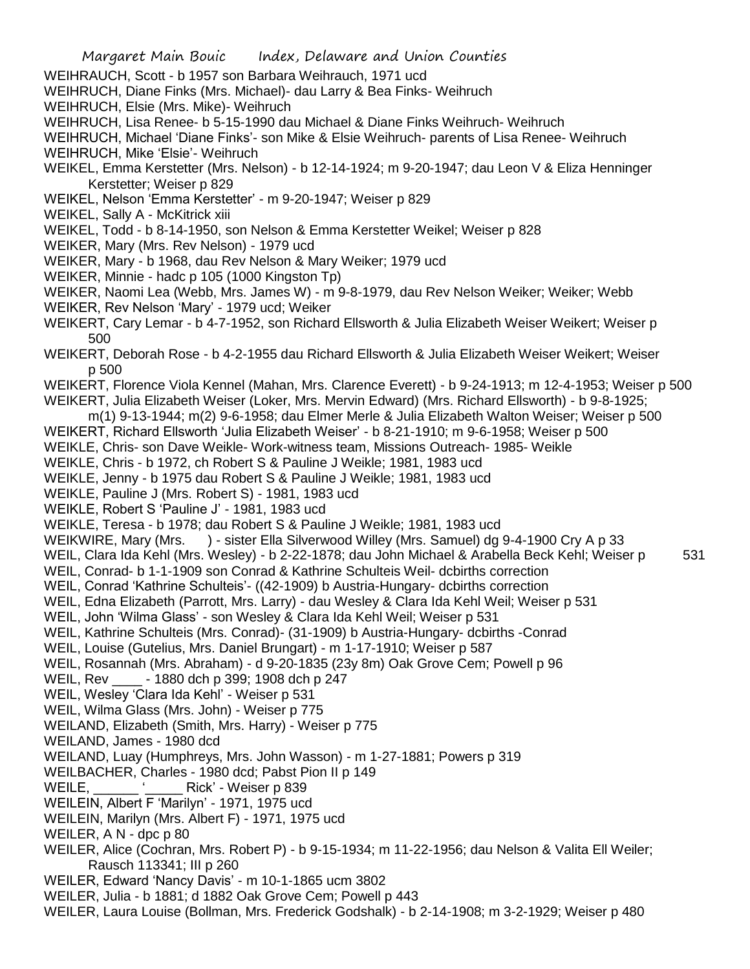- WEIHRAUCH, Scott b 1957 son Barbara Weihrauch, 1971 ucd
- WEIHRUCH, Diane Finks (Mrs. Michael)- dau Larry & Bea Finks- Weihruch
- WEIHRUCH, Elsie (Mrs. Mike)- Weihruch
- WEIHRUCH, Lisa Renee- b 5-15-1990 dau Michael & Diane Finks Weihruch- Weihruch
- WEIHRUCH, Michael 'Diane Finks'- son Mike & Elsie Weihruch- parents of Lisa Renee- Weihruch
- WEIHRUCH, Mike 'Elsie'- Weihruch
- WEIKEL, Emma Kerstetter (Mrs. Nelson) b 12-14-1924; m 9-20-1947; dau Leon V & Eliza Henninger Kerstetter; Weiser p 829
- WEIKEL, Nelson 'Emma Kerstetter' m 9-20-1947; Weiser p 829
- WEIKEL, Sally A McKitrick xiii
- WEIKEL, Todd b 8-14-1950, son Nelson & Emma Kerstetter Weikel; Weiser p 828
- WEIKER, Mary (Mrs. Rev Nelson) 1979 ucd
- WEIKER, Mary b 1968, dau Rev Nelson & Mary Weiker; 1979 ucd
- WEIKER, Minnie hadc p 105 (1000 Kingston Tp)
- WEIKER, Naomi Lea (Webb, Mrs. James W) m 9-8-1979, dau Rev Nelson Weiker; Weiker; Webb WEIKER, Rev Nelson 'Mary' - 1979 ucd; Weiker
- WEIKERT, Cary Lemar b 4-7-1952, son Richard Ellsworth & Julia Elizabeth Weiser Weikert; Weiser p 500
- WEIKERT, Deborah Rose b 4-2-1955 dau Richard Ellsworth & Julia Elizabeth Weiser Weikert; Weiser p 500
- WEIKERT, Florence Viola Kennel (Mahan, Mrs. Clarence Everett) b 9-24-1913; m 12-4-1953; Weiser p 500
- WEIKERT, Julia Elizabeth Weiser (Loker, Mrs. Mervin Edward) (Mrs. Richard Ellsworth) b 9-8-1925;
- m(1) 9-13-1944; m(2) 9-6-1958; dau Elmer Merle & Julia Elizabeth Walton Weiser; Weiser p 500
- WEIKERT, Richard Ellsworth 'Julia Elizabeth Weiser' b 8-21-1910; m 9-6-1958; Weiser p 500
- WEIKLE, Chris- son Dave Weikle- Work-witness team, Missions Outreach- 1985- Weikle
- WEIKLE, Chris b 1972, ch Robert S & Pauline J Weikle; 1981, 1983 ucd
- WEIKLE, Jenny b 1975 dau Robert S & Pauline J Weikle; 1981, 1983 ucd
- WEIKLE, Pauline J (Mrs. Robert S) 1981, 1983 ucd
- WEIKLE, Robert S 'Pauline J' 1981, 1983 ucd
- WEIKLE, Teresa b 1978; dau Robert S & Pauline J Weikle; 1981, 1983 ucd
- WEIKWIRE, Mary (Mrs. ) sister Ella Silverwood Willey (Mrs. Samuel) dg 9-4-1900 Cry A p 33
- WEIL, Clara Ida Kehl (Mrs. Wesley) b 2-22-1878; dau John Michael & Arabella Beck Kehl; Weiser p 531
- WEIL, Conrad- b 1-1-1909 son Conrad & Kathrine Schulteis Weil- dcbirths correction
- WEIL, Conrad 'Kathrine Schulteis'- ((42-1909) b Austria-Hungary- dcbirths correction
- WEIL, Edna Elizabeth (Parrott, Mrs. Larry) dau Wesley & Clara Ida Kehl Weil; Weiser p 531
- WEIL, John 'Wilma Glass' son Wesley & Clara Ida Kehl Weil; Weiser p 531
- WEIL, Kathrine Schulteis (Mrs. Conrad)- (31-1909) b Austria-Hungary- dcbirths -Conrad
- WEIL, Louise (Gutelius, Mrs. Daniel Brungart) m 1-17-1910; Weiser p 587
- WEIL, Rosannah (Mrs. Abraham) d 9-20-1835 (23y 8m) Oak Grove Cem; Powell p 96
- WEIL, Rev \_\_\_\_ 1880 dch p 399; 1908 dch p 247
- WEIL, Wesley 'Clara Ida Kehl' Weiser p 531
- WEIL, Wilma Glass (Mrs. John) Weiser p 775
- WEILAND, Elizabeth (Smith, Mrs. Harry) Weiser p 775
- WEILAND, James 1980 dcd
- WEILAND, Luay (Humphreys, Mrs. John Wasson) m 1-27-1881; Powers p 319
- WEILBACHER, Charles 1980 dcd; Pabst Pion II p 149
- WEILE,  $\qquad \qquad$  ' Rick' Weiser p 839
- WEILEIN, Albert F 'Marilyn' 1971, 1975 ucd
- WEILEIN, Marilyn (Mrs. Albert F) 1971, 1975 ucd
- WEILER, A N dpc p 80
- WEILER, Alice (Cochran, Mrs. Robert P) b 9-15-1934; m 11-22-1956; dau Nelson & Valita Ell Weiler; Rausch 113341; III p 260
- WEILER, Edward 'Nancy Davis' m 10-1-1865 ucm 3802
- WEILER, Julia b 1881; d 1882 Oak Grove Cem; Powell p 443
- WEILER, Laura Louise (Bollman, Mrs. Frederick Godshalk) b 2-14-1908; m 3-2-1929; Weiser p 480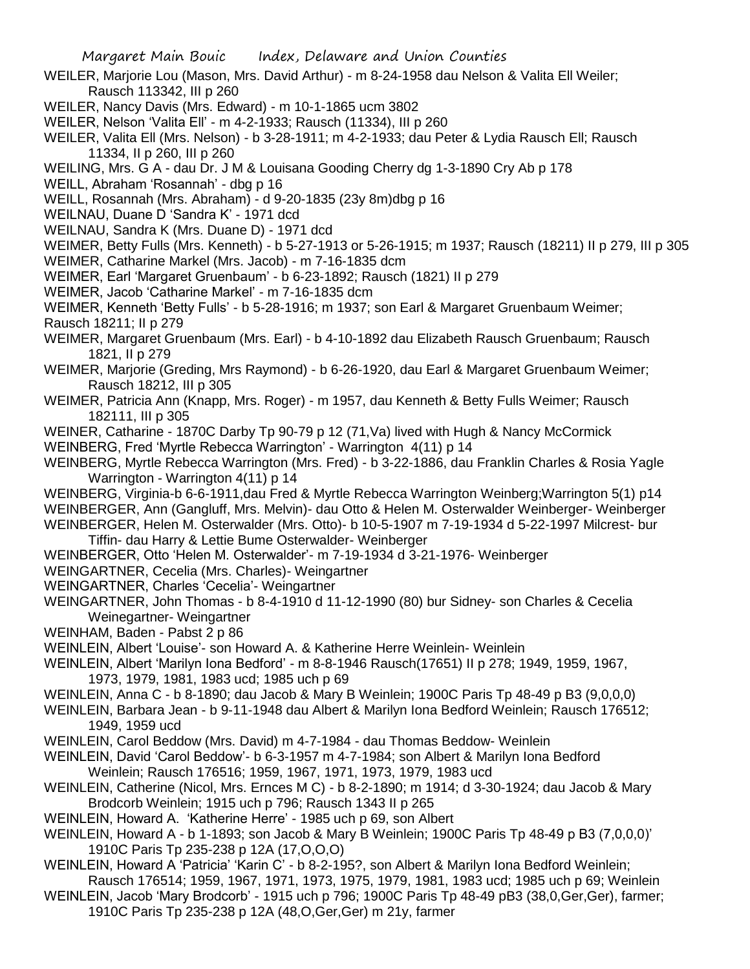- WEILER, Marjorie Lou (Mason, Mrs. David Arthur) m 8-24-1958 dau Nelson & Valita Ell Weiler; Rausch 113342, III p 260
- WEILER, Nancy Davis (Mrs. Edward) m 10-1-1865 ucm 3802
- WEILER, Nelson 'Valita Ell' m 4-2-1933; Rausch (11334), III p 260
- WEILER, Valita Ell (Mrs. Nelson) b 3-28-1911; m 4-2-1933; dau Peter & Lydia Rausch Ell; Rausch 11334, II p 260, III p 260
- WEILING, Mrs. G A dau Dr. J M & Louisana Gooding Cherry dg 1-3-1890 Cry Ab p 178
- WEILL, Abraham 'Rosannah' dbg p 16
- WEILL, Rosannah (Mrs. Abraham) d 9-20-1835 (23y 8m)dbg p 16
- WEILNAU, Duane D 'Sandra K' 1971 dcd
- WEILNAU, Sandra K (Mrs. Duane D) 1971 dcd
- WEIMER, Betty Fulls (Mrs. Kenneth) b 5-27-1913 or 5-26-1915; m 1937; Rausch (18211) II p 279, III p 305 WEIMER, Catharine Markel (Mrs. Jacob) - m 7-16-1835 dcm
- WEIMER, Earl 'Margaret Gruenbaum' b 6-23-1892; Rausch (1821) II p 279
- WEIMER, Jacob 'Catharine Markel' m 7-16-1835 dcm
- WEIMER, Kenneth 'Betty Fulls' b 5-28-1916; m 1937; son Earl & Margaret Gruenbaum Weimer; Rausch 18211; II p 279
- WEIMER, Margaret Gruenbaum (Mrs. Earl) b 4-10-1892 dau Elizabeth Rausch Gruenbaum; Rausch 1821, II p 279
- WEIMER, Marjorie (Greding, Mrs Raymond) b 6-26-1920, dau Earl & Margaret Gruenbaum Weimer; Rausch 18212, III p 305
- WEIMER, Patricia Ann (Knapp, Mrs. Roger) m 1957, dau Kenneth & Betty Fulls Weimer; Rausch 182111, III p 305
- WEINER, Catharine 1870C Darby Tp 90-79 p 12 (71,Va) lived with Hugh & Nancy McCormick
- WEINBERG, Fred 'Myrtle Rebecca Warrington' Warrington 4(11) p 14
- WEINBERG, Myrtle Rebecca Warrington (Mrs. Fred) b 3-22-1886, dau Franklin Charles & Rosia Yagle Warrington - Warrington 4(11) p 14
- WEINBERG, Virginia-b 6-6-1911,dau Fred & Myrtle Rebecca Warrington Weinberg;Warrington 5(1) p14 WEINBERGER, Ann (Gangluff, Mrs. Melvin)- dau Otto & Helen M. Osterwalder Weinberger- Weinberger WEINBERGER, Helen M. Osterwalder (Mrs. Otto)- b 10-5-1907 m 7-19-1934 d 5-22-1997 Milcrest- bur
	- Tiffin- dau Harry & Lettie Bume Osterwalder- Weinberger
- WEINBERGER, Otto 'Helen M. Osterwalder'- m 7-19-1934 d 3-21-1976- Weinberger
- WEINGARTNER, Cecelia (Mrs. Charles)- Weingartner
- WEINGARTNER, Charles 'Cecelia'- Weingartner
- WEINGARTNER, John Thomas b 8-4-1910 d 11-12-1990 (80) bur Sidney- son Charles & Cecelia Weinegartner- Weingartner
- WEINHAM, Baden Pabst 2 p 86
- WEINLEIN, Albert 'Louise'- son Howard A. & Katherine Herre Weinlein- Weinlein
- WEINLEIN, Albert 'Marilyn Iona Bedford' m 8-8-1946 Rausch(17651) II p 278; 1949, 1959, 1967, 1973, 1979, 1981, 1983 ucd; 1985 uch p 69
- WEINLEIN, Anna C b 8-1890; dau Jacob & Mary B Weinlein; 1900C Paris Tp 48-49 p B3 (9,0,0,0)
- WEINLEIN, Barbara Jean b 9-11-1948 dau Albert & Marilyn Iona Bedford Weinlein; Rausch 176512; 1949, 1959 ucd
- WEINLEIN, Carol Beddow (Mrs. David) m 4-7-1984 dau Thomas Beddow- Weinlein
- WEINLEIN, David 'Carol Beddow'- b 6-3-1957 m 4-7-1984; son Albert & Marilyn Iona Bedford Weinlein; Rausch 176516; 1959, 1967, 1971, 1973, 1979, 1983 ucd
- WEINLEIN, Catherine (Nicol, Mrs. Ernces M C) b 8-2-1890; m 1914; d 3-30-1924; dau Jacob & Mary Brodcorb Weinlein; 1915 uch p 796; Rausch 1343 II p 265
- WEINLEIN, Howard A. 'Katherine Herre' 1985 uch p 69, son Albert
- WEINLEIN, Howard A b 1-1893; son Jacob & Mary B Weinlein; 1900C Paris Tp 48-49 p B3 (7,0,0,0)' 1910C Paris Tp 235-238 p 12A (17,O,O,O)
- WEINLEIN, Howard A 'Patricia' 'Karin C' b 8-2-195?, son Albert & Marilyn Iona Bedford Weinlein;
- Rausch 176514; 1959, 1967, 1971, 1973, 1975, 1979, 1981, 1983 ucd; 1985 uch p 69; Weinlein WEINLEIN, Jacob 'Mary Brodcorb' - 1915 uch p 796; 1900C Paris Tp 48-49 pB3 (38,0,Ger,Ger), farmer; 1910C Paris Tp 235-238 p 12A (48,O,Ger,Ger) m 21y, farmer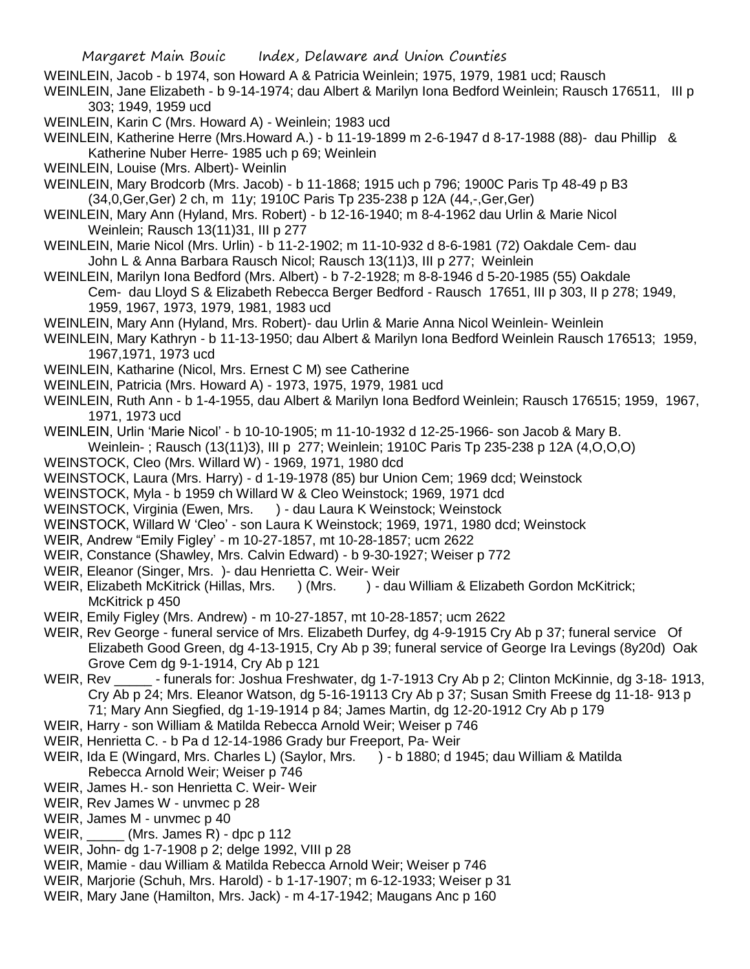WEINLEIN, Jacob - b 1974, son Howard A & Patricia Weinlein; 1975, 1979, 1981 ucd; Rausch

WEINLEIN, Jane Elizabeth - b 9-14-1974; dau Albert & Marilyn Iona Bedford Weinlein; Rausch 176511, III p 303; 1949, 1959 ucd

WEINLEIN, Karin C (Mrs. Howard A) - Weinlein; 1983 ucd

WEINLEIN, Katherine Herre (Mrs.Howard A.) - b 11-19-1899 m 2-6-1947 d 8-17-1988 (88)- dau Phillip & Katherine Nuber Herre- 1985 uch p 69; Weinlein

WEINLEIN, Louise (Mrs. Albert)- Weinlin

WEINLEIN, Mary Brodcorb (Mrs. Jacob) - b 11-1868; 1915 uch p 796; 1900C Paris Tp 48-49 p B3 (34,0,Ger,Ger) 2 ch, m 11y; 1910C Paris Tp 235-238 p 12A (44,-,Ger,Ger)

- WEINLEIN, Mary Ann (Hyland, Mrs. Robert) b 12-16-1940; m 8-4-1962 dau Urlin & Marie Nicol Weinlein; Rausch 13(11)31, III p 277
- WEINLEIN, Marie Nicol (Mrs. Urlin) b 11-2-1902; m 11-10-932 d 8-6-1981 (72) Oakdale Cem- dau John L & Anna Barbara Rausch Nicol; Rausch 13(11)3, III p 277; Weinlein

WEINLEIN, Marilyn Iona Bedford (Mrs. Albert) - b 7-2-1928; m 8-8-1946 d 5-20-1985 (55) Oakdale Cem- dau Lloyd S & Elizabeth Rebecca Berger Bedford - Rausch 17651, III p 303, II p 278; 1949, 1959, 1967, 1973, 1979, 1981, 1983 ucd

- WEINLEIN, Mary Ann (Hyland, Mrs. Robert)- dau Urlin & Marie Anna Nicol Weinlein- Weinlein
- WEINLEIN, Mary Kathryn b 11-13-1950; dau Albert & Marilyn Iona Bedford Weinlein Rausch 176513; 1959, 1967,1971, 1973 ucd
- WEINLEIN, Katharine (Nicol, Mrs. Ernest C M) see Catherine

WEINLEIN, Patricia (Mrs. Howard A) - 1973, 1975, 1979, 1981 ucd

- WEINLEIN, Ruth Ann b 1-4-1955, dau Albert & Marilyn Iona Bedford Weinlein; Rausch 176515; 1959, 1967, 1971, 1973 ucd
- WEINLEIN, Urlin 'Marie Nicol' b 10-10-1905; m 11-10-1932 d 12-25-1966- son Jacob & Mary B.

Weinlein- ; Rausch (13(11)3), III p 277; Weinlein; 1910C Paris Tp 235-238 p 12A (4,O,O,O)

WEINSTOCK, Cleo (Mrs. Willard W) - 1969, 1971, 1980 dcd

WEINSTOCK, Laura (Mrs. Harry) - d 1-19-1978 (85) bur Union Cem; 1969 dcd; Weinstock

WEINSTOCK, Myla - b 1959 ch Willard W & Cleo Weinstock; 1969, 1971 dcd

- WEINSTOCK, Virginia (Ewen, Mrs. ) dau Laura K Weinstock; Weinstock
- WEINSTOCK, Willard W 'Cleo' son Laura K Weinstock; 1969, 1971, 1980 dcd; Weinstock
- WEIR, Andrew "Emily Figley' m 10-27-1857, mt 10-28-1857; ucm 2622
- WEIR, Constance (Shawley, Mrs. Calvin Edward) b 9-30-1927; Weiser p 772
- WEIR, Eleanor (Singer, Mrs. )- dau Henrietta C. Weir- Weir
- WEIR, Elizabeth McKitrick (Hillas, Mrs. ) (Mrs. ) dau William & Elizabeth Gordon McKitrick; McKitrick p 450
- WEIR, Emily Figley (Mrs. Andrew) m 10-27-1857, mt 10-28-1857; ucm 2622
- WEIR, Rev George funeral service of Mrs. Elizabeth Durfey, dg 4-9-1915 Cry Ab p 37; funeral service Of Elizabeth Good Green, dg 4-13-1915, Cry Ab p 39; funeral service of George Ira Levings (8y20d) Oak Grove Cem dg 9-1-1914, Cry Ab p 121
- WEIR, Rev \_\_\_\_\_\_ funerals for: Joshua Freshwater, dg 1-7-1913 Cry Ab p 2; Clinton McKinnie, dg 3-18-1913, Cry Ab p 24; Mrs. Eleanor Watson, dg 5-16-19113 Cry Ab p 37; Susan Smith Freese dg 11-18- 913 p 71; Mary Ann Siegfied, dg 1-19-1914 p 84; James Martin, dg 12-20-1912 Cry Ab p 179
- WEIR, Harry son William & Matilda Rebecca Arnold Weir; Weiser p 746
- WEIR, Henrietta C. b Pa d 12-14-1986 Grady bur Freeport, Pa- Weir
- WEIR, Ida E (Wingard, Mrs. Charles L) (Saylor, Mrs. ) b 1880; d 1945; dau William & Matilda Rebecca Arnold Weir; Weiser p 746
- WEIR, James H.- son Henrietta C. Weir- Weir
- WEIR, Rev James W unvmec p 28
- WEIR, James M unvmec p 40
- WEIR, \_\_\_\_\_ (Mrs. James R) dpc p 112
- WEIR, John- dg 1-7-1908 p 2; delge 1992, VIII p 28
- WEIR, Mamie dau William & Matilda Rebecca Arnold Weir; Weiser p 746
- WEIR, Marjorie (Schuh, Mrs. Harold) b 1-17-1907; m 6-12-1933; Weiser p 31
- WEIR, Mary Jane (Hamilton, Mrs. Jack) m 4-17-1942; Maugans Anc p 160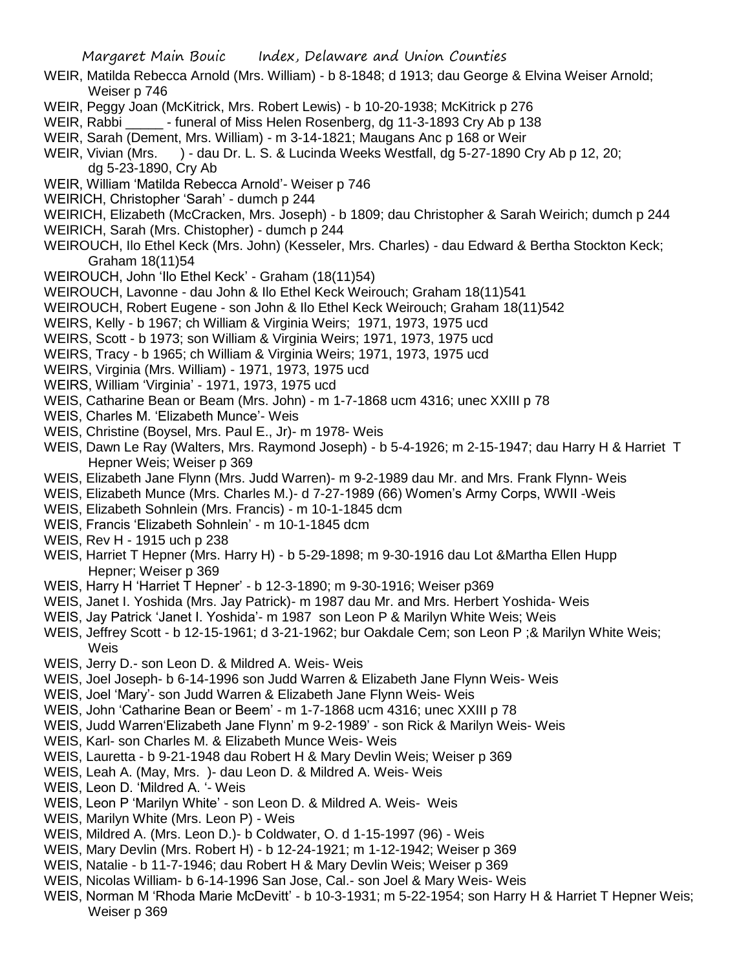- WEIR, Matilda Rebecca Arnold (Mrs. William) b 8-1848; d 1913; dau George & Elvina Weiser Arnold; Weiser p 746
- WEIR, Peggy Joan (McKitrick, Mrs. Robert Lewis) b 10-20-1938; McKitrick p 276
- WEIR, Rabbi **...** funeral of Miss Helen Rosenberg, dg 11-3-1893 Cry Ab p 138
- WEIR, Sarah (Dement, Mrs. William) m 3-14-1821; Maugans Anc p 168 or Weir
- WEIR, Vivian (Mrs. ) dau Dr. L. S. & Lucinda Weeks Westfall, dg 5-27-1890 Cry Ab p 12, 20; dg 5-23-1890, Cry Ab
- WEIR, William 'Matilda Rebecca Arnold'- Weiser p 746
- WEIRICH, Christopher 'Sarah' dumch p 244
- WEIRICH, Elizabeth (McCracken, Mrs. Joseph) b 1809; dau Christopher & Sarah Weirich; dumch p 244 WEIRICH, Sarah (Mrs. Chistopher) - dumch p 244
- WEIROUCH, Ilo Ethel Keck (Mrs. John) (Kesseler, Mrs. Charles) dau Edward & Bertha Stockton Keck; Graham 18(11)54
- WEIROUCH, John 'Ilo Ethel Keck' Graham (18(11)54)
- WEIROUCH, Lavonne dau John & Ilo Ethel Keck Weirouch; Graham 18(11)541
- WEIROUCH, Robert Eugene son John & Ilo Ethel Keck Weirouch; Graham 18(11)542
- WEIRS, Kelly b 1967; ch William & Virginia Weirs; 1971, 1973, 1975 ucd
- WEIRS, Scott b 1973; son William & Virginia Weirs; 1971, 1973, 1975 ucd
- WEIRS, Tracy b 1965; ch William & Virginia Weirs; 1971, 1973, 1975 ucd
- WEIRS, Virginia (Mrs. William) 1971, 1973, 1975 ucd
- WEIRS, William 'Virginia' 1971, 1973, 1975 ucd
- WEIS, Catharine Bean or Beam (Mrs. John) m 1-7-1868 ucm 4316; unec XXIII p 78
- WEIS, Charles M. 'Elizabeth Munce'- Weis
- WEIS, Christine (Boysel, Mrs. Paul E., Jr)- m 1978- Weis
- WEIS, Dawn Le Ray (Walters, Mrs. Raymond Joseph) b 5-4-1926; m 2-15-1947; dau Harry H & Harriet T Hepner Weis; Weiser p 369
- WEIS, Elizabeth Jane Flynn (Mrs. Judd Warren)- m 9-2-1989 dau Mr. and Mrs. Frank Flynn- Weis
- WEIS, Elizabeth Munce (Mrs. Charles M.)- d 7-27-1989 (66) Women's Army Corps, WWII -Weis
- WEIS, Elizabeth Sohnlein (Mrs. Francis) m 10-1-1845 dcm
- WEIS, Francis 'Elizabeth Sohnlein' m 10-1-1845 dcm
- WEIS, Rev H 1915 uch p 238
- WEIS, Harriet T Hepner (Mrs. Harry H) b 5-29-1898; m 9-30-1916 dau Lot &Martha Ellen Hupp Hepner; Weiser p 369
- WEIS, Harry H 'Harriet T Hepner' b 12-3-1890; m 9-30-1916; Weiser p369
- WEIS, Janet I. Yoshida (Mrs. Jay Patrick)- m 1987 dau Mr. and Mrs. Herbert Yoshida- Weis
- WEIS, Jay Patrick 'Janet I. Yoshida'- m 1987 son Leon P & Marilyn White Weis; Weis
- WEIS, Jeffrey Scott b 12-15-1961; d 3-21-1962; bur Oakdale Cem; son Leon P ;& Marilyn White Weis; Weis
- WEIS, Jerry D.- son Leon D. & Mildred A. Weis- Weis
- WEIS, Joel Joseph- b 6-14-1996 son Judd Warren & Elizabeth Jane Flynn Weis- Weis
- WEIS, Joel 'Mary'- son Judd Warren & Elizabeth Jane Flynn Weis- Weis
- WEIS, John 'Catharine Bean or Beem' m 1-7-1868 ucm 4316; unec XXIII p 78
- WEIS, Judd Warren'Elizabeth Jane Flynn' m 9-2-1989' son Rick & Marilyn Weis- Weis
- WEIS, Karl- son Charles M. & Elizabeth Munce Weis- Weis
- WEIS, Lauretta b 9-21-1948 dau Robert H & Mary Devlin Weis; Weiser p 369
- WEIS, Leah A. (May, Mrs. )- dau Leon D. & Mildred A. Weis- Weis
- WEIS, Leon D. 'Mildred A. '- Weis
- WEIS, Leon P 'Marilyn White' son Leon D. & Mildred A. Weis- Weis
- WEIS, Marilyn White (Mrs. Leon P) Weis
- WEIS, Mildred A. (Mrs. Leon D.)- b Coldwater, O. d 1-15-1997 (96) Weis
- WEIS, Mary Devlin (Mrs. Robert H) b 12-24-1921; m 1-12-1942; Weiser p 369
- WEIS, Natalie b 11-7-1946; dau Robert H & Mary Devlin Weis; Weiser p 369
- WEIS, Nicolas William- b 6-14-1996 San Jose, Cal.- son Joel & Mary Weis- Weis
- WEIS, Norman M 'Rhoda Marie McDevitt' b 10-3-1931; m 5-22-1954; son Harry H & Harriet T Hepner Weis; Weiser p 369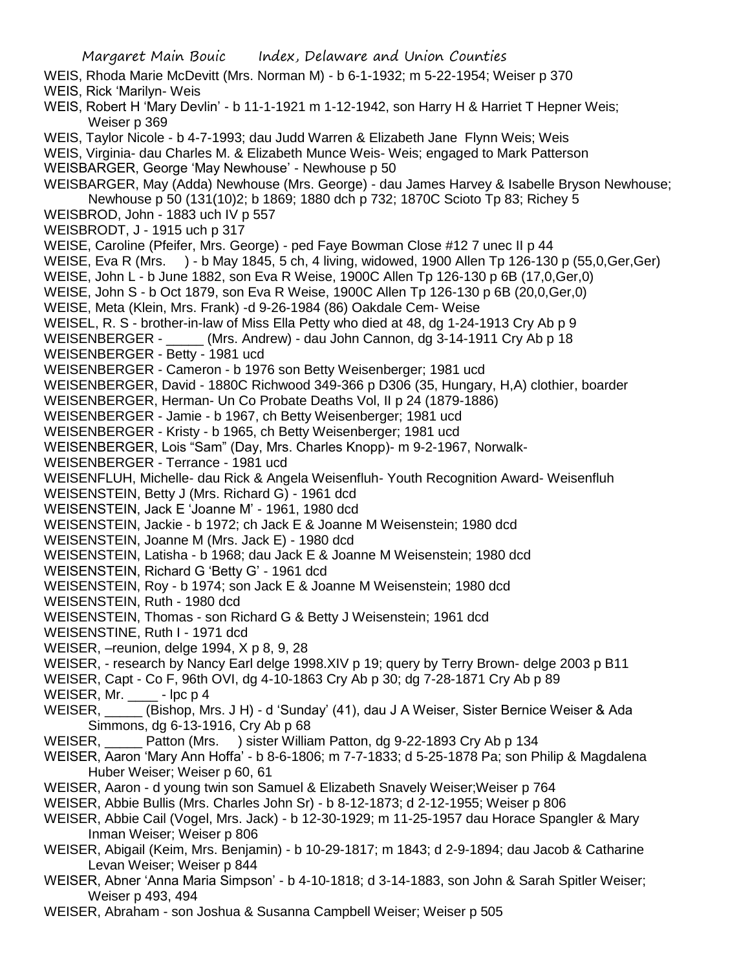Margaret Main Bouic Index, Delaware and Union Counties WEIS, Rhoda Marie McDevitt (Mrs. Norman M) - b 6-1-1932; m 5-22-1954; Weiser p 370 WEIS, Rick 'Marilyn- Weis WEIS, Robert H 'Mary Devlin' - b 11-1-1921 m 1-12-1942, son Harry H & Harriet T Hepner Weis; Weiser p 369 WEIS, Taylor Nicole - b 4-7-1993; dau Judd Warren & Elizabeth Jane Flynn Weis; Weis WEIS, Virginia- dau Charles M. & Elizabeth Munce Weis- Weis; engaged to Mark Patterson WEISBARGER, George 'May Newhouse' - Newhouse p 50 WEISBARGER, May (Adda) Newhouse (Mrs. George) - dau James Harvey & Isabelle Bryson Newhouse; Newhouse p 50 (131(10)2; b 1869; 1880 dch p 732; 1870C Scioto Tp 83; Richey 5 WEISBROD, John - 1883 uch IV p 557 WEISBRODT, J - 1915 uch p 317 WEISE, Caroline (Pfeifer, Mrs. George) - ped Faye Bowman Close #12 7 unec II p 44 WEISE, Eva R (Mrs. ) - b May 1845, 5 ch, 4 living, widowed, 1900 Allen Tp 126-130 p (55,0,Ger,Ger) WEISE, John L - b June 1882, son Eva R Weise, 1900C Allen Tp 126-130 p 6B (17,0,Ger,0) WEISE, John S - b Oct 1879, son Eva R Weise, 1900C Allen Tp 126-130 p 6B (20,0,Ger,0) WEISE, Meta (Klein, Mrs. Frank) -d 9-26-1984 (86) Oakdale Cem- Weise WEISEL, R. S - brother-in-law of Miss Ella Petty who died at 48, dg 1-24-1913 Cry Ab p 9 WEISENBERGER - \_\_\_\_\_ (Mrs. Andrew) - dau John Cannon, dg 3-14-1911 Cry Ab p 18 WEISENBERGER - Betty - 1981 ucd WEISENBERGER - Cameron - b 1976 son Betty Weisenberger; 1981 ucd WEISENBERGER, David - 1880C Richwood 349-366 p D306 (35, Hungary, H,A) clothier, boarder WEISENBERGER, Herman- Un Co Probate Deaths Vol, II p 24 (1879-1886) WEISENBERGER - Jamie - b 1967, ch Betty Weisenberger; 1981 ucd WEISENBERGER - Kristy - b 1965, ch Betty Weisenberger; 1981 ucd WEISENBERGER, Lois "Sam" (Day, Mrs. Charles Knopp)- m 9-2-1967, Norwalk-WEISENBERGER - Terrance - 1981 ucd WEISENFLUH, Michelle- dau Rick & Angela Weisenfluh- Youth Recognition Award- Weisenfluh WEISENSTEIN, Betty J (Mrs. Richard G) - 1961 dcd WEISENSTEIN, Jack E 'Joanne M' - 1961, 1980 dcd WEISENSTEIN, Jackie - b 1972; ch Jack E & Joanne M Weisenstein; 1980 dcd WEISENSTEIN, Joanne M (Mrs. Jack E) - 1980 dcd WEISENSTEIN, Latisha - b 1968; dau Jack E & Joanne M Weisenstein; 1980 dcd WEISENSTEIN, Richard G 'Betty G' - 1961 dcd WEISENSTEIN, Roy - b 1974; son Jack E & Joanne M Weisenstein; 1980 dcd WEISENSTEIN, Ruth - 1980 dcd WEISENSTEIN, Thomas - son Richard G & Betty J Weisenstein; 1961 dcd WEISENSTINE, Ruth I - 1971 dcd WEISER, –reunion, delge 1994, X p 8, 9, 28 WEISER, - research by Nancy Earl delge 1998.XIV p 19; query by Terry Brown- delge 2003 p B11 WEISER, Capt - Co F, 96th OVI, dg 4-10-1863 Cry Ab p 30; dg 7-28-1871 Cry Ab p 89 WEISER, Mr.  $-$  lpc p 4 WEISER, \_\_\_\_\_ (Bishop, Mrs. J H) - d 'Sunday' (41), dau J A Weiser, Sister Bernice Weiser & Ada Simmons, dg 6-13-1916, Cry Ab p 68 WEISER, Patton (Mrs. ) sister William Patton, dg 9-22-1893 Cry Ab p 134 WEISER, Aaron 'Mary Ann Hoffa' - b 8-6-1806; m 7-7-1833; d 5-25-1878 Pa; son Philip & Magdalena Huber Weiser; Weiser p 60, 61 WEISER, Aaron - d young twin son Samuel & Elizabeth Snavely Weiser;Weiser p 764 WEISER, Abbie Bullis (Mrs. Charles John Sr) - b 8-12-1873; d 2-12-1955; Weiser p 806 WEISER, Abbie Cail (Vogel, Mrs. Jack) - b 12-30-1929; m 11-25-1957 dau Horace Spangler & Mary Inman Weiser; Weiser p 806 WEISER, Abigail (Keim, Mrs. Benjamin) - b 10-29-1817; m 1843; d 2-9-1894; dau Jacob & Catharine Levan Weiser; Weiser p 844 WEISER, Abner 'Anna Maria Simpson' - b 4-10-1818; d 3-14-1883, son John & Sarah Spitler Weiser; Weiser p 493, 494

WEISER, Abraham - son Joshua & Susanna Campbell Weiser; Weiser p 505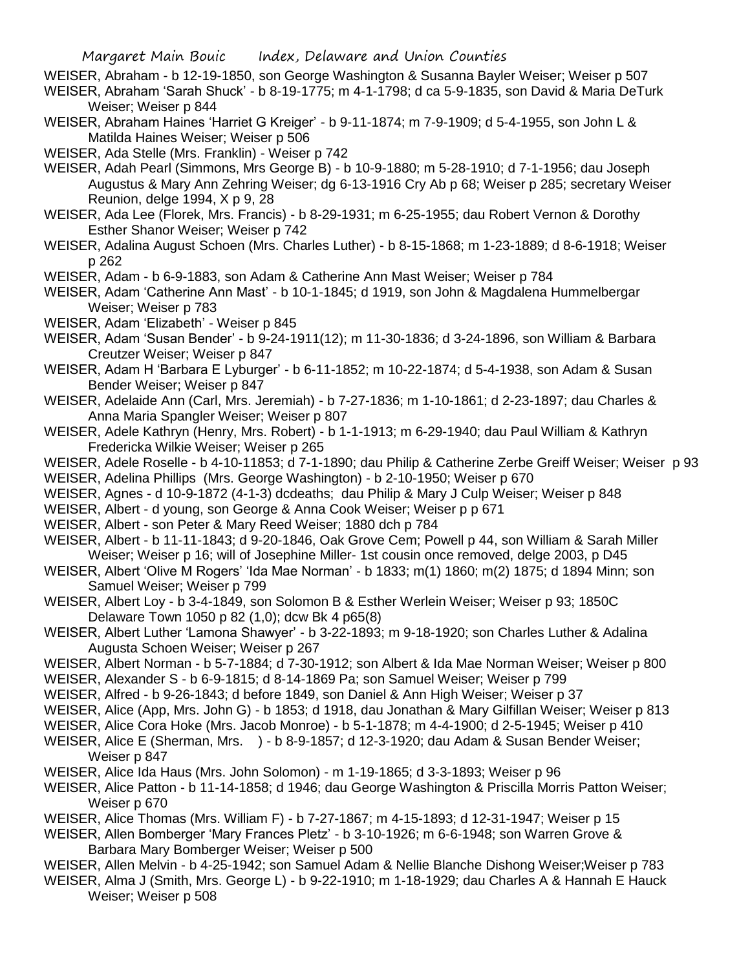WEISER, Abraham - b 12-19-1850, son George Washington & Susanna Bayler Weiser; Weiser p 507

- WEISER, Abraham 'Sarah Shuck' b 8-19-1775; m 4-1-1798; d ca 5-9-1835, son David & Maria DeTurk Weiser; Weiser p 844
- WEISER, Abraham Haines 'Harriet G Kreiger' b 9-11-1874; m 7-9-1909; d 5-4-1955, son John L & Matilda Haines Weiser; Weiser p 506
- WEISER, Ada Stelle (Mrs. Franklin) Weiser p 742
- WEISER, Adah Pearl (Simmons, Mrs George B) b 10-9-1880; m 5-28-1910; d 7-1-1956; dau Joseph Augustus & Mary Ann Zehring Weiser; dg 6-13-1916 Cry Ab p 68; Weiser p 285; secretary Weiser Reunion, delge 1994, X p 9, 28
- WEISER, Ada Lee (Florek, Mrs. Francis) b 8-29-1931; m 6-25-1955; dau Robert Vernon & Dorothy Esther Shanor Weiser; Weiser p 742
- WEISER, Adalina August Schoen (Mrs. Charles Luther) b 8-15-1868; m 1-23-1889; d 8-6-1918; Weiser p 262

WEISER, Adam - b 6-9-1883, son Adam & Catherine Ann Mast Weiser; Weiser p 784

WEISER, Adam 'Catherine Ann Mast' - b 10-1-1845; d 1919, son John & Magdalena Hummelbergar Weiser; Weiser p 783

- WEISER, Adam 'Elizabeth' Weiser p 845
- WEISER, Adam 'Susan Bender' b 9-24-1911(12); m 11-30-1836; d 3-24-1896, son William & Barbara Creutzer Weiser; Weiser p 847
- WEISER, Adam H 'Barbara E Lyburger' b 6-11-1852; m 10-22-1874; d 5-4-1938, son Adam & Susan Bender Weiser; Weiser p 847
- WEISER, Adelaide Ann (Carl, Mrs. Jeremiah) b 7-27-1836; m 1-10-1861; d 2-23-1897; dau Charles & Anna Maria Spangler Weiser; Weiser p 807
- WEISER, Adele Kathryn (Henry, Mrs. Robert) b 1-1-1913; m 6-29-1940; dau Paul William & Kathryn Fredericka Wilkie Weiser; Weiser p 265
- WEISER, Adele Roselle b 4-10-11853; d 7-1-1890; dau Philip & Catherine Zerbe Greiff Weiser; Weiser p 93
- WEISER, Adelina Phillips (Mrs. George Washington) b 2-10-1950; Weiser p 670
- WEISER, Agnes d 10-9-1872 (4-1-3) dcdeaths; dau Philip & Mary J Culp Weiser; Weiser p 848
- WEISER, Albert d young, son George & Anna Cook Weiser; Weiser p p 671
- WEISER, Albert son Peter & Mary Reed Weiser; 1880 dch p 784
- WEISER, Albert b 11-11-1843; d 9-20-1846, Oak Grove Cem; Powell p 44, son William & Sarah Miller Weiser; Weiser p 16; will of Josephine Miller- 1st cousin once removed, delge 2003, p D45
- WEISER, Albert 'Olive M Rogers' 'Ida Mae Norman' b 1833; m(1) 1860; m(2) 1875; d 1894 Minn; son Samuel Weiser; Weiser p 799
- WEISER, Albert Loy b 3-4-1849, son Solomon B & Esther Werlein Weiser; Weiser p 93; 1850C Delaware Town 1050 p 82 (1,0); dcw Bk 4 p65(8)
- WEISER, Albert Luther 'Lamona Shawyer' b 3-22-1893; m 9-18-1920; son Charles Luther & Adalina Augusta Schoen Weiser; Weiser p 267
- WEISER, Albert Norman b 5-7-1884; d 7-30-1912; son Albert & Ida Mae Norman Weiser; Weiser p 800
- WEISER, Alexander S b 6-9-1815; d 8-14-1869 Pa; son Samuel Weiser; Weiser p 799
- WEISER, Alfred b 9-26-1843; d before 1849, son Daniel & Ann High Weiser; Weiser p 37
- WEISER, Alice (App, Mrs. John G) b 1853; d 1918, dau Jonathan & Mary Gilfillan Weiser; Weiser p 813
- WEISER, Alice Cora Hoke (Mrs. Jacob Monroe) b 5-1-1878; m 4-4-1900; d 2-5-1945; Weiser p 410
- WEISER, Alice E (Sherman, Mrs. ) b 8-9-1857; d 12-3-1920; dau Adam & Susan Bender Weiser; Weiser p 847
- WEISER, Alice Ida Haus (Mrs. John Solomon) m 1-19-1865; d 3-3-1893; Weiser p 96
- WEISER, Alice Patton b 11-14-1858; d 1946; dau George Washington & Priscilla Morris Patton Weiser; Weiser p 670
- WEISER, Alice Thomas (Mrs. William F) b 7-27-1867; m 4-15-1893; d 12-31-1947; Weiser p 15
- WEISER, Allen Bomberger 'Mary Frances Pletz' b 3-10-1926; m 6-6-1948; son Warren Grove & Barbara Mary Bomberger Weiser; Weiser p 500
- WEISER, Allen Melvin b 4-25-1942; son Samuel Adam & Nellie Blanche Dishong Weiser;Weiser p 783
- WEISER, Alma J (Smith, Mrs. George L) b 9-22-1910; m 1-18-1929; dau Charles A & Hannah E Hauck Weiser; Weiser p 508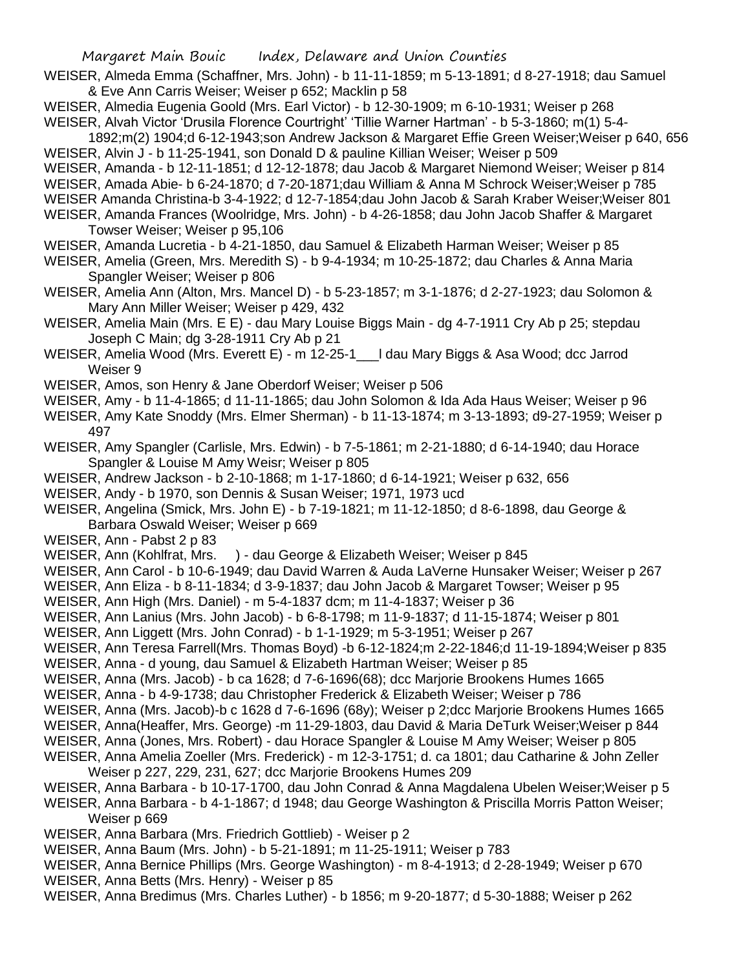- WEISER, Almeda Emma (Schaffner, Mrs. John) b 11-11-1859; m 5-13-1891; d 8-27-1918; dau Samuel & Eve Ann Carris Weiser; Weiser p 652; Macklin p 58
- WEISER, Almedia Eugenia Goold (Mrs. Earl Victor) b 12-30-1909; m 6-10-1931; Weiser p 268 WEISER, Alvah Victor 'Drusila Florence Courtright' 'Tillie Warner Hartman' - b 5-3-1860; m(1) 5-4-
- 1892;m(2) 1904;d 6-12-1943;son Andrew Jackson & Margaret Effie Green Weiser;Weiser p 640, 656 WEISER, Alvin J - b 11-25-1941, son Donald D & pauline Killian Weiser; Weiser p 509
- WEISER, Amanda b 12-11-1851; d 12-12-1878; dau Jacob & Margaret Niemond Weiser; Weiser p 814
- WEISER, Amada Abie- b 6-24-1870; d 7-20-1871;dau William & Anna M Schrock Weiser;Weiser p 785
- WEISER Amanda Christina-b 3-4-1922; d 12-7-1854;dau John Jacob & Sarah Kraber Weiser;Weiser 801
- WEISER, Amanda Frances (Woolridge, Mrs. John) b 4-26-1858; dau John Jacob Shaffer & Margaret Towser Weiser; Weiser p 95,106
- WEISER, Amanda Lucretia b 4-21-1850, dau Samuel & Elizabeth Harman Weiser; Weiser p 85
- WEISER, Amelia (Green, Mrs. Meredith S) b 9-4-1934; m 10-25-1872; dau Charles & Anna Maria Spangler Weiser; Weiser p 806
- WEISER, Amelia Ann (Alton, Mrs. Mancel D) b 5-23-1857; m 3-1-1876; d 2-27-1923; dau Solomon & Mary Ann Miller Weiser; Weiser p 429, 432
- WEISER, Amelia Main (Mrs. E E) dau Mary Louise Biggs Main dg 4-7-1911 Cry Ab p 25; stepdau Joseph C Main; dg 3-28-1911 Cry Ab p 21
- WEISER, Amelia Wood (Mrs. Everett E) m 12-25-1 | dau Mary Biggs & Asa Wood; dcc Jarrod Weiser 9
- WEISER, Amos, son Henry & Jane Oberdorf Weiser; Weiser p 506
- WEISER, Amy b 11-4-1865; d 11-11-1865; dau John Solomon & Ida Ada Haus Weiser; Weiser p 96
- WEISER, Amy Kate Snoddy (Mrs. Elmer Sherman) b 11-13-1874; m 3-13-1893; d9-27-1959; Weiser p 497
- WEISER, Amy Spangler (Carlisle, Mrs. Edwin) b 7-5-1861; m 2-21-1880; d 6-14-1940; dau Horace Spangler & Louise M Amy Weisr; Weiser p 805
- WEISER, Andrew Jackson b 2-10-1868; m 1-17-1860; d 6-14-1921; Weiser p 632, 656
- WEISER, Andy b 1970, son Dennis & Susan Weiser; 1971, 1973 ucd
- WEISER, Angelina (Smick, Mrs. John E) b 7-19-1821; m 11-12-1850; d 8-6-1898, dau George & Barbara Oswald Weiser; Weiser p 669
- WEISER, Ann Pabst 2 p 83
- WEISER, Ann (Kohlfrat, Mrs. ) dau George & Elizabeth Weiser; Weiser p 845
- WEISER, Ann Carol b 10-6-1949; dau David Warren & Auda LaVerne Hunsaker Weiser; Weiser p 267
- WEISER, Ann Eliza b 8-11-1834; d 3-9-1837; dau John Jacob & Margaret Towser; Weiser p 95
- WEISER, Ann High (Mrs. Daniel) m 5-4-1837 dcm; m 11-4-1837; Weiser p 36
- WEISER, Ann Lanius (Mrs. John Jacob) b 6-8-1798; m 11-9-1837; d 11-15-1874; Weiser p 801
- WEISER, Ann Liggett (Mrs. John Conrad) b 1-1-1929; m 5-3-1951; Weiser p 267
- WEISER, Ann Teresa Farrell(Mrs. Thomas Boyd) -b 6-12-1824;m 2-22-1846;d 11-19-1894;Weiser p 835 WEISER, Anna - d young, dau Samuel & Elizabeth Hartman Weiser; Weiser p 85
- WEISER, Anna (Mrs. Jacob) b ca 1628; d 7-6-1696(68); dcc Marjorie Brookens Humes 1665
- WEISER, Anna b 4-9-1738; dau Christopher Frederick & Elizabeth Weiser; Weiser p 786
- WEISER, Anna (Mrs. Jacob)-b c 1628 d 7-6-1696 (68y); Weiser p 2;dcc Marjorie Brookens Humes 1665
- WEISER, Anna(Heaffer, Mrs. George) -m 11-29-1803, dau David & Maria DeTurk Weiser;Weiser p 844
- WEISER, Anna (Jones, Mrs. Robert) dau Horace Spangler & Louise M Amy Weiser; Weiser p 805
- WEISER, Anna Amelia Zoeller (Mrs. Frederick) m 12-3-1751; d. ca 1801; dau Catharine & John Zeller Weiser p 227, 229, 231, 627; dcc Marjorie Brookens Humes 209
- WEISER, Anna Barbara b 10-17-1700, dau John Conrad & Anna Magdalena Ubelen Weiser;Weiser p 5

WEISER, Anna Barbara - b 4-1-1867; d 1948; dau George Washington & Priscilla Morris Patton Weiser; Weiser p 669

- WEISER, Anna Barbara (Mrs. Friedrich Gottlieb) Weiser p 2
- WEISER, Anna Baum (Mrs. John) b 5-21-1891; m 11-25-1911; Weiser p 783
- WEISER, Anna Bernice Phillips (Mrs. George Washington) m 8-4-1913; d 2-28-1949; Weiser p 670
- WEISER, Anna Betts (Mrs. Henry) Weiser p 85
- WEISER, Anna Bredimus (Mrs. Charles Luther) b 1856; m 9-20-1877; d 5-30-1888; Weiser p 262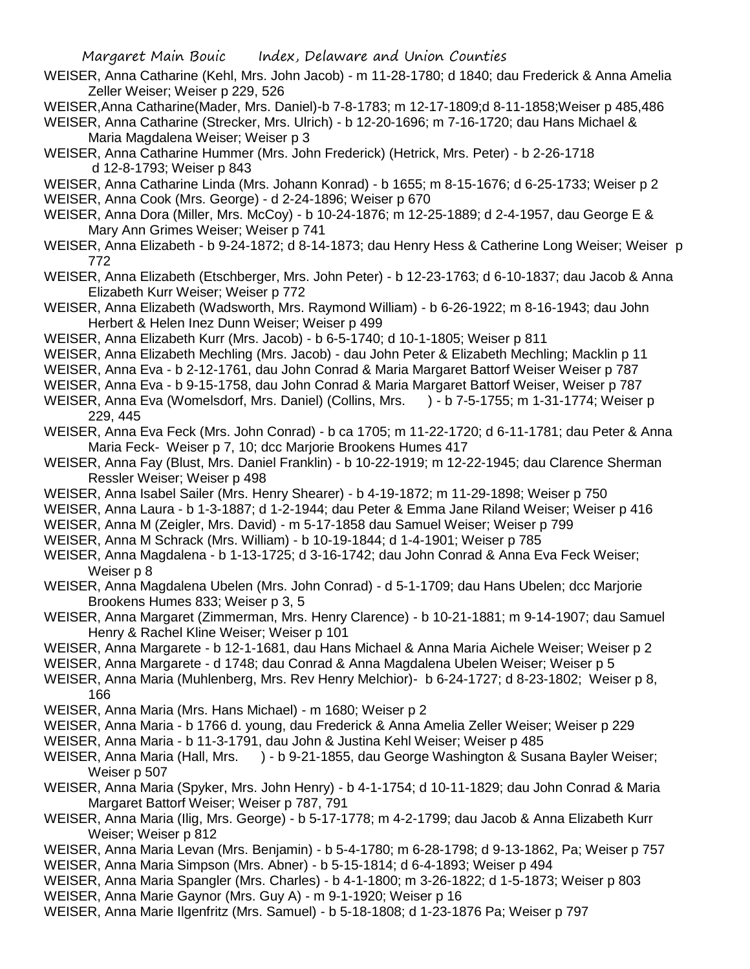- WEISER, Anna Catharine (Kehl, Mrs. John Jacob) m 11-28-1780; d 1840; dau Frederick & Anna Amelia Zeller Weiser; Weiser p 229, 526
- WEISER,Anna Catharine(Mader, Mrs. Daniel)-b 7-8-1783; m 12-17-1809;d 8-11-1858;Weiser p 485,486
- WEISER, Anna Catharine (Strecker, Mrs. Ulrich) b 12-20-1696; m 7-16-1720; dau Hans Michael & Maria Magdalena Weiser; Weiser p 3
- WEISER, Anna Catharine Hummer (Mrs. John Frederick) (Hetrick, Mrs. Peter) b 2-26-1718 d 12-8-1793; Weiser p 843
- WEISER, Anna Catharine Linda (Mrs. Johann Konrad) b 1655; m 8-15-1676; d 6-25-1733; Weiser p 2
- WEISER, Anna Cook (Mrs. George) d 2-24-1896; Weiser p 670
- WEISER, Anna Dora (Miller, Mrs. McCoy) b 10-24-1876; m 12-25-1889; d 2-4-1957, dau George E & Mary Ann Grimes Weiser; Weiser p 741
- WEISER, Anna Elizabeth b 9-24-1872; d 8-14-1873; dau Henry Hess & Catherine Long Weiser; Weiser p 772
- WEISER, Anna Elizabeth (Etschberger, Mrs. John Peter) b 12-23-1763; d 6-10-1837; dau Jacob & Anna Elizabeth Kurr Weiser; Weiser p 772
- WEISER, Anna Elizabeth (Wadsworth, Mrs. Raymond William) b 6-26-1922; m 8-16-1943; dau John Herbert & Helen Inez Dunn Weiser; Weiser p 499
- WEISER, Anna Elizabeth Kurr (Mrs. Jacob) b 6-5-1740; d 10-1-1805; Weiser p 811
- WEISER, Anna Elizabeth Mechling (Mrs. Jacob) dau John Peter & Elizabeth Mechling; Macklin p 11
- WEISER, Anna Eva b 2-12-1761, dau John Conrad & Maria Margaret Battorf Weiser Weiser p 787
- WEISER, Anna Eva b 9-15-1758, dau John Conrad & Maria Margaret Battorf Weiser, Weiser p 787
- WEISER, Anna Eva (Womelsdorf, Mrs. Daniel) (Collins, Mrs. ) b 7-5-1755; m 1-31-1774; Weiser p 229, 445
- WEISER, Anna Eva Feck (Mrs. John Conrad) b ca 1705; m 11-22-1720; d 6-11-1781; dau Peter & Anna Maria Feck- Weiser p 7, 10; dcc Marjorie Brookens Humes 417
- WEISER, Anna Fay (Blust, Mrs. Daniel Franklin) b 10-22-1919; m 12-22-1945; dau Clarence Sherman Ressler Weiser; Weiser p 498
- WEISER, Anna Isabel Sailer (Mrs. Henry Shearer) b 4-19-1872; m 11-29-1898; Weiser p 750
- WEISER, Anna Laura b 1-3-1887; d 1-2-1944; dau Peter & Emma Jane Riland Weiser; Weiser p 416
- WEISER, Anna M (Zeigler, Mrs. David) m 5-17-1858 dau Samuel Weiser; Weiser p 799
- WEISER, Anna M Schrack (Mrs. William) b 10-19-1844; d 1-4-1901; Weiser p 785
- WEISER, Anna Magdalena b 1-13-1725; d 3-16-1742; dau John Conrad & Anna Eva Feck Weiser; Weiser p 8
- WEISER, Anna Magdalena Ubelen (Mrs. John Conrad) d 5-1-1709; dau Hans Ubelen; dcc Marjorie Brookens Humes 833; Weiser p 3, 5
- WEISER, Anna Margaret (Zimmerman, Mrs. Henry Clarence) b 10-21-1881; m 9-14-1907; dau Samuel Henry & Rachel Kline Weiser; Weiser p 101
- WEISER, Anna Margarete b 12-1-1681, dau Hans Michael & Anna Maria Aichele Weiser; Weiser p 2
- WEISER, Anna Margarete d 1748; dau Conrad & Anna Magdalena Ubelen Weiser; Weiser p 5
- WEISER, Anna Maria (Muhlenberg, Mrs. Rev Henry Melchior)- b 6-24-1727; d 8-23-1802; Weiser p 8, 166
- WEISER, Anna Maria (Mrs. Hans Michael) m 1680; Weiser p 2
- WEISER, Anna Maria b 1766 d. young, dau Frederick & Anna Amelia Zeller Weiser; Weiser p 229
- WEISER, Anna Maria b 11-3-1791, dau John & Justina Kehl Weiser; Weiser p 485
- WEISER, Anna Maria (Hall, Mrs. ) b 9-21-1855, dau George Washington & Susana Bayler Weiser; Weiser p 507
- WEISER, Anna Maria (Spyker, Mrs. John Henry) b 4-1-1754; d 10-11-1829; dau John Conrad & Maria Margaret Battorf Weiser; Weiser p 787, 791
- WEISER, Anna Maria (Ilig, Mrs. George) b 5-17-1778; m 4-2-1799; dau Jacob & Anna Elizabeth Kurr Weiser; Weiser p 812
- WEISER, Anna Maria Levan (Mrs. Benjamin) b 5-4-1780; m 6-28-1798; d 9-13-1862, Pa; Weiser p 757
- WEISER, Anna Maria Simpson (Mrs. Abner) b 5-15-1814; d 6-4-1893; Weiser p 494
- WEISER, Anna Maria Spangler (Mrs. Charles) b 4-1-1800; m 3-26-1822; d 1-5-1873; Weiser p 803
- WEISER, Anna Marie Gaynor (Mrs. Guy A) m 9-1-1920; Weiser p 16
- WEISER, Anna Marie Ilgenfritz (Mrs. Samuel) b 5-18-1808; d 1-23-1876 Pa; Weiser p 797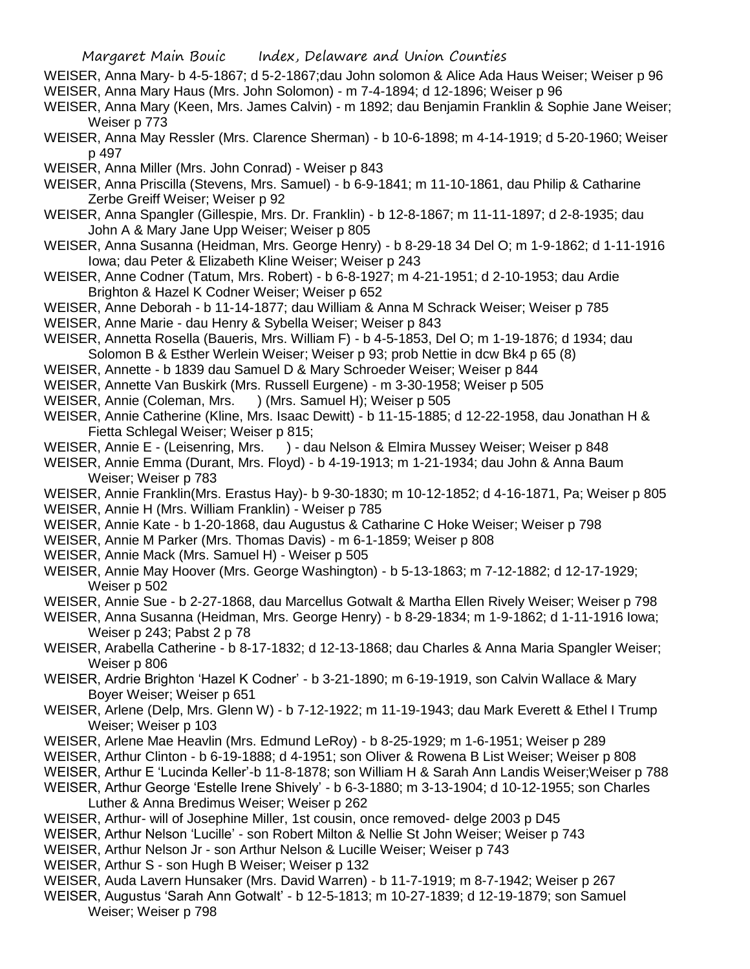- WEISER, Anna Mary- b 4-5-1867; d 5-2-1867;dau John solomon & Alice Ada Haus Weiser; Weiser p 96 WEISER, Anna Mary Haus (Mrs. John Solomon) - m 7-4-1894; d 12-1896; Weiser p 96
- WEISER, Anna Mary (Keen, Mrs. James Calvin) m 1892; dau Benjamin Franklin & Sophie Jane Weiser; Weiser p 773
- WEISER, Anna May Ressler (Mrs. Clarence Sherman) b 10-6-1898; m 4-14-1919; d 5-20-1960; Weiser p 497

WEISER, Anna Miller (Mrs. John Conrad) - Weiser p 843

- WEISER, Anna Priscilla (Stevens, Mrs. Samuel) b 6-9-1841; m 11-10-1861, dau Philip & Catharine Zerbe Greiff Weiser; Weiser p 92
- WEISER, Anna Spangler (Gillespie, Mrs. Dr. Franklin) b 12-8-1867; m 11-11-1897; d 2-8-1935; dau John A & Mary Jane Upp Weiser; Weiser p 805
- WEISER, Anna Susanna (Heidman, Mrs. George Henry) b 8-29-18 34 Del O; m 1-9-1862; d 1-11-1916 Iowa; dau Peter & Elizabeth Kline Weiser; Weiser p 243
- WEISER, Anne Codner (Tatum, Mrs. Robert) b 6-8-1927; m 4-21-1951; d 2-10-1953; dau Ardie Brighton & Hazel K Codner Weiser; Weiser p 652
- WEISER, Anne Deborah b 11-14-1877; dau William & Anna M Schrack Weiser; Weiser p 785
- WEISER, Anne Marie dau Henry & Sybella Weiser; Weiser p 843
- WEISER, Annetta Rosella (Baueris, Mrs. William F) b 4-5-1853, Del O; m 1-19-1876; d 1934; dau Solomon B & Esther Werlein Weiser; Weiser p 93; prob Nettie in dcw Bk4 p 65 (8)
- WEISER, Annette b 1839 dau Samuel D & Mary Schroeder Weiser; Weiser p 844
- WEISER, Annette Van Buskirk (Mrs. Russell Eurgene) m 3-30-1958; Weiser p 505
- WEISER, Annie (Coleman, Mrs. ) (Mrs. Samuel H); Weiser p 505
- WEISER, Annie Catherine (Kline, Mrs. Isaac Dewitt) b 11-15-1885; d 12-22-1958, dau Jonathan H & Fietta Schlegal Weiser; Weiser p 815;
- WEISER, Annie E (Leisenring, Mrs. ) dau Nelson & Elmira Mussey Weiser; Weiser p 848
- WEISER, Annie Emma (Durant, Mrs. Floyd) b 4-19-1913; m 1-21-1934; dau John & Anna Baum Weiser; Weiser p 783
- WEISER, Annie Franklin(Mrs. Erastus Hay)- b 9-30-1830; m 10-12-1852; d 4-16-1871, Pa; Weiser p 805
- WEISER, Annie H (Mrs. William Franklin) Weiser p 785
- WEISER, Annie Kate b 1-20-1868, dau Augustus & Catharine C Hoke Weiser; Weiser p 798
- WEISER, Annie M Parker (Mrs. Thomas Davis) m 6-1-1859; Weiser p 808
- WEISER, Annie Mack (Mrs. Samuel H) Weiser p 505
- WEISER, Annie May Hoover (Mrs. George Washington) b 5-13-1863; m 7-12-1882; d 12-17-1929; Weiser p 502
- WEISER, Annie Sue b 2-27-1868, dau Marcellus Gotwalt & Martha Ellen Rively Weiser; Weiser p 798
- WEISER, Anna Susanna (Heidman, Mrs. George Henry) b 8-29-1834; m 1-9-1862; d 1-11-1916 Iowa; Weiser p 243; Pabst 2 p 78
- WEISER, Arabella Catherine b 8-17-1832; d 12-13-1868; dau Charles & Anna Maria Spangler Weiser; Weiser p 806
- WEISER, Ardrie Brighton 'Hazel K Codner' b 3-21-1890; m 6-19-1919, son Calvin Wallace & Mary Boyer Weiser; Weiser p 651
- WEISER, Arlene (Delp, Mrs. Glenn W) b 7-12-1922; m 11-19-1943; dau Mark Everett & Ethel I Trump Weiser; Weiser p 103
- WEISER, Arlene Mae Heavlin (Mrs. Edmund LeRoy) b 8-25-1929; m 1-6-1951; Weiser p 289
- WEISER, Arthur Clinton b 6-19-1888; d 4-1951; son Oliver & Rowena B List Weiser; Weiser p 808
- WEISER, Arthur E 'Lucinda Keller'-b 11-8-1878; son William H & Sarah Ann Landis Weiser;Weiser p 788
- WEISER, Arthur George 'Estelle Irene Shively' b 6-3-1880; m 3-13-1904; d 10-12-1955; son Charles Luther & Anna Bredimus Weiser; Weiser p 262
- WEISER, Arthur- will of Josephine Miller, 1st cousin, once removed- delge 2003 p D45
- WEISER, Arthur Nelson 'Lucille' son Robert Milton & Nellie St John Weiser; Weiser p 743
- WEISER, Arthur Nelson Jr son Arthur Nelson & Lucille Weiser; Weiser p 743
- WEISER, Arthur S son Hugh B Weiser; Weiser p 132
- WEISER, Auda Lavern Hunsaker (Mrs. David Warren) b 11-7-1919; m 8-7-1942; Weiser p 267
- WEISER, Augustus 'Sarah Ann Gotwalt' b 12-5-1813; m 10-27-1839; d 12-19-1879; son Samuel Weiser; Weiser p 798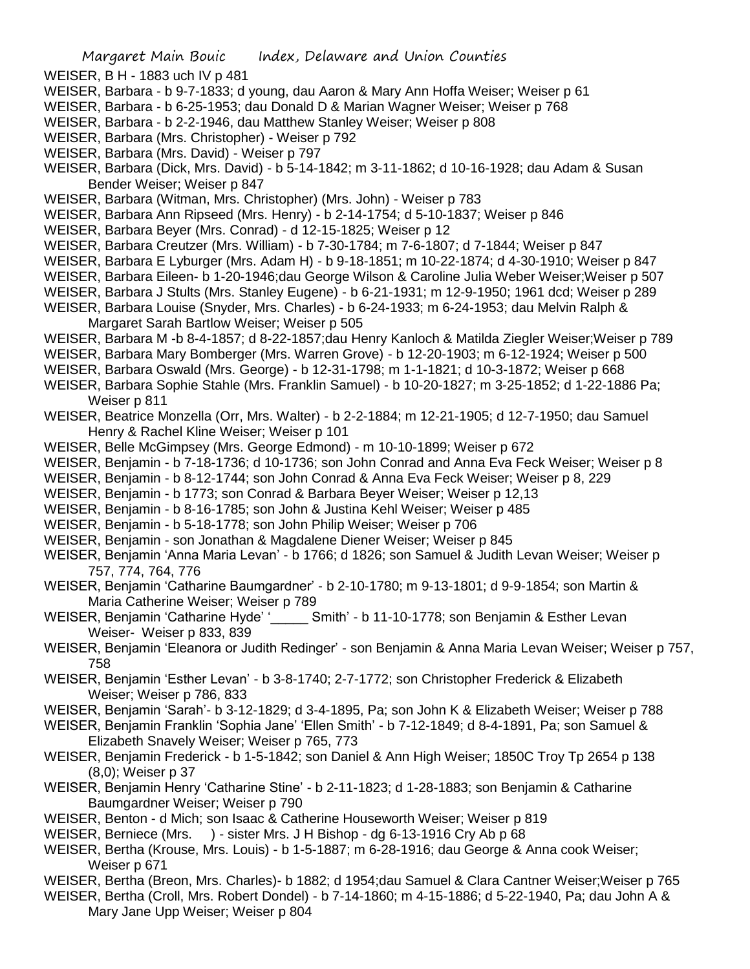- WEISER, B H 1883 uch IV p 481
- WEISER, Barbara b 9-7-1833; d young, dau Aaron & Mary Ann Hoffa Weiser; Weiser p 61
- WEISER, Barbara b 6-25-1953; dau Donald D & Marian Wagner Weiser; Weiser p 768
- WEISER, Barbara b 2-2-1946, dau Matthew Stanley Weiser; Weiser p 808
- WEISER, Barbara (Mrs. Christopher) Weiser p 792
- WEISER, Barbara (Mrs. David) Weiser p 797
- WEISER, Barbara (Dick, Mrs. David) b 5-14-1842; m 3-11-1862; d 10-16-1928; dau Adam & Susan Bender Weiser; Weiser p 847
- WEISER, Barbara (Witman, Mrs. Christopher) (Mrs. John) Weiser p 783
- WEISER, Barbara Ann Ripseed (Mrs. Henry) b 2-14-1754; d 5-10-1837; Weiser p 846
- WEISER, Barbara Beyer (Mrs. Conrad) d 12-15-1825; Weiser p 12
- WEISER, Barbara Creutzer (Mrs. William) b 7-30-1784; m 7-6-1807; d 7-1844; Weiser p 847
- WEISER, Barbara E Lyburger (Mrs. Adam H) b 9-18-1851; m 10-22-1874; d 4-30-1910; Weiser p 847
- WEISER, Barbara Eileen- b 1-20-1946;dau George Wilson & Caroline Julia Weber Weiser;Weiser p 507
- WEISER, Barbara J Stults (Mrs. Stanley Eugene) b 6-21-1931; m 12-9-1950; 1961 dcd; Weiser p 289
- WEISER, Barbara Louise (Snyder, Mrs. Charles) b 6-24-1933; m 6-24-1953; dau Melvin Ralph & Margaret Sarah Bartlow Weiser; Weiser p 505
- WEISER, Barbara M -b 8-4-1857; d 8-22-1857;dau Henry Kanloch & Matilda Ziegler Weiser;Weiser p 789
- WEISER, Barbara Mary Bomberger (Mrs. Warren Grove) b 12-20-1903; m 6-12-1924; Weiser p 500
- WEISER, Barbara Oswald (Mrs. George) b 12-31-1798; m 1-1-1821; d 10-3-1872; Weiser p 668
- WEISER, Barbara Sophie Stahle (Mrs. Franklin Samuel) b 10-20-1827; m 3-25-1852; d 1-22-1886 Pa; Weiser p 811
- WEISER, Beatrice Monzella (Orr, Mrs. Walter) b 2-2-1884; m 12-21-1905; d 12-7-1950; dau Samuel Henry & Rachel Kline Weiser; Weiser p 101
- WEISER, Belle McGimpsey (Mrs. George Edmond) m 10-10-1899; Weiser p 672
- WEISER, Benjamin b 7-18-1736; d 10-1736; son John Conrad and Anna Eva Feck Weiser; Weiser p 8
- WEISER, Benjamin b 8-12-1744; son John Conrad & Anna Eva Feck Weiser; Weiser p 8, 229
- WEISER, Benjamin b 1773; son Conrad & Barbara Beyer Weiser; Weiser p 12,13
- WEISER, Benjamin b 8-16-1785; son John & Justina Kehl Weiser; Weiser p 485
- WEISER, Benjamin b 5-18-1778; son John Philip Weiser; Weiser p 706
- WEISER, Benjamin son Jonathan & Magdalene Diener Weiser; Weiser p 845
- WEISER, Benjamin 'Anna Maria Levan' b 1766; d 1826; son Samuel & Judith Levan Weiser; Weiser p 757, 774, 764, 776
- WEISER, Benjamin 'Catharine Baumgardner' b 2-10-1780; m 9-13-1801; d 9-9-1854; son Martin & Maria Catherine Weiser; Weiser p 789
- WEISER, Benjamin 'Catharine Hyde' '\_\_\_\_\_ Smith' b 11-10-1778; son Benjamin & Esther Levan Weiser- Weiser p 833, 839
- WEISER, Benjamin 'Eleanora or Judith Redinger' son Benjamin & Anna Maria Levan Weiser; Weiser p 757, 758
- WEISER, Benjamin 'Esther Levan' b 3-8-1740; 2-7-1772; son Christopher Frederick & Elizabeth Weiser; Weiser p 786, 833
- WEISER, Benjamin 'Sarah'- b 3-12-1829; d 3-4-1895, Pa; son John K & Elizabeth Weiser; Weiser p 788
- WEISER, Benjamin Franklin 'Sophia Jane' 'Ellen Smith' b 7-12-1849; d 8-4-1891, Pa; son Samuel & Elizabeth Snavely Weiser; Weiser p 765, 773
- WEISER, Benjamin Frederick b 1-5-1842; son Daniel & Ann High Weiser; 1850C Troy Tp 2654 p 138 (8,0); Weiser p 37
- WEISER, Benjamin Henry 'Catharine Stine' b 2-11-1823; d 1-28-1883; son Benjamin & Catharine Baumgardner Weiser; Weiser p 790
- WEISER, Benton d Mich; son Isaac & Catherine Houseworth Weiser; Weiser p 819
- WEISER, Berniece (Mrs. ) sister Mrs. J H Bishop dg 6-13-1916 Cry Ab p 68
- WEISER, Bertha (Krouse, Mrs. Louis) b 1-5-1887; m 6-28-1916; dau George & Anna cook Weiser; Weiser p 671
- WEISER, Bertha (Breon, Mrs. Charles)- b 1882; d 1954;dau Samuel & Clara Cantner Weiser;Weiser p 765
- WEISER, Bertha (Croll, Mrs. Robert Dondel) b 7-14-1860; m 4-15-1886; d 5-22-1940, Pa; dau John A & Mary Jane Upp Weiser; Weiser p 804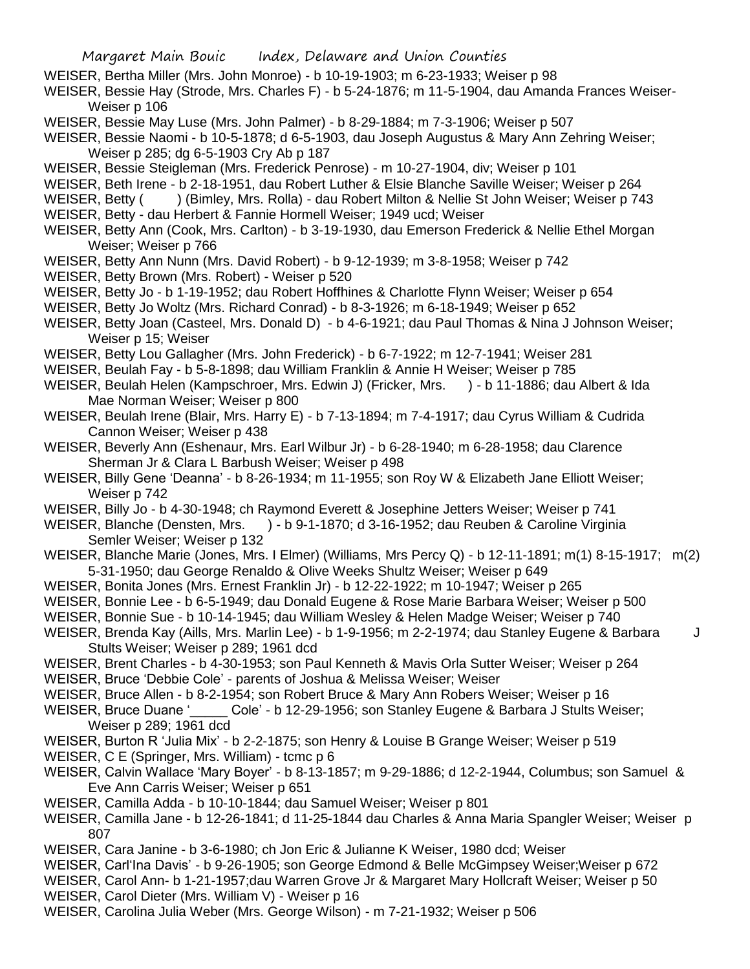- WEISER, Bertha Miller (Mrs. John Monroe) b 10-19-1903; m 6-23-1933; Weiser p 98
- WEISER, Bessie Hay (Strode, Mrs. Charles F) b 5-24-1876; m 11-5-1904, dau Amanda Frances Weiser-Weiser p 106
- WEISER, Bessie May Luse (Mrs. John Palmer) b 8-29-1884; m 7-3-1906; Weiser p 507
- WEISER, Bessie Naomi b 10-5-1878; d 6-5-1903, dau Joseph Augustus & Mary Ann Zehring Weiser; Weiser p 285; dg 6-5-1903 Cry Ab p 187
- WEISER, Bessie Steigleman (Mrs. Frederick Penrose) m 10-27-1904, div; Weiser p 101
- WEISER, Beth Irene b 2-18-1951, dau Robert Luther & Elsie Blanche Saville Weiser; Weiser p 264
- WEISER, Betty () (Bimley, Mrs. Rolla) dau Robert Milton & Nellie St John Weiser; Weiser p 743
- WEISER, Betty dau Herbert & Fannie Hormell Weiser; 1949 ucd; Weiser
- WEISER, Betty Ann (Cook, Mrs. Carlton) b 3-19-1930, dau Emerson Frederick & Nellie Ethel Morgan Weiser; Weiser p 766
- WEISER, Betty Ann Nunn (Mrs. David Robert) b 9-12-1939; m 3-8-1958; Weiser p 742
- WEISER, Betty Brown (Mrs. Robert) Weiser p 520
- WEISER, Betty Jo b 1-19-1952; dau Robert Hoffhines & Charlotte Flynn Weiser; Weiser p 654
- WEISER, Betty Jo Woltz (Mrs. Richard Conrad) b 8-3-1926; m 6-18-1949; Weiser p 652
- WEISER, Betty Joan (Casteel, Mrs. Donald D) b 4-6-1921; dau Paul Thomas & Nina J Johnson Weiser; Weiser p 15; Weiser
- WEISER, Betty Lou Gallagher (Mrs. John Frederick) b 6-7-1922; m 12-7-1941; Weiser 281
- WEISER, Beulah Fay b 5-8-1898; dau William Franklin & Annie H Weiser; Weiser p 785
- WEISER, Beulah Helen (Kampschroer, Mrs. Edwin J) (Fricker, Mrs. ) b 11-1886; dau Albert & Ida Mae Norman Weiser; Weiser p 800
- WEISER, Beulah Irene (Blair, Mrs. Harry E) b 7-13-1894; m 7-4-1917; dau Cyrus William & Cudrida Cannon Weiser; Weiser p 438
- WEISER, Beverly Ann (Eshenaur, Mrs. Earl Wilbur Jr) b 6-28-1940; m 6-28-1958; dau Clarence Sherman Jr & Clara L Barbush Weiser; Weiser p 498
- WEISER, Billy Gene 'Deanna' b 8-26-1934; m 11-1955; son Roy W & Elizabeth Jane Elliott Weiser; Weiser p 742
- WEISER, Billy Jo b 4-30-1948; ch Raymond Everett & Josephine Jetters Weiser; Weiser p 741
- WEISER, Blanche (Densten, Mrs. ) b 9-1-1870; d 3-16-1952; dau Reuben & Caroline Virginia Semler Weiser; Weiser p 132
- WEISER, Blanche Marie (Jones, Mrs. I Elmer) (Williams, Mrs Percy Q) b 12-11-1891; m(1) 8-15-1917; m(2) 5-31-1950; dau George Renaldo & Olive Weeks Shultz Weiser; Weiser p 649
- WEISER, Bonita Jones (Mrs. Ernest Franklin Jr) b 12-22-1922; m 10-1947; Weiser p 265
- WEISER, Bonnie Lee b 6-5-1949; dau Donald Eugene & Rose Marie Barbara Weiser; Weiser p 500
- WEISER, Bonnie Sue b 10-14-1945; dau William Wesley & Helen Madge Weiser; Weiser p 740
- WEISER, Brenda Kay (Aills, Mrs. Marlin Lee) b 1-9-1956; m 2-2-1974; dau Stanley Eugene & Barbara J Stults Weiser; Weiser p 289; 1961 dcd
- WEISER, Brent Charles b 4-30-1953; son Paul Kenneth & Mavis Orla Sutter Weiser; Weiser p 264
- WEISER, Bruce 'Debbie Cole' parents of Joshua & Melissa Weiser; Weiser
- WEISER, Bruce Allen b 8-2-1954; son Robert Bruce & Mary Ann Robers Weiser; Weiser p 16
- WEISER, Bruce Duane ' Cole' b 12-29-1956; son Stanley Eugene & Barbara J Stults Weiser; Weiser p 289; 1961 dcd
- WEISER, Burton R 'Julia Mix' b 2-2-1875; son Henry & Louise B Grange Weiser; Weiser p 519
- WEISER, C E (Springer, Mrs. William) tcmc p 6
- WEISER, Calvin Wallace 'Mary Boyer' b 8-13-1857; m 9-29-1886; d 12-2-1944, Columbus; son Samuel & Eve Ann Carris Weiser; Weiser p 651
- WEISER, Camilla Adda b 10-10-1844; dau Samuel Weiser; Weiser p 801
- WEISER, Camilla Jane b 12-26-1841; d 11-25-1844 dau Charles & Anna Maria Spangler Weiser; Weiser p 807
- WEISER, Cara Janine b 3-6-1980; ch Jon Eric & Julianne K Weiser, 1980 dcd; Weiser
- WEISER, Carl'Ina Davis' b 9-26-1905; son George Edmond & Belle McGimpsey Weiser;Weiser p 672
- WEISER, Carol Ann- b 1-21-1957;dau Warren Grove Jr & Margaret Mary Hollcraft Weiser; Weiser p 50
- WEISER, Carol Dieter (Mrs. William V) Weiser p 16
- WEISER, Carolina Julia Weber (Mrs. George Wilson) m 7-21-1932; Weiser p 506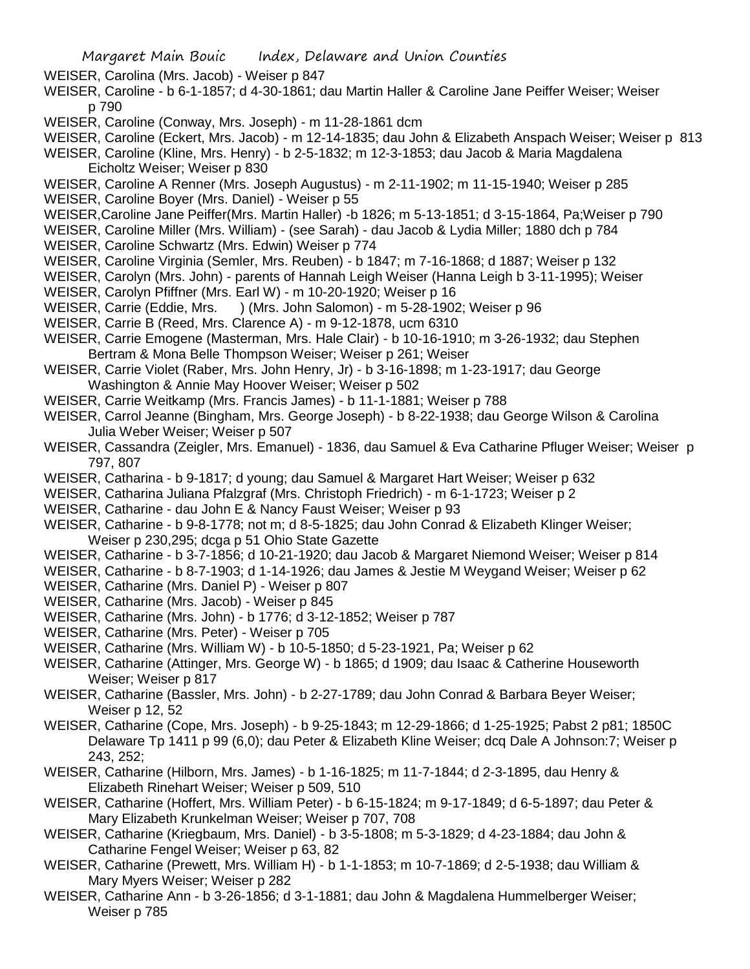WEISER, Carolina (Mrs. Jacob) - Weiser p 847

- WEISER, Caroline b 6-1-1857; d 4-30-1861; dau Martin Haller & Caroline Jane Peiffer Weiser; Weiser p 790
- WEISER, Caroline (Conway, Mrs. Joseph) m 11-28-1861 dcm
- WEISER, Caroline (Eckert, Mrs. Jacob) m 12-14-1835; dau John & Elizabeth Anspach Weiser; Weiser p 813
- WEISER, Caroline (Kline, Mrs. Henry) b 2-5-1832; m 12-3-1853; dau Jacob & Maria Magdalena Eicholtz Weiser; Weiser p 830
- WEISER, Caroline A Renner (Mrs. Joseph Augustus) m 2-11-1902; m 11-15-1940; Weiser p 285
- WEISER, Caroline Boyer (Mrs. Daniel) Weiser p 55
- WEISER,Caroline Jane Peiffer(Mrs. Martin Haller) -b 1826; m 5-13-1851; d 3-15-1864, Pa;Weiser p 790
- WEISER, Caroline Miller (Mrs. William) (see Sarah) dau Jacob & Lydia Miller; 1880 dch p 784
- WEISER, Caroline Schwartz (Mrs. Edwin) Weiser p 774
- WEISER, Caroline Virginia (Semler, Mrs. Reuben) b 1847; m 7-16-1868; d 1887; Weiser p 132
- WEISER, Carolyn (Mrs. John) parents of Hannah Leigh Weiser (Hanna Leigh b 3-11-1995); Weiser
- WEISER, Carolyn Pfiffner (Mrs. Earl W) m 10-20-1920; Weiser p 16
- WEISER, Carrie (Eddie, Mrs. ) (Mrs. John Salomon) m 5-28-1902; Weiser p 96
- WEISER, Carrie B (Reed, Mrs. Clarence A) m 9-12-1878, ucm 6310
- WEISER, Carrie Emogene (Masterman, Mrs. Hale Clair) b 10-16-1910; m 3-26-1932; dau Stephen Bertram & Mona Belle Thompson Weiser; Weiser p 261; Weiser
- WEISER, Carrie Violet (Raber, Mrs. John Henry, Jr) b 3-16-1898; m 1-23-1917; dau George Washington & Annie May Hoover Weiser; Weiser p 502
- WEISER, Carrie Weitkamp (Mrs. Francis James) b 11-1-1881; Weiser p 788
- WEISER, Carrol Jeanne (Bingham, Mrs. George Joseph) b 8-22-1938; dau George Wilson & Carolina Julia Weber Weiser; Weiser p 507
- WEISER, Cassandra (Zeigler, Mrs. Emanuel) 1836, dau Samuel & Eva Catharine Pfluger Weiser; Weiser p 797, 807
- WEISER, Catharina b 9-1817; d young; dau Samuel & Margaret Hart Weiser; Weiser p 632
- WEISER, Catharina Juliana Pfalzgraf (Mrs. Christoph Friedrich) m 6-1-1723; Weiser p 2
- WEISER, Catharine dau John E & Nancy Faust Weiser; Weiser p 93
- WEISER, Catharine b 9-8-1778; not m; d 8-5-1825; dau John Conrad & Elizabeth Klinger Weiser; Weiser p 230,295; dcga p 51 Ohio State Gazette
- WEISER, Catharine b 3-7-1856; d 10-21-1920; dau Jacob & Margaret Niemond Weiser; Weiser p 814
- WEISER, Catharine b 8-7-1903; d 1-14-1926; dau James & Jestie M Weygand Weiser; Weiser p 62
- WEISER, Catharine (Mrs. Daniel P) Weiser p 807
- WEISER, Catharine (Mrs. Jacob) Weiser p 845
- WEISER, Catharine (Mrs. John) b 1776; d 3-12-1852; Weiser p 787
- WEISER, Catharine (Mrs. Peter) Weiser p 705
- WEISER, Catharine (Mrs. William W) b 10-5-1850; d 5-23-1921, Pa; Weiser p 62
- WEISER, Catharine (Attinger, Mrs. George W) b 1865; d 1909; dau Isaac & Catherine Houseworth Weiser; Weiser p 817
- WEISER, Catharine (Bassler, Mrs. John) b 2-27-1789; dau John Conrad & Barbara Beyer Weiser; Weiser p 12, 52
- WEISER, Catharine (Cope, Mrs. Joseph) b 9-25-1843; m 12-29-1866; d 1-25-1925; Pabst 2 p81; 1850C Delaware Tp 1411 p 99 (6,0); dau Peter & Elizabeth Kline Weiser; dcq Dale A Johnson:7; Weiser p 243, 252;
- WEISER, Catharine (Hilborn, Mrs. James) b 1-16-1825; m 11-7-1844; d 2-3-1895, dau Henry & Elizabeth Rinehart Weiser; Weiser p 509, 510
- WEISER, Catharine (Hoffert, Mrs. William Peter) b 6-15-1824; m 9-17-1849; d 6-5-1897; dau Peter & Mary Elizabeth Krunkelman Weiser; Weiser p 707, 708
- WEISER, Catharine (Kriegbaum, Mrs. Daniel) b 3-5-1808; m 5-3-1829; d 4-23-1884; dau John & Catharine Fengel Weiser; Weiser p 63, 82
- WEISER, Catharine (Prewett, Mrs. William H) b 1-1-1853; m 10-7-1869; d 2-5-1938; dau William & Mary Myers Weiser; Weiser p 282
- WEISER, Catharine Ann b 3-26-1856; d 3-1-1881; dau John & Magdalena Hummelberger Weiser; Weiser p 785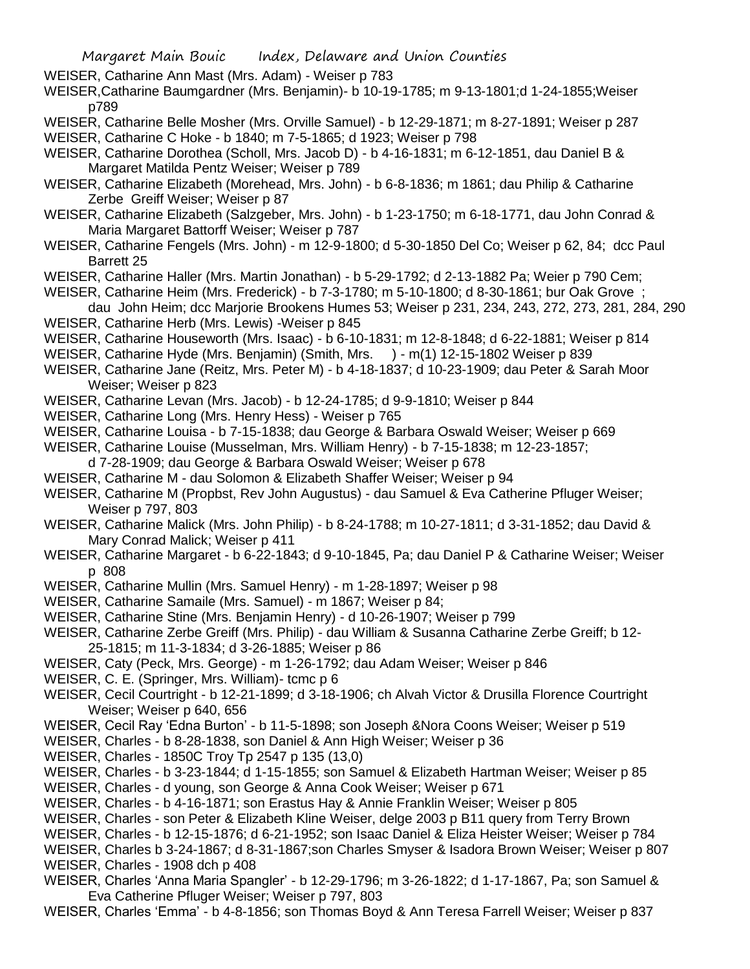WEISER, Catharine Ann Mast (Mrs. Adam) - Weiser p 783

- WEISER,Catharine Baumgardner (Mrs. Benjamin)- b 10-19-1785; m 9-13-1801;d 1-24-1855;Weiser p789
- WEISER, Catharine Belle Mosher (Mrs. Orville Samuel) b 12-29-1871; m 8-27-1891; Weiser p 287
- WEISER, Catharine C Hoke b 1840; m 7-5-1865; d 1923; Weiser p 798
- WEISER, Catharine Dorothea (Scholl, Mrs. Jacob D) b 4-16-1831; m 6-12-1851, dau Daniel B & Margaret Matilda Pentz Weiser; Weiser p 789
- WEISER, Catharine Elizabeth (Morehead, Mrs. John) b 6-8-1836; m 1861; dau Philip & Catharine Zerbe Greiff Weiser; Weiser p 87
- WEISER, Catharine Elizabeth (Salzgeber, Mrs. John) b 1-23-1750; m 6-18-1771, dau John Conrad & Maria Margaret Battorff Weiser; Weiser p 787
- WEISER, Catharine Fengels (Mrs. John) m 12-9-1800; d 5-30-1850 Del Co; Weiser p 62, 84; dcc Paul Barrett 25
- WEISER, Catharine Haller (Mrs. Martin Jonathan) b 5-29-1792; d 2-13-1882 Pa; Weier p 790 Cem;
- WEISER, Catharine Heim (Mrs. Frederick) b 7-3-1780; m 5-10-1800; d 8-30-1861; bur Oak Grove ;
- dau John Heim; dcc Marjorie Brookens Humes 53; Weiser p 231, 234, 243, 272, 273, 281, 284, 290 WEISER, Catharine Herb (Mrs. Lewis) -Weiser p 845
- WEISER, Catharine Houseworth (Mrs. Isaac) b 6-10-1831; m 12-8-1848; d 6-22-1881; Weiser p 814
- WEISER, Catharine Hyde (Mrs. Benjamin) (Smith, Mrs. ) m(1) 12-15-1802 Weiser p 839
- WEISER, Catharine Jane (Reitz, Mrs. Peter M) b 4-18-1837; d 10-23-1909; dau Peter & Sarah Moor Weiser; Weiser p 823
- WEISER, Catharine Levan (Mrs. Jacob) b 12-24-1785; d 9-9-1810; Weiser p 844
- WEISER, Catharine Long (Mrs. Henry Hess) Weiser p 765
- WEISER, Catharine Louisa b 7-15-1838; dau George & Barbara Oswald Weiser; Weiser p 669
- WEISER, Catharine Louise (Musselman, Mrs. William Henry) b 7-15-1838; m 12-23-1857; d 7-28-1909; dau George & Barbara Oswald Weiser; Weiser p 678
- WEISER, Catharine M dau Solomon & Elizabeth Shaffer Weiser; Weiser p 94
- WEISER, Catharine M (Propbst, Rev John Augustus) dau Samuel & Eva Catherine Pfluger Weiser; Weiser p 797, 803
- WEISER, Catharine Malick (Mrs. John Philip) b 8-24-1788; m 10-27-1811; d 3-31-1852; dau David & Mary Conrad Malick; Weiser p 411
- WEISER, Catharine Margaret b 6-22-1843; d 9-10-1845, Pa; dau Daniel P & Catharine Weiser; Weiser p 808
- WEISER, Catharine Mullin (Mrs. Samuel Henry) m 1-28-1897; Weiser p 98
- WEISER, Catharine Samaile (Mrs. Samuel) m 1867; Weiser p 84;
- WEISER, Catharine Stine (Mrs. Benjamin Henry) d 10-26-1907; Weiser p 799
- WEISER, Catharine Zerbe Greiff (Mrs. Philip) dau William & Susanna Catharine Zerbe Greiff; b 12- 25-1815; m 11-3-1834; d 3-26-1885; Weiser p 86
- WEISER, Caty (Peck, Mrs. George) m 1-26-1792; dau Adam Weiser; Weiser p 846
- WEISER, C. E. (Springer, Mrs. William)- tcmc p 6
- WEISER, Cecil Courtright b 12-21-1899; d 3-18-1906; ch Alvah Victor & Drusilla Florence Courtright Weiser; Weiser p 640, 656
- WEISER, Cecil Ray 'Edna Burton' b 11-5-1898; son Joseph &Nora Coons Weiser; Weiser p 519
- WEISER, Charles b 8-28-1838, son Daniel & Ann High Weiser; Weiser p 36
- WEISER, Charles 1850C Troy Tp 2547 p 135 (13,0)
- WEISER, Charles b 3-23-1844; d 1-15-1855; son Samuel & Elizabeth Hartman Weiser; Weiser p 85
- WEISER, Charles d young, son George & Anna Cook Weiser; Weiser p 671
- WEISER, Charles b 4-16-1871; son Erastus Hay & Annie Franklin Weiser; Weiser p 805
- WEISER, Charles son Peter & Elizabeth Kline Weiser, delge 2003 p B11 query from Terry Brown
- WEISER, Charles b 12-15-1876; d 6-21-1952; son Isaac Daniel & Eliza Heister Weiser; Weiser p 784
- WEISER, Charles b 3-24-1867; d 8-31-1867;son Charles Smyser & Isadora Brown Weiser; Weiser p 807
- WEISER, Charles 1908 dch p 408
- WEISER, Charles 'Anna Maria Spangler' b 12-29-1796; m 3-26-1822; d 1-17-1867, Pa; son Samuel & Eva Catherine Pfluger Weiser; Weiser p 797, 803
- WEISER, Charles 'Emma' b 4-8-1856; son Thomas Boyd & Ann Teresa Farrell Weiser; Weiser p 837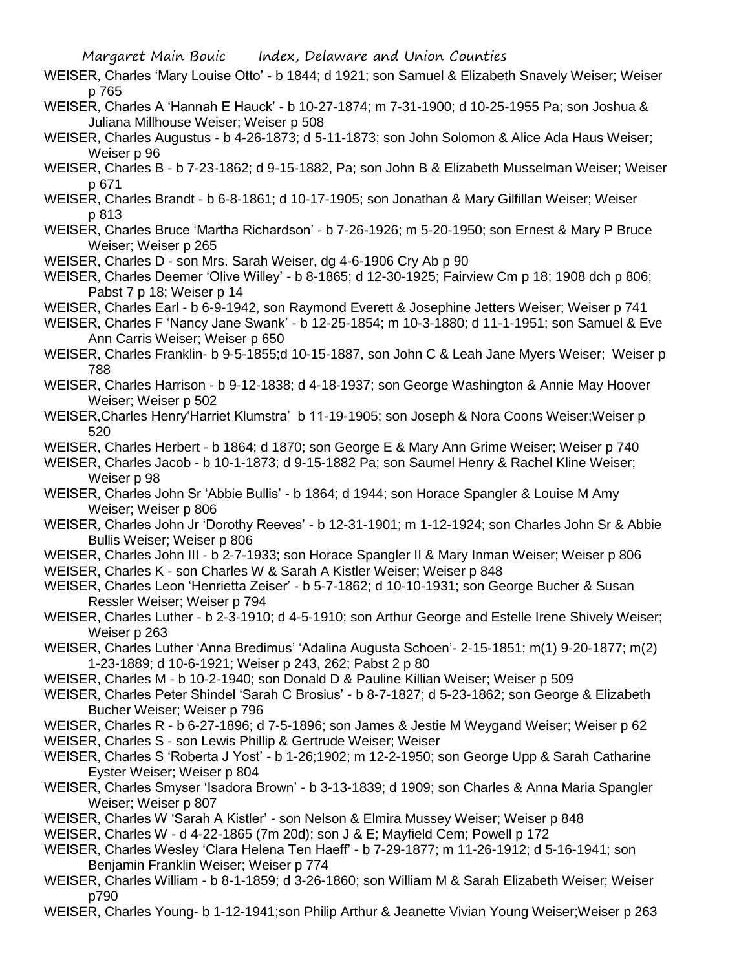- WEISER, Charles 'Mary Louise Otto' b 1844; d 1921; son Samuel & Elizabeth Snavely Weiser; Weiser p 765
- WEISER, Charles A 'Hannah E Hauck' b 10-27-1874; m 7-31-1900; d 10-25-1955 Pa; son Joshua & Juliana Millhouse Weiser; Weiser p 508
- WEISER, Charles Augustus b 4-26-1873; d 5-11-1873; son John Solomon & Alice Ada Haus Weiser; Weiser p 96
- WEISER, Charles B b 7-23-1862; d 9-15-1882, Pa; son John B & Elizabeth Musselman Weiser; Weiser p 671
- WEISER, Charles Brandt b 6-8-1861; d 10-17-1905; son Jonathan & Mary Gilfillan Weiser; Weiser p 813
- WEISER, Charles Bruce 'Martha Richardson' b 7-26-1926; m 5-20-1950; son Ernest & Mary P Bruce Weiser; Weiser p 265
- WEISER, Charles D son Mrs. Sarah Weiser, dg 4-6-1906 Cry Ab p 90
- WEISER, Charles Deemer 'Olive Willey' b 8-1865; d 12-30-1925; Fairview Cm p 18; 1908 dch p 806; Pabst 7 p 18; Weiser p 14
- WEISER, Charles Earl b 6-9-1942, son Raymond Everett & Josephine Jetters Weiser; Weiser p 741
- WEISER, Charles F 'Nancy Jane Swank' b 12-25-1854; m 10-3-1880; d 11-1-1951; son Samuel & Eve Ann Carris Weiser; Weiser p 650
- WEISER, Charles Franklin- b 9-5-1855;d 10-15-1887, son John C & Leah Jane Myers Weiser; Weiser p 788
- WEISER, Charles Harrison b 9-12-1838; d 4-18-1937; son George Washington & Annie May Hoover Weiser; Weiser p 502
- WEISER,Charles Henry'Harriet Klumstra' b 11-19-1905; son Joseph & Nora Coons Weiser;Weiser p 520
- WEISER, Charles Herbert b 1864; d 1870; son George E & Mary Ann Grime Weiser; Weiser p 740
- WEISER, Charles Jacob b 10-1-1873; d 9-15-1882 Pa; son Saumel Henry & Rachel Kline Weiser; Weiser p 98
- WEISER, Charles John Sr 'Abbie Bullis' b 1864; d 1944; son Horace Spangler & Louise M Amy Weiser; Weiser p 806
- WEISER, Charles John Jr 'Dorothy Reeves' b 12-31-1901; m 1-12-1924; son Charles John Sr & Abbie Bullis Weiser; Weiser p 806
- WEISER, Charles John III b 2-7-1933; son Horace Spangler II & Mary Inman Weiser; Weiser p 806
- WEISER, Charles K son Charles W & Sarah A Kistler Weiser; Weiser p 848
- WEISER, Charles Leon 'Henrietta Zeiser' b 5-7-1862; d 10-10-1931; son George Bucher & Susan Ressler Weiser; Weiser p 794
- WEISER, Charles Luther b 2-3-1910; d 4-5-1910; son Arthur George and Estelle Irene Shively Weiser; Weiser p 263
- WEISER, Charles Luther 'Anna Bredimus' 'Adalina Augusta Schoen'- 2-15-1851; m(1) 9-20-1877; m(2) 1-23-1889; d 10-6-1921; Weiser p 243, 262; Pabst 2 p 80
- WEISER, Charles M b 10-2-1940; son Donald D & Pauline Killian Weiser; Weiser p 509
- WEISER, Charles Peter Shindel 'Sarah C Brosius' b 8-7-1827; d 5-23-1862; son George & Elizabeth Bucher Weiser; Weiser p 796
- WEISER, Charles R b 6-27-1896; d 7-5-1896; son James & Jestie M Weygand Weiser; Weiser p 62
- WEISER, Charles S son Lewis Phillip & Gertrude Weiser; Weiser
- WEISER, Charles S 'Roberta J Yost' b 1-26;1902; m 12-2-1950; son George Upp & Sarah Catharine Eyster Weiser; Weiser p 804
- WEISER, Charles Smyser 'Isadora Brown' b 3-13-1839; d 1909; son Charles & Anna Maria Spangler Weiser; Weiser p 807
- WEISER, Charles W 'Sarah A Kistler' son Nelson & Elmira Mussey Weiser; Weiser p 848
- WEISER, Charles W d 4-22-1865 (7m 20d); son J & E; Mayfield Cem; Powell p 172
- WEISER, Charles Wesley 'Clara Helena Ten Haeff' b 7-29-1877; m 11-26-1912; d 5-16-1941; son Benjamin Franklin Weiser; Weiser p 774
- WEISER, Charles William b 8-1-1859; d 3-26-1860; son William M & Sarah Elizabeth Weiser; Weiser p790
- WEISER, Charles Young- b 1-12-1941;son Philip Arthur & Jeanette Vivian Young Weiser;Weiser p 263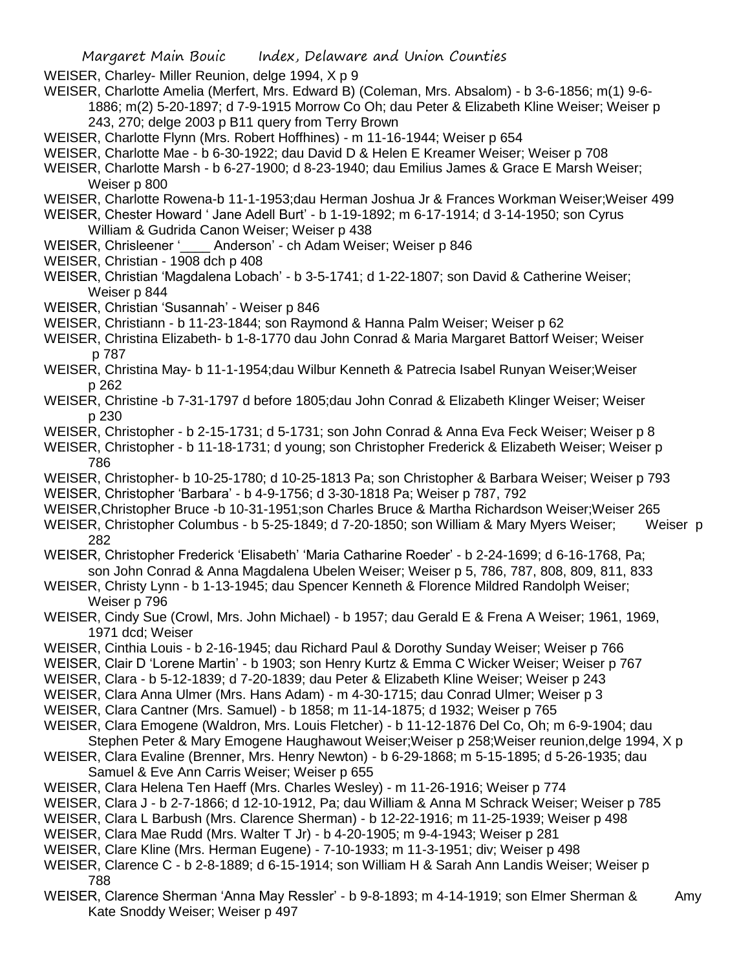WEISER, Charley- Miller Reunion, delge 1994, X p 9

- WEISER, Charlotte Amelia (Merfert, Mrs. Edward B) (Coleman, Mrs. Absalom) b 3-6-1856; m(1) 9-6- 1886; m(2) 5-20-1897; d 7-9-1915 Morrow Co Oh; dau Peter & Elizabeth Kline Weiser; Weiser p 243, 270; delge 2003 p B11 query from Terry Brown
- WEISER, Charlotte Flynn (Mrs. Robert Hoffhines) m 11-16-1944; Weiser p 654
- WEISER, Charlotte Mae b 6-30-1922; dau David D & Helen E Kreamer Weiser; Weiser p 708
- WEISER, Charlotte Marsh b 6-27-1900; d 8-23-1940; dau Emilius James & Grace E Marsh Weiser; Weiser p 800
- WEISER, Charlotte Rowena-b 11-1-1953;dau Herman Joshua Jr & Frances Workman Weiser;Weiser 499
- WEISER, Chester Howard ' Jane Adell Burt' b 1-19-1892; m 6-17-1914; d 3-14-1950; son Cyrus William & Gudrida Canon Weiser; Weiser p 438
- WEISER, Chrisleener '\_\_\_\_ Anderson' ch Adam Weiser; Weiser p 846
- WEISER, Christian 1908 dch p 408
- WEISER, Christian 'Magdalena Lobach' b 3-5-1741; d 1-22-1807; son David & Catherine Weiser; Weiser p 844
- WEISER, Christian 'Susannah' Weiser p 846
- WEISER, Christiann b 11-23-1844; son Raymond & Hanna Palm Weiser; Weiser p 62
- WEISER, Christina Elizabeth- b 1-8-1770 dau John Conrad & Maria Margaret Battorf Weiser; Weiser p 787
- WEISER, Christina May- b 11-1-1954;dau Wilbur Kenneth & Patrecia Isabel Runyan Weiser;Weiser p 262
- WEISER, Christine -b 7-31-1797 d before 1805;dau John Conrad & Elizabeth Klinger Weiser; Weiser p 230
- WEISER, Christopher b 2-15-1731; d 5-1731; son John Conrad & Anna Eva Feck Weiser; Weiser p 8
- WEISER, Christopher b 11-18-1731; d young; son Christopher Frederick & Elizabeth Weiser; Weiser p 786
- WEISER, Christopher- b 10-25-1780; d 10-25-1813 Pa; son Christopher & Barbara Weiser; Weiser p 793 WEISER, Christopher 'Barbara' - b 4-9-1756; d 3-30-1818 Pa; Weiser p 787, 792
- WEISER,Christopher Bruce -b 10-31-1951;son Charles Bruce & Martha Richardson Weiser;Weiser 265
- WEISER, Christopher Columbus b 5-25-1849; d 7-20-1850; son William & Mary Myers Weiser; Weiser p 282
- WEISER, Christopher Frederick 'Elisabeth' 'Maria Catharine Roeder' b 2-24-1699; d 6-16-1768, Pa; son John Conrad & Anna Magdalena Ubelen Weiser; Weiser p 5, 786, 787, 808, 809, 811, 833
- WEISER, Christy Lynn b 1-13-1945; dau Spencer Kenneth & Florence Mildred Randolph Weiser; Weiser p 796
- WEISER, Cindy Sue (Crowl, Mrs. John Michael) b 1957; dau Gerald E & Frena A Weiser; 1961, 1969, 1971 dcd; Weiser
- WEISER, Cinthia Louis b 2-16-1945; dau Richard Paul & Dorothy Sunday Weiser; Weiser p 766
- WEISER, Clair D 'Lorene Martin' b 1903; son Henry Kurtz & Emma C Wicker Weiser; Weiser p 767
- WEISER, Clara b 5-12-1839; d 7-20-1839; dau Peter & Elizabeth Kline Weiser; Weiser p 243
- WEISER, Clara Anna Ulmer (Mrs. Hans Adam) m 4-30-1715; dau Conrad Ulmer; Weiser p 3
- WEISER, Clara Cantner (Mrs. Samuel) b 1858; m 11-14-1875; d 1932; Weiser p 765
- WEISER, Clara Emogene (Waldron, Mrs. Louis Fletcher) b 11-12-1876 Del Co, Oh; m 6-9-1904; dau
- Stephen Peter & Mary Emogene Haughawout Weiser;Weiser p 258;Weiser reunion,delge 1994, X p WEISER, Clara Evaline (Brenner, Mrs. Henry Newton) - b 6-29-1868; m 5-15-1895; d 5-26-1935; dau Samuel & Eve Ann Carris Weiser; Weiser p 655
- WEISER, Clara Helena Ten Haeff (Mrs. Charles Wesley) m 11-26-1916; Weiser p 774
- WEISER, Clara J b 2-7-1866; d 12-10-1912, Pa; dau William & Anna M Schrack Weiser; Weiser p 785
- WEISER, Clara L Barbush (Mrs. Clarence Sherman) b 12-22-1916; m 11-25-1939; Weiser p 498
- WEISER, Clara Mae Rudd (Mrs. Walter T Jr) b 4-20-1905; m 9-4-1943; Weiser p 281
- WEISER, Clare Kline (Mrs. Herman Eugene) 7-10-1933; m 11-3-1951; div; Weiser p 498
- WEISER, Clarence C b 2-8-1889; d 6-15-1914; son William H & Sarah Ann Landis Weiser; Weiser p 788
- WEISER, Clarence Sherman 'Anna May Ressler' b 9-8-1893; m 4-14-1919; son Elmer Sherman & Amy Kate Snoddy Weiser; Weiser p 497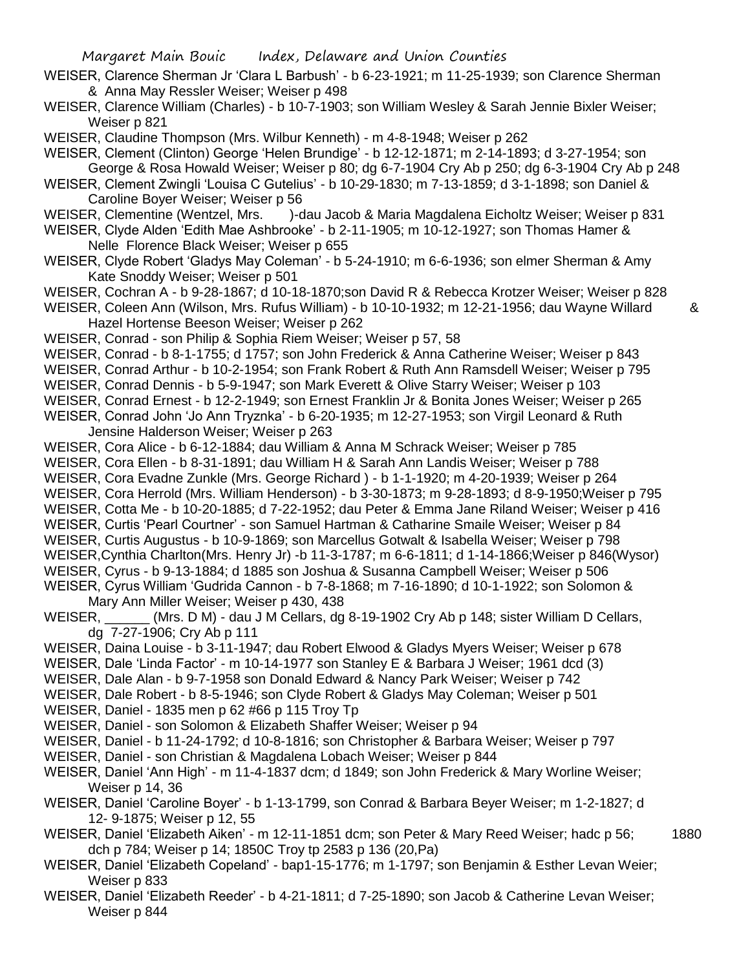- WEISER, Clarence Sherman Jr 'Clara L Barbush' b 6-23-1921; m 11-25-1939; son Clarence Sherman & Anna May Ressler Weiser; Weiser p 498
- WEISER, Clarence William (Charles) b 10-7-1903; son William Wesley & Sarah Jennie Bixler Weiser; Weiser p 821

WEISER, Claudine Thompson (Mrs. Wilbur Kenneth) - m 4-8-1948; Weiser p 262

WEISER, Clement (Clinton) George 'Helen Brundige' - b 12-12-1871; m 2-14-1893; d 3-27-1954; son George & Rosa Howald Weiser; Weiser p 80; dg 6-7-1904 Cry Ab p 250; dg 6-3-1904 Cry Ab p 248

WEISER, Clement Zwingli 'Louisa C Gutelius' - b 10-29-1830; m 7-13-1859; d 3-1-1898; son Daniel & Caroline Boyer Weiser; Weiser p 56

- WEISER, Clementine (Wentzel, Mrs. )-dau Jacob & Maria Magdalena Eicholtz Weiser; Weiser p 831
- WEISER, Clyde Alden 'Edith Mae Ashbrooke' b 2-11-1905; m 10-12-1927; son Thomas Hamer & Nelle Florence Black Weiser; Weiser p 655
- WEISER, Clyde Robert 'Gladys May Coleman' b 5-24-1910; m 6-6-1936; son elmer Sherman & Amy Kate Snoddy Weiser; Weiser p 501
- WEISER, Cochran A b 9-28-1867; d 10-18-1870;son David R & Rebecca Krotzer Weiser; Weiser p 828
- WEISER, Coleen Ann (Wilson, Mrs. Rufus William) b 10-10-1932; m 12-21-1956; dau Wayne Willard & Hazel Hortense Beeson Weiser; Weiser p 262
- WEISER, Conrad son Philip & Sophia Riem Weiser; Weiser p 57, 58
- WEISER, Conrad b 8-1-1755; d 1757; son John Frederick & Anna Catherine Weiser; Weiser p 843
- WEISER, Conrad Arthur b 10-2-1954; son Frank Robert & Ruth Ann Ramsdell Weiser; Weiser p 795
- WEISER, Conrad Dennis b 5-9-1947; son Mark Everett & Olive Starry Weiser; Weiser p 103
- WEISER, Conrad Ernest b 12-2-1949; son Ernest Franklin Jr & Bonita Jones Weiser; Weiser p 265
- WEISER, Conrad John 'Jo Ann Tryznka' b 6-20-1935; m 12-27-1953; son Virgil Leonard & Ruth Jensine Halderson Weiser; Weiser p 263
- WEISER, Cora Alice b 6-12-1884; dau William & Anna M Schrack Weiser; Weiser p 785
- WEISER, Cora Ellen b 8-31-1891; dau William H & Sarah Ann Landis Weiser; Weiser p 788
- WEISER, Cora Evadne Zunkle (Mrs. George Richard ) b 1-1-1920; m 4-20-1939; Weiser p 264
- WEISER, Cora Herrold (Mrs. William Henderson) b 3-30-1873; m 9-28-1893; d 8-9-1950;Weiser p 795
- WEISER, Cotta Me b 10-20-1885; d 7-22-1952; dau Peter & Emma Jane Riland Weiser; Weiser p 416
- WEISER, Curtis 'Pearl Courtner' son Samuel Hartman & Catharine Smaile Weiser; Weiser p 84
- WEISER, Curtis Augustus b 10-9-1869; son Marcellus Gotwalt & Isabella Weiser; Weiser p 798
- WEISER,Cynthia Charlton(Mrs. Henry Jr) -b 11-3-1787; m 6-6-1811; d 1-14-1866;Weiser p 846(Wysor)
- WEISER, Cyrus b 9-13-1884; d 1885 son Joshua & Susanna Campbell Weiser; Weiser p 506 WEISER, Cyrus William 'Gudrida Cannon - b 7-8-1868; m 7-16-1890; d 10-1-1922; son Solomon &

Mary Ann Miller Weiser; Weiser p 430, 438

- WEISER, (Mrs. D M) dau J M Cellars, dg 8-19-1902 Cry Ab p 148; sister William D Cellars, dg 7-27-1906; Cry Ab p 111
- WEISER, Daina Louise b 3-11-1947; dau Robert Elwood & Gladys Myers Weiser; Weiser p 678
- WEISER, Dale 'Linda Factor' m 10-14-1977 son Stanley E & Barbara J Weiser; 1961 dcd (3)
- WEISER, Dale Alan b 9-7-1958 son Donald Edward & Nancy Park Weiser; Weiser p 742
- WEISER, Dale Robert b 8-5-1946; son Clyde Robert & Gladys May Coleman; Weiser p 501
- WEISER, Daniel 1835 men p 62 #66 p 115 Troy Tp
- WEISER, Daniel son Solomon & Elizabeth Shaffer Weiser; Weiser p 94
- WEISER, Daniel b 11-24-1792; d 10-8-1816; son Christopher & Barbara Weiser; Weiser p 797
- WEISER, Daniel son Christian & Magdalena Lobach Weiser; Weiser p 844
- WEISER, Daniel 'Ann High' m 11-4-1837 dcm; d 1849; son John Frederick & Mary Worline Weiser; Weiser p 14, 36
- WEISER, Daniel 'Caroline Boyer' b 1-13-1799, son Conrad & Barbara Beyer Weiser; m 1-2-1827; d 12- 9-1875; Weiser p 12, 55
- WEISER, Daniel 'Elizabeth Aiken' m 12-11-1851 dcm; son Peter & Mary Reed Weiser; hadc p 56; 1880 dch p 784; Weiser p 14; 1850C Troy tp 2583 p 136 (20,Pa)
- WEISER, Daniel 'Elizabeth Copeland' bap1-15-1776; m 1-1797; son Benjamin & Esther Levan Weier; Weiser p 833
- WEISER, Daniel 'Elizabeth Reeder' b 4-21-1811; d 7-25-1890; son Jacob & Catherine Levan Weiser; Weiser p 844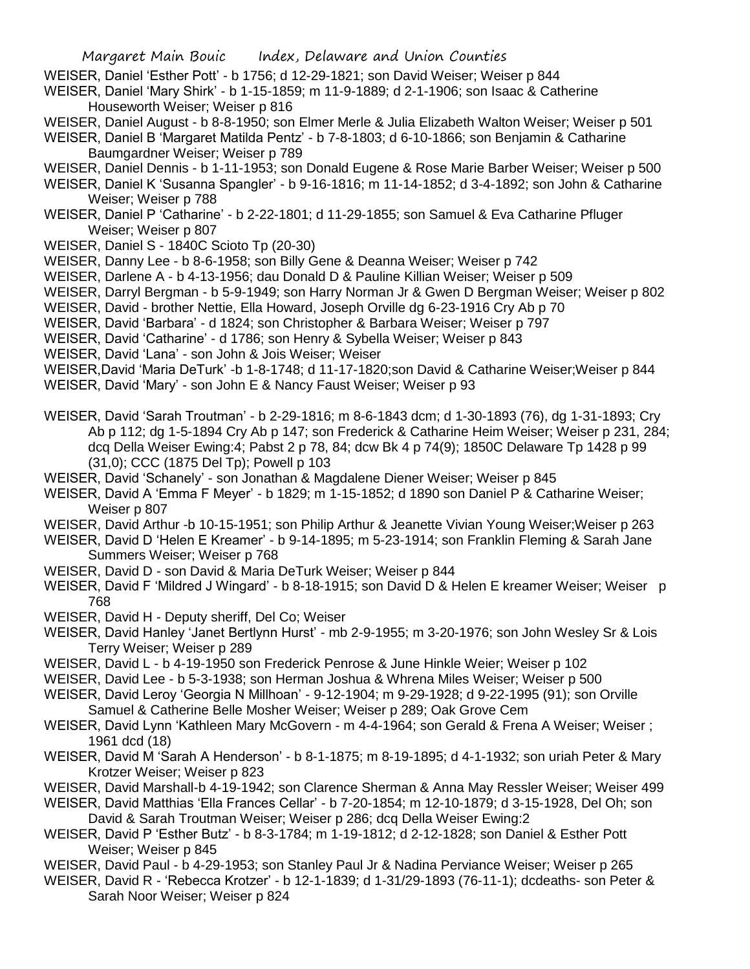- WEISER, Daniel 'Esther Pott' b 1756; d 12-29-1821; son David Weiser; Weiser p 844
- WEISER, Daniel 'Mary Shirk' b 1-15-1859; m 11-9-1889; d 2-1-1906; son Isaac & Catherine Houseworth Weiser; Weiser p 816
- WEISER, Daniel August b 8-8-1950; son Elmer Merle & Julia Elizabeth Walton Weiser; Weiser p 501
- WEISER, Daniel B 'Margaret Matilda Pentz' b 7-8-1803; d 6-10-1866; son Benjamin & Catharine Baumgardner Weiser; Weiser p 789
- WEISER, Daniel Dennis b 1-11-1953; son Donald Eugene & Rose Marie Barber Weiser; Weiser p 500
- WEISER, Daniel K 'Susanna Spangler' b 9-16-1816; m 11-14-1852; d 3-4-1892; son John & Catharine Weiser; Weiser p 788
- WEISER, Daniel P 'Catharine' b 2-22-1801; d 11-29-1855; son Samuel & Eva Catharine Pfluger Weiser; Weiser p 807
- WEISER, Daniel S 1840C Scioto Tp (20-30)
- WEISER, Danny Lee b 8-6-1958; son Billy Gene & Deanna Weiser; Weiser p 742
- WEISER, Darlene A b 4-13-1956; dau Donald D & Pauline Killian Weiser; Weiser p 509
- WEISER, Darryl Bergman b 5-9-1949; son Harry Norman Jr & Gwen D Bergman Weiser; Weiser p 802
- WEISER, David brother Nettie, Ella Howard, Joseph Orville dg 6-23-1916 Cry Ab p 70
- WEISER, David 'Barbara' d 1824; son Christopher & Barbara Weiser; Weiser p 797
- WEISER, David 'Catharine' d 1786; son Henry & Sybella Weiser; Weiser p 843
- WEISER, David 'Lana' son John & Jois Weiser; Weiser

WEISER,David 'Maria DeTurk' -b 1-8-1748; d 11-17-1820;son David & Catharine Weiser;Weiser p 844 WEISER, David 'Mary' - son John E & Nancy Faust Weiser; Weiser p 93

- WEISER, David 'Sarah Troutman' b 2-29-1816; m 8-6-1843 dcm; d 1-30-1893 (76), dg 1-31-1893; Cry Ab p 112; dg 1-5-1894 Cry Ab p 147; son Frederick & Catharine Heim Weiser; Weiser p 231, 284; dcq Della Weiser Ewing:4; Pabst 2 p 78, 84; dcw Bk 4 p 74(9); 1850C Delaware Tp 1428 p 99
- (31,0); CCC (1875 Del Tp); Powell p 103 WEISER, David 'Schanely' - son Jonathan & Magdalene Diener Weiser; Weiser p 845
- WEISER, David A 'Emma F Meyer' b 1829; m 1-15-1852; d 1890 son Daniel P & Catharine Weiser; Weiser p 807
- WEISER, David Arthur -b 10-15-1951; son Philip Arthur & Jeanette Vivian Young Weiser;Weiser p 263
- WEISER, David D 'Helen E Kreamer' b 9-14-1895; m 5-23-1914; son Franklin Fleming & Sarah Jane Summers Weiser; Weiser p 768
- WEISER, David D son David & Maria DeTurk Weiser; Weiser p 844
- WEISER, David F 'Mildred J Wingard' b 8-18-1915; son David D & Helen E kreamer Weiser; Weiser p 768
- WEISER, David H Deputy sheriff, Del Co; Weiser
- WEISER, David Hanley 'Janet Bertlynn Hurst' mb 2-9-1955; m 3-20-1976; son John Wesley Sr & Lois Terry Weiser; Weiser p 289
- WEISER, David L b 4-19-1950 son Frederick Penrose & June Hinkle Weier; Weiser p 102
- WEISER, David Lee b 5-3-1938; son Herman Joshua & Whrena Miles Weiser; Weiser p 500
- WEISER, David Leroy 'Georgia N Millhoan' 9-12-1904; m 9-29-1928; d 9-22-1995 (91); son Orville Samuel & Catherine Belle Mosher Weiser; Weiser p 289; Oak Grove Cem
- WEISER, David Lynn 'Kathleen Mary McGovern m 4-4-1964; son Gerald & Frena A Weiser; Weiser ; 1961 dcd (18)
- WEISER, David M 'Sarah A Henderson' b 8-1-1875; m 8-19-1895; d 4-1-1932; son uriah Peter & Mary Krotzer Weiser; Weiser p 823
- WEISER, David Marshall-b 4-19-1942; son Clarence Sherman & Anna May Ressler Weiser; Weiser 499
- WEISER, David Matthias 'Ella Frances Cellar' b 7-20-1854; m 12-10-1879; d 3-15-1928, Del Oh; son David & Sarah Troutman Weiser; Weiser p 286; dcq Della Weiser Ewing:2
- WEISER, David P 'Esther Butz' b 8-3-1784; m 1-19-1812; d 2-12-1828; son Daniel & Esther Pott Weiser; Weiser p 845
- WEISER, David Paul b 4-29-1953; son Stanley Paul Jr & Nadina Perviance Weiser; Weiser p 265
- WEISER, David R 'Rebecca Krotzer' b 12-1-1839; d 1-31/29-1893 (76-11-1); dcdeaths- son Peter & Sarah Noor Weiser; Weiser p 824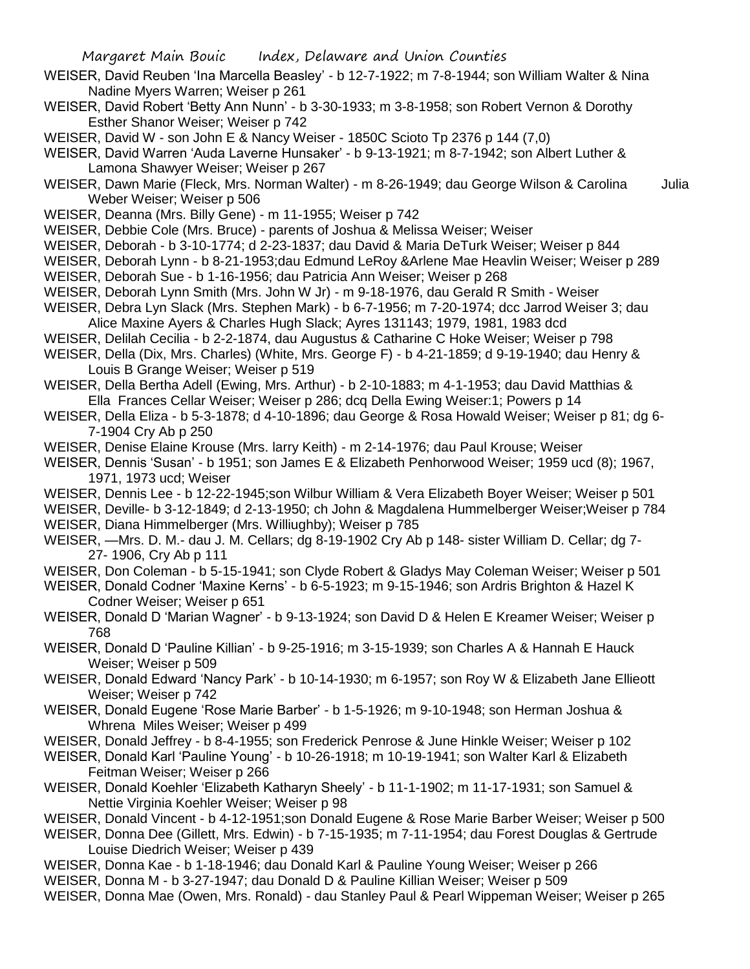- WEISER, David Reuben 'Ina Marcella Beasley' b 12-7-1922; m 7-8-1944; son William Walter & Nina Nadine Myers Warren; Weiser p 261
- WEISER, David Robert 'Betty Ann Nunn' b 3-30-1933; m 3-8-1958; son Robert Vernon & Dorothy Esther Shanor Weiser; Weiser p 742
- WEISER, David W son John E & Nancy Weiser 1850C Scioto Tp 2376 p 144 (7,0)
- WEISER, David Warren 'Auda Laverne Hunsaker' b 9-13-1921; m 8-7-1942; son Albert Luther & Lamona Shawyer Weiser; Weiser p 267
- WEISER, Dawn Marie (Fleck, Mrs. Norman Walter) m 8-26-1949; dau George Wilson & Carolina Julia Weber Weiser; Weiser p 506
- WEISER, Deanna (Mrs. Billy Gene) m 11-1955; Weiser p 742
- WEISER, Debbie Cole (Mrs. Bruce) parents of Joshua & Melissa Weiser; Weiser
- WEISER, Deborah b 3-10-1774; d 2-23-1837; dau David & Maria DeTurk Weiser; Weiser p 844

WEISER, Deborah Lynn - b 8-21-1953;dau Edmund LeRoy &Arlene Mae Heavlin Weiser; Weiser p 289

- WEISER, Deborah Sue b 1-16-1956; dau Patricia Ann Weiser; Weiser p 268
- WEISER, Deborah Lynn Smith (Mrs. John W Jr) m 9-18-1976, dau Gerald R Smith Weiser
- WEISER, Debra Lyn Slack (Mrs. Stephen Mark) b 6-7-1956; m 7-20-1974; dcc Jarrod Weiser 3; dau Alice Maxine Ayers & Charles Hugh Slack; Ayres 131143; 1979, 1981, 1983 dcd
- WEISER, Delilah Cecilia b 2-2-1874, dau Augustus & Catharine C Hoke Weiser; Weiser p 798
- WEISER, Della (Dix, Mrs. Charles) (White, Mrs. George F) b 4-21-1859; d 9-19-1940; dau Henry & Louis B Grange Weiser; Weiser p 519
- WEISER, Della Bertha Adell (Ewing, Mrs. Arthur) b 2-10-1883; m 4-1-1953; dau David Matthias & Ella Frances Cellar Weiser; Weiser p 286; dcq Della Ewing Weiser:1; Powers p 14
- WEISER, Della Eliza b 5-3-1878; d 4-10-1896; dau George & Rosa Howald Weiser; Weiser p 81; dg 6- 7-1904 Cry Ab p 250
- WEISER, Denise Elaine Krouse (Mrs. larry Keith) m 2-14-1976; dau Paul Krouse; Weiser
- WEISER, Dennis 'Susan' b 1951; son James E & Elizabeth Penhorwood Weiser; 1959 ucd (8); 1967, 1971, 1973 ucd; Weiser
- WEISER, Dennis Lee b 12-22-1945;son Wilbur William & Vera Elizabeth Boyer Weiser; Weiser p 501
- WEISER, Deville- b 3-12-1849; d 2-13-1950; ch John & Magdalena Hummelberger Weiser;Weiser p 784 WEISER, Diana Himmelberger (Mrs. Williughby); Weiser p 785
- WEISER, —Mrs. D. M.- dau J. M. Cellars; dg 8-19-1902 Cry Ab p 148- sister William D. Cellar; dg 7- 27- 1906, Cry Ab p 111
- WEISER, Don Coleman b 5-15-1941; son Clyde Robert & Gladys May Coleman Weiser; Weiser p 501
- WEISER, Donald Codner 'Maxine Kerns' b 6-5-1923; m 9-15-1946; son Ardris Brighton & Hazel K Codner Weiser; Weiser p 651
- WEISER, Donald D 'Marian Wagner' b 9-13-1924; son David D & Helen E Kreamer Weiser; Weiser p 768
- WEISER, Donald D 'Pauline Killian' b 9-25-1916; m 3-15-1939; son Charles A & Hannah E Hauck Weiser; Weiser p 509
- WEISER, Donald Edward 'Nancy Park' b 10-14-1930; m 6-1957; son Roy W & Elizabeth Jane Ellieott Weiser; Weiser p 742
- WEISER, Donald Eugene 'Rose Marie Barber' b 1-5-1926; m 9-10-1948; son Herman Joshua & Whrena Miles Weiser; Weiser p 499
- WEISER, Donald Jeffrey b 8-4-1955; son Frederick Penrose & June Hinkle Weiser; Weiser p 102
- WEISER, Donald Karl 'Pauline Young' b 10-26-1918; m 10-19-1941; son Walter Karl & Elizabeth Feitman Weiser; Weiser p 266
- WEISER, Donald Koehler 'Elizabeth Katharyn Sheely' b 11-1-1902; m 11-17-1931; son Samuel & Nettie Virginia Koehler Weiser; Weiser p 98
- WEISER, Donald Vincent b 4-12-1951;son Donald Eugene & Rose Marie Barber Weiser; Weiser p 500
- WEISER, Donna Dee (Gillett, Mrs. Edwin) b 7-15-1935; m 7-11-1954; dau Forest Douglas & Gertrude Louise Diedrich Weiser; Weiser p 439
- WEISER, Donna Kae b 1-18-1946; dau Donald Karl & Pauline Young Weiser; Weiser p 266
- WEISER, Donna M b 3-27-1947; dau Donald D & Pauline Killian Weiser; Weiser p 509
- WEISER, Donna Mae (Owen, Mrs. Ronald) dau Stanley Paul & Pearl Wippeman Weiser; Weiser p 265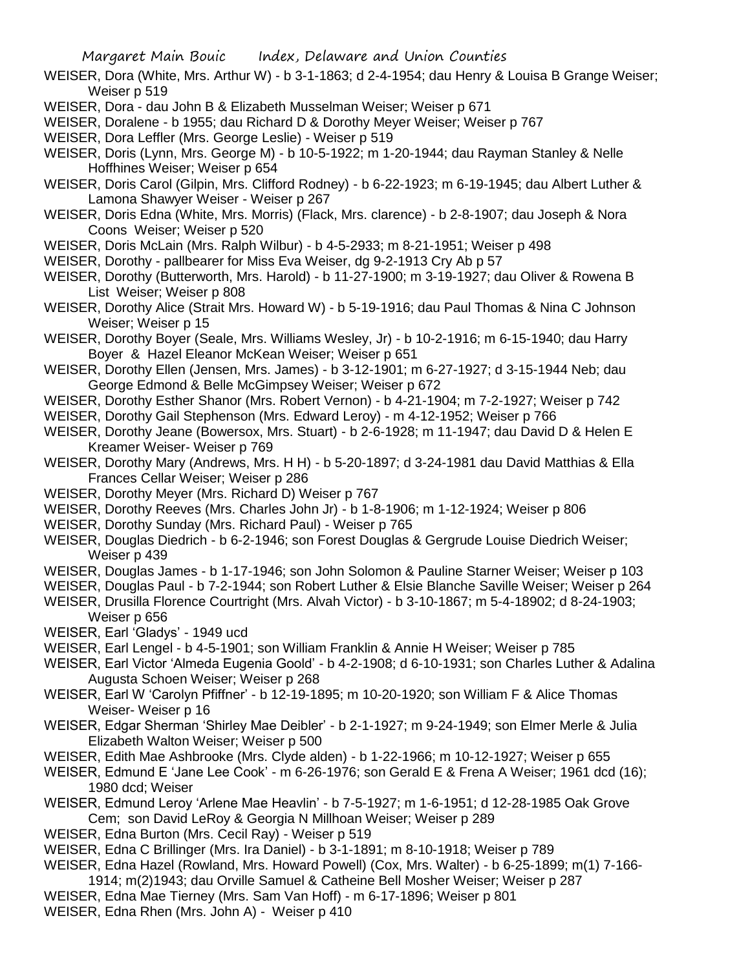- WEISER, Dora (White, Mrs. Arthur W) b 3-1-1863; d 2-4-1954; dau Henry & Louisa B Grange Weiser; Weiser p 519
- WEISER, Dora dau John B & Elizabeth Musselman Weiser; Weiser p 671

WEISER, Doralene - b 1955; dau Richard D & Dorothy Meyer Weiser; Weiser p 767

- WEISER, Dora Leffler (Mrs. George Leslie) Weiser p 519
- WEISER, Doris (Lynn, Mrs. George M) b 10-5-1922; m 1-20-1944; dau Rayman Stanley & Nelle Hoffhines Weiser; Weiser p 654
- WEISER, Doris Carol (Gilpin, Mrs. Clifford Rodney) b 6-22-1923; m 6-19-1945; dau Albert Luther & Lamona Shawyer Weiser - Weiser p 267
- WEISER, Doris Edna (White, Mrs. Morris) (Flack, Mrs. clarence) b 2-8-1907; dau Joseph & Nora Coons Weiser; Weiser p 520

WEISER, Doris McLain (Mrs. Ralph Wilbur) - b 4-5-2933; m 8-21-1951; Weiser p 498

- WEISER, Dorothy pallbearer for Miss Eva Weiser, dg 9-2-1913 Cry Ab p 57
- WEISER, Dorothy (Butterworth, Mrs. Harold) b 11-27-1900; m 3-19-1927; dau Oliver & Rowena B List Weiser; Weiser p 808
- WEISER, Dorothy Alice (Strait Mrs. Howard W) b 5-19-1916; dau Paul Thomas & Nina C Johnson Weiser; Weiser p 15
- WEISER, Dorothy Boyer (Seale, Mrs. Williams Wesley, Jr) b 10-2-1916; m 6-15-1940; dau Harry Boyer & Hazel Eleanor McKean Weiser; Weiser p 651
- WEISER, Dorothy Ellen (Jensen, Mrs. James) b 3-12-1901; m 6-27-1927; d 3-15-1944 Neb; dau George Edmond & Belle McGimpsey Weiser; Weiser p 672
- WEISER, Dorothy Esther Shanor (Mrs. Robert Vernon) b 4-21-1904; m 7-2-1927; Weiser p 742
- WEISER, Dorothy Gail Stephenson (Mrs. Edward Leroy) m 4-12-1952; Weiser p 766
- WEISER, Dorothy Jeane (Bowersox, Mrs. Stuart) b 2-6-1928; m 11-1947; dau David D & Helen E Kreamer Weiser- Weiser p 769
- WEISER, Dorothy Mary (Andrews, Mrs. H H) b 5-20-1897; d 3-24-1981 dau David Matthias & Ella Frances Cellar Weiser; Weiser p 286
- WEISER, Dorothy Meyer (Mrs. Richard D) Weiser p 767
- WEISER, Dorothy Reeves (Mrs. Charles John Jr) b 1-8-1906; m 1-12-1924; Weiser p 806
- WEISER, Dorothy Sunday (Mrs. Richard Paul) Weiser p 765
- WEISER, Douglas Diedrich b 6-2-1946; son Forest Douglas & Gergrude Louise Diedrich Weiser; Weiser p 439
- WEISER, Douglas James b 1-17-1946; son John Solomon & Pauline Starner Weiser; Weiser p 103
- WEISER, Douglas Paul b 7-2-1944; son Robert Luther & Elsie Blanche Saville Weiser; Weiser p 264
- WEISER, Drusilla Florence Courtright (Mrs. Alvah Victor) b 3-10-1867; m 5-4-18902; d 8-24-1903; Weiser p 656
- WEISER, Earl 'Gladys' 1949 ucd
- WEISER, Earl Lengel b 4-5-1901; son William Franklin & Annie H Weiser; Weiser p 785
- WEISER, Earl Victor 'Almeda Eugenia Goold' b 4-2-1908; d 6-10-1931; son Charles Luther & Adalina Augusta Schoen Weiser; Weiser p 268
- WEISER, Earl W 'Carolyn Pfiffner' b 12-19-1895; m 10-20-1920; son William F & Alice Thomas Weiser- Weiser p 16
- WEISER, Edgar Sherman 'Shirley Mae Deibler' b 2-1-1927; m 9-24-1949; son Elmer Merle & Julia Elizabeth Walton Weiser; Weiser p 500
- WEISER, Edith Mae Ashbrooke (Mrs. Clyde alden) b 1-22-1966; m 10-12-1927; Weiser p 655
- WEISER, Edmund E 'Jane Lee Cook' m 6-26-1976; son Gerald E & Frena A Weiser; 1961 dcd (16); 1980 dcd; Weiser
- WEISER, Edmund Leroy 'Arlene Mae Heavlin' b 7-5-1927; m 1-6-1951; d 12-28-1985 Oak Grove Cem; son David LeRoy & Georgia N Millhoan Weiser; Weiser p 289
- WEISER, Edna Burton (Mrs. Cecil Ray) Weiser p 519
- WEISER, Edna C Brillinger (Mrs. Ira Daniel) b 3-1-1891; m 8-10-1918; Weiser p 789
- WEISER, Edna Hazel (Rowland, Mrs. Howard Powell) (Cox, Mrs. Walter) b 6-25-1899; m(1) 7-166-
- 1914; m(2)1943; dau Orville Samuel & Catheine Bell Mosher Weiser; Weiser p 287
- WEISER, Edna Mae Tierney (Mrs. Sam Van Hoff) m 6-17-1896; Weiser p 801 WEISER, Edna Rhen (Mrs. John A) - Weiser p 410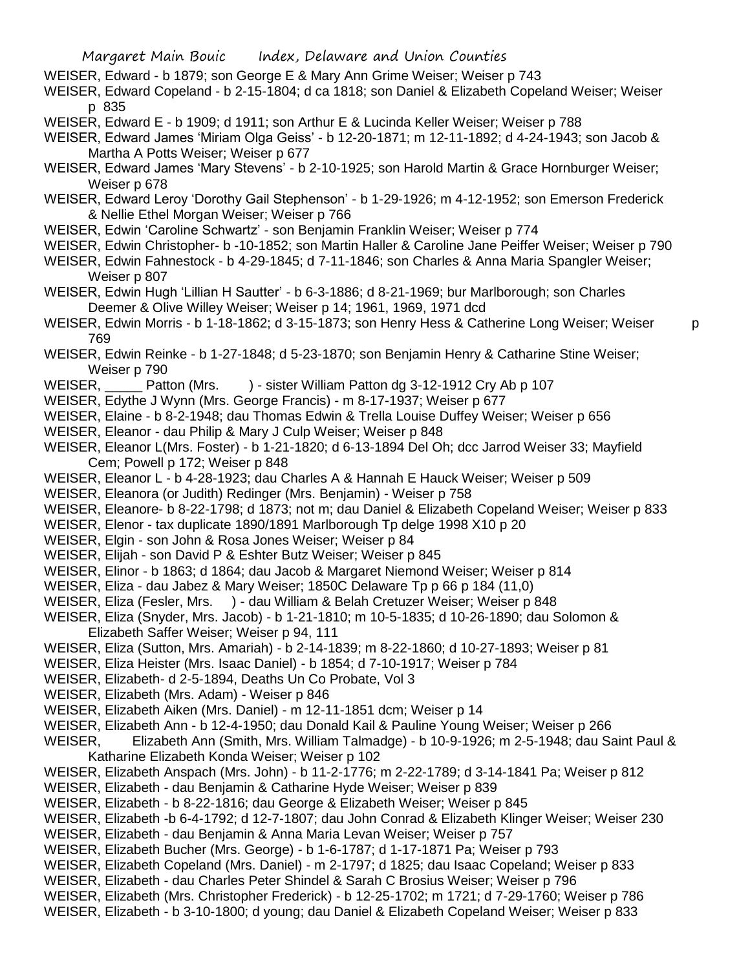- WEISER, Edward b 1879; son George E & Mary Ann Grime Weiser; Weiser p 743
- WEISER, Edward Copeland b 2-15-1804; d ca 1818; son Daniel & Elizabeth Copeland Weiser; Weiser p 835
- WEISER, Edward E b 1909; d 1911; son Arthur E & Lucinda Keller Weiser; Weiser p 788
- WEISER, Edward James 'Miriam Olga Geiss' b 12-20-1871; m 12-11-1892; d 4-24-1943; son Jacob & Martha A Potts Weiser; Weiser p 677
- WEISER, Edward James 'Mary Stevens' b 2-10-1925; son Harold Martin & Grace Hornburger Weiser; Weiser p 678
- WEISER, Edward Leroy 'Dorothy Gail Stephenson' b 1-29-1926; m 4-12-1952; son Emerson Frederick & Nellie Ethel Morgan Weiser; Weiser p 766
- WEISER, Edwin 'Caroline Schwartz' son Benjamin Franklin Weiser; Weiser p 774
- WEISER, Edwin Christopher- b -10-1852; son Martin Haller & Caroline Jane Peiffer Weiser; Weiser p 790
- WEISER, Edwin Fahnestock b 4-29-1845; d 7-11-1846; son Charles & Anna Maria Spangler Weiser; Weiser p 807
- WEISER, Edwin Hugh 'Lillian H Sautter' b 6-3-1886; d 8-21-1969; bur Marlborough; son Charles Deemer & Olive Willey Weiser; Weiser p 14; 1961, 1969, 1971 dcd
- WEISER, Edwin Morris b 1-18-1862; d 3-15-1873; son Henry Hess & Catherine Long Weiser; Weiser p 769
- WEISER, Edwin Reinke b 1-27-1848; d 5-23-1870; son Benjamin Henry & Catharine Stine Weiser; Weiser p 790
- WEISER, Patton (Mrs. ) sister William Patton dg 3-12-1912 Cry Ab p 107
- WEISER, Edythe J Wynn (Mrs. George Francis) m 8-17-1937; Weiser p 677
- WEISER, Elaine b 8-2-1948; dau Thomas Edwin & Trella Louise Duffey Weiser; Weiser p 656
- WEISER, Eleanor dau Philip & Mary J Culp Weiser; Weiser p 848
- WEISER, Eleanor L(Mrs. Foster) b 1-21-1820; d 6-13-1894 Del Oh; dcc Jarrod Weiser 33; Mayfield Cem; Powell p 172; Weiser p 848
- WEISER, Eleanor L b 4-28-1923; dau Charles A & Hannah E Hauck Weiser; Weiser p 509
- WEISER, Eleanora (or Judith) Redinger (Mrs. Benjamin) Weiser p 758
- WEISER, Eleanore- b 8-22-1798; d 1873; not m; dau Daniel & Elizabeth Copeland Weiser; Weiser p 833
- WEISER, Elenor tax duplicate 1890/1891 Marlborough Tp delge 1998 X10 p 20
- WEISER, Elgin son John & Rosa Jones Weiser; Weiser p 84
- WEISER, Elijah son David P & Eshter Butz Weiser; Weiser p 845
- WEISER, Elinor b 1863; d 1864; dau Jacob & Margaret Niemond Weiser; Weiser p 814
- WEISER, Eliza dau Jabez & Mary Weiser; 1850C Delaware Tp p 66 p 184 (11,0)
- WEISER, Eliza (Fesler, Mrs. ) dau William & Belah Cretuzer Weiser; Weiser p 848
- WEISER, Eliza (Snyder, Mrs. Jacob) b 1-21-1810; m 10-5-1835; d 10-26-1890; dau Solomon & Elizabeth Saffer Weiser; Weiser p 94, 111
- WEISER, Eliza (Sutton, Mrs. Amariah) b 2-14-1839; m 8-22-1860; d 10-27-1893; Weiser p 81
- WEISER, Eliza Heister (Mrs. Isaac Daniel) b 1854; d 7-10-1917; Weiser p 784
- WEISER, Elizabeth- d 2-5-1894, Deaths Un Co Probate, Vol 3
- WEISER, Elizabeth (Mrs. Adam) Weiser p 846
- WEISER, Elizabeth Aiken (Mrs. Daniel) m 12-11-1851 dcm; Weiser p 14
- WEISER, Elizabeth Ann b 12-4-1950; dau Donald Kail & Pauline Young Weiser; Weiser p 266
- WEISER, Elizabeth Ann (Smith, Mrs. William Talmadge) b 10-9-1926; m 2-5-1948; dau Saint Paul & Katharine Elizabeth Konda Weiser; Weiser p 102
- WEISER, Elizabeth Anspach (Mrs. John) b 11-2-1776; m 2-22-1789; d 3-14-1841 Pa; Weiser p 812
- WEISER, Elizabeth dau Benjamin & Catharine Hyde Weiser; Weiser p 839
- WEISER, Elizabeth b 8-22-1816; dau George & Elizabeth Weiser; Weiser p 845
- WEISER, Elizabeth -b 6-4-1792; d 12-7-1807; dau John Conrad & Elizabeth Klinger Weiser; Weiser 230
- WEISER, Elizabeth dau Benjamin & Anna Maria Levan Weiser; Weiser p 757
- WEISER, Elizabeth Bucher (Mrs. George) b 1-6-1787; d 1-17-1871 Pa; Weiser p 793
- WEISER, Elizabeth Copeland (Mrs. Daniel) m 2-1797; d 1825; dau Isaac Copeland; Weiser p 833
- WEISER, Elizabeth dau Charles Peter Shindel & Sarah C Brosius Weiser; Weiser p 796
- WEISER, Elizabeth (Mrs. Christopher Frederick) b 12-25-1702; m 1721; d 7-29-1760; Weiser p 786
- WEISER, Elizabeth b 3-10-1800; d young; dau Daniel & Elizabeth Copeland Weiser; Weiser p 833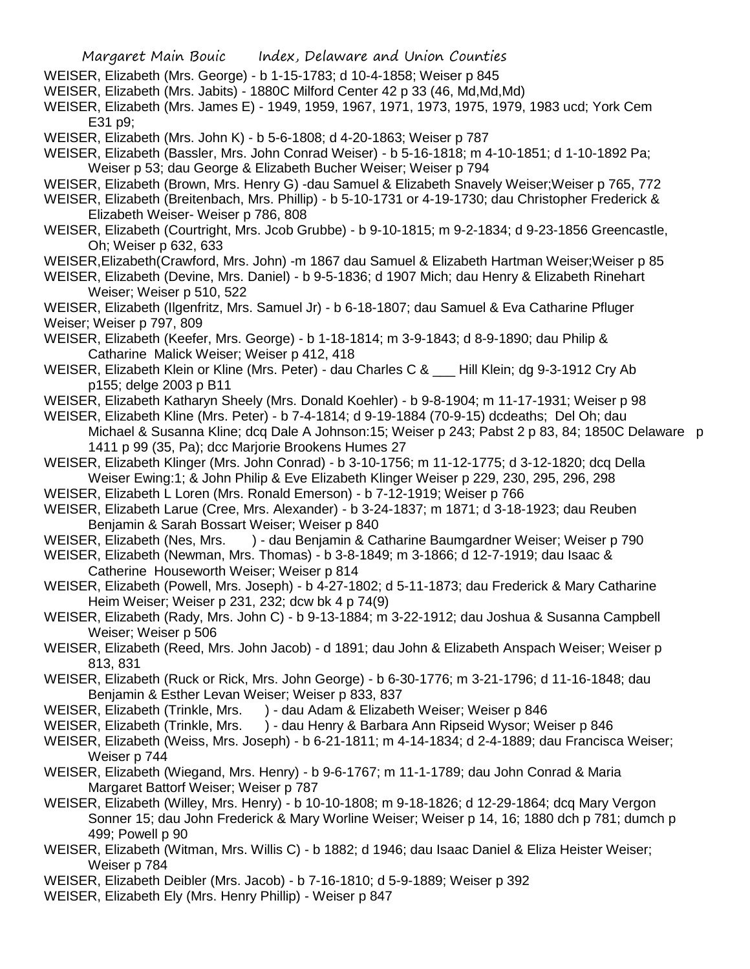- WEISER, Elizabeth (Mrs. George) b 1-15-1783; d 10-4-1858; Weiser p 845
- WEISER, Elizabeth (Mrs. Jabits) 1880C Milford Center 42 p 33 (46, Md,Md,Md)
- WEISER, Elizabeth (Mrs. James E) 1949, 1959, 1967, 1971, 1973, 1975, 1979, 1983 ucd; York Cem E31 p9;
- WEISER, Elizabeth (Mrs. John K) b 5-6-1808; d 4-20-1863; Weiser p 787
- WEISER, Elizabeth (Bassler, Mrs. John Conrad Weiser) b 5-16-1818; m 4-10-1851; d 1-10-1892 Pa; Weiser p 53; dau George & Elizabeth Bucher Weiser; Weiser p 794
- WEISER, Elizabeth (Brown, Mrs. Henry G) -dau Samuel & Elizabeth Snavely Weiser;Weiser p 765, 772
- WEISER, Elizabeth (Breitenbach, Mrs. Phillip) b 5-10-1731 or 4-19-1730; dau Christopher Frederick & Elizabeth Weiser- Weiser p 786, 808
- WEISER, Elizabeth (Courtright, Mrs. Jcob Grubbe) b 9-10-1815; m 9-2-1834; d 9-23-1856 Greencastle, Oh; Weiser p 632, 633
- WEISER,Elizabeth(Crawford, Mrs. John) -m 1867 dau Samuel & Elizabeth Hartman Weiser;Weiser p 85
- WEISER, Elizabeth (Devine, Mrs. Daniel) b 9-5-1836; d 1907 Mich; dau Henry & Elizabeth Rinehart Weiser; Weiser p 510, 522
- WEISER, Elizabeth (Ilgenfritz, Mrs. Samuel Jr) b 6-18-1807; dau Samuel & Eva Catharine Pfluger Weiser; Weiser p 797, 809
- WEISER, Elizabeth (Keefer, Mrs. George) b 1-18-1814; m 3-9-1843; d 8-9-1890; dau Philip & Catharine Malick Weiser; Weiser p 412, 418
- WEISER, Elizabeth Klein or Kline (Mrs. Peter) dau Charles C & Hill Klein; dg 9-3-1912 Cry Ab p155; delge 2003 p B11
- WEISER, Elizabeth Katharyn Sheely (Mrs. Donald Koehler) b 9-8-1904; m 11-17-1931; Weiser p 98
- WEISER, Elizabeth Kline (Mrs. Peter) b 7-4-1814; d 9-19-1884 (70-9-15) dcdeaths; Del Oh; dau Michael & Susanna Kline; dcq Dale A Johnson:15; Weiser p 243; Pabst 2 p 83, 84; 1850C Delaware p 1411 p 99 (35, Pa); dcc Marjorie Brookens Humes 27
- WEISER, Elizabeth Klinger (Mrs. John Conrad) b 3-10-1756; m 11-12-1775; d 3-12-1820; dcq Della Weiser Ewing:1; & John Philip & Eve Elizabeth Klinger Weiser p 229, 230, 295, 296, 298
- WEISER, Elizabeth L Loren (Mrs. Ronald Emerson) b 7-12-1919; Weiser p 766
- WEISER, Elizabeth Larue (Cree, Mrs. Alexander) b 3-24-1837; m 1871; d 3-18-1923; dau Reuben Benjamin & Sarah Bossart Weiser; Weiser p 840
- WEISER, Elizabeth (Nes, Mrs. ) dau Benjamin & Catharine Baumgardner Weiser; Weiser p 790
- WEISER, Elizabeth (Newman, Mrs. Thomas) b 3-8-1849; m 3-1866; d 12-7-1919; dau Isaac & Catherine Houseworth Weiser; Weiser p 814
- WEISER, Elizabeth (Powell, Mrs. Joseph) b 4-27-1802; d 5-11-1873; dau Frederick & Mary Catharine Heim Weiser; Weiser p 231, 232; dcw bk 4 p 74(9)
- WEISER, Elizabeth (Rady, Mrs. John C) b 9-13-1884; m 3-22-1912; dau Joshua & Susanna Campbell Weiser; Weiser p 506
- WEISER, Elizabeth (Reed, Mrs. John Jacob) d 1891; dau John & Elizabeth Anspach Weiser; Weiser p 813, 831
- WEISER, Elizabeth (Ruck or Rick, Mrs. John George) b 6-30-1776; m 3-21-1796; d 11-16-1848; dau Benjamin & Esther Levan Weiser; Weiser p 833, 837
- WEISER, Elizabeth (Trinkle, Mrs. ) dau Adam & Elizabeth Weiser; Weiser p 846
- WEISER, Elizabeth (Trinkle, Mrs. ) dau Henry & Barbara Ann Ripseid Wysor; Weiser p 846
- WEISER, Elizabeth (Weiss, Mrs. Joseph) b 6-21-1811; m 4-14-1834; d 2-4-1889; dau Francisca Weiser; Weiser p 744
- WEISER, Elizabeth (Wiegand, Mrs. Henry) b 9-6-1767; m 11-1-1789; dau John Conrad & Maria Margaret Battorf Weiser; Weiser p 787
- WEISER, Elizabeth (Willey, Mrs. Henry) b 10-10-1808; m 9-18-1826; d 12-29-1864; dcq Mary Vergon Sonner 15; dau John Frederick & Mary Worline Weiser; Weiser p 14, 16; 1880 dch p 781; dumch p 499; Powell p 90
- WEISER, Elizabeth (Witman, Mrs. Willis C) b 1882; d 1946; dau Isaac Daniel & Eliza Heister Weiser; Weiser p 784
- WEISER, Elizabeth Deibler (Mrs. Jacob) b 7-16-1810; d 5-9-1889; Weiser p 392
- WEISER, Elizabeth Ely (Mrs. Henry Phillip) Weiser p 847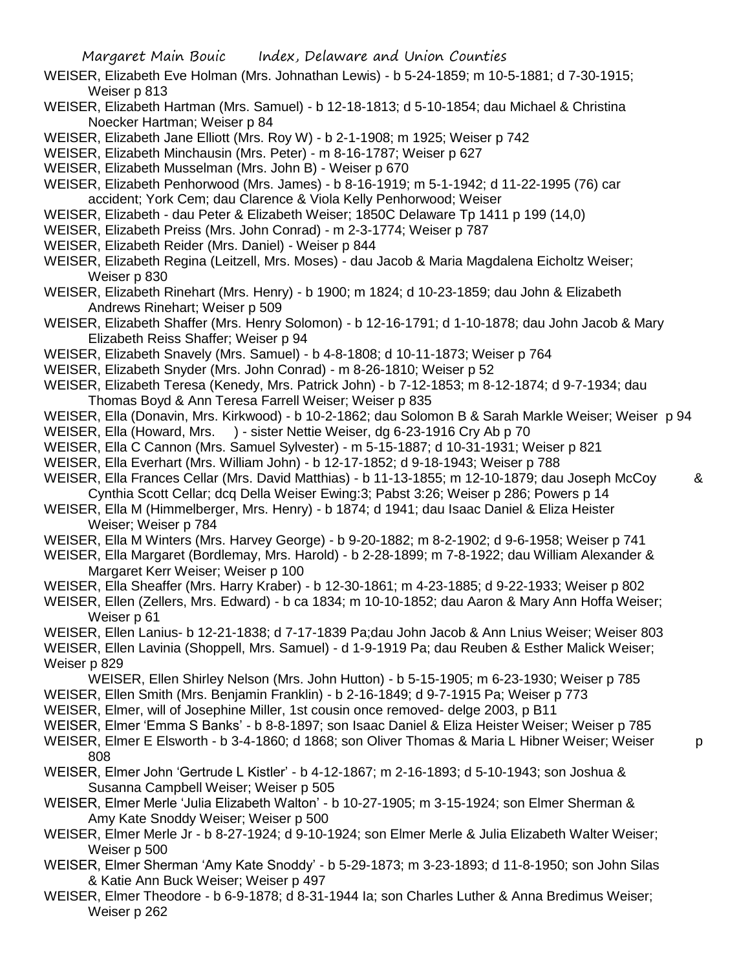- WEISER, Elizabeth Eve Holman (Mrs. Johnathan Lewis) b 5-24-1859; m 10-5-1881; d 7-30-1915; Weiser p 813
- WEISER, Elizabeth Hartman (Mrs. Samuel) b 12-18-1813; d 5-10-1854; dau Michael & Christina Noecker Hartman; Weiser p 84
- WEISER, Elizabeth Jane Elliott (Mrs. Roy W) b 2-1-1908; m 1925; Weiser p 742
- WEISER, Elizabeth Minchausin (Mrs. Peter) m 8-16-1787; Weiser p 627
- WEISER, Elizabeth Musselman (Mrs. John B) Weiser p 670

WEISER, Elizabeth Penhorwood (Mrs. James) - b 8-16-1919; m 5-1-1942; d 11-22-1995 (76) car accident; York Cem; dau Clarence & Viola Kelly Penhorwood; Weiser

- WEISER, Elizabeth dau Peter & Elizabeth Weiser; 1850C Delaware Tp 1411 p 199 (14,0)
- WEISER, Elizabeth Preiss (Mrs. John Conrad) m 2-3-1774; Weiser p 787
- WEISER, Elizabeth Reider (Mrs. Daniel) Weiser p 844
- WEISER, Elizabeth Regina (Leitzell, Mrs. Moses) dau Jacob & Maria Magdalena Eicholtz Weiser; Weiser p 830
- WEISER, Elizabeth Rinehart (Mrs. Henry) b 1900; m 1824; d 10-23-1859; dau John & Elizabeth Andrews Rinehart; Weiser p 509
- WEISER, Elizabeth Shaffer (Mrs. Henry Solomon) b 12-16-1791; d 1-10-1878; dau John Jacob & Mary Elizabeth Reiss Shaffer; Weiser p 94
- WEISER, Elizabeth Snavely (Mrs. Samuel) b 4-8-1808; d 10-11-1873; Weiser p 764
- WEISER, Elizabeth Snyder (Mrs. John Conrad) m 8-26-1810; Weiser p 52
- WEISER, Elizabeth Teresa (Kenedy, Mrs. Patrick John) b 7-12-1853; m 8-12-1874; d 9-7-1934; dau Thomas Boyd & Ann Teresa Farrell Weiser; Weiser p 835
- WEISER, Ella (Donavin, Mrs. Kirkwood) b 10-2-1862; dau Solomon B & Sarah Markle Weiser; Weiser p 94
- WEISER, Ella (Howard, Mrs. ) sister Nettie Weiser, dg 6-23-1916 Cry Ab p 70
- WEISER, Ella C Cannon (Mrs. Samuel Sylvester) m 5-15-1887; d 10-31-1931; Weiser p 821
- WEISER, Ella Everhart (Mrs. William John) b 12-17-1852; d 9-18-1943; Weiser p 788
- WEISER, Ella Frances Cellar (Mrs. David Matthias) b 11-13-1855; m 12-10-1879; dau Joseph McCoy & Cynthia Scott Cellar; dcq Della Weiser Ewing:3; Pabst 3:26; Weiser p 286; Powers p 14
- WEISER, Ella M (Himmelberger, Mrs. Henry) b 1874; d 1941; dau Isaac Daniel & Eliza Heister Weiser; Weiser p 784
- WEISER, Ella M Winters (Mrs. Harvey George) b 9-20-1882; m 8-2-1902; d 9-6-1958; Weiser p 741
- WEISER, Ella Margaret (Bordlemay, Mrs. Harold) b 2-28-1899; m 7-8-1922; dau William Alexander & Margaret Kerr Weiser; Weiser p 100
- WEISER, Ella Sheaffer (Mrs. Harry Kraber) b 12-30-1861; m 4-23-1885; d 9-22-1933; Weiser p 802
- WEISER, Ellen (Zellers, Mrs. Edward) b ca 1834; m 10-10-1852; dau Aaron & Mary Ann Hoffa Weiser; Weiser p 61
- WEISER, Ellen Lanius- b 12-21-1838; d 7-17-1839 Pa;dau John Jacob & Ann Lnius Weiser; Weiser 803 WEISER, Ellen Lavinia (Shoppell, Mrs. Samuel) - d 1-9-1919 Pa; dau Reuben & Esther Malick Weiser; Weiser p 829
- WEISER, Ellen Shirley Nelson (Mrs. John Hutton) b 5-15-1905; m 6-23-1930; Weiser p 785
- WEISER, Ellen Smith (Mrs. Benjamin Franklin) b 2-16-1849; d 9-7-1915 Pa; Weiser p 773
- WEISER, Elmer, will of Josephine Miller, 1st cousin once removed- delge 2003, p B11

808

- WEISER, Elmer 'Emma S Banks' b 8-8-1897; son Isaac Daniel & Eliza Heister Weiser; Weiser p 785 WEISER, Elmer E Elsworth - b 3-4-1860; d 1868; son Oliver Thomas & Maria L Hibner Weiser; Weiser p
	-
- WEISER, Elmer John 'Gertrude L Kistler' b 4-12-1867; m 2-16-1893; d 5-10-1943; son Joshua & Susanna Campbell Weiser; Weiser p 505
- WEISER, Elmer Merle 'Julia Elizabeth Walton' b 10-27-1905; m 3-15-1924; son Elmer Sherman & Amy Kate Snoddy Weiser; Weiser p 500
- WEISER, Elmer Merle Jr b 8-27-1924; d 9-10-1924; son Elmer Merle & Julia Elizabeth Walter Weiser; Weiser p 500
- WEISER, Elmer Sherman 'Amy Kate Snoddy' b 5-29-1873; m 3-23-1893; d 11-8-1950; son John Silas & Katie Ann Buck Weiser; Weiser p 497
- WEISER, Elmer Theodore b 6-9-1878; d 8-31-1944 Ia; son Charles Luther & Anna Bredimus Weiser; Weiser p 262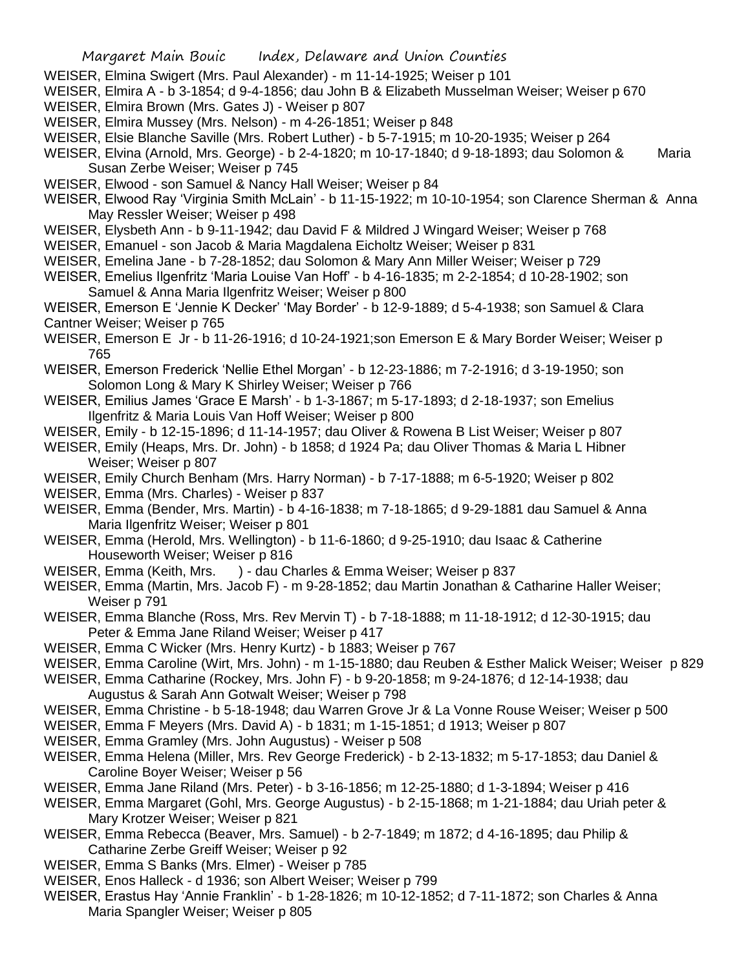- WEISER, Elmina Swigert (Mrs. Paul Alexander) m 11-14-1925; Weiser p 101
- WEISER, Elmira A b 3-1854; d 9-4-1856; dau John B & Elizabeth Musselman Weiser; Weiser p 670 WEISER, Elmira Brown (Mrs. Gates J) - Weiser p 807
- WEISER, Elmira Mussey (Mrs. Nelson) m 4-26-1851; Weiser p 848
- WEISER, Elsie Blanche Saville (Mrs. Robert Luther) b 5-7-1915; m 10-20-1935; Weiser p 264
- WEISER, Elvina (Arnold, Mrs. George) b 2-4-1820; m 10-17-1840; d 9-18-1893; dau Solomon & Maria Susan Zerbe Weiser; Weiser p 745
- WEISER, Elwood son Samuel & Nancy Hall Weiser; Weiser p 84
- WEISER, Elwood Ray 'Virginia Smith McLain' b 11-15-1922; m 10-10-1954; son Clarence Sherman & Anna May Ressler Weiser; Weiser p 498
- WEISER, Elysbeth Ann b 9-11-1942; dau David F & Mildred J Wingard Weiser; Weiser p 768
- WEISER, Emanuel son Jacob & Maria Magdalena Eicholtz Weiser; Weiser p 831
- WEISER, Emelina Jane b 7-28-1852; dau Solomon & Mary Ann Miller Weiser; Weiser p 729
- WEISER, Emelius Ilgenfritz 'Maria Louise Van Hoff' b 4-16-1835; m 2-2-1854; d 10-28-1902; son Samuel & Anna Maria Ilgenfritz Weiser; Weiser p 800
- WEISER, Emerson E 'Jennie K Decker' 'May Border' b 12-9-1889; d 5-4-1938; son Samuel & Clara Cantner Weiser; Weiser p 765
- WEISER, Emerson E Jr b 11-26-1916; d 10-24-1921;son Emerson E & Mary Border Weiser; Weiser p 765
- WEISER, Emerson Frederick 'Nellie Ethel Morgan' b 12-23-1886; m 7-2-1916; d 3-19-1950; son Solomon Long & Mary K Shirley Weiser; Weiser p 766
- WEISER, Emilius James 'Grace E Marsh' b 1-3-1867; m 5-17-1893; d 2-18-1937; son Emelius Ilgenfritz & Maria Louis Van Hoff Weiser; Weiser p 800
- WEISER, Emily b 12-15-1896; d 11-14-1957; dau Oliver & Rowena B List Weiser; Weiser p 807
- WEISER, Emily (Heaps, Mrs. Dr. John) b 1858; d 1924 Pa; dau Oliver Thomas & Maria L Hibner Weiser; Weiser p 807
- WEISER, Emily Church Benham (Mrs. Harry Norman) b 7-17-1888; m 6-5-1920; Weiser p 802
- WEISER, Emma (Mrs. Charles) Weiser p 837
- WEISER, Emma (Bender, Mrs. Martin) b 4-16-1838; m 7-18-1865; d 9-29-1881 dau Samuel & Anna Maria Ilgenfritz Weiser; Weiser p 801
- WEISER, Emma (Herold, Mrs. Wellington) b 11-6-1860; d 9-25-1910; dau Isaac & Catherine Houseworth Weiser; Weiser p 816
- WEISER, Emma (Keith, Mrs. ) dau Charles & Emma Weiser; Weiser p 837
- WEISER, Emma (Martin, Mrs. Jacob F) m 9-28-1852; dau Martin Jonathan & Catharine Haller Weiser; Weiser p 791
- WEISER, Emma Blanche (Ross, Mrs. Rev Mervin T) b 7-18-1888; m 11-18-1912; d 12-30-1915; dau Peter & Emma Jane Riland Weiser; Weiser p 417
- WEISER, Emma C Wicker (Mrs. Henry Kurtz) b 1883; Weiser p 767
- WEISER, Emma Caroline (Wirt, Mrs. John) m 1-15-1880; dau Reuben & Esther Malick Weiser; Weiser p 829
- WEISER, Emma Catharine (Rockey, Mrs. John F) b 9-20-1858; m 9-24-1876; d 12-14-1938; dau Augustus & Sarah Ann Gotwalt Weiser; Weiser p 798
- WEISER, Emma Christine b 5-18-1948; dau Warren Grove Jr & La Vonne Rouse Weiser; Weiser p 500
- WEISER, Emma F Meyers (Mrs. David A) b 1831; m 1-15-1851; d 1913; Weiser p 807
- WEISER, Emma Gramley (Mrs. John Augustus) Weiser p 508
- WEISER, Emma Helena (Miller, Mrs. Rev George Frederick) b 2-13-1832; m 5-17-1853; dau Daniel & Caroline Boyer Weiser; Weiser p 56
- WEISER, Emma Jane Riland (Mrs. Peter) b 3-16-1856; m 12-25-1880; d 1-3-1894; Weiser p 416
- WEISER, Emma Margaret (Gohl, Mrs. George Augustus) b 2-15-1868; m 1-21-1884; dau Uriah peter & Mary Krotzer Weiser; Weiser p 821
- WEISER, Emma Rebecca (Beaver, Mrs. Samuel) b 2-7-1849; m 1872; d 4-16-1895; dau Philip & Catharine Zerbe Greiff Weiser; Weiser p 92
- WEISER, Emma S Banks (Mrs. Elmer) Weiser p 785
- WEISER, Enos Halleck d 1936; son Albert Weiser; Weiser p 799
- WEISER, Erastus Hay 'Annie Franklin' b 1-28-1826; m 10-12-1852; d 7-11-1872; son Charles & Anna Maria Spangler Weiser; Weiser p 805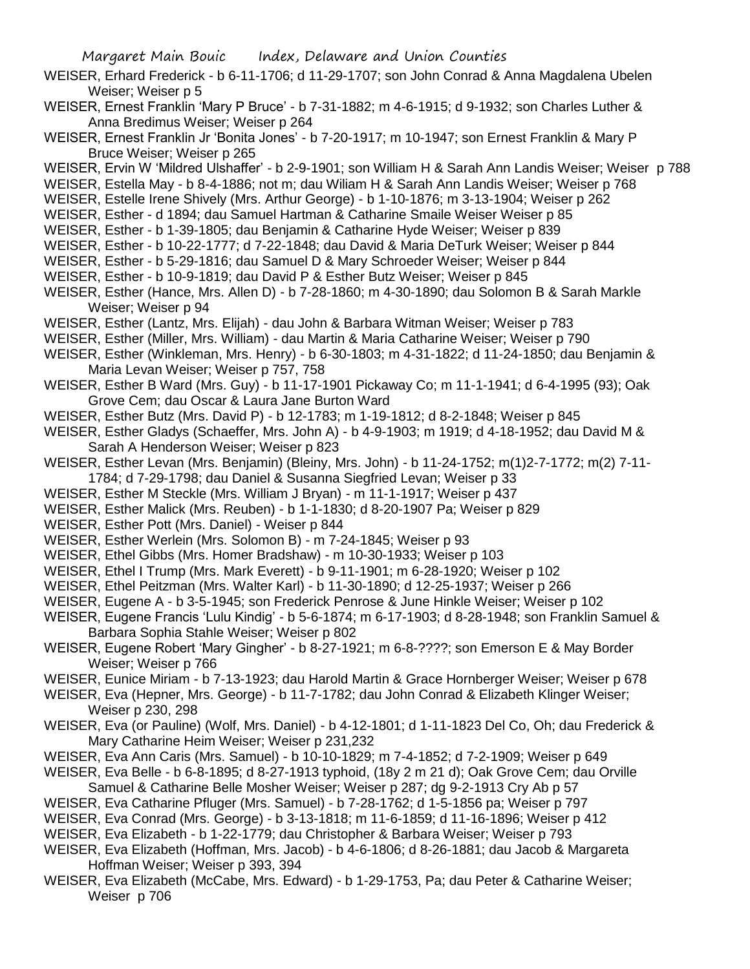- WEISER, Erhard Frederick b 6-11-1706; d 11-29-1707; son John Conrad & Anna Magdalena Ubelen Weiser; Weiser p 5
- WEISER, Ernest Franklin 'Mary P Bruce' b 7-31-1882; m 4-6-1915; d 9-1932; son Charles Luther & Anna Bredimus Weiser; Weiser p 264
- WEISER, Ernest Franklin Jr 'Bonita Jones' b 7-20-1917; m 10-1947; son Ernest Franklin & Mary P Bruce Weiser; Weiser p 265
- WEISER, Ervin W 'Mildred Ulshaffer' b 2-9-1901; son William H & Sarah Ann Landis Weiser; Weiser p 788
- WEISER, Estella May b 8-4-1886; not m; dau Wiliam H & Sarah Ann Landis Weiser; Weiser p 768
- WEISER, Estelle Irene Shively (Mrs. Arthur George) b 1-10-1876; m 3-13-1904; Weiser p 262
- WEISER, Esther d 1894; dau Samuel Hartman & Catharine Smaile Weiser Weiser p 85
- WEISER, Esther b 1-39-1805; dau Benjamin & Catharine Hyde Weiser; Weiser p 839
- WEISER, Esther b 10-22-1777; d 7-22-1848; dau David & Maria DeTurk Weiser; Weiser p 844
- WEISER, Esther b 5-29-1816; dau Samuel D & Mary Schroeder Weiser; Weiser p 844
- WEISER, Esther b 10-9-1819; dau David P & Esther Butz Weiser; Weiser p 845
- WEISER, Esther (Hance, Mrs. Allen D) b 7-28-1860; m 4-30-1890; dau Solomon B & Sarah Markle Weiser; Weiser p 94
- WEISER, Esther (Lantz, Mrs. Elijah) dau John & Barbara Witman Weiser; Weiser p 783
- WEISER, Esther (Miller, Mrs. William) dau Martin & Maria Catharine Weiser; Weiser p 790
- WEISER, Esther (Winkleman, Mrs. Henry) b 6-30-1803; m 4-31-1822; d 11-24-1850; dau Benjamin & Maria Levan Weiser; Weiser p 757, 758
- WEISER, Esther B Ward (Mrs. Guy) b 11-17-1901 Pickaway Co; m 11-1-1941; d 6-4-1995 (93); Oak Grove Cem; dau Oscar & Laura Jane Burton Ward
- WEISER, Esther Butz (Mrs. David P) b 12-1783; m 1-19-1812; d 8-2-1848; Weiser p 845
- WEISER, Esther Gladys (Schaeffer, Mrs. John A) b 4-9-1903; m 1919; d 4-18-1952; dau David M & Sarah A Henderson Weiser; Weiser p 823
- WEISER, Esther Levan (Mrs. Benjamin) (Bleiny, Mrs. John) b 11-24-1752; m(1)2-7-1772; m(2) 7-11- 1784; d 7-29-1798; dau Daniel & Susanna Siegfried Levan; Weiser p 33
- WEISER, Esther M Steckle (Mrs. William J Bryan) m 11-1-1917; Weiser p 437
- WEISER, Esther Malick (Mrs. Reuben) b 1-1-1830; d 8-20-1907 Pa; Weiser p 829
- WEISER, Esther Pott (Mrs. Daniel) Weiser p 844
- WEISER, Esther Werlein (Mrs. Solomon B) m 7-24-1845; Weiser p 93
- WEISER, Ethel Gibbs (Mrs. Homer Bradshaw) m 10-30-1933; Weiser p 103
- WEISER, Ethel I Trump (Mrs. Mark Everett) b 9-11-1901; m 6-28-1920; Weiser p 102
- WEISER, Ethel Peitzman (Mrs. Walter Karl) b 11-30-1890; d 12-25-1937; Weiser p 266
- WEISER, Eugene A b 3-5-1945; son Frederick Penrose & June Hinkle Weiser; Weiser p 102
- WEISER, Eugene Francis 'Lulu Kindig' b 5-6-1874; m 6-17-1903; d 8-28-1948; son Franklin Samuel & Barbara Sophia Stahle Weiser; Weiser p 802
- WEISER, Eugene Robert 'Mary Gingher' b 8-27-1921; m 6-8-????; son Emerson E & May Border Weiser; Weiser p 766
- WEISER, Eunice Miriam b 7-13-1923; dau Harold Martin & Grace Hornberger Weiser; Weiser p 678
- WEISER, Eva (Hepner, Mrs. George) b 11-7-1782; dau John Conrad & Elizabeth Klinger Weiser; Weiser p 230, 298
- WEISER, Eva (or Pauline) (Wolf, Mrs. Daniel) b 4-12-1801; d 1-11-1823 Del Co, Oh; dau Frederick & Mary Catharine Heim Weiser; Weiser p 231,232
- WEISER, Eva Ann Caris (Mrs. Samuel) b 10-10-1829; m 7-4-1852; d 7-2-1909; Weiser p 649
- WEISER, Eva Belle b 6-8-1895; d 8-27-1913 typhoid, (18y 2 m 21 d); Oak Grove Cem; dau Orville Samuel & Catharine Belle Mosher Weiser; Weiser p 287; dg 9-2-1913 Cry Ab p 57
- WEISER, Eva Catharine Pfluger (Mrs. Samuel) b 7-28-1762; d 1-5-1856 pa; Weiser p 797
- WEISER, Eva Conrad (Mrs. George) b 3-13-1818; m 11-6-1859; d 11-16-1896; Weiser p 412
- WEISER, Eva Elizabeth b 1-22-1779; dau Christopher & Barbara Weiser; Weiser p 793
- WEISER, Eva Elizabeth (Hoffman, Mrs. Jacob) b 4-6-1806; d 8-26-1881; dau Jacob & Margareta Hoffman Weiser: Weiser p 393, 394
- WEISER, Eva Elizabeth (McCabe, Mrs. Edward) b 1-29-1753, Pa; dau Peter & Catharine Weiser; Weiser p 706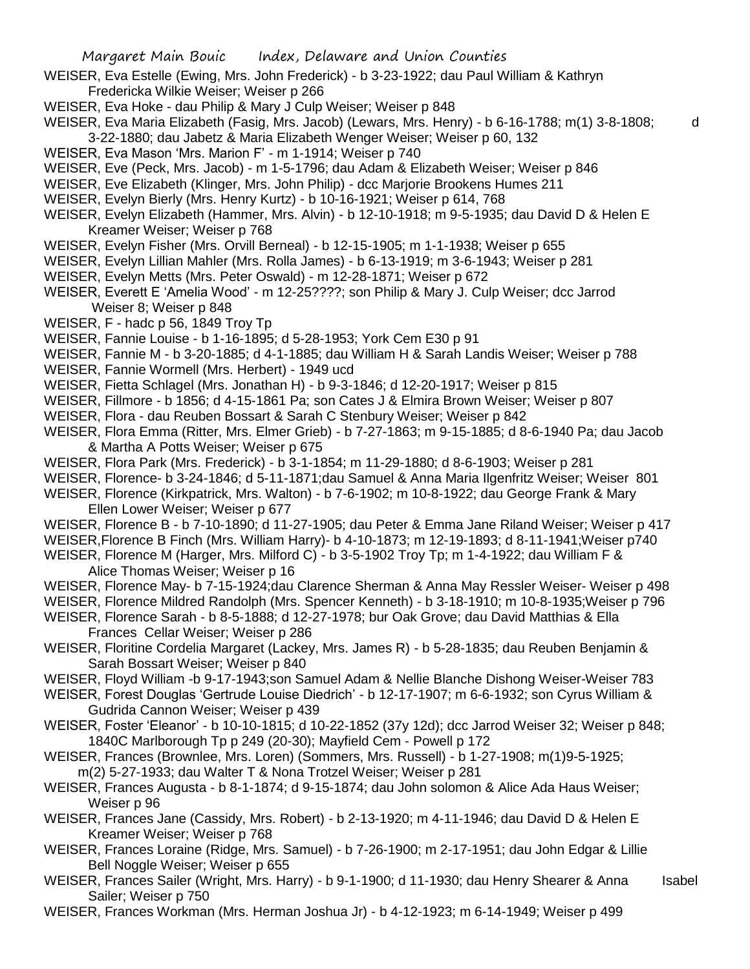- WEISER, Eva Estelle (Ewing, Mrs. John Frederick) b 3-23-1922; dau Paul William & Kathryn Fredericka Wilkie Weiser; Weiser p 266
- WEISER, Eva Hoke dau Philip & Mary J Culp Weiser; Weiser p 848
- WEISER, Eva Maria Elizabeth (Fasig, Mrs. Jacob) (Lewars, Mrs. Henry) b 6-16-1788; m(1) 3-8-1808; d 3-22-1880; dau Jabetz & Maria Elizabeth Wenger Weiser; Weiser p 60, 132
- WEISER, Eva Mason 'Mrs. Marion F' m 1-1914; Weiser p 740
- WEISER, Eve (Peck, Mrs. Jacob) m 1-5-1796; dau Adam & Elizabeth Weiser; Weiser p 846
- WEISER, Eve Elizabeth (Klinger, Mrs. John Philip) dcc Marjorie Brookens Humes 211
- WEISER, Evelyn Bierly (Mrs. Henry Kurtz) b 10-16-1921; Weiser p 614, 768
- WEISER, Evelyn Elizabeth (Hammer, Mrs. Alvin) b 12-10-1918; m 9-5-1935; dau David D & Helen E Kreamer Weiser; Weiser p 768
- WEISER, Evelyn Fisher (Mrs. Orvill Berneal) b 12-15-1905; m 1-1-1938; Weiser p 655
- WEISER, Evelyn Lillian Mahler (Mrs. Rolla James) b 6-13-1919; m 3-6-1943; Weiser p 281
- WEISER, Evelyn Metts (Mrs. Peter Oswald) m 12-28-1871; Weiser p 672
- WEISER, Everett E 'Amelia Wood' m 12-25????; son Philip & Mary J. Culp Weiser; dcc Jarrod Weiser 8; Weiser p 848
- WEISER, F hadc p 56, 1849 Troy Tp
- WEISER, Fannie Louise b 1-16-1895; d 5-28-1953; York Cem E30 p 91
- WEISER, Fannie M b 3-20-1885; d 4-1-1885; dau William H & Sarah Landis Weiser; Weiser p 788
- WEISER, Fannie Wormell (Mrs. Herbert) 1949 ucd
- WEISER, Fietta Schlagel (Mrs. Jonathan H) b 9-3-1846; d 12-20-1917; Weiser p 815
- WEISER, Fillmore b 1856; d 4-15-1861 Pa; son Cates J & Elmira Brown Weiser; Weiser p 807
- WEISER, Flora dau Reuben Bossart & Sarah C Stenbury Weiser; Weiser p 842
- WEISER, Flora Emma (Ritter, Mrs. Elmer Grieb) b 7-27-1863; m 9-15-1885; d 8-6-1940 Pa; dau Jacob & Martha A Potts Weiser; Weiser p 675
- WEISER, Flora Park (Mrs. Frederick) b 3-1-1854; m 11-29-1880; d 8-6-1903; Weiser p 281
- WEISER, Florence- b 3-24-1846; d 5-11-1871;dau Samuel & Anna Maria Ilgenfritz Weiser; Weiser 801
- WEISER, Florence (Kirkpatrick, Mrs. Walton) b 7-6-1902; m 10-8-1922; dau George Frank & Mary Ellen Lower Weiser; Weiser p 677
- WEISER, Florence B b 7-10-1890; d 11-27-1905; dau Peter & Emma Jane Riland Weiser; Weiser p 417
- WEISER,Florence B Finch (Mrs. William Harry)- b 4-10-1873; m 12-19-1893; d 8-11-1941;Weiser p740
- WEISER, Florence M (Harger, Mrs. Milford C) b 3-5-1902 Troy Tp; m 1-4-1922; dau William F & Alice Thomas Weiser; Weiser p 16
- WEISER, Florence May- b 7-15-1924;dau Clarence Sherman & Anna May Ressler Weiser- Weiser p 498
- WEISER, Florence Mildred Randolph (Mrs. Spencer Kenneth) b 3-18-1910; m 10-8-1935;Weiser p 796
- WEISER, Florence Sarah b 8-5-1888; d 12-27-1978; bur Oak Grove; dau David Matthias & Ella Frances Cellar Weiser; Weiser p 286
- WEISER, Floritine Cordelia Margaret (Lackey, Mrs. James R) b 5-28-1835; dau Reuben Benjamin & Sarah Bossart Weiser; Weiser p 840
- WEISER, Floyd William -b 9-17-1943;son Samuel Adam & Nellie Blanche Dishong Weiser-Weiser 783
- WEISER, Forest Douglas 'Gertrude Louise Diedrich' b 12-17-1907; m 6-6-1932; son Cyrus William & Gudrida Cannon Weiser; Weiser p 439
- WEISER, Foster 'Eleanor' b 10-10-1815; d 10-22-1852 (37y 12d); dcc Jarrod Weiser 32; Weiser p 848; 1840C Marlborough Tp p 249 (20-30); Mayfield Cem - Powell p 172
- WEISER, Frances (Brownlee, Mrs. Loren) (Sommers, Mrs. Russell) b 1-27-1908; m(1)9-5-1925; m(2) 5-27-1933; dau Walter T & Nona Trotzel Weiser; Weiser p 281
- WEISER, Frances Augusta b 8-1-1874; d 9-15-1874; dau John solomon & Alice Ada Haus Weiser; Weiser p 96
- WEISER, Frances Jane (Cassidy, Mrs. Robert) b 2-13-1920; m 4-11-1946; dau David D & Helen E Kreamer Weiser; Weiser p 768
- WEISER, Frances Loraine (Ridge, Mrs. Samuel) b 7-26-1900; m 2-17-1951; dau John Edgar & Lillie Bell Noggle Weiser; Weiser p 655
- WEISER, Frances Sailer (Wright, Mrs. Harry) b 9-1-1900; d 11-1930; dau Henry Shearer & Anna Isabel Sailer; Weiser p 750
- WEISER, Frances Workman (Mrs. Herman Joshua Jr) b 4-12-1923; m 6-14-1949; Weiser p 499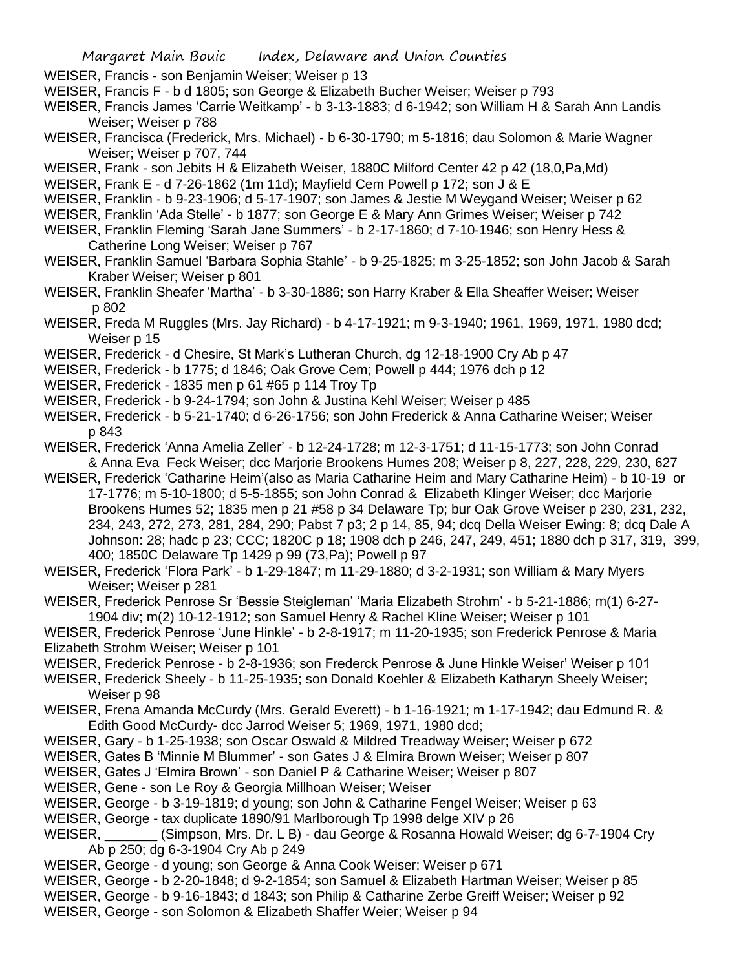- WEISER, Francis son Benjamin Weiser; Weiser p 13
- WEISER, Francis F b d 1805; son George & Elizabeth Bucher Weiser; Weiser p 793
- WEISER, Francis James 'Carrie Weitkamp' b 3-13-1883; d 6-1942; son William H & Sarah Ann Landis Weiser; Weiser p 788
- WEISER, Francisca (Frederick, Mrs. Michael) b 6-30-1790; m 5-1816; dau Solomon & Marie Wagner Weiser; Weiser p 707, 744
- WEISER, Frank son Jebits H & Elizabeth Weiser, 1880C Milford Center 42 p 42 (18,0, Pa, Md)
- WEISER, Frank E d 7-26-1862 (1m 11d); Mayfield Cem Powell p 172; son J & E
- WEISER, Franklin b 9-23-1906; d 5-17-1907; son James & Jestie M Weygand Weiser; Weiser p 62
- WEISER, Franklin 'Ada Stelle' b 1877; son George E & Mary Ann Grimes Weiser; Weiser p 742
- WEISER, Franklin Fleming 'Sarah Jane Summers' b 2-17-1860; d 7-10-1946; son Henry Hess & Catherine Long Weiser; Weiser p 767
- WEISER, Franklin Samuel 'Barbara Sophia Stahle' b 9-25-1825; m 3-25-1852; son John Jacob & Sarah Kraber Weiser; Weiser p 801
- WEISER, Franklin Sheafer 'Martha' b 3-30-1886; son Harry Kraber & Ella Sheaffer Weiser; Weiser p 802
- WEISER, Freda M Ruggles (Mrs. Jay Richard) b 4-17-1921; m 9-3-1940; 1961, 1969, 1971, 1980 dcd; Weiser p 15
- WEISER, Frederick d Chesire, St Mark's Lutheran Church, dg 12-18-1900 Cry Ab p 47
- WEISER, Frederick b 1775; d 1846; Oak Grove Cem; Powell p 444; 1976 dch p 12
- WEISER, Frederick 1835 men p 61 #65 p 114 Troy Tp
- WEISER, Frederick b 9-24-1794; son John & Justina Kehl Weiser; Weiser p 485
- WEISER, Frederick b 5-21-1740; d 6-26-1756; son John Frederick & Anna Catharine Weiser; Weiser p 843
- WEISER, Frederick 'Anna Amelia Zeller' b 12-24-1728; m 12-3-1751; d 11-15-1773; son John Conrad & Anna Eva Feck Weiser; dcc Marjorie Brookens Humes 208; Weiser p 8, 227, 228, 229, 230, 627
- WEISER, Frederick 'Catharine Heim'(also as Maria Catharine Heim and Mary Catharine Heim) b 10-19 or 17-1776; m 5-10-1800; d 5-5-1855; son John Conrad & Elizabeth Klinger Weiser; dcc Marjorie Brookens Humes 52; 1835 men p 21 #58 p 34 Delaware Tp; bur Oak Grove Weiser p 230, 231, 232, 234, 243, 272, 273, 281, 284, 290; Pabst 7 p3; 2 p 14, 85, 94; dcq Della Weiser Ewing: 8; dcq Dale A Johnson: 28; hadc p 23; CCC; 1820C p 18; 1908 dch p 246, 247, 249, 451; 1880 dch p 317, 319, 399, 400; 1850C Delaware Tp 1429 p 99 (73,Pa); Powell p 97
- WEISER, Frederick 'Flora Park' b 1-29-1847; m 11-29-1880; d 3-2-1931; son William & Mary Myers Weiser; Weiser p 281
- WEISER, Frederick Penrose Sr 'Bessie Steigleman' 'Maria Elizabeth Strohm' b 5-21-1886; m(1) 6-27- 1904 div; m(2) 10-12-1912; son Samuel Henry & Rachel Kline Weiser; Weiser p 101
- WEISER, Frederick Penrose 'June Hinkle' b 2-8-1917; m 11-20-1935; son Frederick Penrose & Maria Elizabeth Strohm Weiser; Weiser p 101
- WEISER, Frederick Penrose b 2-8-1936; son Frederck Penrose & June Hinkle Weiser' Weiser p 101
- WEISER, Frederick Sheely b 11-25-1935; son Donald Koehler & Elizabeth Katharyn Sheely Weiser; Weiser p 98
- WEISER, Frena Amanda McCurdy (Mrs. Gerald Everett) b 1-16-1921; m 1-17-1942; dau Edmund R. & Edith Good McCurdy- dcc Jarrod Weiser 5; 1969, 1971, 1980 dcd;
- WEISER, Gary b 1-25-1938; son Oscar Oswald & Mildred Treadway Weiser; Weiser p 672
- WEISER, Gates B 'Minnie M Blummer' son Gates J & Elmira Brown Weiser; Weiser p 807
- WEISER, Gates J 'Elmira Brown' son Daniel P & Catharine Weiser; Weiser p 807
- WEISER, Gene son Le Roy & Georgia Millhoan Weiser; Weiser
- WEISER, George b 3-19-1819; d young; son John & Catharine Fengel Weiser; Weiser p 63
- WEISER, George tax duplicate 1890/91 Marlborough Tp 1998 delge XIV p 26
- WEISER, \_\_\_\_\_\_\_ (Simpson, Mrs. Dr. L B) dau George & Rosanna Howald Weiser; dg 6-7-1904 Cry Ab p 250; dg 6-3-1904 Cry Ab p 249
- WEISER, George d young; son George & Anna Cook Weiser; Weiser p 671
- WEISER, George b 2-20-1848; d 9-2-1854; son Samuel & Elizabeth Hartman Weiser; Weiser p 85
- WEISER, George b 9-16-1843; d 1843; son Philip & Catharine Zerbe Greiff Weiser; Weiser p 92
- WEISER, George son Solomon & Elizabeth Shaffer Weier; Weiser p 94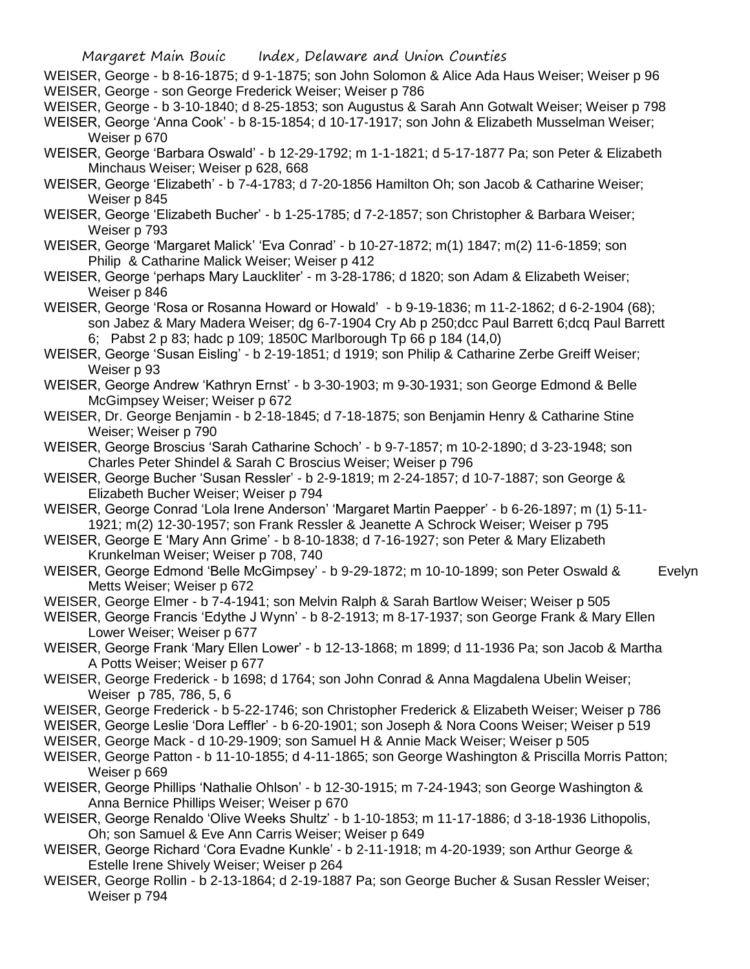- WEISER, George b 8-16-1875; d 9-1-1875; son John Solomon & Alice Ada Haus Weiser; Weiser p 96 WEISER, George - son George Frederick Weiser; Weiser p 786
- WEISER, George b 3-10-1840; d 8-25-1853; son Augustus & Sarah Ann Gotwalt Weiser; Weiser p 798
- WEISER, George 'Anna Cook' b 8-15-1854; d 10-17-1917; son John & Elizabeth Musselman Weiser; Weiser p 670
- WEISER, George 'Barbara Oswald' b 12-29-1792; m 1-1-1821; d 5-17-1877 Pa; son Peter & Elizabeth Minchaus Weiser; Weiser p 628, 668
- WEISER, George 'Elizabeth' b 7-4-1783; d 7-20-1856 Hamilton Oh; son Jacob & Catharine Weiser; Weiser p 845
- WEISER, George 'Elizabeth Bucher' b 1-25-1785; d 7-2-1857; son Christopher & Barbara Weiser; Weiser p 793
- WEISER, George 'Margaret Malick' 'Eva Conrad' b 10-27-1872; m(1) 1847; m(2) 11-6-1859; son Philip & Catharine Malick Weiser; Weiser p 412
- WEISER, George 'perhaps Mary Lauckliter' m 3-28-1786; d 1820; son Adam & Elizabeth Weiser; Weiser p 846
- WEISER, George 'Rosa or Rosanna Howard or Howald' b 9-19-1836; m 11-2-1862; d 6-2-1904 (68); son Jabez & Mary Madera Weiser; dg 6-7-1904 Cry Ab p 250;dcc Paul Barrett 6;dcq Paul Barrett 6; Pabst 2 p 83; hadc p 109; 1850C Marlborough Tp 66 p 184 (14,0)
- WEISER, George 'Susan Eisling' b 2-19-1851; d 1919; son Philip & Catharine Zerbe Greiff Weiser; Weiser p 93
- WEISER, George Andrew 'Kathryn Ernst' b 3-30-1903; m 9-30-1931; son George Edmond & Belle McGimpsey Weiser; Weiser p 672
- WEISER, Dr. George Benjamin b 2-18-1845; d 7-18-1875; son Benjamin Henry & Catharine Stine Weiser; Weiser p 790
- WEISER, George Broscius 'Sarah Catharine Schoch' b 9-7-1857; m 10-2-1890; d 3-23-1948; son Charles Peter Shindel & Sarah C Broscius Weiser; Weiser p 796
- WEISER, George Bucher 'Susan Ressler' b 2-9-1819; m 2-24-1857; d 10-7-1887; son George & Elizabeth Bucher Weiser; Weiser p 794
- WEISER, George Conrad 'Lola Irene Anderson' 'Margaret Martin Paepper' b 6-26-1897; m (1) 5-11- 1921; m(2) 12-30-1957; son Frank Ressler & Jeanette A Schrock Weiser; Weiser p 795
- WEISER, George E 'Mary Ann Grime' b 8-10-1838; d 7-16-1927; son Peter & Mary Elizabeth Krunkelman Weiser; Weiser p 708, 740
- WEISER, George Edmond 'Belle McGimpsey' b 9-29-1872; m 10-10-1899; son Peter Oswald & Evelyn Metts Weiser; Weiser p 672
- WEISER, George Elmer b 7-4-1941; son Melvin Ralph & Sarah Bartlow Weiser; Weiser p 505
- WEISER, George Francis 'Edythe J Wynn' b 8-2-1913; m 8-17-1937; son George Frank & Mary Ellen Lower Weiser; Weiser p 677
- WEISER, George Frank 'Mary Ellen Lower' b 12-13-1868; m 1899; d 11-1936 Pa; son Jacob & Martha A Potts Weiser; Weiser p 677
- WEISER, George Frederick b 1698; d 1764; son John Conrad & Anna Magdalena Ubelin Weiser; Weiser p 785, 786, 5, 6
- WEISER, George Frederick b 5-22-1746; son Christopher Frederick & Elizabeth Weiser; Weiser p 786
- WEISER, George Leslie 'Dora Leffler' b 6-20-1901; son Joseph & Nora Coons Weiser; Weiser p 519
- WEISER, George Mack d 10-29-1909; son Samuel H & Annie Mack Weiser; Weiser p 505
- WEISER, George Patton b 11-10-1855; d 4-11-1865; son George Washington & Priscilla Morris Patton; Weiser p 669
- WEISER, George Phillips 'Nathalie Ohlson' b 12-30-1915; m 7-24-1943; son George Washington & Anna Bernice Phillips Weiser; Weiser p 670
- WEISER, George Renaldo 'Olive Weeks Shultz' b 1-10-1853; m 11-17-1886; d 3-18-1936 Lithopolis, Oh; son Samuel & Eve Ann Carris Weiser; Weiser p 649
- WEISER, George Richard 'Cora Evadne Kunkle' b 2-11-1918; m 4-20-1939; son Arthur George & Estelle Irene Shively Weiser; Weiser p 264
- WEISER, George Rollin b 2-13-1864; d 2-19-1887 Pa; son George Bucher & Susan Ressler Weiser; Weiser p 794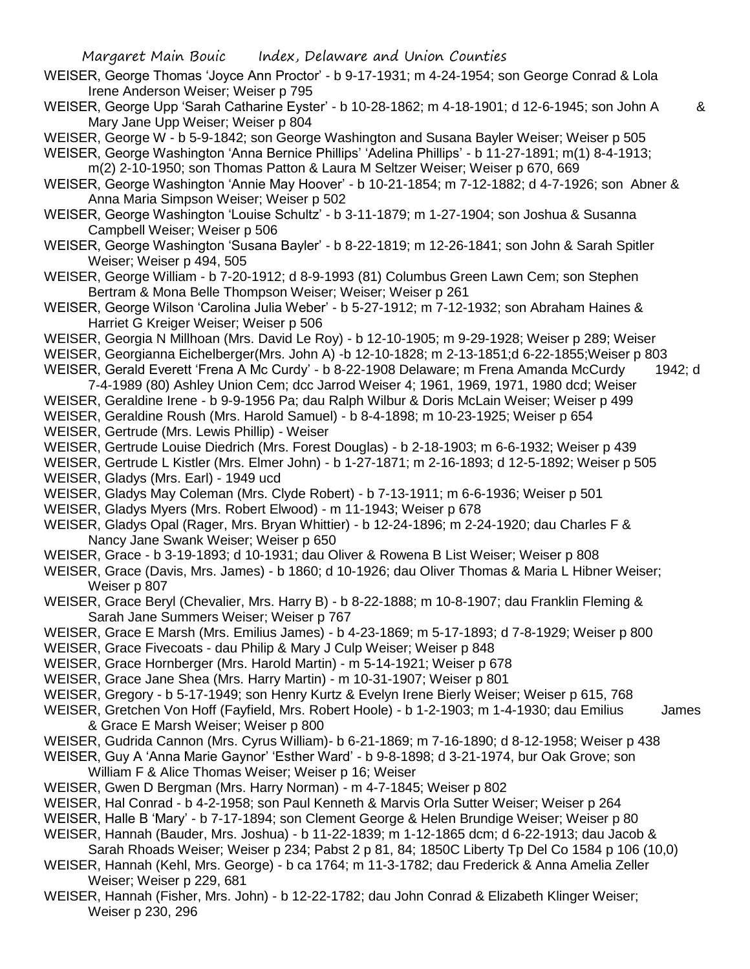- WEISER, George Thomas 'Joyce Ann Proctor' b 9-17-1931; m 4-24-1954; son George Conrad & Lola Irene Anderson Weiser; Weiser p 795
- WEISER, George Upp 'Sarah Catharine Eyster' b 10-28-1862; m 4-18-1901; d 12-6-1945; son John A & Mary Jane Upp Weiser; Weiser p 804
- WEISER, George W b 5-9-1842; son George Washington and Susana Bayler Weiser; Weiser p 505
- WEISER, George Washington 'Anna Bernice Phillips' 'Adelina Phillips' b 11-27-1891; m(1) 8-4-1913; m(2) 2-10-1950; son Thomas Patton & Laura M Seltzer Weiser; Weiser p 670, 669
- WEISER, George Washington 'Annie May Hoover' b 10-21-1854; m 7-12-1882; d 4-7-1926; son Abner & Anna Maria Simpson Weiser; Weiser p 502
- WEISER, George Washington 'Louise Schultz' b 3-11-1879; m 1-27-1904; son Joshua & Susanna Campbell Weiser; Weiser p 506
- WEISER, George Washington 'Susana Bayler' b 8-22-1819; m 12-26-1841; son John & Sarah Spitler Weiser; Weiser p 494, 505
- WEISER, George William b 7-20-1912; d 8-9-1993 (81) Columbus Green Lawn Cem; son Stephen Bertram & Mona Belle Thompson Weiser; Weiser; Weiser p 261
- WEISER, George Wilson 'Carolina Julia Weber' b 5-27-1912; m 7-12-1932; son Abraham Haines & Harriet G Kreiger Weiser; Weiser p 506
- WEISER, Georgia N Millhoan (Mrs. David Le Roy) b 12-10-1905; m 9-29-1928; Weiser p 289; Weiser
- WEISER, Georgianna Eichelberger(Mrs. John A) -b 12-10-1828; m 2-13-1851;d 6-22-1855;Weiser p 803
- WEISER, Gerald Everett 'Frena A Mc Curdy' b 8-22-1908 Delaware; m Frena Amanda McCurdy 1942; d 7-4-1989 (80) Ashley Union Cem; dcc Jarrod Weiser 4; 1961, 1969, 1971, 1980 dcd; Weiser
- WEISER, Geraldine Irene b 9-9-1956 Pa; dau Ralph Wilbur & Doris McLain Weiser; Weiser p 499
- WEISER, Geraldine Roush (Mrs. Harold Samuel) b 8-4-1898; m 10-23-1925; Weiser p 654 WEISER, Gertrude (Mrs. Lewis Phillip) - Weiser
- WEISER, Gertrude Louise Diedrich (Mrs. Forest Douglas) b 2-18-1903; m 6-6-1932; Weiser p 439
- WEISER, Gertrude L Kistler (Mrs. Elmer John) b 1-27-1871; m 2-16-1893; d 12-5-1892; Weiser p 505 WEISER, Gladys (Mrs. Earl) - 1949 ucd
- WEISER, Gladys May Coleman (Mrs. Clyde Robert) b 7-13-1911; m 6-6-1936; Weiser p 501
- WEISER, Gladys Myers (Mrs. Robert Elwood) m 11-1943; Weiser p 678
- WEISER, Gladys Opal (Rager, Mrs. Bryan Whittier) b 12-24-1896; m 2-24-1920; dau Charles F & Nancy Jane Swank Weiser; Weiser p 650
- WEISER, Grace b 3-19-1893; d 10-1931; dau Oliver & Rowena B List Weiser; Weiser p 808
- WEISER, Grace (Davis, Mrs. James) b 1860; d 10-1926; dau Oliver Thomas & Maria L Hibner Weiser; Weiser p 807
- WEISER, Grace Beryl (Chevalier, Mrs. Harry B) b 8-22-1888; m 10-8-1907; dau Franklin Fleming & Sarah Jane Summers Weiser; Weiser p 767
- WEISER, Grace E Marsh (Mrs. Emilius James) b 4-23-1869; m 5-17-1893; d 7-8-1929; Weiser p 800
- WEISER, Grace Fivecoats dau Philip & Mary J Culp Weiser; Weiser p 848
- WEISER, Grace Hornberger (Mrs. Harold Martin) m 5-14-1921; Weiser p 678
- WEISER, Grace Jane Shea (Mrs. Harry Martin) m 10-31-1907; Weiser p 801
- WEISER, Gregory b 5-17-1949; son Henry Kurtz & Evelyn Irene Bierly Weiser; Weiser p 615, 768
- WEISER, Gretchen Von Hoff (Fayfield, Mrs. Robert Hoole) b 1-2-1903; m 1-4-1930; dau Emilius James & Grace E Marsh Weiser; Weiser p 800
- WEISER, Gudrida Cannon (Mrs. Cyrus William)- b 6-21-1869; m 7-16-1890; d 8-12-1958; Weiser p 438
- WEISER, Guy A 'Anna Marie Gaynor' 'Esther Ward' b 9-8-1898; d 3-21-1974, bur Oak Grove; son William F & Alice Thomas Weiser; Weiser p 16; Weiser
- WEISER, Gwen D Bergman (Mrs. Harry Norman) m 4-7-1845; Weiser p 802
- WEISER, Hal Conrad b 4-2-1958; son Paul Kenneth & Marvis Orla Sutter Weiser; Weiser p 264
- WEISER, Halle B 'Mary' b 7-17-1894; son Clement George & Helen Brundige Weiser; Weiser p 80
- WEISER, Hannah (Bauder, Mrs. Joshua) b 11-22-1839; m 1-12-1865 dcm; d 6-22-1913; dau Jacob &
- Sarah Rhoads Weiser; Weiser p 234; Pabst 2 p 81, 84; 1850C Liberty Tp Del Co 1584 p 106 (10,0) WEISER, Hannah (Kehl, Mrs. George) - b ca 1764; m 11-3-1782; dau Frederick & Anna Amelia Zeller
- Weiser; Weiser p 229, 681
- WEISER, Hannah (Fisher, Mrs. John) b 12-22-1782; dau John Conrad & Elizabeth Klinger Weiser; Weiser p 230, 296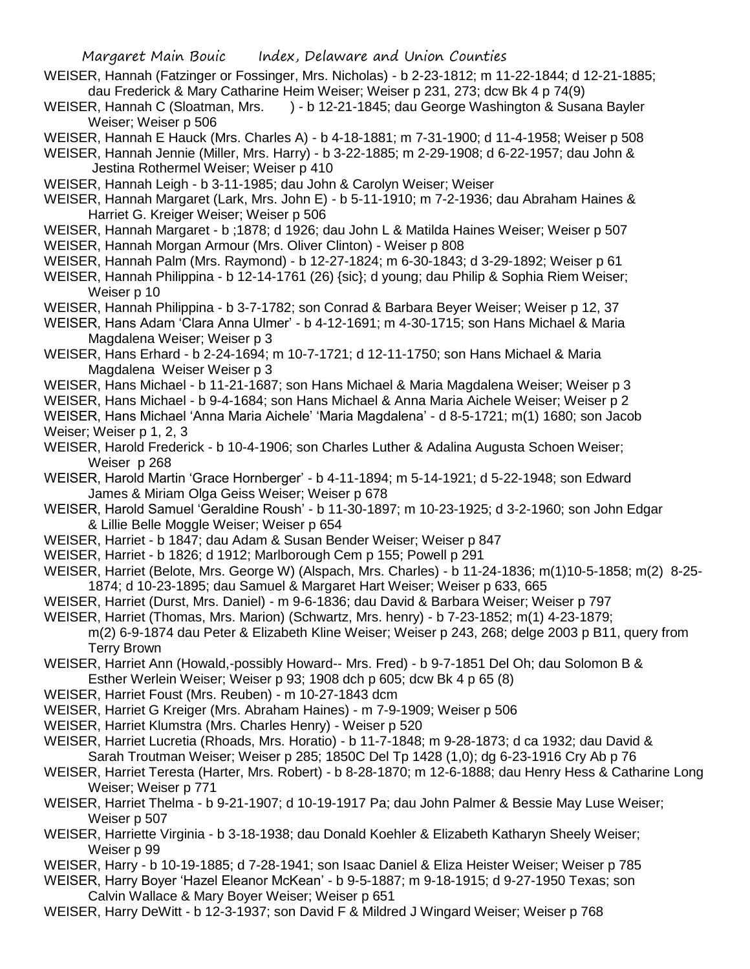- WEISER, Hannah (Fatzinger or Fossinger, Mrs. Nicholas) b 2-23-1812; m 11-22-1844; d 12-21-1885; dau Frederick & Mary Catharine Heim Weiser; Weiser p 231, 273; dcw Bk 4 p 74(9)
- WEISER, Hannah C (Sloatman, Mrs. ) b 12-21-1845; dau George Washington & Susana Bayler Weiser; Weiser p 506
- WEISER, Hannah E Hauck (Mrs. Charles A) b 4-18-1881; m 7-31-1900; d 11-4-1958; Weiser p 508
- WEISER, Hannah Jennie (Miller, Mrs. Harry) b 3-22-1885; m 2-29-1908; d 6-22-1957; dau John & Jestina Rothermel Weiser; Weiser p 410
- WEISER, Hannah Leigh b 3-11-1985; dau John & Carolyn Weiser; Weiser
- WEISER, Hannah Margaret (Lark, Mrs. John E) b 5-11-1910; m 7-2-1936; dau Abraham Haines & Harriet G. Kreiger Weiser; Weiser p 506
- WEISER, Hannah Margaret b ;1878; d 1926; dau John L & Matilda Haines Weiser; Weiser p 507
- WEISER, Hannah Morgan Armour (Mrs. Oliver Clinton) Weiser p 808
- WEISER, Hannah Palm (Mrs. Raymond) b 12-27-1824; m 6-30-1843; d 3-29-1892; Weiser p 61
- WEISER, Hannah Philippina b 12-14-1761 (26) {sic}; d young; dau Philip & Sophia Riem Weiser; Weiser p 10
- WEISER, Hannah Philippina b 3-7-1782; son Conrad & Barbara Beyer Weiser; Weiser p 12, 37
- WEISER, Hans Adam 'Clara Anna Ulmer' b 4-12-1691; m 4-30-1715; son Hans Michael & Maria Magdalena Weiser; Weiser p 3
- WEISER, Hans Erhard b 2-24-1694; m 10-7-1721; d 12-11-1750; son Hans Michael & Maria Magdalena Weiser Weiser p 3
- WEISER, Hans Michael b 11-21-1687; son Hans Michael & Maria Magdalena Weiser; Weiser p 3
- WEISER, Hans Michael b 9-4-1684; son Hans Michael & Anna Maria Aichele Weiser; Weiser p 2
- WEISER, Hans Michael 'Anna Maria Aichele' 'Maria Magdalena' d 8-5-1721; m(1) 1680; son Jacob Weiser; Weiser p 1, 2, 3
- WEISER, Harold Frederick b 10-4-1906; son Charles Luther & Adalina Augusta Schoen Weiser; Weiser p 268
- WEISER, Harold Martin 'Grace Hornberger' b 4-11-1894; m 5-14-1921; d 5-22-1948; son Edward James & Miriam Olga Geiss Weiser; Weiser p 678
- WEISER, Harold Samuel 'Geraldine Roush' b 11-30-1897; m 10-23-1925; d 3-2-1960; son John Edgar & Lillie Belle Moggle Weiser; Weiser p 654
- WEISER, Harriet b 1847; dau Adam & Susan Bender Weiser; Weiser p 847
- WEISER, Harriet b 1826; d 1912; Marlborough Cem p 155; Powell p 291
- WEISER, Harriet (Belote, Mrs. George W) (Alspach, Mrs. Charles) b 11-24-1836; m(1)10-5-1858; m(2) 8-25- 1874; d 10-23-1895; dau Samuel & Margaret Hart Weiser; Weiser p 633, 665
- WEISER, Harriet (Durst, Mrs. Daniel) m 9-6-1836; dau David & Barbara Weiser; Weiser p 797
- WEISER, Harriet (Thomas, Mrs. Marion) (Schwartz, Mrs. henry) b 7-23-1852; m(1) 4-23-1879; m(2) 6-9-1874 dau Peter & Elizabeth Kline Weiser; Weiser p 243, 268; delge 2003 p B11, query from Terry Brown
- WEISER, Harriet Ann (Howald,-possibly Howard-- Mrs. Fred) b 9-7-1851 Del Oh; dau Solomon B & Esther Werlein Weiser; Weiser p 93; 1908 dch p 605; dcw Bk 4 p 65 (8)
- WEISER, Harriet Foust (Mrs. Reuben) m 10-27-1843 dcm
- WEISER, Harriet G Kreiger (Mrs. Abraham Haines) m 7-9-1909; Weiser p 506
- WEISER, Harriet Klumstra (Mrs. Charles Henry) Weiser p 520
- WEISER, Harriet Lucretia (Rhoads, Mrs. Horatio) b 11-7-1848; m 9-28-1873; d ca 1932; dau David & Sarah Troutman Weiser; Weiser p 285; 1850C Del Tp 1428 (1,0); dg 6-23-1916 Cry Ab p 76
- WEISER, Harriet Teresta (Harter, Mrs. Robert) b 8-28-1870; m 12-6-1888; dau Henry Hess & Catharine Long Weiser; Weiser p 771
- WEISER, Harriet Thelma b 9-21-1907; d 10-19-1917 Pa; dau John Palmer & Bessie May Luse Weiser; Weiser p 507
- WEISER, Harriette Virginia b 3-18-1938; dau Donald Koehler & Elizabeth Katharyn Sheely Weiser; Weiser p 99
- WEISER, Harry b 10-19-1885; d 7-28-1941; son Isaac Daniel & Eliza Heister Weiser; Weiser p 785
- WEISER, Harry Boyer 'Hazel Eleanor McKean' b 9-5-1887; m 9-18-1915; d 9-27-1950 Texas; son Calvin Wallace & Mary Boyer Weiser; Weiser p 651
- WEISER, Harry DeWitt b 12-3-1937; son David F & Mildred J Wingard Weiser; Weiser p 768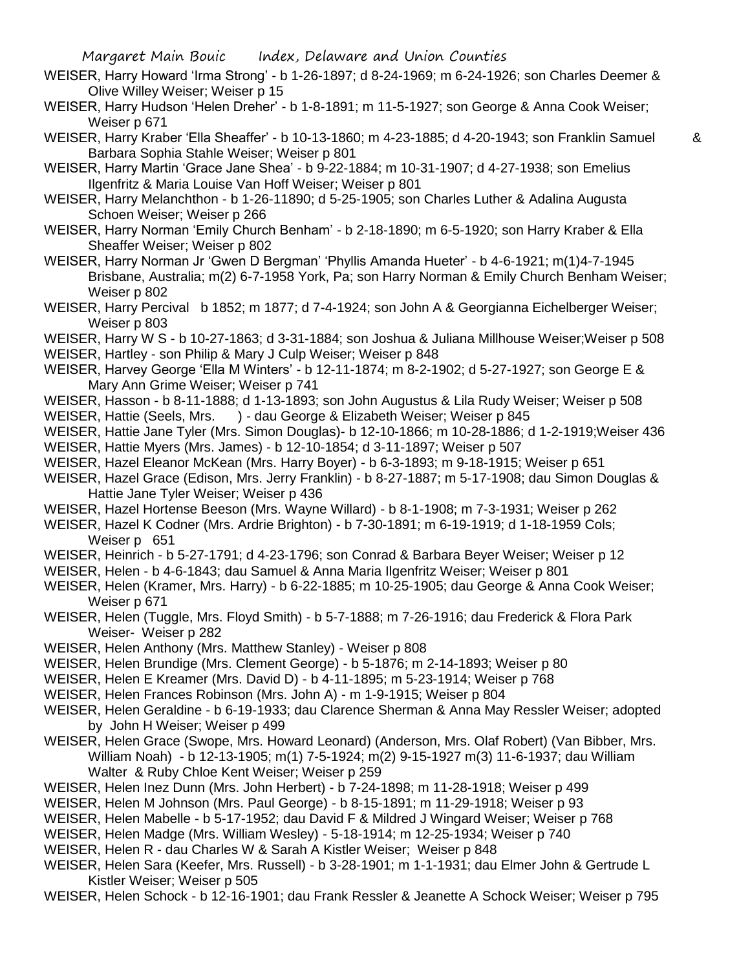- WEISER, Harry Howard 'Irma Strong' b 1-26-1897; d 8-24-1969; m 6-24-1926; son Charles Deemer & Olive Willey Weiser; Weiser p 15
- WEISER, Harry Hudson 'Helen Dreher' b 1-8-1891; m 11-5-1927; son George & Anna Cook Weiser; Weiser p 671
- WEISER, Harry Kraber 'Ella Sheaffer' b 10-13-1860; m 4-23-1885; d 4-20-1943; son Franklin Samuel & Barbara Sophia Stahle Weiser; Weiser p 801

- WEISER, Harry Martin 'Grace Jane Shea' b 9-22-1884; m 10-31-1907; d 4-27-1938; son Emelius Ilgenfritz & Maria Louise Van Hoff Weiser; Weiser p 801
- WEISER, Harry Melanchthon b 1-26-11890; d 5-25-1905; son Charles Luther & Adalina Augusta Schoen Weiser; Weiser p 266
- WEISER, Harry Norman 'Emily Church Benham' b 2-18-1890; m 6-5-1920; son Harry Kraber & Ella Sheaffer Weiser; Weiser p 802
- WEISER, Harry Norman Jr 'Gwen D Bergman' 'Phyllis Amanda Hueter' b 4-6-1921; m(1)4-7-1945 Brisbane, Australia; m(2) 6-7-1958 York, Pa; son Harry Norman & Emily Church Benham Weiser; Weiser p 802
- WEISER, Harry Percival b 1852; m 1877; d 7-4-1924; son John A & Georgianna Eichelberger Weiser; Weiser p 803
- WEISER, Harry W S b 10-27-1863; d 3-31-1884; son Joshua & Juliana Millhouse Weiser;Weiser p 508
- WEISER, Hartley son Philip & Mary J Culp Weiser; Weiser p 848
- WEISER, Harvey George 'Ella M Winters' b 12-11-1874; m 8-2-1902; d 5-27-1927; son George E & Mary Ann Grime Weiser; Weiser p 741
- WEISER, Hasson b 8-11-1888; d 1-13-1893; son John Augustus & Lila Rudy Weiser; Weiser p 508 WEISER, Hattie (Seels, Mrs. ) - dau George & Elizabeth Weiser; Weiser p 845
- WEISER, Hattie Jane Tyler (Mrs. Simon Douglas)- b 12-10-1866; m 10-28-1886; d 1-2-1919;Weiser 436
- WEISER, Hattie Myers (Mrs. James) b 12-10-1854; d 3-11-1897; Weiser p 507
- WEISER, Hazel Eleanor McKean (Mrs. Harry Boyer) b 6-3-1893; m 9-18-1915; Weiser p 651
- WEISER, Hazel Grace (Edison, Mrs. Jerry Franklin) b 8-27-1887; m 5-17-1908; dau Simon Douglas & Hattie Jane Tyler Weiser; Weiser p 436
- WEISER, Hazel Hortense Beeson (Mrs. Wayne Willard) b 8-1-1908; m 7-3-1931; Weiser p 262
- WEISER, Hazel K Codner (Mrs. Ardrie Brighton) b 7-30-1891; m 6-19-1919; d 1-18-1959 Cols; Weiser p 651
- WEISER, Heinrich b 5-27-1791; d 4-23-1796; son Conrad & Barbara Beyer Weiser; Weiser p 12
- WEISER, Helen b 4-6-1843; dau Samuel & Anna Maria Ilgenfritz Weiser; Weiser p 801
- WEISER, Helen (Kramer, Mrs. Harry) b 6-22-1885; m 10-25-1905; dau George & Anna Cook Weiser; Weiser p 671
- WEISER, Helen (Tuggle, Mrs. Floyd Smith) b 5-7-1888; m 7-26-1916; dau Frederick & Flora Park Weiser- Weiser p 282
- WEISER, Helen Anthony (Mrs. Matthew Stanley) Weiser p 808
- WEISER, Helen Brundige (Mrs. Clement George) b 5-1876; m 2-14-1893; Weiser p 80
- WEISER, Helen E Kreamer (Mrs. David D) b 4-11-1895; m 5-23-1914; Weiser p 768
- WEISER, Helen Frances Robinson (Mrs. John A) m 1-9-1915; Weiser p 804
- WEISER, Helen Geraldine b 6-19-1933; dau Clarence Sherman & Anna May Ressler Weiser; adopted by John H Weiser; Weiser p 499
- WEISER, Helen Grace (Swope, Mrs. Howard Leonard) (Anderson, Mrs. Olaf Robert) (Van Bibber, Mrs. William Noah) - b 12-13-1905; m(1) 7-5-1924; m(2) 9-15-1927 m(3) 11-6-1937; dau William Walter & Ruby Chloe Kent Weiser; Weiser p 259
- WEISER, Helen Inez Dunn (Mrs. John Herbert) b 7-24-1898; m 11-28-1918; Weiser p 499
- WEISER, Helen M Johnson (Mrs. Paul George) b 8-15-1891; m 11-29-1918; Weiser p 93
- WEISER, Helen Mabelle b 5-17-1952; dau David F & Mildred J Wingard Weiser; Weiser p 768
- WEISER, Helen Madge (Mrs. William Wesley) 5-18-1914; m 12-25-1934; Weiser p 740
- WEISER, Helen R dau Charles W & Sarah A Kistler Weiser; Weiser p 848
- WEISER, Helen Sara (Keefer, Mrs. Russell) b 3-28-1901; m 1-1-1931; dau Elmer John & Gertrude L Kistler Weiser; Weiser p 505
- WEISER, Helen Schock b 12-16-1901; dau Frank Ressler & Jeanette A Schock Weiser; Weiser p 795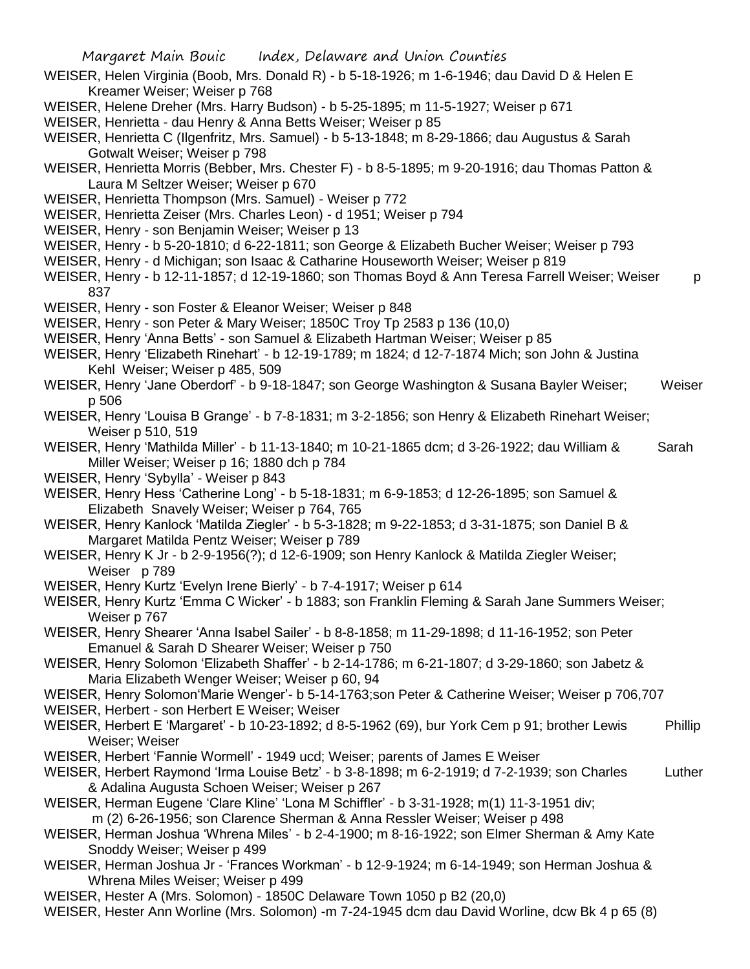- WEISER, Helen Virginia (Boob, Mrs. Donald R) b 5-18-1926; m 1-6-1946; dau David D & Helen E Kreamer Weiser; Weiser p 768
- WEISER, Helene Dreher (Mrs. Harry Budson) b 5-25-1895; m 11-5-1927; Weiser p 671
- WEISER, Henrietta dau Henry & Anna Betts Weiser; Weiser p 85
- WEISER, Henrietta C (Ilgenfritz, Mrs. Samuel) b 5-13-1848; m 8-29-1866; dau Augustus & Sarah Gotwalt Weiser; Weiser p 798
- WEISER, Henrietta Morris (Bebber, Mrs. Chester F) b 8-5-1895; m 9-20-1916; dau Thomas Patton & Laura M Seltzer Weiser; Weiser p 670
- WEISER, Henrietta Thompson (Mrs. Samuel) Weiser p 772
- WEISER, Henrietta Zeiser (Mrs. Charles Leon) d 1951; Weiser p 794
- WEISER, Henry son Benjamin Weiser; Weiser p 13
- WEISER, Henry b 5-20-1810; d 6-22-1811; son George & Elizabeth Bucher Weiser; Weiser p 793
- WEISER, Henry d Michigan; son Isaac & Catharine Houseworth Weiser; Weiser p 819
- WEISER, Henry b 12-11-1857; d 12-19-1860; son Thomas Boyd & Ann Teresa Farrell Weiser; Weiser p 837
- WEISER, Henry son Foster & Eleanor Weiser; Weiser p 848
- WEISER, Henry son Peter & Mary Weiser; 1850C Troy Tp 2583 p 136 (10,0)
- WEISER, Henry 'Anna Betts' son Samuel & Elizabeth Hartman Weiser; Weiser p 85
- WEISER, Henry 'Elizabeth Rinehart' b 12-19-1789; m 1824; d 12-7-1874 Mich; son John & Justina Kehl Weiser; Weiser p 485, 509
- WEISER, Henry 'Jane Oberdorf' b 9-18-1847; son George Washington & Susana Bayler Weiser; Weiser p 506
- WEISER, Henry 'Louisa B Grange' b 7-8-1831; m 3-2-1856; son Henry & Elizabeth Rinehart Weiser; Weiser p 510, 519
- WEISER, Henry 'Mathilda Miller' b 11-13-1840; m 10-21-1865 dcm; d 3-26-1922; dau William & Sarah Miller Weiser; Weiser p 16; 1880 dch p 784
- WEISER, Henry 'Sybylla' Weiser p 843
- WEISER, Henry Hess 'Catherine Long' b 5-18-1831; m 6-9-1853; d 12-26-1895; son Samuel & Elizabeth Snavely Weiser; Weiser p 764, 765
- WEISER, Henry Kanlock 'Matilda Ziegler' b 5-3-1828; m 9-22-1853; d 3-31-1875; son Daniel B & Margaret Matilda Pentz Weiser; Weiser p 789
- WEISER, Henry K Jr b 2-9-1956(?); d 12-6-1909; son Henry Kanlock & Matilda Ziegler Weiser; Weiser p 789
- WEISER, Henry Kurtz 'Evelyn Irene Bierly' b 7-4-1917; Weiser p 614
- WEISER, Henry Kurtz 'Emma C Wicker' b 1883; son Franklin Fleming & Sarah Jane Summers Weiser; Weiser p 767
- WEISER, Henry Shearer 'Anna Isabel Sailer' b 8-8-1858; m 11-29-1898; d 11-16-1952; son Peter Emanuel & Sarah D Shearer Weiser; Weiser p 750
- WEISER, Henry Solomon 'Elizabeth Shaffer' b 2-14-1786; m 6-21-1807; d 3-29-1860; son Jabetz & Maria Elizabeth Wenger Weiser; Weiser p 60, 94
- WEISER, Henry Solomon'Marie Wenger'- b 5-14-1763;son Peter & Catherine Weiser; Weiser p 706,707
- WEISER, Herbert son Herbert E Weiser; Weiser
- WEISER, Herbert E 'Margaret' b 10-23-1892; d 8-5-1962 (69), bur York Cem p 91; brother Lewis Phillip Weiser; Weiser
- WEISER, Herbert 'Fannie Wormell' 1949 ucd; Weiser; parents of James E Weiser
- WEISER, Herbert Raymond 'Irma Louise Betz' b 3-8-1898; m 6-2-1919; d 7-2-1939; son Charles Luther & Adalina Augusta Schoen Weiser; Weiser p 267
- WEISER, Herman Eugene 'Clare Kline' 'Lona M Schiffler' b 3-31-1928; m(1) 11-3-1951 div; m (2) 6-26-1956; son Clarence Sherman & Anna Ressler Weiser; Weiser p 498
- WEISER, Herman Joshua 'Whrena Miles' b 2-4-1900; m 8-16-1922; son Elmer Sherman & Amy Kate Snoddy Weiser; Weiser p 499
- WEISER, Herman Joshua Jr 'Frances Workman' b 12-9-1924; m 6-14-1949; son Herman Joshua & Whrena Miles Weiser; Weiser p 499
- WEISER, Hester A (Mrs. Solomon) 1850C Delaware Town 1050 p B2 (20,0)
- WEISER, Hester Ann Worline (Mrs. Solomon) -m 7-24-1945 dcm dau David Worline, dcw Bk 4 p 65 (8)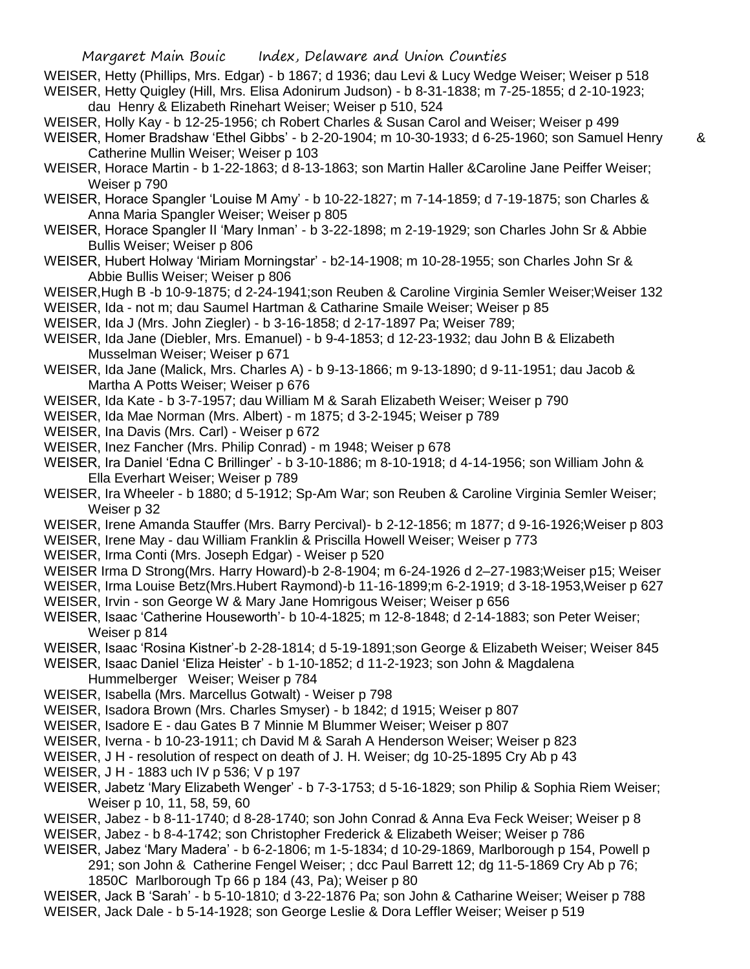- WEISER, Hetty (Phillips, Mrs. Edgar) b 1867; d 1936; dau Levi & Lucy Wedge Weiser; Weiser p 518 WEISER, Hetty Quigley (Hill, Mrs. Elisa Adonirum Judson) - b 8-31-1838; m 7-25-1855; d 2-10-1923; dau Henry & Elizabeth Rinehart Weiser; Weiser p 510, 524
- WEISER, Holly Kay b 12-25-1956; ch Robert Charles & Susan Carol and Weiser; Weiser p 499 WEISER, Homer Bradshaw 'Ethel Gibbs' - b 2-20-1904; m 10-30-1933; d 6-25-1960; son Samuel Henry & Catherine Mullin Weiser; Weiser p 103
- WEISER, Horace Martin b 1-22-1863; d 8-13-1863; son Martin Haller &Caroline Jane Peiffer Weiser; Weiser p 790
- WEISER, Horace Spangler 'Louise M Amy' b 10-22-1827; m 7-14-1859; d 7-19-1875; son Charles & Anna Maria Spangler Weiser; Weiser p 805
- WEISER, Horace Spangler II 'Mary Inman' b 3-22-1898; m 2-19-1929; son Charles John Sr & Abbie Bullis Weiser; Weiser p 806
- WEISER, Hubert Holway 'Miriam Morningstar' b2-14-1908; m 10-28-1955; son Charles John Sr & Abbie Bullis Weiser; Weiser p 806
- WEISER,Hugh B -b 10-9-1875; d 2-24-1941;son Reuben & Caroline Virginia Semler Weiser;Weiser 132
- WEISER, Ida not m; dau Saumel Hartman & Catharine Smaile Weiser; Weiser p 85
- WEISER, Ida J (Mrs. John Ziegler) b 3-16-1858; d 2-17-1897 Pa; Weiser 789;
- WEISER, Ida Jane (Diebler, Mrs. Emanuel) b 9-4-1853; d 12-23-1932; dau John B & Elizabeth Musselman Weiser; Weiser p 671
- WEISER, Ida Jane (Malick, Mrs. Charles A) b 9-13-1866; m 9-13-1890; d 9-11-1951; dau Jacob & Martha A Potts Weiser; Weiser p 676
- WEISER, Ida Kate b 3-7-1957; dau William M & Sarah Elizabeth Weiser; Weiser p 790
- WEISER, Ida Mae Norman (Mrs. Albert) m 1875; d 3-2-1945; Weiser p 789
- WEISER, Ina Davis (Mrs. Carl) Weiser p 672
- WEISER, Inez Fancher (Mrs. Philip Conrad) m 1948; Weiser p 678
- WEISER, Ira Daniel 'Edna C Brillinger' b 3-10-1886; m 8-10-1918; d 4-14-1956; son William John & Ella Everhart Weiser; Weiser p 789
- WEISER, Ira Wheeler b 1880; d 5-1912; Sp-Am War; son Reuben & Caroline Virginia Semler Weiser; Weiser p 32
- WEISER, Irene Amanda Stauffer (Mrs. Barry Percival)- b 2-12-1856; m 1877; d 9-16-1926;Weiser p 803
- WEISER, Irene May dau William Franklin & Priscilla Howell Weiser; Weiser p 773
- WEISER, Irma Conti (Mrs. Joseph Edgar) Weiser p 520
- WEISER Irma D Strong(Mrs. Harry Howard)-b 2-8-1904; m 6-24-1926 d 2–27-1983;Weiser p15; Weiser
- WEISER, Irma Louise Betz(Mrs.Hubert Raymond)-b 11-16-1899;m 6-2-1919; d 3-18-1953,Weiser p 627
- WEISER, Irvin son George W & Mary Jane Homrigous Weiser; Weiser p 656
- WEISER, Isaac 'Catherine Houseworth'- b 10-4-1825; m 12-8-1848; d 2-14-1883; son Peter Weiser; Weiser p 814
- WEISER, Isaac 'Rosina Kistner'-b 2-28-1814; d 5-19-1891;son George & Elizabeth Weiser; Weiser 845
- WEISER, Isaac Daniel 'Eliza Heister' b 1-10-1852; d 11-2-1923; son John & Magdalena
	- Hummelberger Weiser; Weiser p 784
- WEISER, Isabella (Mrs. Marcellus Gotwalt) Weiser p 798
- WEISER, Isadora Brown (Mrs. Charles Smyser) b 1842; d 1915; Weiser p 807
- WEISER, Isadore E dau Gates B 7 Minnie M Blummer Weiser; Weiser p 807
- WEISER, Iverna b 10-23-1911; ch David M & Sarah A Henderson Weiser; Weiser p 823
- WEISER, J H resolution of respect on death of J. H. Weiser; dg 10-25-1895 Cry Ab p 43
- WEISER, J H 1883 uch IV p 536; V p 197
- WEISER, Jabetz 'Mary Elizabeth Wenger' b 7-3-1753; d 5-16-1829; son Philip & Sophia Riem Weiser; Weiser p 10, 11, 58, 59, 60
- WEISER, Jabez b 8-11-1740; d 8-28-1740; son John Conrad & Anna Eva Feck Weiser; Weiser p 8 WEISER, Jabez - b 8-4-1742; son Christopher Frederick & Elizabeth Weiser; Weiser p 786
- WEISER, Jabez 'Mary Madera' b 6-2-1806; m 1-5-1834; d 10-29-1869, Marlborough p 154, Powell p 291; son John & Catherine Fengel Weiser; ; dcc Paul Barrett 12; dg 11-5-1869 Cry Ab p 76;
- 1850C Marlborough Tp 66 p 184 (43, Pa); Weiser p 80 WEISER, Jack B 'Sarah' - b 5-10-1810; d 3-22-1876 Pa; son John & Catharine Weiser; Weiser p 788
- WEISER, Jack Dale b 5-14-1928; son George Leslie & Dora Leffler Weiser; Weiser p 519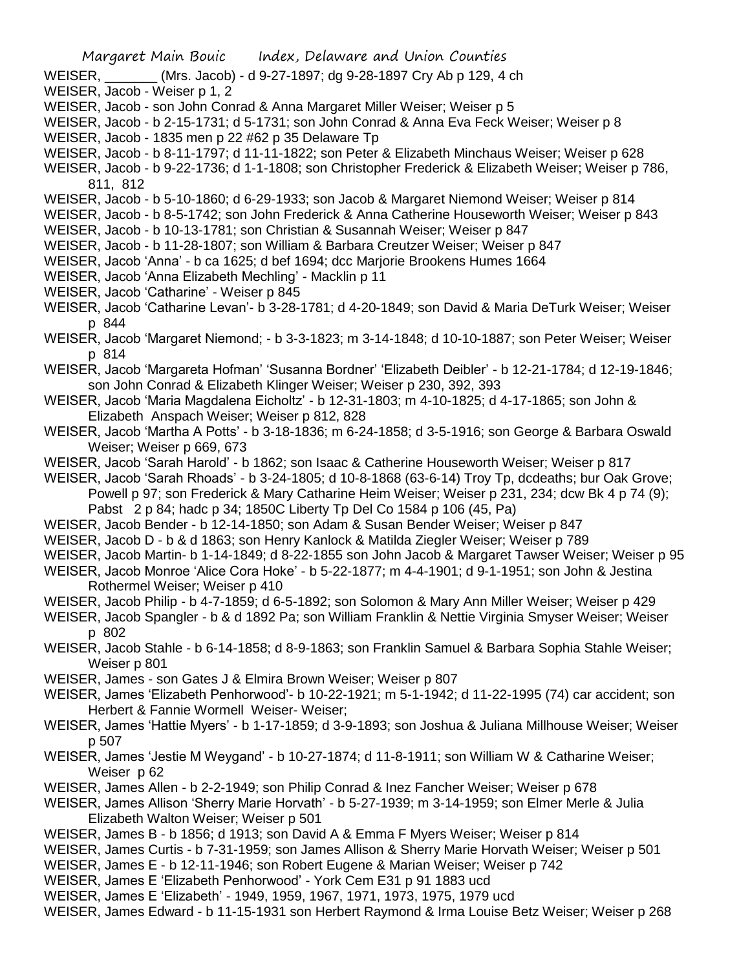- WEISER, \_\_\_\_\_\_\_ (Mrs. Jacob) d 9-27-1897; dg 9-28-1897 Cry Ab p 129, 4 ch
- WEISER, Jacob Weiser p 1, 2
- WEISER, Jacob son John Conrad & Anna Margaret Miller Weiser; Weiser p 5
- WEISER, Jacob b 2-15-1731; d 5-1731; son John Conrad & Anna Eva Feck Weiser; Weiser p 8
- WEISER, Jacob 1835 men p 22 #62 p 35 Delaware Tp
- WEISER, Jacob b 8-11-1797; d 11-11-1822; son Peter & Elizabeth Minchaus Weiser; Weiser p 628
- WEISER, Jacob b 9-22-1736; d 1-1-1808; son Christopher Frederick & Elizabeth Weiser; Weiser p 786, 811, 812
- WEISER, Jacob b 5-10-1860; d 6-29-1933; son Jacob & Margaret Niemond Weiser; Weiser p 814
- WEISER, Jacob b 8-5-1742; son John Frederick & Anna Catherine Houseworth Weiser; Weiser p 843
- WEISER, Jacob b 10-13-1781; son Christian & Susannah Weiser; Weiser p 847
- WEISER, Jacob b 11-28-1807; son William & Barbara Creutzer Weiser; Weiser p 847
- WEISER, Jacob 'Anna' b ca 1625; d bef 1694; dcc Marjorie Brookens Humes 1664
- WEISER, Jacob 'Anna Elizabeth Mechling' Macklin p 11
- WEISER, Jacob 'Catharine' Weiser p 845
- WEISER, Jacob 'Catharine Levan'- b 3-28-1781; d 4-20-1849; son David & Maria DeTurk Weiser; Weiser p 844
- WEISER, Jacob 'Margaret Niemond; b 3-3-1823; m 3-14-1848; d 10-10-1887; son Peter Weiser; Weiser p 814
- WEISER, Jacob 'Margareta Hofman' 'Susanna Bordner' 'Elizabeth Deibler' b 12-21-1784; d 12-19-1846; son John Conrad & Elizabeth Klinger Weiser; Weiser p 230, 392, 393
- WEISER, Jacob 'Maria Magdalena Eicholtz' b 12-31-1803; m 4-10-1825; d 4-17-1865; son John & Elizabeth Anspach Weiser; Weiser p 812, 828
- WEISER, Jacob 'Martha A Potts' b 3-18-1836; m 6-24-1858; d 3-5-1916; son George & Barbara Oswald Weiser; Weiser p 669, 673
- WEISER, Jacob 'Sarah Harold' b 1862; son Isaac & Catherine Houseworth Weiser; Weiser p 817
- WEISER, Jacob 'Sarah Rhoads' b 3-24-1805; d 10-8-1868 (63-6-14) Troy Tp, dcdeaths; bur Oak Grove; Powell p 97; son Frederick & Mary Catharine Heim Weiser; Weiser p 231, 234; dcw Bk 4 p 74 (9); Pabst 2 p 84; hadc p 34; 1850C Liberty Tp Del Co 1584 p 106 (45, Pa)
- WEISER, Jacob Bender b 12-14-1850; son Adam & Susan Bender Weiser; Weiser p 847
- WEISER, Jacob D b & d 1863; son Henry Kanlock & Matilda Ziegler Weiser; Weiser p 789
- WEISER, Jacob Martin- b 1-14-1849; d 8-22-1855 son John Jacob & Margaret Tawser Weiser; Weiser p 95
- WEISER, Jacob Monroe 'Alice Cora Hoke' b 5-22-1877; m 4-4-1901; d 9-1-1951; son John & Jestina Rothermel Weiser; Weiser p 410
- WEISER, Jacob Philip b 4-7-1859; d 6-5-1892; son Solomon & Mary Ann Miller Weiser; Weiser p 429
- WEISER, Jacob Spangler b & d 1892 Pa; son William Franklin & Nettie Virginia Smyser Weiser; Weiser p 802
- WEISER, Jacob Stahle b 6-14-1858; d 8-9-1863; son Franklin Samuel & Barbara Sophia Stahle Weiser; Weiser p 801
- WEISER, James son Gates J & Elmira Brown Weiser; Weiser p 807
- WEISER, James 'Elizabeth Penhorwood'- b 10-22-1921; m 5-1-1942; d 11-22-1995 (74) car accident; son Herbert & Fannie Wormell Weiser- Weiser;
- WEISER, James 'Hattie Myers' b 1-17-1859; d 3-9-1893; son Joshua & Juliana Millhouse Weiser; Weiser p 507
- WEISER, James 'Jestie M Weygand' b 10-27-1874; d 11-8-1911; son William W & Catharine Weiser; Weiser p 62
- WEISER, James Allen b 2-2-1949; son Philip Conrad & Inez Fancher Weiser; Weiser p 678
- WEISER, James Allison 'Sherry Marie Horvath' b 5-27-1939; m 3-14-1959; son Elmer Merle & Julia Elizabeth Walton Weiser; Weiser p 501
- WEISER, James B b 1856; d 1913; son David A & Emma F Myers Weiser; Weiser p 814
- WEISER, James Curtis b 7-31-1959; son James Allison & Sherry Marie Horvath Weiser; Weiser p 501
- WEISER, James E b 12-11-1946; son Robert Eugene & Marian Weiser; Weiser p 742
- WEISER, James E 'Elizabeth Penhorwood' York Cem E31 p 91 1883 ucd
- WEISER, James E 'Elizabeth' 1949, 1959, 1967, 1971, 1973, 1975, 1979 ucd
- WEISER, James Edward b 11-15-1931 son Herbert Raymond & Irma Louise Betz Weiser; Weiser p 268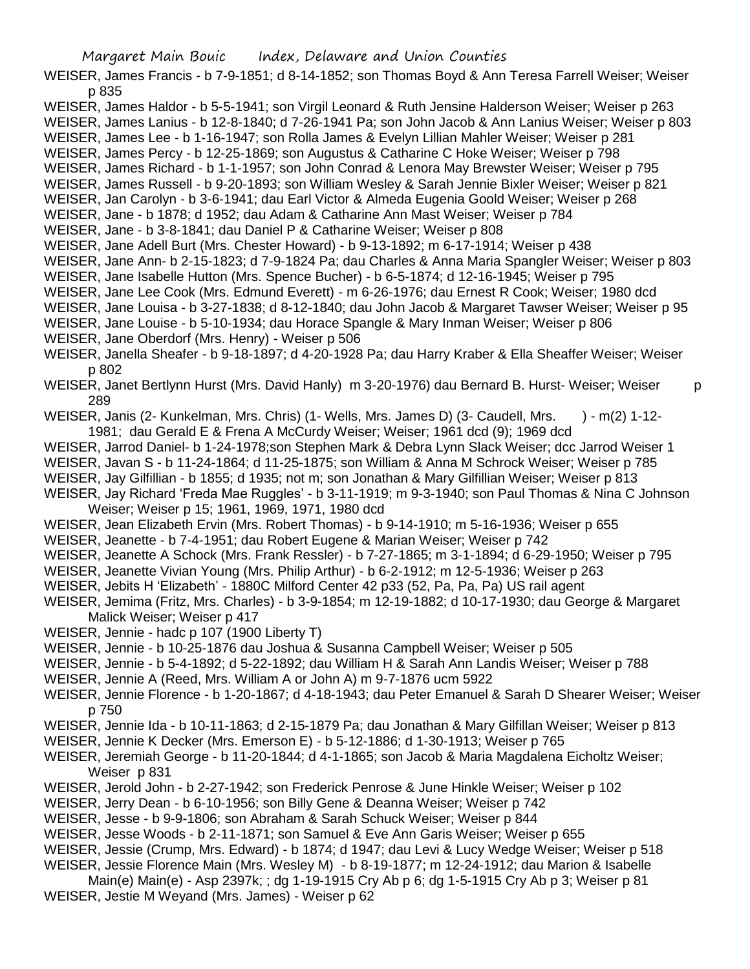WEISER, James Francis - b 7-9-1851; d 8-14-1852; son Thomas Boyd & Ann Teresa Farrell Weiser; Weiser p 835

WEISER, James Haldor - b 5-5-1941; son Virgil Leonard & Ruth Jensine Halderson Weiser; Weiser p 263

WEISER, James Lanius - b 12-8-1840; d 7-26-1941 Pa; son John Jacob & Ann Lanius Weiser; Weiser p 803 WEISER, James Lee - b 1-16-1947; son Rolla James & Evelyn Lillian Mahler Weiser; Weiser p 281

WEISER, James Percy - b 12-25-1869; son Augustus & Catharine C Hoke Weiser; Weiser p 798

WEISER, James Richard - b 1-1-1957; son John Conrad & Lenora May Brewster Weiser; Weiser p 795

WEISER, James Russell - b 9-20-1893; son William Wesley & Sarah Jennie Bixler Weiser; Weiser p 821

WEISER, Jan Carolyn - b 3-6-1941; dau Earl Victor & Almeda Eugenia Goold Weiser; Weiser p 268

WEISER, Jane - b 1878; d 1952; dau Adam & Catharine Ann Mast Weiser; Weiser p 784

WEISER, Jane - b 3-8-1841; dau Daniel P & Catharine Weiser; Weiser p 808

WEISER, Jane Adell Burt (Mrs. Chester Howard) - b 9-13-1892; m 6-17-1914; Weiser p 438

WEISER, Jane Ann- b 2-15-1823; d 7-9-1824 Pa; dau Charles & Anna Maria Spangler Weiser; Weiser p 803

WEISER, Jane Isabelle Hutton (Mrs. Spence Bucher) - b 6-5-1874; d 12-16-1945; Weiser p 795

WEISER, Jane Lee Cook (Mrs. Edmund Everett) - m 6-26-1976; dau Ernest R Cook; Weiser; 1980 dcd

WEISER, Jane Louisa - b 3-27-1838; d 8-12-1840; dau John Jacob & Margaret Tawser Weiser; Weiser p 95

WEISER, Jane Louise - b 5-10-1934; dau Horace Spangle & Mary Inman Weiser; Weiser p 806

WEISER, Jane Oberdorf (Mrs. Henry) - Weiser p 506

WEISER, Janella Sheafer - b 9-18-1897; d 4-20-1928 Pa; dau Harry Kraber & Ella Sheaffer Weiser; Weiser p 802

WEISER, Janet Bertlynn Hurst (Mrs. David Hanly) m 3-20-1976) dau Bernard B. Hurst- Weiser; Weiser p 289

WEISER, Janis (2- Kunkelman, Mrs. Chris) (1- Wells, Mrs. James D) (3- Caudell, Mrs. ) - m(2) 1-12-1981; dau Gerald E & Frena A McCurdy Weiser; Weiser; 1961 dcd (9); 1969 dcd

WEISER, Jarrod Daniel- b 1-24-1978;son Stephen Mark & Debra Lynn Slack Weiser; dcc Jarrod Weiser 1

WEISER, Javan S - b 11-24-1864; d 11-25-1875; son William & Anna M Schrock Weiser; Weiser p 785

WEISER, Jay Gilfillian - b 1855; d 1935; not m; son Jonathan & Mary Gilfillian Weiser; Weiser p 813

WEISER, Jay Richard 'Freda Mae Ruggles' - b 3-11-1919; m 9-3-1940; son Paul Thomas & Nina C Johnson Weiser; Weiser p 15; 1961, 1969, 1971, 1980 dcd

WEISER, Jean Elizabeth Ervin (Mrs. Robert Thomas) - b 9-14-1910; m 5-16-1936; Weiser p 655

WEISER, Jeanette - b 7-4-1951; dau Robert Eugene & Marian Weiser; Weiser p 742

WEISER, Jeanette A Schock (Mrs. Frank Ressler) - b 7-27-1865; m 3-1-1894; d 6-29-1950; Weiser p 795

WEISER, Jeanette Vivian Young (Mrs. Philip Arthur) - b 6-2-1912; m 12-5-1936; Weiser p 263

WEISER, Jebits H 'Elizabeth' - 1880C Milford Center 42 p33 (52, Pa, Pa, Pa) US rail agent

WEISER, Jemima (Fritz, Mrs. Charles) - b 3-9-1854; m 12-19-1882; d 10-17-1930; dau George & Margaret Malick Weiser; Weiser p 417

- WEISER, Jennie hadc p 107 (1900 Liberty T)
- WEISER, Jennie b 10-25-1876 dau Joshua & Susanna Campbell Weiser; Weiser p 505

WEISER, Jennie - b 5-4-1892; d 5-22-1892; dau William H & Sarah Ann Landis Weiser; Weiser p 788

- WEISER, Jennie A (Reed, Mrs. William A or John A) m 9-7-1876 ucm 5922
- WEISER, Jennie Florence b 1-20-1867; d 4-18-1943; dau Peter Emanuel & Sarah D Shearer Weiser; Weiser p 750

WEISER, Jennie Ida - b 10-11-1863; d 2-15-1879 Pa; dau Jonathan & Mary Gilfillan Weiser; Weiser p 813

WEISER, Jennie K Decker (Mrs. Emerson E) - b 5-12-1886; d 1-30-1913; Weiser p 765

WEISER, Jeremiah George - b 11-20-1844; d 4-1-1865; son Jacob & Maria Magdalena Eicholtz Weiser; Weiser p 831

WEISER, Jerold John - b 2-27-1942; son Frederick Penrose & June Hinkle Weiser; Weiser p 102

WEISER, Jerry Dean - b 6-10-1956; son Billy Gene & Deanna Weiser; Weiser p 742

WEISER, Jesse - b 9-9-1806; son Abraham & Sarah Schuck Weiser; Weiser p 844

WEISER, Jesse Woods - b 2-11-1871; son Samuel & Eve Ann Garis Weiser; Weiser p 655

WEISER, Jessie (Crump, Mrs. Edward) - b 1874; d 1947; dau Levi & Lucy Wedge Weiser; Weiser p 518

WEISER, Jessie Florence Main (Mrs. Wesley M) - b 8-19-1877; m 12-24-1912; dau Marion & Isabelle Main(e) Main(e) - Asp 2397k; ; dg 1-19-1915 Cry Ab p 6; dg 1-5-1915 Cry Ab p 3; Weiser p 81

WEISER, Jestie M Weyand (Mrs. James) - Weiser p 62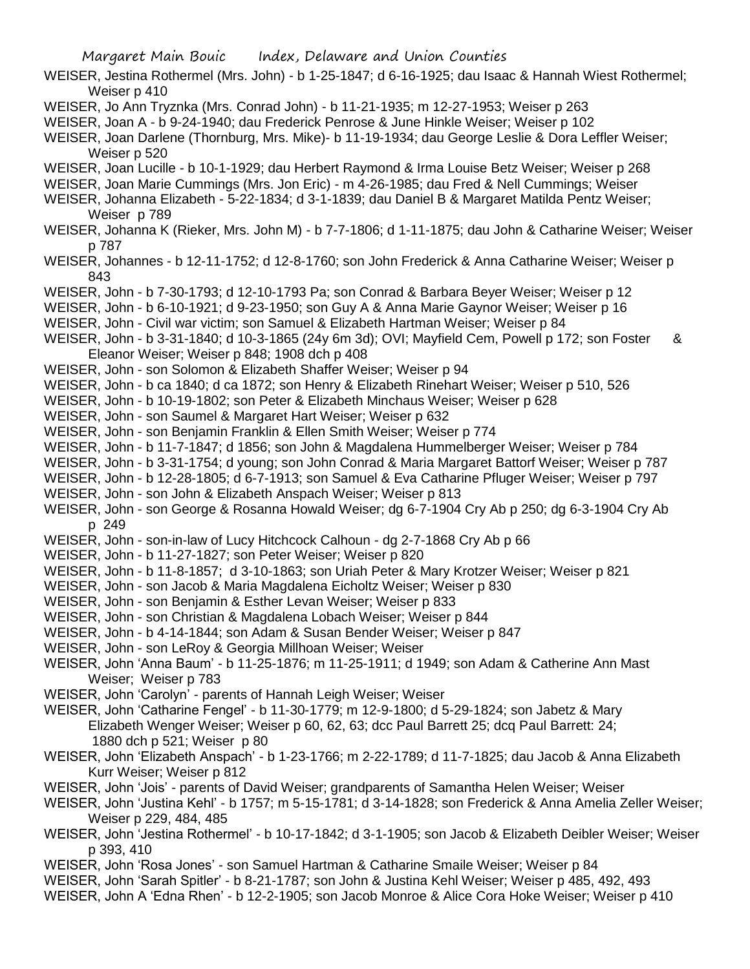- WEISER, Jestina Rothermel (Mrs. John) b 1-25-1847; d 6-16-1925; dau Isaac & Hannah Wiest Rothermel; Weiser p 410
- WEISER, Jo Ann Tryznka (Mrs. Conrad John) b 11-21-1935; m 12-27-1953; Weiser p 263
- WEISER, Joan A b 9-24-1940; dau Frederick Penrose & June Hinkle Weiser; Weiser p 102
- WEISER, Joan Darlene (Thornburg, Mrs. Mike)- b 11-19-1934; dau George Leslie & Dora Leffler Weiser; Weiser p 520
- WEISER, Joan Lucille b 10-1-1929; dau Herbert Raymond & Irma Louise Betz Weiser; Weiser p 268
- WEISER, Joan Marie Cummings (Mrs. Jon Eric) m 4-26-1985; dau Fred & Nell Cummings; Weiser
- WEISER, Johanna Elizabeth 5-22-1834; d 3-1-1839; dau Daniel B & Margaret Matilda Pentz Weiser; Weiser p 789
- WEISER, Johanna K (Rieker, Mrs. John M) b 7-7-1806; d 1-11-1875; dau John & Catharine Weiser; Weiser p 787
- WEISER, Johannes b 12-11-1752; d 12-8-1760; son John Frederick & Anna Catharine Weiser; Weiser p 843
- WEISER, John b 7-30-1793; d 12-10-1793 Pa; son Conrad & Barbara Beyer Weiser; Weiser p 12
- WEISER, John b 6-10-1921; d 9-23-1950; son Guy A & Anna Marie Gaynor Weiser; Weiser p 16
- WEISER, John Civil war victim; son Samuel & Elizabeth Hartman Weiser; Weiser p 84
- WEISER, John b 3-31-1840; d 10-3-1865 (24y 6m 3d); OVI; Mayfield Cem, Powell p 172; son Foster & Eleanor Weiser; Weiser p 848; 1908 dch p 408
- WEISER, John son Solomon & Elizabeth Shaffer Weiser; Weiser p 94
- WEISER, John b ca 1840; d ca 1872; son Henry & Elizabeth Rinehart Weiser; Weiser p 510, 526
- WEISER, John b 10-19-1802; son Peter & Elizabeth Minchaus Weiser; Weiser p 628
- WEISER, John son Saumel & Margaret Hart Weiser; Weiser p 632
- WEISER, John son Benjamin Franklin & Ellen Smith Weiser; Weiser p 774
- WEISER, John b 11-7-1847; d 1856; son John & Magdalena Hummelberger Weiser; Weiser p 784
- WEISER, John b 3-31-1754; d young; son John Conrad & Maria Margaret Battorf Weiser; Weiser p 787
- WEISER, John b 12-28-1805; d 6-7-1913; son Samuel & Eva Catharine Pfluger Weiser; Weiser p 797
- WEISER, John son John & Elizabeth Anspach Weiser; Weiser p 813
- WEISER, John son George & Rosanna Howald Weiser; dg 6-7-1904 Cry Ab p 250; dg 6-3-1904 Cry Ab p 249
- WEISER, John son-in-law of Lucy Hitchcock Calhoun dg 2-7-1868 Cry Ab p 66
- WEISER, John b 11-27-1827; son Peter Weiser; Weiser p 820
- WEISER, John b 11-8-1857; d 3-10-1863; son Uriah Peter & Mary Krotzer Weiser; Weiser p 821
- WEISER, John son Jacob & Maria Magdalena Eicholtz Weiser; Weiser p 830
- WEISER, John son Benjamin & Esther Levan Weiser; Weiser p 833
- WEISER, John son Christian & Magdalena Lobach Weiser; Weiser p 844
- WEISER, John b 4-14-1844; son Adam & Susan Bender Weiser; Weiser p 847
- WEISER, John son LeRoy & Georgia Millhoan Weiser; Weiser
- WEISER, John 'Anna Baum' b 11-25-1876; m 11-25-1911; d 1949; son Adam & Catherine Ann Mast Weiser; Weiser p 783
- WEISER, John 'Carolyn' parents of Hannah Leigh Weiser; Weiser
- WEISER, John 'Catharine Fengel' b 11-30-1779; m 12-9-1800; d 5-29-1824; son Jabetz & Mary Elizabeth Wenger Weiser; Weiser p 60, 62, 63; dcc Paul Barrett 25; dcq Paul Barrett: 24; 1880 dch p 521; Weiser p 80
- WEISER, John 'Elizabeth Anspach' b 1-23-1766; m 2-22-1789; d 11-7-1825; dau Jacob & Anna Elizabeth Kurr Weiser; Weiser p 812
- WEISER, John 'Jois' parents of David Weiser; grandparents of Samantha Helen Weiser; Weiser
- WEISER, John 'Justina Kehl' b 1757; m 5-15-1781; d 3-14-1828; son Frederick & Anna Amelia Zeller Weiser; Weiser p 229, 484, 485
- WEISER, John 'Jestina Rothermel' b 10-17-1842; d 3-1-1905; son Jacob & Elizabeth Deibler Weiser; Weiser p 393, 410
- WEISER, John 'Rosa Jones' son Samuel Hartman & Catharine Smaile Weiser; Weiser p 84
- WEISER, John 'Sarah Spitler' b 8-21-1787; son John & Justina Kehl Weiser; Weiser p 485, 492, 493
- WEISER, John A 'Edna Rhen' b 12-2-1905; son Jacob Monroe & Alice Cora Hoke Weiser; Weiser p 410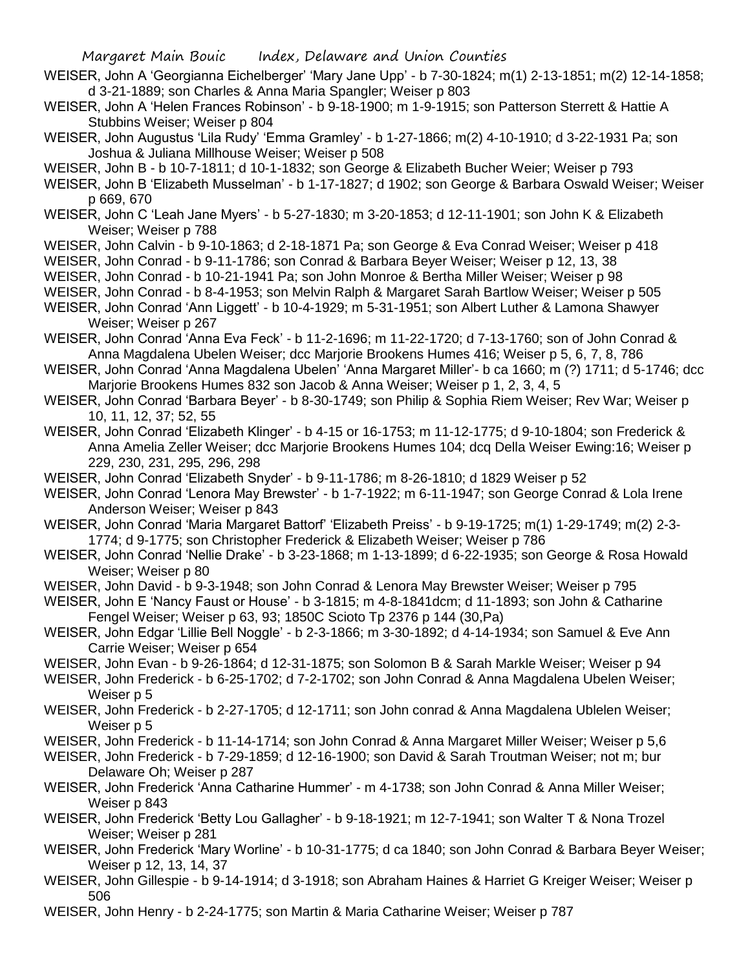- WEISER, John A 'Georgianna Eichelberger' 'Mary Jane Upp' b 7-30-1824; m(1) 2-13-1851; m(2) 12-14-1858; d 3-21-1889; son Charles & Anna Maria Spangler; Weiser p 803
- WEISER, John A 'Helen Frances Robinson' b 9-18-1900; m 1-9-1915; son Patterson Sterrett & Hattie A Stubbins Weiser; Weiser p 804
- WEISER, John Augustus 'Lila Rudy' 'Emma Gramley' b 1-27-1866; m(2) 4-10-1910; d 3-22-1931 Pa; son Joshua & Juliana Millhouse Weiser; Weiser p 508
- WEISER, John B b 10-7-1811; d 10-1-1832; son George & Elizabeth Bucher Weier; Weiser p 793
- WEISER, John B 'Elizabeth Musselman' b 1-17-1827; d 1902; son George & Barbara Oswald Weiser; Weiser p 669, 670
- WEISER, John C 'Leah Jane Myers' b 5-27-1830; m 3-20-1853; d 12-11-1901; son John K & Elizabeth Weiser; Weiser p 788
- WEISER, John Calvin b 9-10-1863; d 2-18-1871 Pa; son George & Eva Conrad Weiser; Weiser p 418
- WEISER, John Conrad b 9-11-1786; son Conrad & Barbara Beyer Weiser; Weiser p 12, 13, 38
- WEISER, John Conrad b 10-21-1941 Pa; son John Monroe & Bertha Miller Weiser; Weiser p 98
- WEISER, John Conrad b 8-4-1953; son Melvin Ralph & Margaret Sarah Bartlow Weiser; Weiser p 505
- WEISER, John Conrad 'Ann Liggett' b 10-4-1929; m 5-31-1951; son Albert Luther & Lamona Shawyer Weiser; Weiser p 267
- WEISER, John Conrad 'Anna Eva Feck' b 11-2-1696; m 11-22-1720; d 7-13-1760; son of John Conrad & Anna Magdalena Ubelen Weiser; dcc Marjorie Brookens Humes 416; Weiser p 5, 6, 7, 8, 786
- WEISER, John Conrad 'Anna Magdalena Ubelen' 'Anna Margaret Miller'- b ca 1660; m (?) 1711; d 5-1746; dcc Marjorie Brookens Humes 832 son Jacob & Anna Weiser; Weiser p 1, 2, 3, 4, 5
- WEISER, John Conrad 'Barbara Beyer' b 8-30-1749; son Philip & Sophia Riem Weiser; Rev War; Weiser p 10, 11, 12, 37; 52, 55
- WEISER, John Conrad 'Elizabeth Klinger' b 4-15 or 16-1753; m 11-12-1775; d 9-10-1804; son Frederick & Anna Amelia Zeller Weiser; dcc Marjorie Brookens Humes 104; dcq Della Weiser Ewing:16; Weiser p 229, 230, 231, 295, 296, 298
- WEISER, John Conrad 'Elizabeth Snyder' b 9-11-1786; m 8-26-1810; d 1829 Weiser p 52
- WEISER, John Conrad 'Lenora May Brewster' b 1-7-1922; m 6-11-1947; son George Conrad & Lola Irene Anderson Weiser; Weiser p 843
- WEISER, John Conrad 'Maria Margaret Battorf' 'Elizabeth Preiss' b 9-19-1725; m(1) 1-29-1749; m(2) 2-3- 1774; d 9-1775; son Christopher Frederick & Elizabeth Weiser; Weiser p 786
- WEISER, John Conrad 'Nellie Drake' b 3-23-1868; m 1-13-1899; d 6-22-1935; son George & Rosa Howald Weiser; Weiser p 80
- WEISER, John David b 9-3-1948; son John Conrad & Lenora May Brewster Weiser; Weiser p 795
- WEISER, John E 'Nancy Faust or House' b 3-1815; m 4-8-1841dcm; d 11-1893; son John & Catharine Fengel Weiser; Weiser p 63, 93; 1850C Scioto Tp 2376 p 144 (30,Pa)
- WEISER, John Edgar 'Lillie Bell Noggle' b 2-3-1866; m 3-30-1892; d 4-14-1934; son Samuel & Eve Ann Carrie Weiser; Weiser p 654
- WEISER, John Evan b 9-26-1864; d 12-31-1875; son Solomon B & Sarah Markle Weiser; Weiser p 94
- WEISER, John Frederick b 6-25-1702; d 7-2-1702; son John Conrad & Anna Magdalena Ubelen Weiser; Weiser p 5
- WEISER, John Frederick b 2-27-1705; d 12-1711; son John conrad & Anna Magdalena Ublelen Weiser; Weiser p 5
- WEISER, John Frederick b 11-14-1714; son John Conrad & Anna Margaret Miller Weiser; Weiser p 5,6
- WEISER, John Frederick b 7-29-1859; d 12-16-1900; son David & Sarah Troutman Weiser; not m; bur Delaware Oh; Weiser p 287
- WEISER, John Frederick 'Anna Catharine Hummer' m 4-1738; son John Conrad & Anna Miller Weiser; Weiser p 843
- WEISER, John Frederick 'Betty Lou Gallagher' b 9-18-1921; m 12-7-1941; son Walter T & Nona Trozel Weiser; Weiser p 281
- WEISER, John Frederick 'Mary Worline' b 10-31-1775; d ca 1840; son John Conrad & Barbara Beyer Weiser; Weiser p 12, 13, 14, 37
- WEISER, John Gillespie b 9-14-1914; d 3-1918; son Abraham Haines & Harriet G Kreiger Weiser; Weiser p 506
- WEISER, John Henry b 2-24-1775; son Martin & Maria Catharine Weiser; Weiser p 787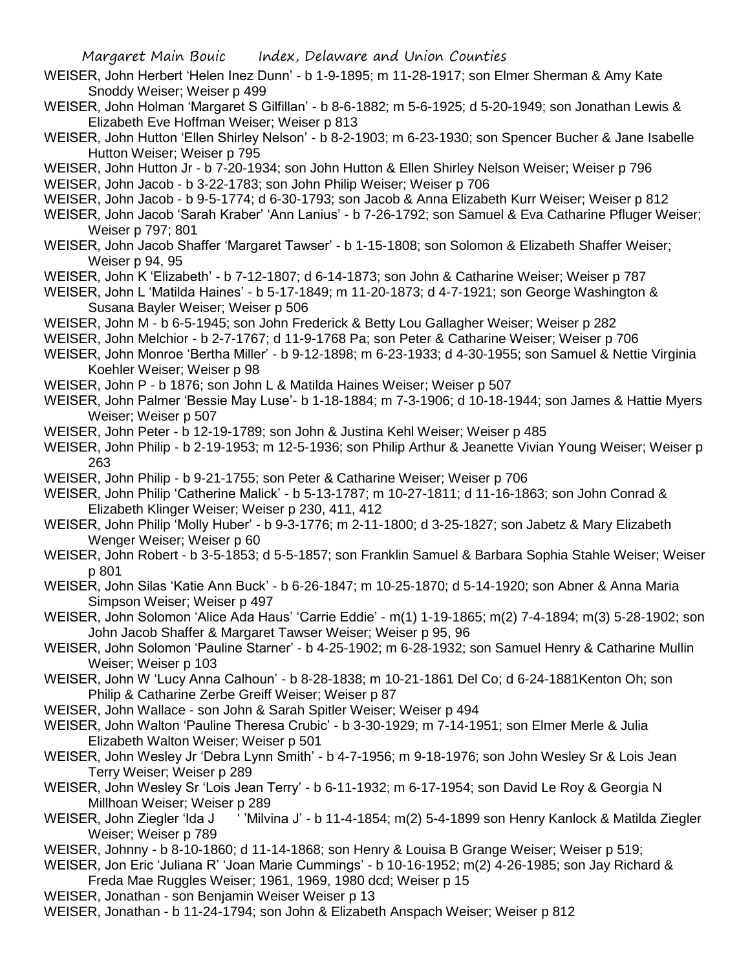- WEISER, John Herbert 'Helen Inez Dunn' b 1-9-1895; m 11-28-1917; son Elmer Sherman & Amy Kate Snoddy Weiser; Weiser p 499
- WEISER, John Holman 'Margaret S Gilfillan' b 8-6-1882; m 5-6-1925; d 5-20-1949; son Jonathan Lewis & Elizabeth Eve Hoffman Weiser; Weiser p 813
- WEISER, John Hutton 'Ellen Shirley Nelson' b 8-2-1903; m 6-23-1930; son Spencer Bucher & Jane Isabelle Hutton Weiser; Weiser p 795
- WEISER, John Hutton Jr b 7-20-1934; son John Hutton & Ellen Shirley Nelson Weiser; Weiser p 796

WEISER, John Jacob - b 3-22-1783; son John Philip Weiser; Weiser p 706

- WEISER, John Jacob b 9-5-1774; d 6-30-1793; son Jacob & Anna Elizabeth Kurr Weiser; Weiser p 812
- WEISER, John Jacob 'Sarah Kraber' 'Ann Lanius' b 7-26-1792; son Samuel & Eva Catharine Pfluger Weiser; Weiser p 797; 801
- WEISER, John Jacob Shaffer 'Margaret Tawser' b 1-15-1808; son Solomon & Elizabeth Shaffer Weiser; Weiser p 94, 95
- WEISER, John K 'Elizabeth' b 7-12-1807; d 6-14-1873; son John & Catharine Weiser; Weiser p 787
- WEISER, John L 'Matilda Haines' b 5-17-1849; m 11-20-1873; d 4-7-1921; son George Washington & Susana Bayler Weiser; Weiser p 506
- WEISER, John M b 6-5-1945; son John Frederick & Betty Lou Gallagher Weiser; Weiser p 282
- WEISER, John Melchior b 2-7-1767; d 11-9-1768 Pa; son Peter & Catharine Weiser; Weiser p 706
- WEISER, John Monroe 'Bertha Miller' b 9-12-1898; m 6-23-1933; d 4-30-1955; son Samuel & Nettie Virginia Koehler Weiser; Weiser p 98
- WEISER, John P b 1876; son John L & Matilda Haines Weiser; Weiser p 507
- WEISER, John Palmer 'Bessie May Luse'- b 1-18-1884; m 7-3-1906; d 10-18-1944; son James & Hattie Myers Weiser; Weiser p 507
- WEISER, John Peter b 12-19-1789; son John & Justina Kehl Weiser; Weiser p 485
- WEISER, John Philip b 2-19-1953; m 12-5-1936; son Philip Arthur & Jeanette Vivian Young Weiser; Weiser p 263
- WEISER, John Philip b 9-21-1755; son Peter & Catharine Weiser; Weiser p 706
- WEISER, John Philip 'Catherine Malick' b 5-13-1787; m 10-27-1811; d 11-16-1863; son John Conrad & Elizabeth Klinger Weiser; Weiser p 230, 411, 412
- WEISER, John Philip 'Molly Huber' b 9-3-1776; m 2-11-1800; d 3-25-1827; son Jabetz & Mary Elizabeth Wenger Weiser; Weiser p 60
- WEISER, John Robert b 3-5-1853; d 5-5-1857; son Franklin Samuel & Barbara Sophia Stahle Weiser; Weiser p 801
- WEISER, John Silas 'Katie Ann Buck' b 6-26-1847; m 10-25-1870; d 5-14-1920; son Abner & Anna Maria Simpson Weiser; Weiser p 497
- WEISER, John Solomon 'Alice Ada Haus' 'Carrie Eddie' m(1) 1-19-1865; m(2) 7-4-1894; m(3) 5-28-1902; son John Jacob Shaffer & Margaret Tawser Weiser; Weiser p 95, 96
- WEISER, John Solomon 'Pauline Starner' b 4-25-1902; m 6-28-1932; son Samuel Henry & Catharine Mullin Weiser; Weiser p 103
- WEISER, John W 'Lucy Anna Calhoun' b 8-28-1838; m 10-21-1861 Del Co; d 6-24-1881Kenton Oh; son Philip & Catharine Zerbe Greiff Weiser; Weiser p 87
- WEISER, John Wallace son John & Sarah Spitler Weiser; Weiser p 494
- WEISER, John Walton 'Pauline Theresa Crubic' b 3-30-1929; m 7-14-1951; son Elmer Merle & Julia Elizabeth Walton Weiser; Weiser p 501
- WEISER, John Wesley Jr 'Debra Lynn Smith' b 4-7-1956; m 9-18-1976; son John Wesley Sr & Lois Jean Terry Weiser; Weiser p 289
- WEISER, John Wesley Sr 'Lois Jean Terry' b 6-11-1932; m 6-17-1954; son David Le Roy & Georgia N Millhoan Weiser; Weiser p 289
- WEISER, John Ziegler 'Ida J ' ' Milvina J' b 11-4-1854; m(2) 5-4-1899 son Henry Kanlock & Matilda Ziegler Weiser; Weiser p 789
- WEISER, Johnny b 8-10-1860; d 11-14-1868; son Henry & Louisa B Grange Weiser; Weiser p 519;
- WEISER, Jon Eric 'Juliana R' 'Joan Marie Cummings' b 10-16-1952; m(2) 4-26-1985; son Jay Richard & Freda Mae Ruggles Weiser; 1961, 1969, 1980 dcd; Weiser p 15
- WEISER, Jonathan son Benjamin Weiser Weiser p 13
- WEISER, Jonathan b 11-24-1794; son John & Elizabeth Anspach Weiser; Weiser p 812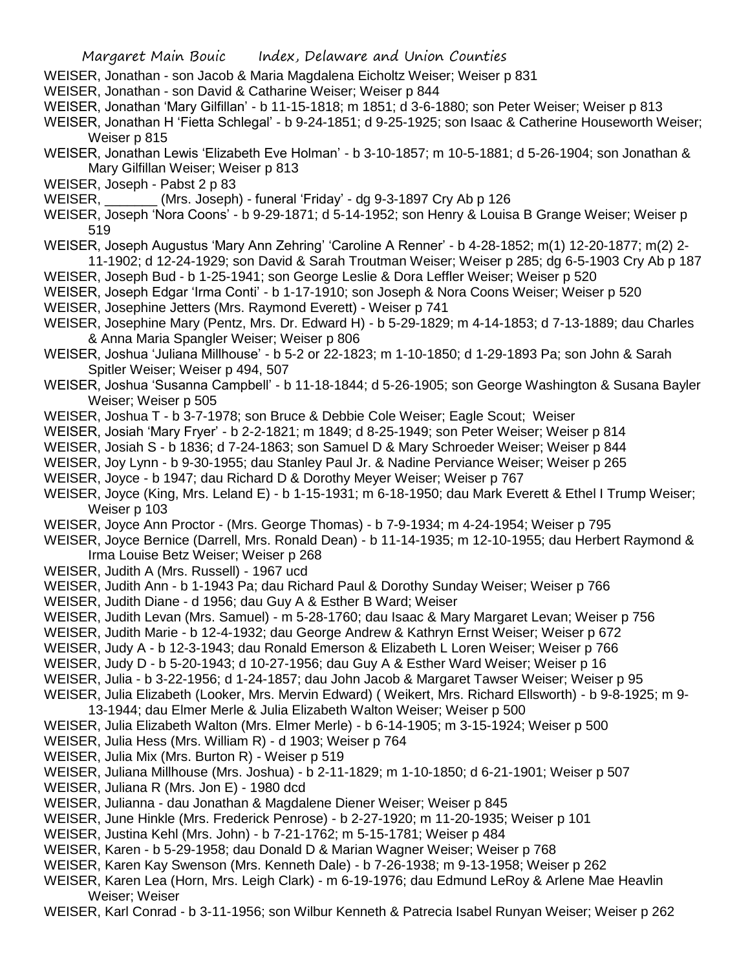- WEISER, Jonathan son Jacob & Maria Magdalena Eicholtz Weiser; Weiser p 831
- WEISER, Jonathan son David & Catharine Weiser; Weiser p 844
- WEISER, Jonathan 'Mary Gilfillan' b 11-15-1818; m 1851; d 3-6-1880; son Peter Weiser; Weiser p 813
- WEISER, Jonathan H 'Fietta Schlegal' b 9-24-1851; d 9-25-1925; son Isaac & Catherine Houseworth Weiser; Weiser p 815
- WEISER, Jonathan Lewis 'Elizabeth Eve Holman' b 3-10-1857; m 10-5-1881; d 5-26-1904; son Jonathan & Mary Gilfillan Weiser; Weiser p 813
- WEISER, Joseph Pabst 2 p 83
- WEISER, (Mrs. Joseph) funeral 'Friday' dg 9-3-1897 Cry Ab p 126
- WEISER, Joseph 'Nora Coons' b 9-29-1871; d 5-14-1952; son Henry & Louisa B Grange Weiser; Weiser p 519
- WEISER, Joseph Augustus 'Mary Ann Zehring' 'Caroline A Renner' b 4-28-1852; m(1) 12-20-1877; m(2) 2- 11-1902; d 12-24-1929; son David & Sarah Troutman Weiser; Weiser p 285; dg 6-5-1903 Cry Ab p 187
- WEISER, Joseph Bud b 1-25-1941; son George Leslie & Dora Leffler Weiser; Weiser p 520
- WEISER, Joseph Edgar 'Irma Conti' b 1-17-1910; son Joseph & Nora Coons Weiser; Weiser p 520
- WEISER, Josephine Jetters (Mrs. Raymond Everett) Weiser p 741
- WEISER, Josephine Mary (Pentz, Mrs. Dr. Edward H) b 5-29-1829; m 4-14-1853; d 7-13-1889; dau Charles & Anna Maria Spangler Weiser; Weiser p 806
- WEISER, Joshua 'Juliana Millhouse' b 5-2 or 22-1823; m 1-10-1850; d 1-29-1893 Pa; son John & Sarah Spitler Weiser; Weiser p 494, 507
- WEISER, Joshua 'Susanna Campbell' b 11-18-1844; d 5-26-1905; son George Washington & Susana Bayler Weiser; Weiser p 505
- WEISER, Joshua T b 3-7-1978; son Bruce & Debbie Cole Weiser; Eagle Scout; Weiser
- WEISER, Josiah 'Mary Fryer' b 2-2-1821; m 1849; d 8-25-1949; son Peter Weiser; Weiser p 814
- WEISER, Josiah S b 1836; d 7-24-1863; son Samuel D & Mary Schroeder Weiser; Weiser p 844
- WEISER, Joy Lynn b 9-30-1955; dau Stanley Paul Jr. & Nadine Perviance Weiser; Weiser p 265
- WEISER, Joyce b 1947; dau Richard D & Dorothy Meyer Weiser; Weiser p 767
- WEISER, Joyce (King, Mrs. Leland E) b 1-15-1931; m 6-18-1950; dau Mark Everett & Ethel I Trump Weiser; Weiser p 103
- WEISER, Joyce Ann Proctor (Mrs. George Thomas) b 7-9-1934; m 4-24-1954; Weiser p 795
- WEISER, Joyce Bernice (Darrell, Mrs. Ronald Dean) b 11-14-1935; m 12-10-1955; dau Herbert Raymond & Irma Louise Betz Weiser; Weiser p 268
- WEISER, Judith A (Mrs. Russell) 1967 ucd
- WEISER, Judith Ann b 1-1943 Pa; dau Richard Paul & Dorothy Sunday Weiser; Weiser p 766
- WEISER, Judith Diane d 1956; dau Guy A & Esther B Ward; Weiser
- WEISER, Judith Levan (Mrs. Samuel) m 5-28-1760; dau Isaac & Mary Margaret Levan; Weiser p 756
- WEISER, Judith Marie b 12-4-1932; dau George Andrew & Kathryn Ernst Weiser; Weiser p 672
- WEISER, Judy A b 12-3-1943; dau Ronald Emerson & Elizabeth L Loren Weiser; Weiser p 766
- WEISER, Judy D b 5-20-1943; d 10-27-1956; dau Guy A & Esther Ward Weiser; Weiser p 16
- WEISER, Julia b 3-22-1956; d 1-24-1857; dau John Jacob & Margaret Tawser Weiser; Weiser p 95
- WEISER, Julia Elizabeth (Looker, Mrs. Mervin Edward) ( Weikert, Mrs. Richard Ellsworth) b 9-8-1925; m 9- 13-1944; dau Elmer Merle & Julia Elizabeth Walton Weiser; Weiser p 500
- WEISER, Julia Elizabeth Walton (Mrs. Elmer Merle) b 6-14-1905; m 3-15-1924; Weiser p 500
- WEISER, Julia Hess (Mrs. William R) d 1903; Weiser p 764
- WEISER, Julia Mix (Mrs. Burton R) Weiser p 519
- WEISER, Juliana Millhouse (Mrs. Joshua) b 2-11-1829; m 1-10-1850; d 6-21-1901; Weiser p 507
- WEISER, Juliana R (Mrs. Jon E) 1980 dcd
- WEISER, Julianna dau Jonathan & Magdalene Diener Weiser; Weiser p 845
- WEISER, June Hinkle (Mrs. Frederick Penrose) b 2-27-1920; m 11-20-1935; Weiser p 101
- WEISER, Justina Kehl (Mrs. John) b 7-21-1762; m 5-15-1781; Weiser p 484
- WEISER, Karen b 5-29-1958; dau Donald D & Marian Wagner Weiser; Weiser p 768
- WEISER, Karen Kay Swenson (Mrs. Kenneth Dale) b 7-26-1938; m 9-13-1958; Weiser p 262
- WEISER, Karen Lea (Horn, Mrs. Leigh Clark) m 6-19-1976; dau Edmund LeRoy & Arlene Mae Heavlin Weiser; Weiser
- WEISER, Karl Conrad b 3-11-1956; son Wilbur Kenneth & Patrecia Isabel Runyan Weiser; Weiser p 262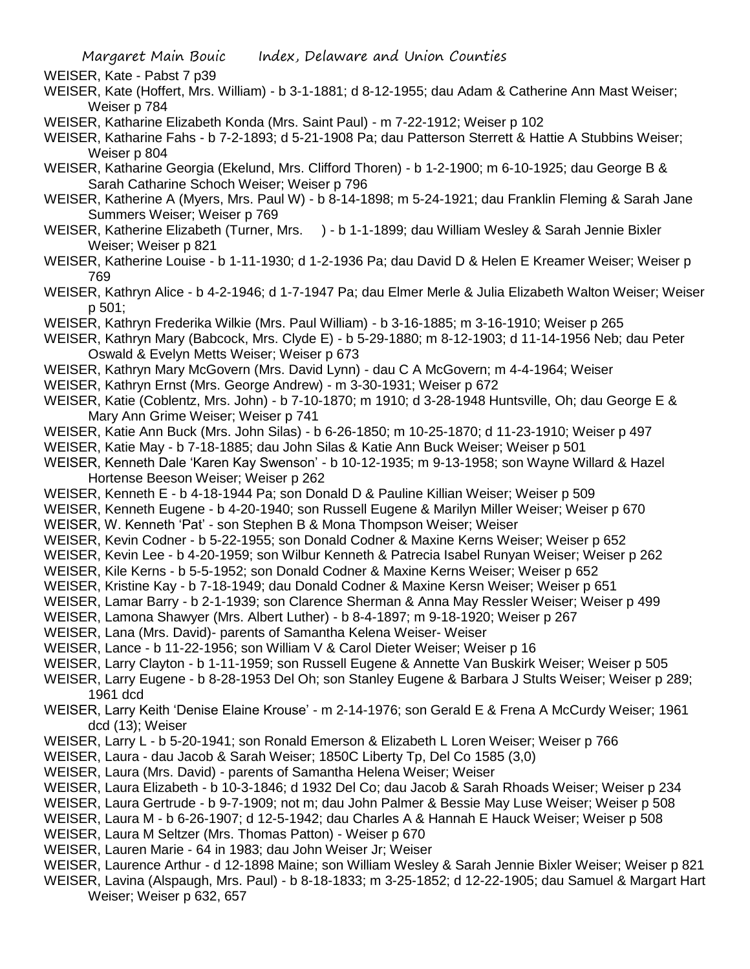WEISER, Kate - Pabst 7 p39

- WEISER, Kate (Hoffert, Mrs. William) b 3-1-1881; d 8-12-1955; dau Adam & Catherine Ann Mast Weiser; Weiser p 784
- WEISER, Katharine Elizabeth Konda (Mrs. Saint Paul) m 7-22-1912; Weiser p 102
- WEISER, Katharine Fahs b 7-2-1893; d 5-21-1908 Pa; dau Patterson Sterrett & Hattie A Stubbins Weiser; Weiser p 804
- WEISER, Katharine Georgia (Ekelund, Mrs. Clifford Thoren) b 1-2-1900; m 6-10-1925; dau George B & Sarah Catharine Schoch Weiser; Weiser p 796
- WEISER, Katherine A (Myers, Mrs. Paul W) b 8-14-1898; m 5-24-1921; dau Franklin Fleming & Sarah Jane Summers Weiser; Weiser p 769
- WEISER, Katherine Elizabeth (Turner, Mrs. ) b 1-1-1899; dau William Wesley & Sarah Jennie Bixler Weiser; Weiser p 821
- WEISER, Katherine Louise b 1-11-1930; d 1-2-1936 Pa; dau David D & Helen E Kreamer Weiser; Weiser p 769
- WEISER, Kathryn Alice b 4-2-1946; d 1-7-1947 Pa; dau Elmer Merle & Julia Elizabeth Walton Weiser; Weiser p 501;
- WEISER, Kathryn Frederika Wilkie (Mrs. Paul William) b 3-16-1885; m 3-16-1910; Weiser p 265
- WEISER, Kathryn Mary (Babcock, Mrs. Clyde E) b 5-29-1880; m 8-12-1903; d 11-14-1956 Neb; dau Peter Oswald & Evelyn Metts Weiser; Weiser p 673
- WEISER, Kathryn Mary McGovern (Mrs. David Lynn) dau C A McGovern; m 4-4-1964; Weiser
- WEISER, Kathryn Ernst (Mrs. George Andrew) m 3-30-1931; Weiser p 672
- WEISER, Katie (Coblentz, Mrs. John) b 7-10-1870; m 1910; d 3-28-1948 Huntsville, Oh; dau George E & Mary Ann Grime Weiser; Weiser p 741
- WEISER, Katie Ann Buck (Mrs. John Silas) b 6-26-1850; m 10-25-1870; d 11-23-1910; Weiser p 497
- WEISER, Katie May b 7-18-1885; dau John Silas & Katie Ann Buck Weiser; Weiser p 501
- WEISER, Kenneth Dale 'Karen Kay Swenson' b 10-12-1935; m 9-13-1958; son Wayne Willard & Hazel Hortense Beeson Weiser; Weiser p 262
- WEISER, Kenneth E b 4-18-1944 Pa; son Donald D & Pauline Killian Weiser; Weiser p 509
- WEISER, Kenneth Eugene b 4-20-1940; son Russell Eugene & Marilyn Miller Weiser; Weiser p 670
- WEISER, W. Kenneth 'Pat' son Stephen B & Mona Thompson Weiser; Weiser
- WEISER, Kevin Codner b 5-22-1955; son Donald Codner & Maxine Kerns Weiser; Weiser p 652
- WEISER, Kevin Lee b 4-20-1959; son Wilbur Kenneth & Patrecia Isabel Runyan Weiser; Weiser p 262
- WEISER, Kile Kerns b 5-5-1952; son Donald Codner & Maxine Kerns Weiser; Weiser p 652
- WEISER, Kristine Kay b 7-18-1949; dau Donald Codner & Maxine Kersn Weiser; Weiser p 651
- WEISER, Lamar Barry b 2-1-1939; son Clarence Sherman & Anna May Ressler Weiser; Weiser p 499
- WEISER, Lamona Shawyer (Mrs. Albert Luther) b 8-4-1897; m 9-18-1920; Weiser p 267
- WEISER, Lana (Mrs. David)- parents of Samantha Kelena Weiser- Weiser
- WEISER, Lance b 11-22-1956; son William V & Carol Dieter Weiser; Weiser p 16
- WEISER, Larry Clayton b 1-11-1959; son Russell Eugene & Annette Van Buskirk Weiser; Weiser p 505
- WEISER, Larry Eugene b 8-28-1953 Del Oh; son Stanley Eugene & Barbara J Stults Weiser; Weiser p 289; 1961 dcd
- WEISER, Larry Keith 'Denise Elaine Krouse' m 2-14-1976; son Gerald E & Frena A McCurdy Weiser; 1961 dcd (13); Weiser
- WEISER, Larry L b 5-20-1941; son Ronald Emerson & Elizabeth L Loren Weiser; Weiser p 766
- WEISER, Laura dau Jacob & Sarah Weiser; 1850C Liberty Tp, Del Co 1585 (3,0)
- WEISER, Laura (Mrs. David) parents of Samantha Helena Weiser; Weiser
- WEISER, Laura Elizabeth b 10-3-1846; d 1932 Del Co; dau Jacob & Sarah Rhoads Weiser; Weiser p 234
- WEISER, Laura Gertrude b 9-7-1909; not m; dau John Palmer & Bessie May Luse Weiser; Weiser p 508
- WEISER, Laura M b 6-26-1907; d 12-5-1942; dau Charles A & Hannah E Hauck Weiser; Weiser p 508
- WEISER, Laura M Seltzer (Mrs. Thomas Patton) Weiser p 670
- WEISER, Lauren Marie 64 in 1983; dau John Weiser Jr; Weiser
- WEISER, Laurence Arthur d 12-1898 Maine; son William Wesley & Sarah Jennie Bixler Weiser; Weiser p 821 WEISER, Lavina (Alspaugh, Mrs. Paul) - b 8-18-1833; m 3-25-1852; d 12-22-1905; dau Samuel & Margart Hart
- Weiser; Weiser p 632, 657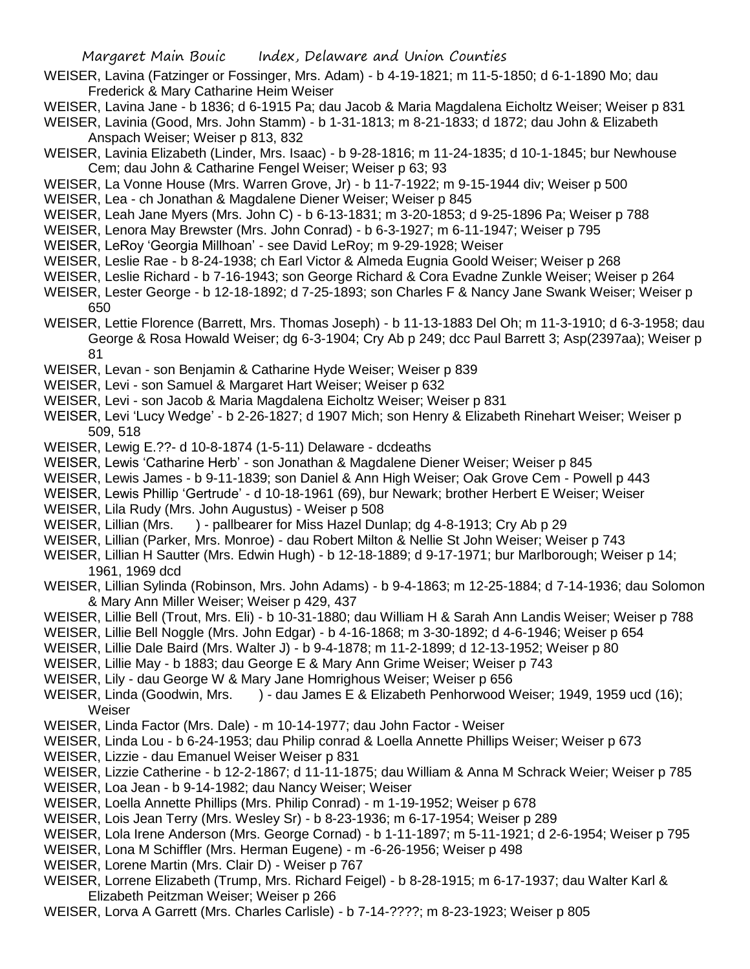- WEISER, Lavina (Fatzinger or Fossinger, Mrs. Adam) b 4-19-1821; m 11-5-1850; d 6-1-1890 Mo; dau Frederick & Mary Catharine Heim Weiser
- WEISER, Lavina Jane b 1836; d 6-1915 Pa; dau Jacob & Maria Magdalena Eicholtz Weiser; Weiser p 831
- WEISER, Lavinia (Good, Mrs. John Stamm) b 1-31-1813; m 8-21-1833; d 1872; dau John & Elizabeth Anspach Weiser; Weiser p 813, 832
- WEISER, Lavinia Elizabeth (Linder, Mrs. Isaac) b 9-28-1816; m 11-24-1835; d 10-1-1845; bur Newhouse Cem; dau John & Catharine Fengel Weiser; Weiser p 63; 93
- WEISER, La Vonne House (Mrs. Warren Grove, Jr) b 11-7-1922; m 9-15-1944 div; Weiser p 500
- WEISER, Lea ch Jonathan & Magdalene Diener Weiser; Weiser p 845
- WEISER, Leah Jane Myers (Mrs. John C) b 6-13-1831; m 3-20-1853; d 9-25-1896 Pa; Weiser p 788
- WEISER, Lenora May Brewster (Mrs. John Conrad) b 6-3-1927; m 6-11-1947; Weiser p 795
- WEISER, LeRoy 'Georgia Millhoan' see David LeRoy; m 9-29-1928; Weiser
- WEISER, Leslie Rae b 8-24-1938; ch Earl Victor & Almeda Eugnia Goold Weiser; Weiser p 268
- WEISER, Leslie Richard b 7-16-1943; son George Richard & Cora Evadne Zunkle Weiser; Weiser p 264
- WEISER, Lester George b 12-18-1892; d 7-25-1893; son Charles F & Nancy Jane Swank Weiser; Weiser p 650
- WEISER, Lettie Florence (Barrett, Mrs. Thomas Joseph) b 11-13-1883 Del Oh; m 11-3-1910; d 6-3-1958; dau George & Rosa Howald Weiser; dg 6-3-1904; Cry Ab p 249; dcc Paul Barrett 3; Asp(2397aa); Weiser p 81
- WEISER, Levan son Benjamin & Catharine Hyde Weiser; Weiser p 839
- WEISER, Levi son Samuel & Margaret Hart Weiser; Weiser p 632
- WEISER, Levi son Jacob & Maria Magdalena Eicholtz Weiser; Weiser p 831
- WEISER, Levi 'Lucy Wedge' b 2-26-1827; d 1907 Mich; son Henry & Elizabeth Rinehart Weiser; Weiser p 509, 518
- WEISER, Lewig E.??- d 10-8-1874 (1-5-11) Delaware dcdeaths
- WEISER, Lewis 'Catharine Herb' son Jonathan & Magdalene Diener Weiser; Weiser p 845
- WEISER, Lewis James b 9-11-1839; son Daniel & Ann High Weiser; Oak Grove Cem Powell p 443
- WEISER, Lewis Phillip 'Gertrude' d 10-18-1961 (69), bur Newark; brother Herbert E Weiser; Weiser
- WEISER, Lila Rudy (Mrs. John Augustus) Weiser p 508
- WEISER, Lillian (Mrs. ) pallbearer for Miss Hazel Dunlap; dg 4-8-1913; Cry Ab p 29
- WEISER, Lillian (Parker, Mrs. Monroe) dau Robert Milton & Nellie St John Weiser; Weiser p 743
- WEISER, Lillian H Sautter (Mrs. Edwin Hugh) b 12-18-1889; d 9-17-1971; bur Marlborough; Weiser p 14; 1961, 1969 dcd
- WEISER, Lillian Sylinda (Robinson, Mrs. John Adams) b 9-4-1863; m 12-25-1884; d 7-14-1936; dau Solomon & Mary Ann Miller Weiser; Weiser p 429, 437
- WEISER, Lillie Bell (Trout, Mrs. Eli) b 10-31-1880; dau William H & Sarah Ann Landis Weiser; Weiser p 788
- WEISER, Lillie Bell Noggle (Mrs. John Edgar) b 4-16-1868; m 3-30-1892; d 4-6-1946; Weiser p 654
- WEISER, Lillie Dale Baird (Mrs. Walter J) b 9-4-1878; m 11-2-1899; d 12-13-1952; Weiser p 80
- WEISER, Lillie May b 1883; dau George E & Mary Ann Grime Weiser; Weiser p 743
- WEISER, Lily dau George W & Mary Jane Homrighous Weiser; Weiser p 656
- WEISER, Linda (Goodwin, Mrs. ) dau James E & Elizabeth Penhorwood Weiser; 1949, 1959 ucd (16); **Weiser**
- WEISER, Linda Factor (Mrs. Dale) m 10-14-1977; dau John Factor Weiser
- WEISER, Linda Lou b 6-24-1953; dau Philip conrad & Loella Annette Phillips Weiser; Weiser p 673
- WEISER, Lizzie dau Emanuel Weiser Weiser p 831
- WEISER, Lizzie Catherine b 12-2-1867; d 11-11-1875; dau William & Anna M Schrack Weier; Weiser p 785
- WEISER, Loa Jean b 9-14-1982; dau Nancy Weiser; Weiser
- WEISER, Loella Annette Phillips (Mrs. Philip Conrad) m 1-19-1952; Weiser p 678
- WEISER, Lois Jean Terry (Mrs. Wesley Sr) b 8-23-1936; m 6-17-1954; Weiser p 289
- WEISER, Lola Irene Anderson (Mrs. George Cornad) b 1-11-1897; m 5-11-1921; d 2-6-1954; Weiser p 795
- WEISER, Lona M Schiffler (Mrs. Herman Eugene) m -6-26-1956; Weiser p 498
- WEISER, Lorene Martin (Mrs. Clair D) Weiser p 767
- WEISER, Lorrene Elizabeth (Trump, Mrs. Richard Feigel) b 8-28-1915; m 6-17-1937; dau Walter Karl & Elizabeth Peitzman Weiser; Weiser p 266
- WEISER, Lorva A Garrett (Mrs. Charles Carlisle) b 7-14-????; m 8-23-1923; Weiser p 805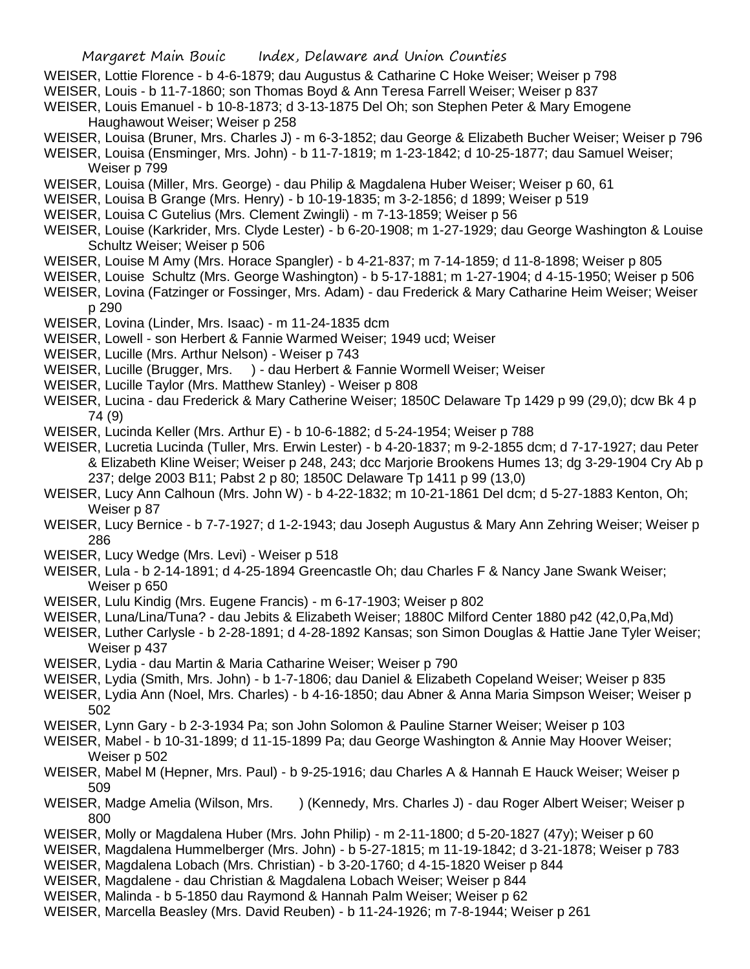- WEISER, Lottie Florence b 4-6-1879; dau Augustus & Catharine C Hoke Weiser; Weiser p 798
- WEISER, Louis b 11-7-1860; son Thomas Boyd & Ann Teresa Farrell Weiser; Weiser p 837 WEISER, Louis Emanuel - b 10-8-1873; d 3-13-1875 Del Oh; son Stephen Peter & Mary Emogene

Haughawout Weiser; Weiser p 258

- WEISER, Louisa (Bruner, Mrs. Charles J) m 6-3-1852; dau George & Elizabeth Bucher Weiser; Weiser p 796
- WEISER, Louisa (Ensminger, Mrs. John) b 11-7-1819; m 1-23-1842; d 10-25-1877; dau Samuel Weiser; Weiser p 799
- WEISER, Louisa (Miller, Mrs. George) dau Philip & Magdalena Huber Weiser; Weiser p 60, 61
- WEISER, Louisa B Grange (Mrs. Henry) b 10-19-1835; m 3-2-1856; d 1899; Weiser p 519
- WEISER, Louisa C Gutelius (Mrs. Clement Zwingli) m 7-13-1859; Weiser p 56
- WEISER, Louise (Karkrider, Mrs. Clyde Lester) b 6-20-1908; m 1-27-1929; dau George Washington & Louise Schultz Weiser; Weiser p 506
- WEISER, Louise M Amy (Mrs. Horace Spangler) b 4-21-837; m 7-14-1859; d 11-8-1898; Weiser p 805
- WEISER, Louise Schultz (Mrs. George Washington) b 5-17-1881; m 1-27-1904; d 4-15-1950; Weiser p 506
- WEISER, Lovina (Fatzinger or Fossinger, Mrs. Adam) dau Frederick & Mary Catharine Heim Weiser; Weiser p 290
- WEISER, Lovina (Linder, Mrs. Isaac) m 11-24-1835 dcm
- WEISER, Lowell son Herbert & Fannie Warmed Weiser; 1949 ucd; Weiser
- WEISER, Lucille (Mrs. Arthur Nelson) Weiser p 743
- WEISER, Lucille (Brugger, Mrs. ) dau Herbert & Fannie Wormell Weiser; Weiser
- WEISER, Lucille Taylor (Mrs. Matthew Stanley) Weiser p 808
- WEISER, Lucina dau Frederick & Mary Catherine Weiser; 1850C Delaware Tp 1429 p 99 (29,0); dcw Bk 4 p 74 (9)
- WEISER, Lucinda Keller (Mrs. Arthur E) b 10-6-1882; d 5-24-1954; Weiser p 788
- WEISER, Lucretia Lucinda (Tuller, Mrs. Erwin Lester) b 4-20-1837; m 9-2-1855 dcm; d 7-17-1927; dau Peter & Elizabeth Kline Weiser; Weiser p 248, 243; dcc Marjorie Brookens Humes 13; dg 3-29-1904 Cry Ab p 237; delge 2003 B11; Pabst 2 p 80; 1850C Delaware Tp 1411 p 99 (13,0)
- WEISER, Lucy Ann Calhoun (Mrs. John W) b 4-22-1832; m 10-21-1861 Del dcm; d 5-27-1883 Kenton, Oh; Weiser p 87
- WEISER, Lucy Bernice b 7-7-1927; d 1-2-1943; dau Joseph Augustus & Mary Ann Zehring Weiser; Weiser p 286
- WEISER, Lucy Wedge (Mrs. Levi) Weiser p 518
- WEISER, Lula b 2-14-1891; d 4-25-1894 Greencastle Oh; dau Charles F & Nancy Jane Swank Weiser; Weiser p 650
- WEISER, Lulu Kindig (Mrs. Eugene Francis) m 6-17-1903; Weiser p 802
- WEISER, Luna/Lina/Tuna? dau Jebits & Elizabeth Weiser; 1880C Milford Center 1880 p42 (42,0,Pa,Md)
- WEISER, Luther Carlysle b 2-28-1891; d 4-28-1892 Kansas; son Simon Douglas & Hattie Jane Tyler Weiser; Weiser p 437
- WEISER, Lydia dau Martin & Maria Catharine Weiser; Weiser p 790
- WEISER, Lydia (Smith, Mrs. John) b 1-7-1806; dau Daniel & Elizabeth Copeland Weiser; Weiser p 835
- WEISER, Lydia Ann (Noel, Mrs. Charles) b 4-16-1850; dau Abner & Anna Maria Simpson Weiser; Weiser p 502
- WEISER, Lynn Gary b 2-3-1934 Pa; son John Solomon & Pauline Starner Weiser; Weiser p 103

WEISER, Mabel - b 10-31-1899; d 11-15-1899 Pa; dau George Washington & Annie May Hoover Weiser; Weiser p 502

- WEISER, Mabel M (Hepner, Mrs. Paul) b 9-25-1916; dau Charles A & Hannah E Hauck Weiser; Weiser p 509
- WEISER, Madge Amelia (Wilson, Mrs. ) (Kennedy, Mrs. Charles J) dau Roger Albert Weiser; Weiser p 800
- WEISER, Molly or Magdalena Huber (Mrs. John Philip) m 2-11-1800; d 5-20-1827 (47y); Weiser p 60
- WEISER, Magdalena Hummelberger (Mrs. John) b 5-27-1815; m 11-19-1842; d 3-21-1878; Weiser p 783
- WEISER, Magdalena Lobach (Mrs. Christian) b 3-20-1760; d 4-15-1820 Weiser p 844
- WEISER, Magdalene dau Christian & Magdalena Lobach Weiser; Weiser p 844
- WEISER, Malinda b 5-1850 dau Raymond & Hannah Palm Weiser; Weiser p 62
- WEISER, Marcella Beasley (Mrs. David Reuben) b 11-24-1926; m 7-8-1944; Weiser p 261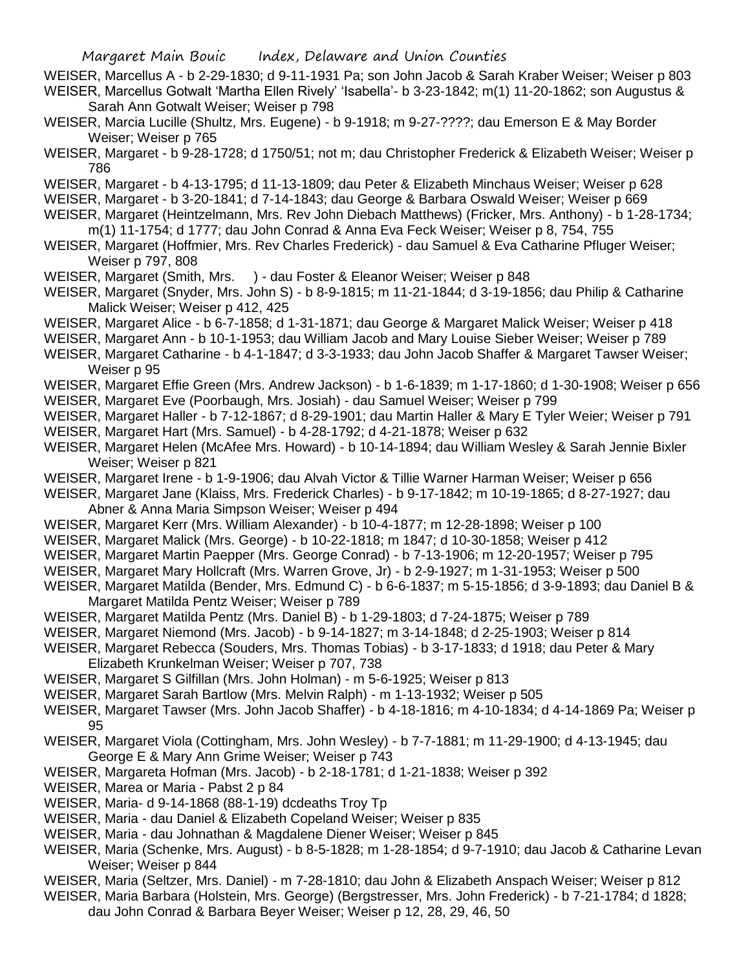- WEISER, Marcellus A b 2-29-1830; d 9-11-1931 Pa; son John Jacob & Sarah Kraber Weiser; Weiser p 803 WEISER, Marcellus Gotwalt 'Martha Ellen Rively' 'Isabella'- b 3-23-1842; m(1) 11-20-1862; son Augustus & Sarah Ann Gotwalt Weiser; Weiser p 798
- WEISER, Marcia Lucille (Shultz, Mrs. Eugene) b 9-1918; m 9-27-????; dau Emerson E & May Border Weiser; Weiser p 765
- WEISER, Margaret b 9-28-1728; d 1750/51; not m; dau Christopher Frederick & Elizabeth Weiser; Weiser p 786
- WEISER, Margaret b 4-13-1795; d 11-13-1809; dau Peter & Elizabeth Minchaus Weiser; Weiser p 628
- WEISER, Margaret b 3-20-1841; d 7-14-1843; dau George & Barbara Oswald Weiser; Weiser p 669
- WEISER, Margaret (Heintzelmann, Mrs. Rev John Diebach Matthews) (Fricker, Mrs. Anthony) b 1-28-1734; m(1) 11-1754; d 1777; dau John Conrad & Anna Eva Feck Weiser; Weiser p 8, 754, 755
- WEISER, Margaret (Hoffmier, Mrs. Rev Charles Frederick) dau Samuel & Eva Catharine Pfluger Weiser; Weiser p 797, 808
- WEISER, Margaret (Smith, Mrs. ) dau Foster & Eleanor Weiser; Weiser p 848
- WEISER, Margaret (Snyder, Mrs. John S) b 8-9-1815; m 11-21-1844; d 3-19-1856; dau Philip & Catharine Malick Weiser; Weiser p 412, 425
- WEISER, Margaret Alice b 6-7-1858; d 1-31-1871; dau George & Margaret Malick Weiser; Weiser p 418
- WEISER, Margaret Ann b 10-1-1953; dau William Jacob and Mary Louise Sieber Weiser; Weiser p 789
- WEISER, Margaret Catharine b 4-1-1847; d 3-3-1933; dau John Jacob Shaffer & Margaret Tawser Weiser; Weiser p 95
- WEISER, Margaret Effie Green (Mrs. Andrew Jackson) b 1-6-1839; m 1-17-1860; d 1-30-1908; Weiser p 656
- WEISER, Margaret Eve (Poorbaugh, Mrs. Josiah) dau Samuel Weiser; Weiser p 799
- WEISER, Margaret Haller b 7-12-1867; d 8-29-1901; dau Martin Haller & Mary E Tyler Weier; Weiser p 791
- WEISER, Margaret Hart (Mrs. Samuel) b 4-28-1792; d 4-21-1878; Weiser p 632
- WEISER, Margaret Helen (McAfee Mrs. Howard) b 10-14-1894; dau William Wesley & Sarah Jennie Bixler Weiser; Weiser p 821
- WEISER, Margaret Irene b 1-9-1906; dau Alvah Victor & Tillie Warner Harman Weiser; Weiser p 656
- WEISER, Margaret Jane (Klaiss, Mrs. Frederick Charles) b 9-17-1842; m 10-19-1865; d 8-27-1927; dau Abner & Anna Maria Simpson Weiser; Weiser p 494
- WEISER, Margaret Kerr (Mrs. William Alexander) b 10-4-1877; m 12-28-1898; Weiser p 100
- WEISER, Margaret Malick (Mrs. George) b 10-22-1818; m 1847; d 10-30-1858; Weiser p 412
- WEISER, Margaret Martin Paepper (Mrs. George Conrad) b 7-13-1906; m 12-20-1957; Weiser p 795
- WEISER, Margaret Mary Hollcraft (Mrs. Warren Grove, Jr) b 2-9-1927; m 1-31-1953; Weiser p 500
- WEISER, Margaret Matilda (Bender, Mrs. Edmund C) b 6-6-1837; m 5-15-1856; d 3-9-1893; dau Daniel B & Margaret Matilda Pentz Weiser; Weiser p 789
- WEISER, Margaret Matilda Pentz (Mrs. Daniel B) b 1-29-1803; d 7-24-1875; Weiser p 789
- WEISER, Margaret Niemond (Mrs. Jacob) b 9-14-1827; m 3-14-1848; d 2-25-1903; Weiser p 814
- WEISER, Margaret Rebecca (Souders, Mrs. Thomas Tobias) b 3-17-1833; d 1918; dau Peter & Mary Elizabeth Krunkelman Weiser; Weiser p 707, 738
- WEISER, Margaret S Gilfillan (Mrs. John Holman) m 5-6-1925; Weiser p 813
- WEISER, Margaret Sarah Bartlow (Mrs. Melvin Ralph) m 1-13-1932; Weiser p 505
- WEISER, Margaret Tawser (Mrs. John Jacob Shaffer) b 4-18-1816; m 4-10-1834; d 4-14-1869 Pa; Weiser p 95
- WEISER, Margaret Viola (Cottingham, Mrs. John Wesley) b 7-7-1881; m 11-29-1900; d 4-13-1945; dau George E & Mary Ann Grime Weiser; Weiser p 743
- WEISER, Margareta Hofman (Mrs. Jacob) b 2-18-1781; d 1-21-1838; Weiser p 392
- WEISER, Marea or Maria Pabst 2 p 84
- WEISER, Maria- d 9-14-1868 (88-1-19) dcdeaths Troy Tp
- WEISER, Maria dau Daniel & Elizabeth Copeland Weiser; Weiser p 835
- WEISER, Maria dau Johnathan & Magdalene Diener Weiser; Weiser p 845
- WEISER, Maria (Schenke, Mrs. August) b 8-5-1828; m 1-28-1854; d 9-7-1910; dau Jacob & Catharine Levan Weiser; Weiser p 844
- WEISER, Maria (Seltzer, Mrs. Daniel) m 7-28-1810; dau John & Elizabeth Anspach Weiser; Weiser p 812
- WEISER, Maria Barbara (Holstein, Mrs. George) (Bergstresser, Mrs. John Frederick) b 7-21-1784; d 1828; dau John Conrad & Barbara Beyer Weiser; Weiser p 12, 28, 29, 46, 50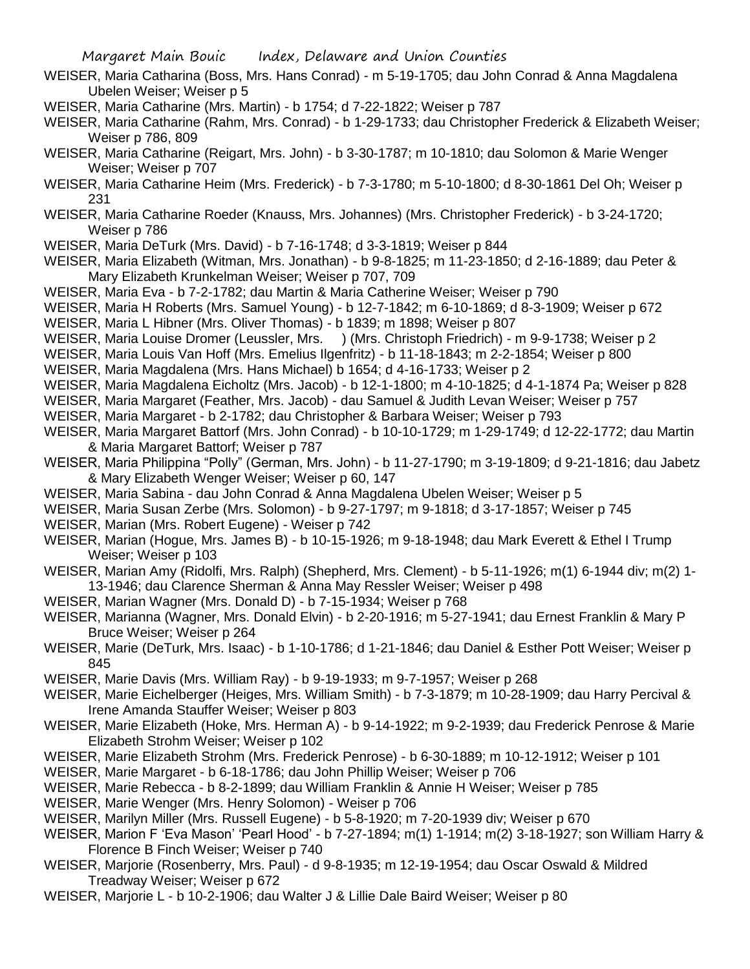- WEISER, Maria Catharina (Boss, Mrs. Hans Conrad) m 5-19-1705; dau John Conrad & Anna Magdalena Ubelen Weiser; Weiser p 5
- WEISER, Maria Catharine (Mrs. Martin) b 1754; d 7-22-1822; Weiser p 787
- WEISER, Maria Catharine (Rahm, Mrs. Conrad) b 1-29-1733; dau Christopher Frederick & Elizabeth Weiser; Weiser p 786, 809
- WEISER, Maria Catharine (Reigart, Mrs. John) b 3-30-1787; m 10-1810; dau Solomon & Marie Wenger Weiser; Weiser p 707
- WEISER, Maria Catharine Heim (Mrs. Frederick) b 7-3-1780; m 5-10-1800; d 8-30-1861 Del Oh; Weiser p 231
- WEISER, Maria Catharine Roeder (Knauss, Mrs. Johannes) (Mrs. Christopher Frederick) b 3-24-1720; Weiser p 786
- WEISER, Maria DeTurk (Mrs. David) b 7-16-1748; d 3-3-1819; Weiser p 844
- WEISER, Maria Elizabeth (Witman, Mrs. Jonathan) b 9-8-1825; m 11-23-1850; d 2-16-1889; dau Peter & Mary Elizabeth Krunkelman Weiser; Weiser p 707, 709
- WEISER, Maria Eva b 7-2-1782; dau Martin & Maria Catherine Weiser; Weiser p 790
- WEISER, Maria H Roberts (Mrs. Samuel Young) b 12-7-1842; m 6-10-1869; d 8-3-1909; Weiser p 672
- WEISER, Maria L Hibner (Mrs. Oliver Thomas) b 1839; m 1898; Weiser p 807
- WEISER, Maria Louise Dromer (Leussler, Mrs. ) (Mrs. Christoph Friedrich) m 9-9-1738; Weiser p 2
- WEISER, Maria Louis Van Hoff (Mrs. Emelius Ilgenfritz) b 11-18-1843; m 2-2-1854; Weiser p 800
- WEISER, Maria Magdalena (Mrs. Hans Michael) b 1654; d 4-16-1733; Weiser p 2
- WEISER, Maria Magdalena Eicholtz (Mrs. Jacob) b 12-1-1800; m 4-10-1825; d 4-1-1874 Pa; Weiser p 828
- WEISER, Maria Margaret (Feather, Mrs. Jacob) dau Samuel & Judith Levan Weiser; Weiser p 757
- WEISER, Maria Margaret b 2-1782; dau Christopher & Barbara Weiser; Weiser p 793
- WEISER, Maria Margaret Battorf (Mrs. John Conrad) b 10-10-1729; m 1-29-1749; d 12-22-1772; dau Martin & Maria Margaret Battorf; Weiser p 787
- WEISER, Maria Philippina "Polly" (German, Mrs. John) b 11-27-1790; m 3-19-1809; d 9-21-1816; dau Jabetz & Mary Elizabeth Wenger Weiser; Weiser p 60, 147
- WEISER, Maria Sabina dau John Conrad & Anna Magdalena Ubelen Weiser; Weiser p 5
- WEISER, Maria Susan Zerbe (Mrs. Solomon) b 9-27-1797; m 9-1818; d 3-17-1857; Weiser p 745
- WEISER, Marian (Mrs. Robert Eugene) Weiser p 742
- WEISER, Marian (Hogue, Mrs. James B) b 10-15-1926; m 9-18-1948; dau Mark Everett & Ethel I Trump Weiser; Weiser p 103
- WEISER, Marian Amy (Ridolfi, Mrs. Ralph) (Shepherd, Mrs. Clement) b 5-11-1926; m(1) 6-1944 div; m(2) 1- 13-1946; dau Clarence Sherman & Anna May Ressler Weiser; Weiser p 498
- WEISER, Marian Wagner (Mrs. Donald D) b 7-15-1934; Weiser p 768
- WEISER, Marianna (Wagner, Mrs. Donald Elvin) b 2-20-1916; m 5-27-1941; dau Ernest Franklin & Mary P Bruce Weiser; Weiser p 264
- WEISER, Marie (DeTurk, Mrs. Isaac) b 1-10-1786; d 1-21-1846; dau Daniel & Esther Pott Weiser; Weiser p 845
- WEISER, Marie Davis (Mrs. William Ray) b 9-19-1933; m 9-7-1957; Weiser p 268
- WEISER, Marie Eichelberger (Heiges, Mrs. William Smith) b 7-3-1879; m 10-28-1909; dau Harry Percival & Irene Amanda Stauffer Weiser; Weiser p 803
- WEISER, Marie Elizabeth (Hoke, Mrs. Herman A) b 9-14-1922; m 9-2-1939; dau Frederick Penrose & Marie Elizabeth Strohm Weiser; Weiser p 102
- WEISER, Marie Elizabeth Strohm (Mrs. Frederick Penrose) b 6-30-1889; m 10-12-1912; Weiser p 101
- WEISER, Marie Margaret b 6-18-1786; dau John Phillip Weiser; Weiser p 706
- WEISER, Marie Rebecca b 8-2-1899; dau William Franklin & Annie H Weiser; Weiser p 785
- WEISER, Marie Wenger (Mrs. Henry Solomon) Weiser p 706
- WEISER, Marilyn Miller (Mrs. Russell Eugene) b 5-8-1920; m 7-20-1939 div; Weiser p 670
- WEISER, Marion F 'Eva Mason' 'Pearl Hood' b 7-27-1894; m(1) 1-1914; m(2) 3-18-1927; son William Harry & Florence B Finch Weiser; Weiser p 740
- WEISER, Marjorie (Rosenberry, Mrs. Paul) d 9-8-1935; m 12-19-1954; dau Oscar Oswald & Mildred Treadway Weiser; Weiser p 672
- WEISER, Marjorie L b 10-2-1906; dau Walter J & Lillie Dale Baird Weiser; Weiser p 80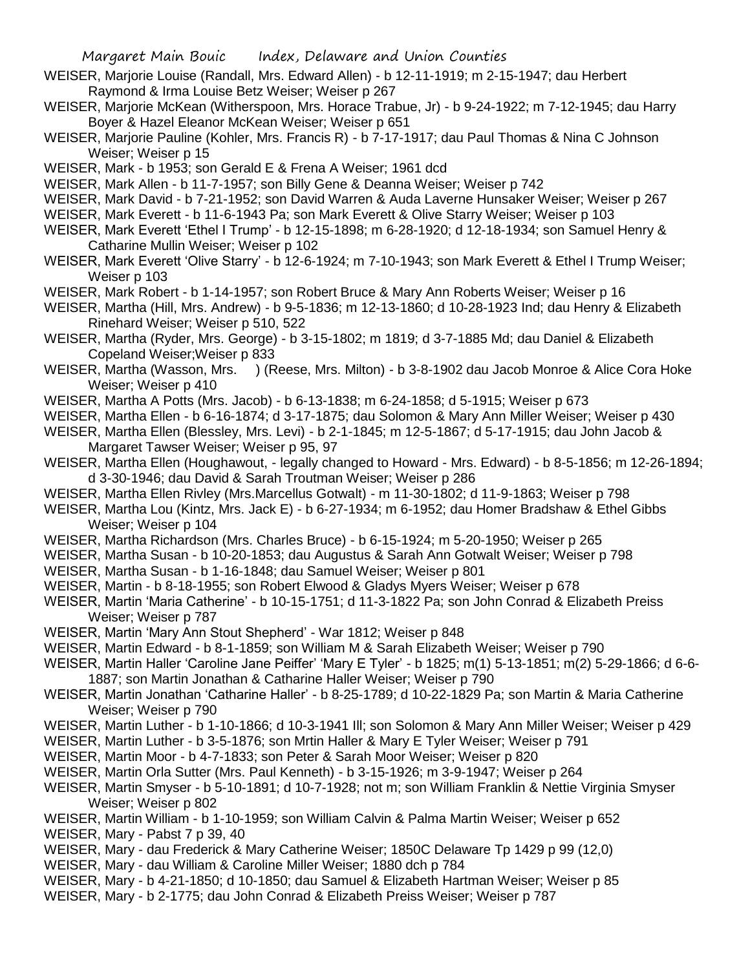- WEISER, Marjorie Louise (Randall, Mrs. Edward Allen) b 12-11-1919; m 2-15-1947; dau Herbert Raymond & Irma Louise Betz Weiser; Weiser p 267
- WEISER, Marjorie McKean (Witherspoon, Mrs. Horace Trabue, Jr) b 9-24-1922; m 7-12-1945; dau Harry Boyer & Hazel Eleanor McKean Weiser; Weiser p 651
- WEISER, Marjorie Pauline (Kohler, Mrs. Francis R) b 7-17-1917; dau Paul Thomas & Nina C Johnson Weiser; Weiser p 15
- WEISER, Mark b 1953; son Gerald E & Frena A Weiser; 1961 dcd
- WEISER, Mark Allen b 11-7-1957; son Billy Gene & Deanna Weiser; Weiser p 742
- WEISER, Mark David b 7-21-1952; son David Warren & Auda Laverne Hunsaker Weiser; Weiser p 267
- WEISER, Mark Everett b 11-6-1943 Pa; son Mark Everett & Olive Starry Weiser; Weiser p 103
- WEISER, Mark Everett 'Ethel I Trump' b 12-15-1898; m 6-28-1920; d 12-18-1934; son Samuel Henry & Catharine Mullin Weiser; Weiser p 102
- WEISER, Mark Everett 'Olive Starry' b 12-6-1924; m 7-10-1943; son Mark Everett & Ethel I Trump Weiser; Weiser p 103
- WEISER, Mark Robert b 1-14-1957; son Robert Bruce & Mary Ann Roberts Weiser; Weiser p 16
- WEISER, Martha (Hill, Mrs. Andrew) b 9-5-1836; m 12-13-1860; d 10-28-1923 Ind; dau Henry & Elizabeth Rinehard Weiser; Weiser p 510, 522
- WEISER, Martha (Ryder, Mrs. George) b 3-15-1802; m 1819; d 3-7-1885 Md; dau Daniel & Elizabeth Copeland Weiser;Weiser p 833
- WEISER, Martha (Wasson, Mrs. ) (Reese, Mrs. Milton) b 3-8-1902 dau Jacob Monroe & Alice Cora Hoke Weiser; Weiser p 410
- WEISER, Martha A Potts (Mrs. Jacob) b 6-13-1838; m 6-24-1858; d 5-1915; Weiser p 673
- WEISER, Martha Ellen b 6-16-1874; d 3-17-1875; dau Solomon & Mary Ann Miller Weiser; Weiser p 430
- WEISER, Martha Ellen (Blessley, Mrs. Levi) b 2-1-1845; m 12-5-1867; d 5-17-1915; dau John Jacob & Margaret Tawser Weiser; Weiser p 95, 97
- WEISER, Martha Ellen (Houghawout, legally changed to Howard Mrs. Edward) b 8-5-1856; m 12-26-1894; d 3-30-1946; dau David & Sarah Troutman Weiser; Weiser p 286
- WEISER, Martha Ellen Rivley (Mrs.Marcellus Gotwalt) m 11-30-1802; d 11-9-1863; Weiser p 798
- WEISER, Martha Lou (Kintz, Mrs. Jack E) b 6-27-1934; m 6-1952; dau Homer Bradshaw & Ethel Gibbs Weiser; Weiser p 104
- WEISER, Martha Richardson (Mrs. Charles Bruce) b 6-15-1924; m 5-20-1950; Weiser p 265
- WEISER, Martha Susan b 10-20-1853; dau Augustus & Sarah Ann Gotwalt Weiser; Weiser p 798
- WEISER, Martha Susan b 1-16-1848; dau Samuel Weiser; Weiser p 801
- WEISER, Martin b 8-18-1955; son Robert Elwood & Gladys Myers Weiser; Weiser p 678
- WEISER, Martin 'Maria Catherine' b 10-15-1751; d 11-3-1822 Pa; son John Conrad & Elizabeth Preiss Weiser; Weiser p 787
- WEISER, Martin 'Mary Ann Stout Shepherd' War 1812; Weiser p 848
- WEISER, Martin Edward b 8-1-1859; son William M & Sarah Elizabeth Weiser; Weiser p 790
- WEISER, Martin Haller 'Caroline Jane Peiffer' 'Mary E Tyler' b 1825; m(1) 5-13-1851; m(2) 5-29-1866; d 6-6- 1887; son Martin Jonathan & Catharine Haller Weiser; Weiser p 790
- WEISER, Martin Jonathan 'Catharine Haller' b 8-25-1789; d 10-22-1829 Pa; son Martin & Maria Catherine Weiser; Weiser p 790
- WEISER, Martin Luther b 1-10-1866; d 10-3-1941 Ill; son Solomon & Mary Ann Miller Weiser; Weiser p 429
- WEISER, Martin Luther b 3-5-1876; son Mrtin Haller & Mary E Tyler Weiser; Weiser p 791
- WEISER, Martin Moor b 4-7-1833; son Peter & Sarah Moor Weiser; Weiser p 820
- WEISER, Martin Orla Sutter (Mrs. Paul Kenneth) b 3-15-1926; m 3-9-1947; Weiser p 264
- WEISER, Martin Smyser b 5-10-1891; d 10-7-1928; not m; son William Franklin & Nettie Virginia Smyser Weiser; Weiser p 802
- WEISER, Martin William b 1-10-1959; son William Calvin & Palma Martin Weiser; Weiser p 652
- WEISER, Mary Pabst 7 p 39, 40
- WEISER, Mary dau Frederick & Mary Catherine Weiser; 1850C Delaware Tp 1429 p 99 (12,0)
- WEISER, Mary dau William & Caroline Miller Weiser; 1880 dch p 784
- WEISER, Mary b 4-21-1850; d 10-1850; dau Samuel & Elizabeth Hartman Weiser; Weiser p 85
- WEISER, Mary b 2-1775; dau John Conrad & Elizabeth Preiss Weiser; Weiser p 787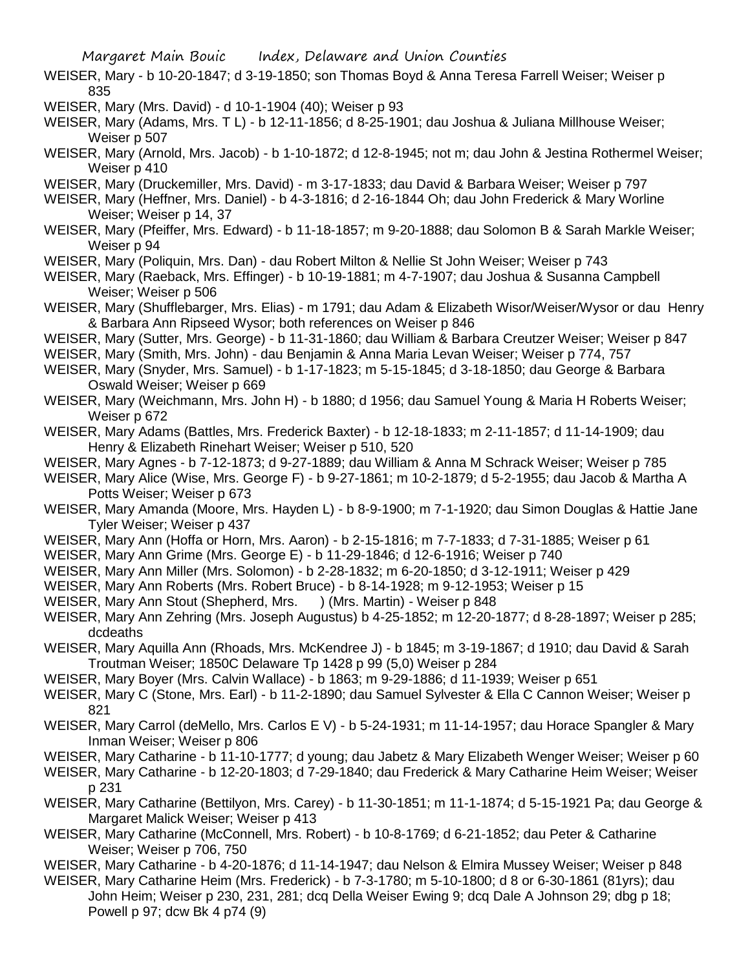- WEISER, Mary b 10-20-1847; d 3-19-1850; son Thomas Boyd & Anna Teresa Farrell Weiser; Weiser p 835
- WEISER, Mary (Mrs. David) d 10-1-1904 (40); Weiser p 93
- WEISER, Mary (Adams, Mrs. T L) b 12-11-1856; d 8-25-1901; dau Joshua & Juliana Millhouse Weiser; Weiser p 507
- WEISER, Mary (Arnold, Mrs. Jacob) b 1-10-1872; d 12-8-1945; not m; dau John & Jestina Rothermel Weiser; Weiser p 410
- WEISER, Mary (Druckemiller, Mrs. David) m 3-17-1833; dau David & Barbara Weiser; Weiser p 797
- WEISER, Mary (Heffner, Mrs. Daniel) b 4-3-1816; d 2-16-1844 Oh; dau John Frederick & Mary Worline Weiser; Weiser p 14, 37
- WEISER, Mary (Pfeiffer, Mrs. Edward) b 11-18-1857; m 9-20-1888; dau Solomon B & Sarah Markle Weiser; Weiser p 94
- WEISER, Mary (Poliquin, Mrs. Dan) dau Robert Milton & Nellie St John Weiser; Weiser p 743
- WEISER, Mary (Raeback, Mrs. Effinger) b 10-19-1881; m 4-7-1907; dau Joshua & Susanna Campbell Weiser; Weiser p 506
- WEISER, Mary (Shufflebarger, Mrs. Elias) m 1791; dau Adam & Elizabeth Wisor/Weiser/Wysor or dau Henry & Barbara Ann Ripseed Wysor; both references on Weiser p 846
- WEISER, Mary (Sutter, Mrs. George) b 11-31-1860; dau William & Barbara Creutzer Weiser; Weiser p 847
- WEISER, Mary (Smith, Mrs. John) dau Benjamin & Anna Maria Levan Weiser; Weiser p 774, 757
- WEISER, Mary (Snyder, Mrs. Samuel) b 1-17-1823; m 5-15-1845; d 3-18-1850; dau George & Barbara Oswald Weiser; Weiser p 669
- WEISER, Mary (Weichmann, Mrs. John H) b 1880; d 1956; dau Samuel Young & Maria H Roberts Weiser; Weiser p 672
- WEISER, Mary Adams (Battles, Mrs. Frederick Baxter) b 12-18-1833; m 2-11-1857; d 11-14-1909; dau Henry & Elizabeth Rinehart Weiser; Weiser p 510, 520
- WEISER, Mary Agnes b 7-12-1873; d 9-27-1889; dau William & Anna M Schrack Weiser; Weiser p 785
- WEISER, Mary Alice (Wise, Mrs. George F) b 9-27-1861; m 10-2-1879; d 5-2-1955; dau Jacob & Martha A Potts Weiser; Weiser p 673
- WEISER, Mary Amanda (Moore, Mrs. Hayden L) b 8-9-1900; m 7-1-1920; dau Simon Douglas & Hattie Jane Tyler Weiser; Weiser p 437
- WEISER, Mary Ann (Hoffa or Horn, Mrs. Aaron) b 2-15-1816; m 7-7-1833; d 7-31-1885; Weiser p 61
- WEISER, Mary Ann Grime (Mrs. George E) b 11-29-1846; d 12-6-1916; Weiser p 740
- WEISER, Mary Ann Miller (Mrs. Solomon) b 2-28-1832; m 6-20-1850; d 3-12-1911; Weiser p 429
- WEISER, Mary Ann Roberts (Mrs. Robert Bruce) b 8-14-1928; m 9-12-1953; Weiser p 15
- WEISER, Mary Ann Stout (Shepherd, Mrs. ) (Mrs. Martin) Weiser p 848
- WEISER, Mary Ann Zehring (Mrs. Joseph Augustus) b 4-25-1852; m 12-20-1877; d 8-28-1897; Weiser p 285; dcdeaths
- WEISER, Mary Aquilla Ann (Rhoads, Mrs. McKendree J) b 1845; m 3-19-1867; d 1910; dau David & Sarah Troutman Weiser; 1850C Delaware Tp 1428 p 99 (5,0) Weiser p 284
- WEISER, Mary Boyer (Mrs. Calvin Wallace) b 1863; m 9-29-1886; d 11-1939; Weiser p 651
- WEISER, Mary C (Stone, Mrs. Earl) b 11-2-1890; dau Samuel Sylvester & Ella C Cannon Weiser; Weiser p 821
- WEISER, Mary Carrol (deMello, Mrs. Carlos E V) b 5-24-1931; m 11-14-1957; dau Horace Spangler & Mary Inman Weiser; Weiser p 806
- WEISER, Mary Catharine b 11-10-1777; d young; dau Jabetz & Mary Elizabeth Wenger Weiser; Weiser p 60
- WEISER, Mary Catharine b 12-20-1803; d 7-29-1840; dau Frederick & Mary Catharine Heim Weiser; Weiser p 231
- WEISER, Mary Catharine (Bettilyon, Mrs. Carey) b 11-30-1851; m 11-1-1874; d 5-15-1921 Pa; dau George & Margaret Malick Weiser; Weiser p 413
- WEISER, Mary Catharine (McConnell, Mrs. Robert) b 10-8-1769; d 6-21-1852; dau Peter & Catharine Weiser; Weiser p 706, 750
- WEISER, Mary Catharine b 4-20-1876; d 11-14-1947; dau Nelson & Elmira Mussey Weiser; Weiser p 848
- WEISER, Mary Catharine Heim (Mrs. Frederick) b 7-3-1780; m 5-10-1800; d 8 or 6-30-1861 (81yrs); dau John Heim; Weiser p 230, 231, 281; dcq Della Weiser Ewing 9; dcq Dale A Johnson 29; dbg p 18; Powell p 97; dcw Bk 4 p74 (9)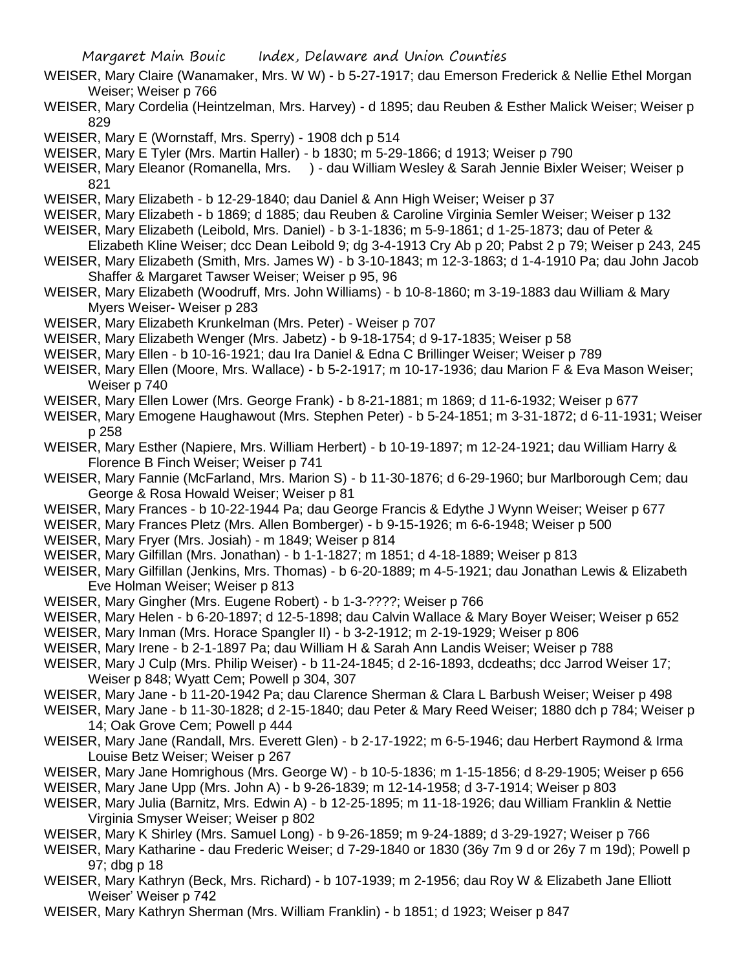- WEISER, Mary Claire (Wanamaker, Mrs. W W) b 5-27-1917; dau Emerson Frederick & Nellie Ethel Morgan Weiser; Weiser p 766
- WEISER, Mary Cordelia (Heintzelman, Mrs. Harvey) d 1895; dau Reuben & Esther Malick Weiser; Weiser p 829

WEISER, Mary E (Wornstaff, Mrs. Sperry) - 1908 dch p 514

WEISER, Mary E Tyler (Mrs. Martin Haller) - b 1830; m 5-29-1866; d 1913; Weiser p 790

WEISER, Mary Eleanor (Romanella, Mrs. ) - dau William Wesley & Sarah Jennie Bixler Weiser; Weiser p 821

WEISER, Mary Elizabeth - b 12-29-1840; dau Daniel & Ann High Weiser; Weiser p 37

- WEISER, Mary Elizabeth b 1869; d 1885; dau Reuben & Caroline Virginia Semler Weiser; Weiser p 132
- WEISER, Mary Elizabeth (Leibold, Mrs. Daniel) b 3-1-1836; m 5-9-1861; d 1-25-1873; dau of Peter &
- Elizabeth Kline Weiser; dcc Dean Leibold 9; dg 3-4-1913 Cry Ab p 20; Pabst 2 p 79; Weiser p 243, 245
- WEISER, Mary Elizabeth (Smith, Mrs. James W) b 3-10-1843; m 12-3-1863; d 1-4-1910 Pa; dau John Jacob Shaffer & Margaret Tawser Weiser; Weiser p 95, 96
- WEISER, Mary Elizabeth (Woodruff, Mrs. John Williams) b 10-8-1860; m 3-19-1883 dau William & Mary Myers Weiser- Weiser p 283
- WEISER, Mary Elizabeth Krunkelman (Mrs. Peter) Weiser p 707
- WEISER, Mary Elizabeth Wenger (Mrs. Jabetz) b 9-18-1754; d 9-17-1835; Weiser p 58
- WEISER, Mary Ellen b 10-16-1921; dau Ira Daniel & Edna C Brillinger Weiser; Weiser p 789
- WEISER, Mary Ellen (Moore, Mrs. Wallace) b 5-2-1917; m 10-17-1936; dau Marion F & Eva Mason Weiser; Weiser p 740
- WEISER, Mary Ellen Lower (Mrs. George Frank) b 8-21-1881; m 1869; d 11-6-1932; Weiser p 677
- WEISER, Mary Emogene Haughawout (Mrs. Stephen Peter) b 5-24-1851; m 3-31-1872; d 6-11-1931; Weiser p 258
- WEISER, Mary Esther (Napiere, Mrs. William Herbert) b 10-19-1897; m 12-24-1921; dau William Harry & Florence B Finch Weiser; Weiser p 741
- WEISER, Mary Fannie (McFarland, Mrs. Marion S) b 11-30-1876; d 6-29-1960; bur Marlborough Cem; dau George & Rosa Howald Weiser; Weiser p 81
- WEISER, Mary Frances b 10-22-1944 Pa; dau George Francis & Edythe J Wynn Weiser; Weiser p 677
- WEISER, Mary Frances Pletz (Mrs. Allen Bomberger) b 9-15-1926; m 6-6-1948; Weiser p 500

WEISER, Mary Fryer (Mrs. Josiah) - m 1849; Weiser p 814

WEISER, Mary Gilfillan (Mrs. Jonathan) - b 1-1-1827; m 1851; d 4-18-1889; Weiser p 813

- WEISER, Mary Gilfillan (Jenkins, Mrs. Thomas) b 6-20-1889; m 4-5-1921; dau Jonathan Lewis & Elizabeth Eve Holman Weiser; Weiser p 813
- WEISER, Mary Gingher (Mrs. Eugene Robert) b 1-3-????; Weiser p 766

WEISER, Mary Helen - b 6-20-1897; d 12-5-1898; dau Calvin Wallace & Mary Boyer Weiser; Weiser p 652

- WEISER, Mary Inman (Mrs. Horace Spangler II) b 3-2-1912; m 2-19-1929; Weiser p 806
- WEISER, Mary Irene b 2-1-1897 Pa; dau William H & Sarah Ann Landis Weiser; Weiser p 788
- WEISER, Mary J Culp (Mrs. Philip Weiser) b 11-24-1845; d 2-16-1893, dcdeaths; dcc Jarrod Weiser 17; Weiser p 848; Wyatt Cem; Powell p 304, 307
- WEISER, Mary Jane b 11-20-1942 Pa; dau Clarence Sherman & Clara L Barbush Weiser; Weiser p 498
- WEISER, Mary Jane b 11-30-1828; d 2-15-1840; dau Peter & Mary Reed Weiser; 1880 dch p 784; Weiser p 14; Oak Grove Cem; Powell p 444
- WEISER, Mary Jane (Randall, Mrs. Everett Glen) b 2-17-1922; m 6-5-1946; dau Herbert Raymond & Irma Louise Betz Weiser; Weiser p 267
- WEISER, Mary Jane Homrighous (Mrs. George W) b 10-5-1836; m 1-15-1856; d 8-29-1905; Weiser p 656
- WEISER, Mary Jane Upp (Mrs. John A) b 9-26-1839; m 12-14-1958; d 3-7-1914; Weiser p 803
- WEISER, Mary Julia (Barnitz, Mrs. Edwin A) b 12-25-1895; m 11-18-1926; dau William Franklin & Nettie Virginia Smyser Weiser; Weiser p 802
- WEISER, Mary K Shirley (Mrs. Samuel Long) b 9-26-1859; m 9-24-1889; d 3-29-1927; Weiser p 766
- WEISER, Mary Katharine dau Frederic Weiser; d 7-29-1840 or 1830 (36y 7m 9 d or 26y 7 m 19d); Powell p 97; dbg p 18
- WEISER, Mary Kathryn (Beck, Mrs. Richard) b 107-1939; m 2-1956; dau Roy W & Elizabeth Jane Elliott Weiser' Weiser p 742
- WEISER, Mary Kathryn Sherman (Mrs. William Franklin) b 1851; d 1923; Weiser p 847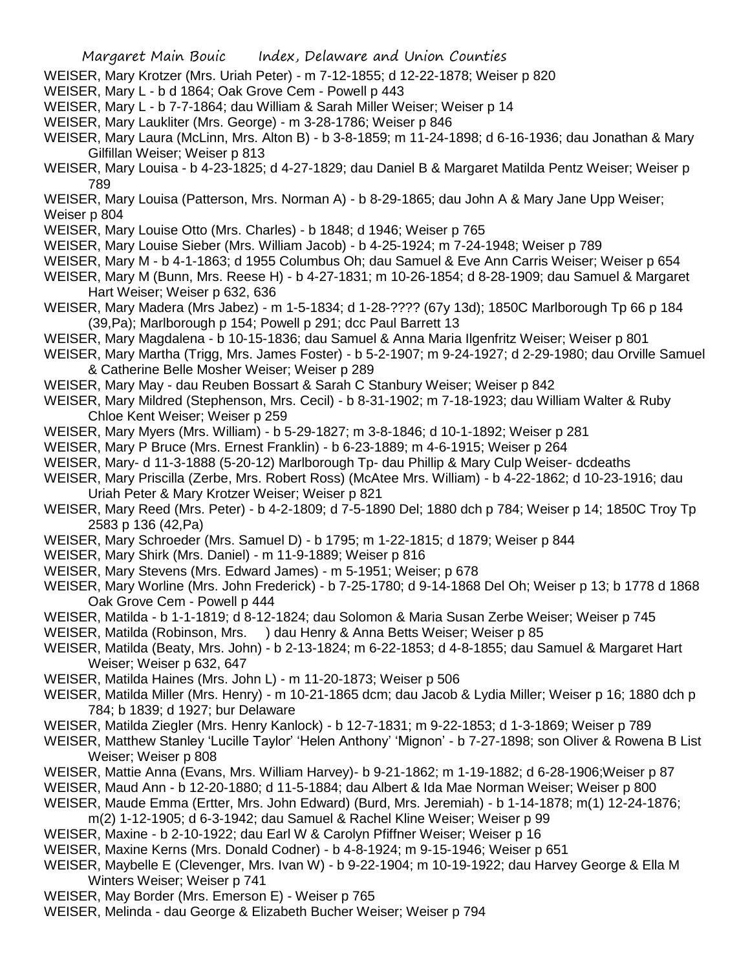- WEISER, Mary Krotzer (Mrs. Uriah Peter) m 7-12-1855; d 12-22-1878; Weiser p 820
- WEISER, Mary L b d 1864; Oak Grove Cem Powell p 443
- WEISER, Mary L b 7-7-1864; dau William & Sarah Miller Weiser; Weiser p 14
- WEISER, Mary Laukliter (Mrs. George) m 3-28-1786; Weiser p 846
- WEISER, Mary Laura (McLinn, Mrs. Alton B) b 3-8-1859; m 11-24-1898; d 6-16-1936; dau Jonathan & Mary Gilfillan Weiser; Weiser p 813
- WEISER, Mary Louisa b 4-23-1825; d 4-27-1829; dau Daniel B & Margaret Matilda Pentz Weiser; Weiser p 789

WEISER, Mary Louisa (Patterson, Mrs. Norman A) - b 8-29-1865; dau John A & Mary Jane Upp Weiser; Weiser p 804

- WEISER, Mary Louise Otto (Mrs. Charles) b 1848; d 1946; Weiser p 765
- WEISER, Mary Louise Sieber (Mrs. William Jacob) b 4-25-1924; m 7-24-1948; Weiser p 789
- WEISER, Mary M b 4-1-1863; d 1955 Columbus Oh; dau Samuel & Eve Ann Carris Weiser; Weiser p 654
- WEISER, Mary M (Bunn, Mrs. Reese H) b 4-27-1831; m 10-26-1854; d 8-28-1909; dau Samuel & Margaret Hart Weiser; Weiser p 632, 636
- WEISER, Mary Madera (Mrs Jabez) m 1-5-1834; d 1-28-???? (67y 13d); 1850C Marlborough Tp 66 p 184 (39,Pa); Marlborough p 154; Powell p 291; dcc Paul Barrett 13
- WEISER, Mary Magdalena b 10-15-1836; dau Samuel & Anna Maria Ilgenfritz Weiser; Weiser p 801
- WEISER, Mary Martha (Trigg, Mrs. James Foster) b 5-2-1907; m 9-24-1927; d 2-29-1980; dau Orville Samuel & Catherine Belle Mosher Weiser; Weiser p 289
- WEISER, Mary May dau Reuben Bossart & Sarah C Stanbury Weiser; Weiser p 842
- WEISER, Mary Mildred (Stephenson, Mrs. Cecil) b 8-31-1902; m 7-18-1923; dau William Walter & Ruby Chloe Kent Weiser; Weiser p 259
- WEISER, Mary Myers (Mrs. William) b 5-29-1827; m 3-8-1846; d 10-1-1892; Weiser p 281
- WEISER, Mary P Bruce (Mrs. Ernest Franklin) b 6-23-1889; m 4-6-1915; Weiser p 264
- WEISER, Mary- d 11-3-1888 (5-20-12) Marlborough Tp- dau Phillip & Mary Culp Weiser- dcdeaths
- WEISER, Mary Priscilla (Zerbe, Mrs. Robert Ross) (McAtee Mrs. William) b 4-22-1862; d 10-23-1916; dau Uriah Peter & Mary Krotzer Weiser; Weiser p 821
- WEISER, Mary Reed (Mrs. Peter) b 4-2-1809; d 7-5-1890 Del; 1880 dch p 784; Weiser p 14; 1850C Troy Tp 2583 p 136 (42,Pa)
- WEISER, Mary Schroeder (Mrs. Samuel D) b 1795; m 1-22-1815; d 1879; Weiser p 844
- WEISER, Mary Shirk (Mrs. Daniel) m 11-9-1889; Weiser p 816
- WEISER, Mary Stevens (Mrs. Edward James) m 5-1951; Weiser; p 678
- WEISER, Mary Worline (Mrs. John Frederick) b 7-25-1780; d 9-14-1868 Del Oh; Weiser p 13; b 1778 d 1868 Oak Grove Cem - Powell p 444
- WEISER, Matilda b 1-1-1819; d 8-12-1824; dau Solomon & Maria Susan Zerbe Weiser; Weiser p 745
- WEISER, Matilda (Robinson, Mrs. ) dau Henry & Anna Betts Weiser; Weiser p 85
- WEISER, Matilda (Beaty, Mrs. John) b 2-13-1824; m 6-22-1853; d 4-8-1855; dau Samuel & Margaret Hart Weiser; Weiser p 632, 647
- WEISER, Matilda Haines (Mrs. John L) m 11-20-1873; Weiser p 506
- WEISER, Matilda Miller (Mrs. Henry) m 10-21-1865 dcm; dau Jacob & Lydia Miller; Weiser p 16; 1880 dch p 784; b 1839; d 1927; bur Delaware
- WEISER, Matilda Ziegler (Mrs. Henry Kanlock) b 12-7-1831; m 9-22-1853; d 1-3-1869; Weiser p 789
- WEISER, Matthew Stanley 'Lucille Taylor' 'Helen Anthony' 'Mignon' b 7-27-1898; son Oliver & Rowena B List Weiser; Weiser p 808
- WEISER, Mattie Anna (Evans, Mrs. William Harvey)- b 9-21-1862; m 1-19-1882; d 6-28-1906;Weiser p 87
- WEISER, Maud Ann b 12-20-1880; d 11-5-1884; dau Albert & Ida Mae Norman Weiser; Weiser p 800
- WEISER, Maude Emma (Ertter, Mrs. John Edward) (Burd, Mrs. Jeremiah) b 1-14-1878; m(1) 12-24-1876;
	- m(2) 1-12-1905; d 6-3-1942; dau Samuel & Rachel Kline Weiser; Weiser p 99
- WEISER, Maxine b 2-10-1922; dau Earl W & Carolyn Pfiffner Weiser; Weiser p 16
- WEISER, Maxine Kerns (Mrs. Donald Codner) b 4-8-1924; m 9-15-1946; Weiser p 651
- WEISER, Maybelle E (Clevenger, Mrs. Ivan W) b 9-22-1904; m 10-19-1922; dau Harvey George & Ella M Winters Weiser; Weiser p 741
- WEISER, May Border (Mrs. Emerson E) Weiser p 765
- WEISER, Melinda dau George & Elizabeth Bucher Weiser; Weiser p 794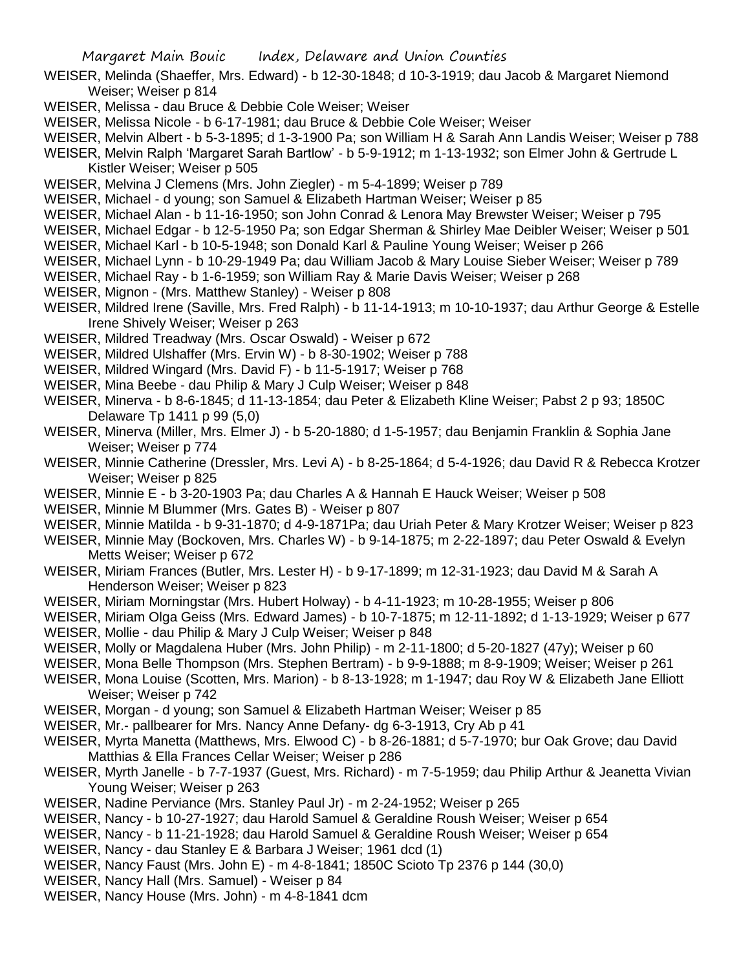- WEISER, Melinda (Shaeffer, Mrs. Edward) b 12-30-1848; d 10-3-1919; dau Jacob & Margaret Niemond Weiser; Weiser p 814
- WEISER, Melissa dau Bruce & Debbie Cole Weiser; Weiser
- WEISER, Melissa Nicole b 6-17-1981; dau Bruce & Debbie Cole Weiser; Weiser
- WEISER, Melvin Albert b 5-3-1895; d 1-3-1900 Pa; son William H & Sarah Ann Landis Weiser; Weiser p 788
- WEISER, Melvin Ralph 'Margaret Sarah Bartlow' b 5-9-1912; m 1-13-1932; son Elmer John & Gertrude L Kistler Weiser; Weiser p 505
- WEISER, Melvina J Clemens (Mrs. John Ziegler) m 5-4-1899; Weiser p 789
- WEISER, Michael d young; son Samuel & Elizabeth Hartman Weiser; Weiser p 85
- WEISER, Michael Alan b 11-16-1950; son John Conrad & Lenora May Brewster Weiser; Weiser p 795
- WEISER, Michael Edgar b 12-5-1950 Pa; son Edgar Sherman & Shirley Mae Deibler Weiser; Weiser p 501
- WEISER, Michael Karl b 10-5-1948; son Donald Karl & Pauline Young Weiser; Weiser p 266
- WEISER, Michael Lynn b 10-29-1949 Pa; dau William Jacob & Mary Louise Sieber Weiser; Weiser p 789
- WEISER, Michael Ray b 1-6-1959; son William Ray & Marie Davis Weiser; Weiser p 268
- WEISER, Mignon (Mrs. Matthew Stanley) Weiser p 808
- WEISER, Mildred Irene (Saville, Mrs. Fred Ralph) b 11-14-1913; m 10-10-1937; dau Arthur George & Estelle Irene Shively Weiser; Weiser p 263
- WEISER, Mildred Treadway (Mrs. Oscar Oswald) Weiser p 672
- WEISER, Mildred Ulshaffer (Mrs. Ervin W) b 8-30-1902; Weiser p 788
- WEISER, Mildred Wingard (Mrs. David F) b 11-5-1917; Weiser p 768
- WEISER, Mina Beebe dau Philip & Mary J Culp Weiser; Weiser p 848
- WEISER, Minerva b 8-6-1845; d 11-13-1854; dau Peter & Elizabeth Kline Weiser; Pabst 2 p 93; 1850C Delaware Tp 1411 p 99 (5,0)
- WEISER, Minerva (Miller, Mrs. Elmer J) b 5-20-1880; d 1-5-1957; dau Benjamin Franklin & Sophia Jane Weiser; Weiser p 774
- WEISER, Minnie Catherine (Dressler, Mrs. Levi A) b 8-25-1864; d 5-4-1926; dau David R & Rebecca Krotzer Weiser; Weiser p 825
- WEISER, Minnie E b 3-20-1903 Pa; dau Charles A & Hannah E Hauck Weiser; Weiser p 508
- WEISER, Minnie M Blummer (Mrs. Gates B) Weiser p 807
- WEISER, Minnie Matilda b 9-31-1870; d 4-9-1871Pa; dau Uriah Peter & Mary Krotzer Weiser; Weiser p 823
- WEISER, Minnie May (Bockoven, Mrs. Charles W) b 9-14-1875; m 2-22-1897; dau Peter Oswald & Evelyn Metts Weiser; Weiser p 672
- WEISER, Miriam Frances (Butler, Mrs. Lester H) b 9-17-1899; m 12-31-1923; dau David M & Sarah A Henderson Weiser; Weiser p 823
- WEISER, Miriam Morningstar (Mrs. Hubert Holway) b 4-11-1923; m 10-28-1955; Weiser p 806
- WEISER, Miriam Olga Geiss (Mrs. Edward James) b 10-7-1875; m 12-11-1892; d 1-13-1929; Weiser p 677 WEISER, Mollie - dau Philip & Mary J Culp Weiser; Weiser p 848
- WEISER, Molly or Magdalena Huber (Mrs. John Philip) m 2-11-1800; d 5-20-1827 (47y); Weiser p 60
- WEISER, Mona Belle Thompson (Mrs. Stephen Bertram) b 9-9-1888; m 8-9-1909; Weiser; Weiser p 261
- WEISER, Mona Louise (Scotten, Mrs. Marion) b 8-13-1928; m 1-1947; dau Roy W & Elizabeth Jane Elliott Weiser; Weiser p 742
- WEISER, Morgan d young; son Samuel & Elizabeth Hartman Weiser; Weiser p 85
- WEISER, Mr.- pallbearer for Mrs. Nancy Anne Defany- dg 6-3-1913, Cry Ab p 41
- WEISER, Myrta Manetta (Matthews, Mrs. Elwood C) b 8-26-1881; d 5-7-1970; bur Oak Grove; dau David Matthias & Ella Frances Cellar Weiser; Weiser p 286
- WEISER, Myrth Janelle b 7-7-1937 (Guest, Mrs. Richard) m 7-5-1959; dau Philip Arthur & Jeanetta Vivian Young Weiser; Weiser p 263
- WEISER, Nadine Perviance (Mrs. Stanley Paul Jr) m 2-24-1952; Weiser p 265
- WEISER, Nancy b 10-27-1927; dau Harold Samuel & Geraldine Roush Weiser; Weiser p 654
- WEISER, Nancy b 11-21-1928; dau Harold Samuel & Geraldine Roush Weiser; Weiser p 654
- WEISER, Nancy dau Stanley E & Barbara J Weiser; 1961 dcd (1)
- WEISER, Nancy Faust (Mrs. John E) m 4-8-1841; 1850C Scioto Tp 2376 p 144 (30,0)
- WEISER, Nancy Hall (Mrs. Samuel) Weiser p 84
- WEISER, Nancy House (Mrs. John) m 4-8-1841 dcm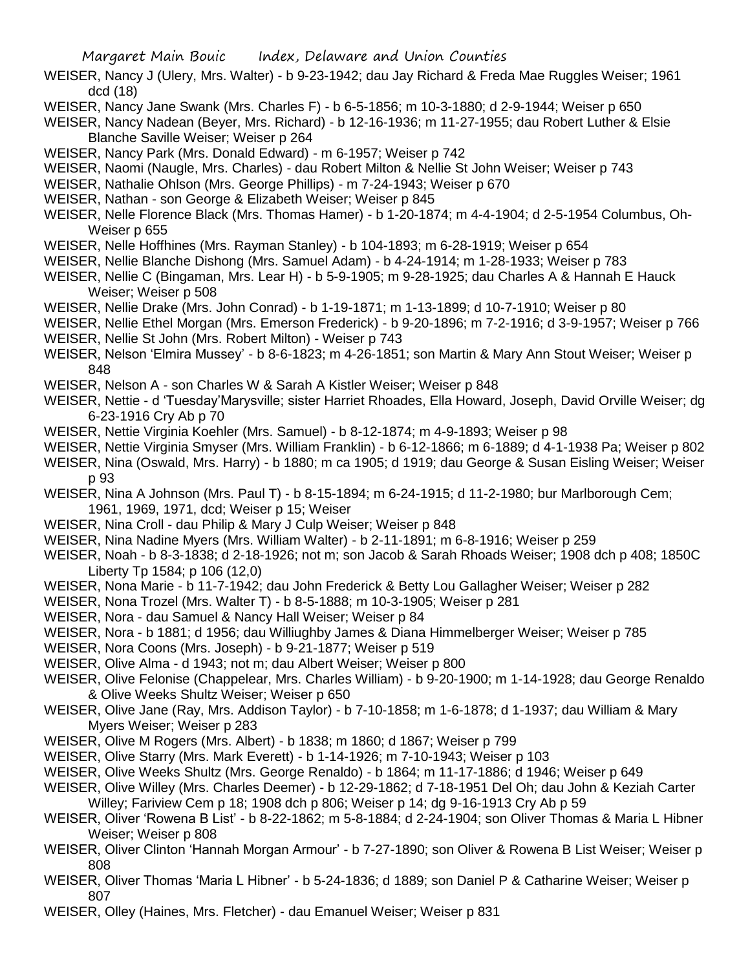- WEISER, Nancy J (Ulery, Mrs. Walter) b 9-23-1942; dau Jay Richard & Freda Mae Ruggles Weiser; 1961 dcd (18)
- WEISER, Nancy Jane Swank (Mrs. Charles F) b 6-5-1856; m 10-3-1880; d 2-9-1944; Weiser p 650
- WEISER, Nancy Nadean (Beyer, Mrs. Richard) b 12-16-1936; m 11-27-1955; dau Robert Luther & Elsie Blanche Saville Weiser; Weiser p 264
- WEISER, Nancy Park (Mrs. Donald Edward) m 6-1957; Weiser p 742
- WEISER, Naomi (Naugle, Mrs. Charles) dau Robert Milton & Nellie St John Weiser; Weiser p 743
- WEISER, Nathalie Ohlson (Mrs. George Phillips) m 7-24-1943; Weiser p 670
- WEISER, Nathan son George & Elizabeth Weiser; Weiser p 845
- WEISER, Nelle Florence Black (Mrs. Thomas Hamer) b 1-20-1874; m 4-4-1904; d 2-5-1954 Columbus, Oh-Weiser p 655
- WEISER, Nelle Hoffhines (Mrs. Rayman Stanley) b 104-1893; m 6-28-1919; Weiser p 654
- WEISER, Nellie Blanche Dishong (Mrs. Samuel Adam) b 4-24-1914; m 1-28-1933; Weiser p 783
- WEISER, Nellie C (Bingaman, Mrs. Lear H) b 5-9-1905; m 9-28-1925; dau Charles A & Hannah E Hauck Weiser; Weiser p 508
- WEISER, Nellie Drake (Mrs. John Conrad) b 1-19-1871; m 1-13-1899; d 10-7-1910; Weiser p 80
- WEISER, Nellie Ethel Morgan (Mrs. Emerson Frederick) b 9-20-1896; m 7-2-1916; d 3-9-1957; Weiser p 766
- WEISER, Nellie St John (Mrs. Robert Milton) Weiser p 743
- WEISER, Nelson 'Elmira Mussey' b 8-6-1823; m 4-26-1851; son Martin & Mary Ann Stout Weiser; Weiser p 848
- WEISER, Nelson A son Charles W & Sarah A Kistler Weiser; Weiser p 848
- WEISER, Nettie d 'Tuesday'Marysville; sister Harriet Rhoades, Ella Howard, Joseph, David Orville Weiser; dg 6-23-1916 Cry Ab p 70
- WEISER, Nettie Virginia Koehler (Mrs. Samuel) b 8-12-1874; m 4-9-1893; Weiser p 98
- WEISER, Nettie Virginia Smyser (Mrs. William Franklin) b 6-12-1866; m 6-1889; d 4-1-1938 Pa; Weiser p 802
- WEISER, Nina (Oswald, Mrs. Harry) b 1880; m ca 1905; d 1919; dau George & Susan Eisling Weiser; Weiser p 93
- WEISER, Nina A Johnson (Mrs. Paul T) b 8-15-1894; m 6-24-1915; d 11-2-1980; bur Marlborough Cem; 1961, 1969, 1971, dcd; Weiser p 15; Weiser
- WEISER, Nina Croll dau Philip & Mary J Culp Weiser; Weiser p 848
- WEISER, Nina Nadine Myers (Mrs. William Walter) b 2-11-1891; m 6-8-1916; Weiser p 259
- WEISER, Noah b 8-3-1838; d 2-18-1926; not m; son Jacob & Sarah Rhoads Weiser; 1908 dch p 408; 1850C Liberty Tp 1584; p 106 (12,0)
- WEISER, Nona Marie b 11-7-1942; dau John Frederick & Betty Lou Gallagher Weiser; Weiser p 282
- WEISER, Nona Trozel (Mrs. Walter T) b 8-5-1888; m 10-3-1905; Weiser p 281
- WEISER, Nora dau Samuel & Nancy Hall Weiser; Weiser p 84
- WEISER, Nora b 1881; d 1956; dau Williughby James & Diana Himmelberger Weiser; Weiser p 785
- WEISER, Nora Coons (Mrs. Joseph) b 9-21-1877; Weiser p 519
- WEISER, Olive Alma d 1943; not m; dau Albert Weiser; Weiser p 800
- WEISER, Olive Felonise (Chappelear, Mrs. Charles William) b 9-20-1900; m 1-14-1928; dau George Renaldo & Olive Weeks Shultz Weiser; Weiser p 650
- WEISER, Olive Jane (Ray, Mrs. Addison Taylor) b 7-10-1858; m 1-6-1878; d 1-1937; dau William & Mary Myers Weiser; Weiser p 283
- WEISER, Olive M Rogers (Mrs. Albert) b 1838; m 1860; d 1867; Weiser p 799
- WEISER, Olive Starry (Mrs. Mark Everett) b 1-14-1926; m 7-10-1943; Weiser p 103
- WEISER, Olive Weeks Shultz (Mrs. George Renaldo) b 1864; m 11-17-1886; d 1946; Weiser p 649
- WEISER, Olive Willey (Mrs. Charles Deemer) b 12-29-1862; d 7-18-1951 Del Oh; dau John & Keziah Carter Willey; Fariview Cem p 18; 1908 dch p 806; Weiser p 14; dg 9-16-1913 Cry Ab p 59
- WEISER, Oliver 'Rowena B List' b 8-22-1862; m 5-8-1884; d 2-24-1904; son Oliver Thomas & Maria L Hibner Weiser; Weiser p 808
- WEISER, Oliver Clinton 'Hannah Morgan Armour' b 7-27-1890; son Oliver & Rowena B List Weiser; Weiser p 808
- WEISER, Oliver Thomas 'Maria L Hibner' b 5-24-1836; d 1889; son Daniel P & Catharine Weiser; Weiser p 807
- WEISER, Olley (Haines, Mrs. Fletcher) dau Emanuel Weiser; Weiser p 831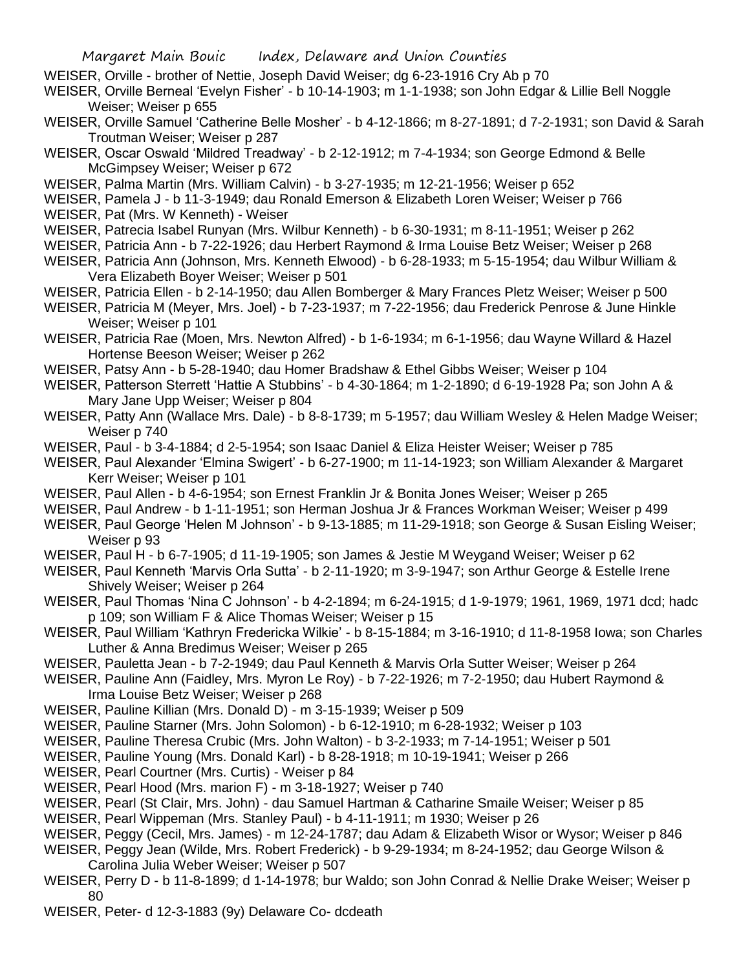WEISER, Orville - brother of Nettie, Joseph David Weiser; dg 6-23-1916 Cry Ab p 70

WEISER, Orville Berneal 'Evelyn Fisher' - b 10-14-1903; m 1-1-1938; son John Edgar & Lillie Bell Noggle Weiser; Weiser p 655

- WEISER, Orville Samuel 'Catherine Belle Mosher' b 4-12-1866; m 8-27-1891; d 7-2-1931; son David & Sarah Troutman Weiser; Weiser p 287
- WEISER, Oscar Oswald 'Mildred Treadway' b 2-12-1912; m 7-4-1934; son George Edmond & Belle McGimpsey Weiser; Weiser p 672

WEISER, Palma Martin (Mrs. William Calvin) - b 3-27-1935; m 12-21-1956; Weiser p 652

WEISER, Pamela J - b 11-3-1949; dau Ronald Emerson & Elizabeth Loren Weiser; Weiser p 766

WEISER, Pat (Mrs. W Kenneth) - Weiser

- WEISER, Patrecia Isabel Runyan (Mrs. Wilbur Kenneth) b 6-30-1931; m 8-11-1951; Weiser p 262
- WEISER, Patricia Ann b 7-22-1926; dau Herbert Raymond & Irma Louise Betz Weiser; Weiser p 268
- WEISER, Patricia Ann (Johnson, Mrs. Kenneth Elwood) b 6-28-1933; m 5-15-1954; dau Wilbur William & Vera Elizabeth Boyer Weiser; Weiser p 501
- WEISER, Patricia Ellen b 2-14-1950; dau Allen Bomberger & Mary Frances Pletz Weiser; Weiser p 500
- WEISER, Patricia M (Meyer, Mrs. Joel) b 7-23-1937; m 7-22-1956; dau Frederick Penrose & June Hinkle Weiser; Weiser p 101
- WEISER, Patricia Rae (Moen, Mrs. Newton Alfred) b 1-6-1934; m 6-1-1956; dau Wayne Willard & Hazel Hortense Beeson Weiser; Weiser p 262

WEISER, Patsy Ann - b 5-28-1940; dau Homer Bradshaw & Ethel Gibbs Weiser; Weiser p 104

- WEISER, Patterson Sterrett 'Hattie A Stubbins' b 4-30-1864; m 1-2-1890; d 6-19-1928 Pa; son John A & Mary Jane Upp Weiser; Weiser p 804
- WEISER, Patty Ann (Wallace Mrs. Dale) b 8-8-1739; m 5-1957; dau William Wesley & Helen Madge Weiser; Weiser p 740
- WEISER, Paul b 3-4-1884; d 2-5-1954; son Isaac Daniel & Eliza Heister Weiser; Weiser p 785
- WEISER, Paul Alexander 'Elmina Swigert' b 6-27-1900; m 11-14-1923; son William Alexander & Margaret Kerr Weiser; Weiser p 101
- WEISER, Paul Allen b 4-6-1954; son Ernest Franklin Jr & Bonita Jones Weiser; Weiser p 265
- WEISER, Paul Andrew b 1-11-1951; son Herman Joshua Jr & Frances Workman Weiser; Weiser p 499
- WEISER, Paul George 'Helen M Johnson' b 9-13-1885; m 11-29-1918; son George & Susan Eisling Weiser; Weiser p 93
- WEISER, Paul H b 6-7-1905; d 11-19-1905; son James & Jestie M Weygand Weiser; Weiser p 62
- WEISER, Paul Kenneth 'Marvis Orla Sutta' b 2-11-1920; m 3-9-1947; son Arthur George & Estelle Irene Shively Weiser; Weiser p 264
- WEISER, Paul Thomas 'Nina C Johnson' b 4-2-1894; m 6-24-1915; d 1-9-1979; 1961, 1969, 1971 dcd; hadc p 109; son William F & Alice Thomas Weiser; Weiser p 15
- WEISER, Paul William 'Kathryn Fredericka Wilkie' b 8-15-1884; m 3-16-1910; d 11-8-1958 Iowa; son Charles Luther & Anna Bredimus Weiser; Weiser p 265
- WEISER, Pauletta Jean b 7-2-1949; dau Paul Kenneth & Marvis Orla Sutter Weiser; Weiser p 264
- WEISER, Pauline Ann (Faidley, Mrs. Myron Le Roy) b 7-22-1926; m 7-2-1950; dau Hubert Raymond & Irma Louise Betz Weiser; Weiser p 268
- WEISER, Pauline Killian (Mrs. Donald D) m 3-15-1939; Weiser p 509
- WEISER, Pauline Starner (Mrs. John Solomon) b 6-12-1910; m 6-28-1932; Weiser p 103
- WEISER, Pauline Theresa Crubic (Mrs. John Walton) b 3-2-1933; m 7-14-1951; Weiser p 501
- WEISER, Pauline Young (Mrs. Donald Karl) b 8-28-1918; m 10-19-1941; Weiser p 266
- WEISER, Pearl Courtner (Mrs. Curtis) Weiser p 84
- WEISER, Pearl Hood (Mrs. marion F) m 3-18-1927; Weiser p 740
- WEISER, Pearl (St Clair, Mrs. John) dau Samuel Hartman & Catharine Smaile Weiser; Weiser p 85
- WEISER, Pearl Wippeman (Mrs. Stanley Paul) b 4-11-1911; m 1930; Weiser p 26
- WEISER, Peggy (Cecil, Mrs. James) m 12-24-1787; dau Adam & Elizabeth Wisor or Wysor; Weiser p 846
- WEISER, Peggy Jean (Wilde, Mrs. Robert Frederick) b 9-29-1934; m 8-24-1952; dau George Wilson & Carolina Julia Weber Weiser; Weiser p 507
- WEISER, Perry D b 11-8-1899; d 1-14-1978; bur Waldo; son John Conrad & Nellie Drake Weiser; Weiser p 80
- WEISER, Peter- d 12-3-1883 (9y) Delaware Co- dcdeath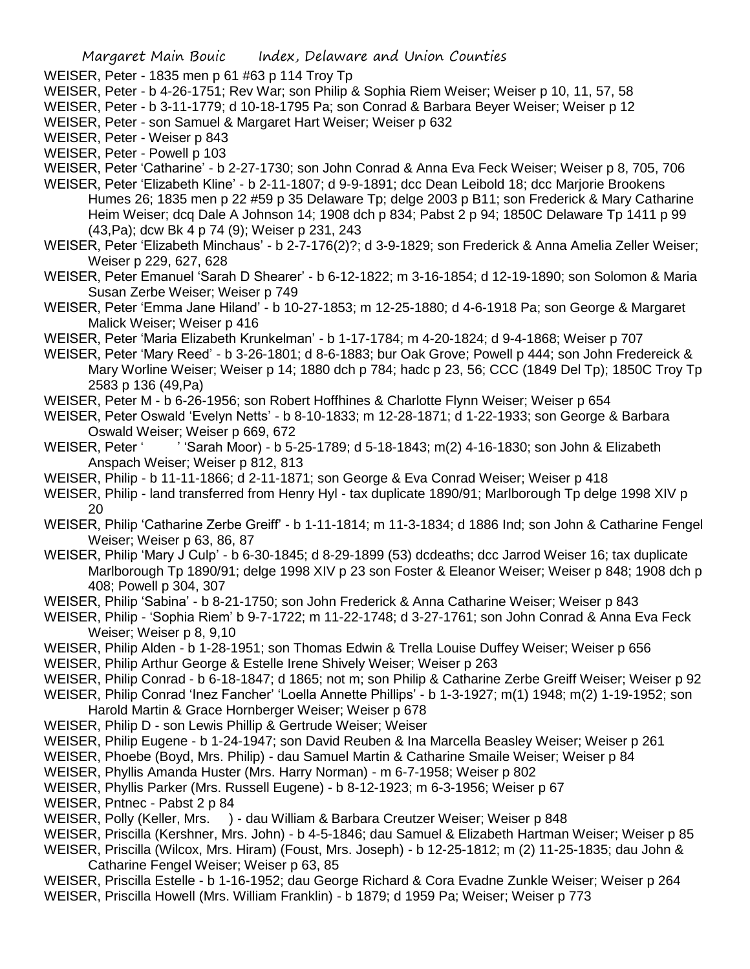WEISER, Peter - 1835 men p 61 #63 p 114 Troy Tp

- WEISER, Peter b 4-26-1751; Rev War; son Philip & Sophia Riem Weiser; Weiser p 10, 11, 57, 58
- WEISER, Peter b 3-11-1779; d 10-18-1795 Pa; son Conrad & Barbara Beyer Weiser; Weiser p 12
- WEISER, Peter son Samuel & Margaret Hart Weiser; Weiser p 632
- WEISER, Peter Weiser p 843
- WEISER, Peter Powell p 103

WEISER, Peter 'Catharine' - b 2-27-1730; son John Conrad & Anna Eva Feck Weiser; Weiser p 8, 705, 706

- WEISER, Peter 'Elizabeth Kline' b 2-11-1807; d 9-9-1891; dcc Dean Leibold 18; dcc Marjorie Brookens Humes 26; 1835 men p 22 #59 p 35 Delaware Tp; delge 2003 p B11; son Frederick & Mary Catharine Heim Weiser; dcq Dale A Johnson 14; 1908 dch p 834; Pabst 2 p 94; 1850C Delaware Tp 1411 p 99 (43,Pa); dcw Bk 4 p 74 (9); Weiser p 231, 243
- WEISER, Peter 'Elizabeth Minchaus' b 2-7-176(2)?; d 3-9-1829; son Frederick & Anna Amelia Zeller Weiser; Weiser p 229, 627, 628
- WEISER, Peter Emanuel 'Sarah D Shearer' b 6-12-1822; m 3-16-1854; d 12-19-1890; son Solomon & Maria Susan Zerbe Weiser; Weiser p 749
- WEISER, Peter 'Emma Jane Hiland' b 10-27-1853; m 12-25-1880; d 4-6-1918 Pa; son George & Margaret Malick Weiser; Weiser p 416
- WEISER, Peter 'Maria Elizabeth Krunkelman' b 1-17-1784; m 4-20-1824; d 9-4-1868; Weiser p 707
- WEISER, Peter 'Mary Reed' b 3-26-1801; d 8-6-1883; bur Oak Grove; Powell p 444; son John Fredereick & Mary Worline Weiser; Weiser p 14; 1880 dch p 784; hadc p 23, 56; CCC (1849 Del Tp); 1850C Troy Tp 2583 p 136 (49,Pa)
- WEISER, Peter M b 6-26-1956; son Robert Hoffhines & Charlotte Flynn Weiser; Weiser p 654
- WEISER, Peter Oswald 'Evelyn Netts' b 8-10-1833; m 12-28-1871; d 1-22-1933; son George & Barbara Oswald Weiser; Weiser p 669, 672
- WEISER, Peter ' ' 'Sarah Moor) b 5-25-1789; d 5-18-1843; m(2) 4-16-1830; son John & Elizabeth Anspach Weiser; Weiser p 812, 813
- WEISER, Philip b 11-11-1866; d 2-11-1871; son George & Eva Conrad Weiser; Weiser p 418
- WEISER, Philip land transferred from Henry Hyl tax duplicate 1890/91; Marlborough Tp delge 1998 XIV p 20
- WEISER, Philip 'Catharine Zerbe Greiff' b 1-11-1814; m 11-3-1834; d 1886 Ind; son John & Catharine Fengel Weiser; Weiser p 63, 86, 87
- WEISER, Philip 'Mary J Culp' b 6-30-1845; d 8-29-1899 (53) dcdeaths; dcc Jarrod Weiser 16; tax duplicate Marlborough Tp 1890/91; delge 1998 XIV p 23 son Foster & Eleanor Weiser; Weiser p 848; 1908 dch p 408; Powell p 304, 307
- WEISER, Philip 'Sabina' b 8-21-1750; son John Frederick & Anna Catharine Weiser; Weiser p 843
- WEISER, Philip 'Sophia Riem' b 9-7-1722; m 11-22-1748; d 3-27-1761; son John Conrad & Anna Eva Feck Weiser; Weiser p 8, 9,10
- WEISER, Philip Alden b 1-28-1951; son Thomas Edwin & Trella Louise Duffey Weiser; Weiser p 656
- WEISER, Philip Arthur George & Estelle Irene Shively Weiser; Weiser p 263
- WEISER, Philip Conrad b 6-18-1847; d 1865; not m; son Philip & Catharine Zerbe Greiff Weiser; Weiser p 92
- WEISER, Philip Conrad 'Inez Fancher' 'Loella Annette Phillips' b 1-3-1927; m(1) 1948; m(2) 1-19-1952; son Harold Martin & Grace Hornberger Weiser; Weiser p 678
- WEISER, Philip D son Lewis Phillip & Gertrude Weiser; Weiser
- WEISER, Philip Eugene b 1-24-1947; son David Reuben & Ina Marcella Beasley Weiser; Weiser p 261
- WEISER, Phoebe (Boyd, Mrs. Philip) dau Samuel Martin & Catharine Smaile Weiser; Weiser p 84
- WEISER, Phyllis Amanda Huster (Mrs. Harry Norman) m 6-7-1958; Weiser p 802
- WEISER, Phyllis Parker (Mrs. Russell Eugene) b 8-12-1923; m 6-3-1956; Weiser p 67
- WEISER, Pntnec Pabst 2 p 84
- WEISER, Polly (Keller, Mrs. ) dau William & Barbara Creutzer Weiser; Weiser p 848
- WEISER, Priscilla (Kershner, Mrs. John) b 4-5-1846; dau Samuel & Elizabeth Hartman Weiser; Weiser p 85
- WEISER, Priscilla (Wilcox, Mrs. Hiram) (Foust, Mrs. Joseph) b 12-25-1812; m (2) 11-25-1835; dau John & Catharine Fengel Weiser; Weiser p 63, 85
- WEISER, Priscilla Estelle b 1-16-1952; dau George Richard & Cora Evadne Zunkle Weiser; Weiser p 264 WEISER, Priscilla Howell (Mrs. William Franklin) - b 1879; d 1959 Pa; Weiser; Weiser p 773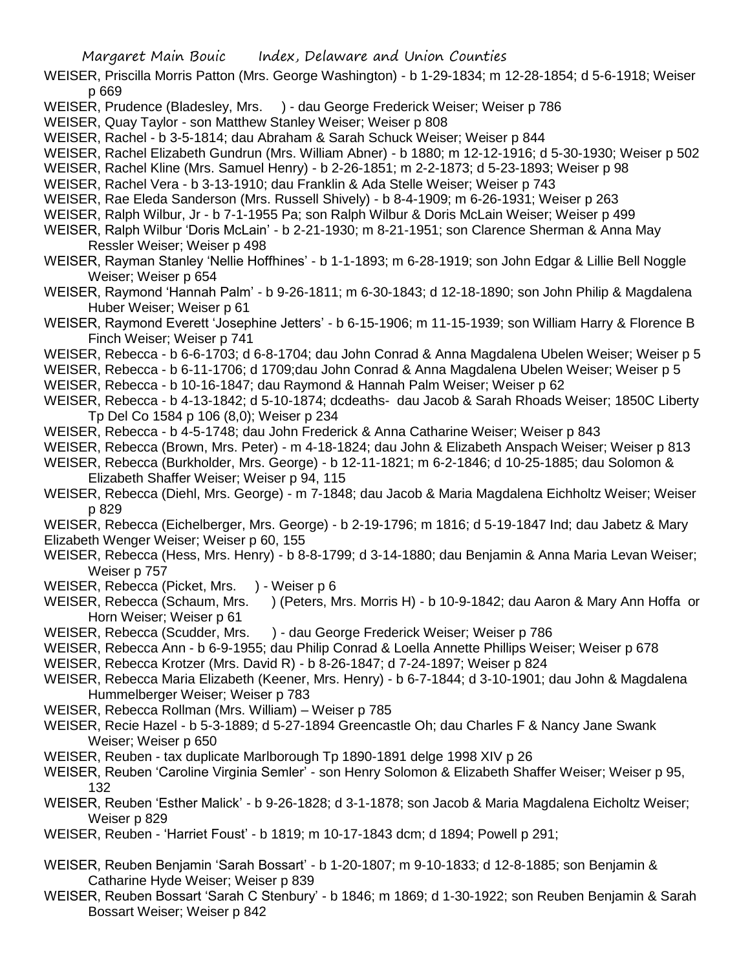- WEISER, Priscilla Morris Patton (Mrs. George Washington) b 1-29-1834; m 12-28-1854; d 5-6-1918; Weiser p 669
- WEISER, Prudence (Bladesley, Mrs. ) dau George Frederick Weiser; Weiser p 786
- WEISER, Quay Taylor son Matthew Stanley Weiser; Weiser p 808
- WEISER, Rachel b 3-5-1814; dau Abraham & Sarah Schuck Weiser; Weiser p 844
- WEISER, Rachel Elizabeth Gundrun (Mrs. William Abner) b 1880; m 12-12-1916; d 5-30-1930; Weiser p 502
- WEISER, Rachel Kline (Mrs. Samuel Henry) b 2-26-1851; m 2-2-1873; d 5-23-1893; Weiser p 98
- WEISER, Rachel Vera b 3-13-1910; dau Franklin & Ada Stelle Weiser; Weiser p 743
- WEISER, Rae Eleda Sanderson (Mrs. Russell Shively) b 8-4-1909; m 6-26-1931; Weiser p 263
- WEISER, Ralph Wilbur, Jr b 7-1-1955 Pa; son Ralph Wilbur & Doris McLain Weiser; Weiser p 499
- WEISER, Ralph Wilbur 'Doris McLain' b 2-21-1930; m 8-21-1951; son Clarence Sherman & Anna May Ressler Weiser; Weiser p 498
- WEISER, Rayman Stanley 'Nellie Hoffhines' b 1-1-1893; m 6-28-1919; son John Edgar & Lillie Bell Noggle Weiser; Weiser p 654
- WEISER, Raymond 'Hannah Palm' b 9-26-1811; m 6-30-1843; d 12-18-1890; son John Philip & Magdalena Huber Weiser; Weiser p 61
- WEISER, Raymond Everett 'Josephine Jetters' b 6-15-1906; m 11-15-1939; son William Harry & Florence B Finch Weiser; Weiser p 741
- WEISER, Rebecca b 6-6-1703; d 6-8-1704; dau John Conrad & Anna Magdalena Ubelen Weiser; Weiser p 5
- WEISER, Rebecca b 6-11-1706; d 1709;dau John Conrad & Anna Magdalena Ubelen Weiser; Weiser p 5
- WEISER, Rebecca b 10-16-1847; dau Raymond & Hannah Palm Weiser; Weiser p 62
- WEISER, Rebecca b 4-13-1842; d 5-10-1874; dcdeaths- dau Jacob & Sarah Rhoads Weiser; 1850C Liberty Tp Del Co 1584 p 106 (8,0); Weiser p 234
- WEISER, Rebecca b 4-5-1748; dau John Frederick & Anna Catharine Weiser; Weiser p 843
- WEISER, Rebecca (Brown, Mrs. Peter) m 4-18-1824; dau John & Elizabeth Anspach Weiser; Weiser p 813
- WEISER, Rebecca (Burkholder, Mrs. George) b 12-11-1821; m 6-2-1846; d 10-25-1885; dau Solomon & Elizabeth Shaffer Weiser; Weiser p 94, 115
- WEISER, Rebecca (Diehl, Mrs. George) m 7-1848; dau Jacob & Maria Magdalena Eichholtz Weiser; Weiser p 829
- WEISER, Rebecca (Eichelberger, Mrs. George) b 2-19-1796; m 1816; d 5-19-1847 Ind; dau Jabetz & Mary Elizabeth Wenger Weiser; Weiser p 60, 155
- WEISER, Rebecca (Hess, Mrs. Henry) b 8-8-1799; d 3-14-1880; dau Benjamin & Anna Maria Levan Weiser; Weiser p 757
- WEISER, Rebecca (Picket, Mrs. ) Weiser p 6
- WEISER, Rebecca (Schaum, Mrs. ) (Peters, Mrs. Morris H) b 10-9-1842; dau Aaron & Mary Ann Hoffa or Horn Weiser; Weiser p 61
- WEISER, Rebecca (Scudder, Mrs. ) dau George Frederick Weiser; Weiser p 786
- WEISER, Rebecca Ann b 6-9-1955; dau Philip Conrad & Loella Annette Phillips Weiser; Weiser p 678
- WEISER, Rebecca Krotzer (Mrs. David R) b 8-26-1847; d 7-24-1897; Weiser p 824
- WEISER, Rebecca Maria Elizabeth (Keener, Mrs. Henry) b 6-7-1844; d 3-10-1901; dau John & Magdalena Hummelberger Weiser; Weiser p 783
- WEISER, Rebecca Rollman (Mrs. William) Weiser p 785
- WEISER, Recie Hazel b 5-3-1889; d 5-27-1894 Greencastle Oh; dau Charles F & Nancy Jane Swank Weiser; Weiser p 650
- WEISER, Reuben tax duplicate Marlborough Tp 1890-1891 delge 1998 XIV p 26
- WEISER, Reuben 'Caroline Virginia Semler' son Henry Solomon & Elizabeth Shaffer Weiser; Weiser p 95, 132
- WEISER, Reuben 'Esther Malick' b 9-26-1828; d 3-1-1878; son Jacob & Maria Magdalena Eicholtz Weiser; Weiser p 829
- WEISER, Reuben 'Harriet Foust' b 1819; m 10-17-1843 dcm; d 1894; Powell p 291;
- WEISER, Reuben Benjamin 'Sarah Bossart' b 1-20-1807; m 9-10-1833; d 12-8-1885; son Benjamin & Catharine Hyde Weiser; Weiser p 839
- WEISER, Reuben Bossart 'Sarah C Stenbury' b 1846; m 1869; d 1-30-1922; son Reuben Benjamin & Sarah Bossart Weiser; Weiser p 842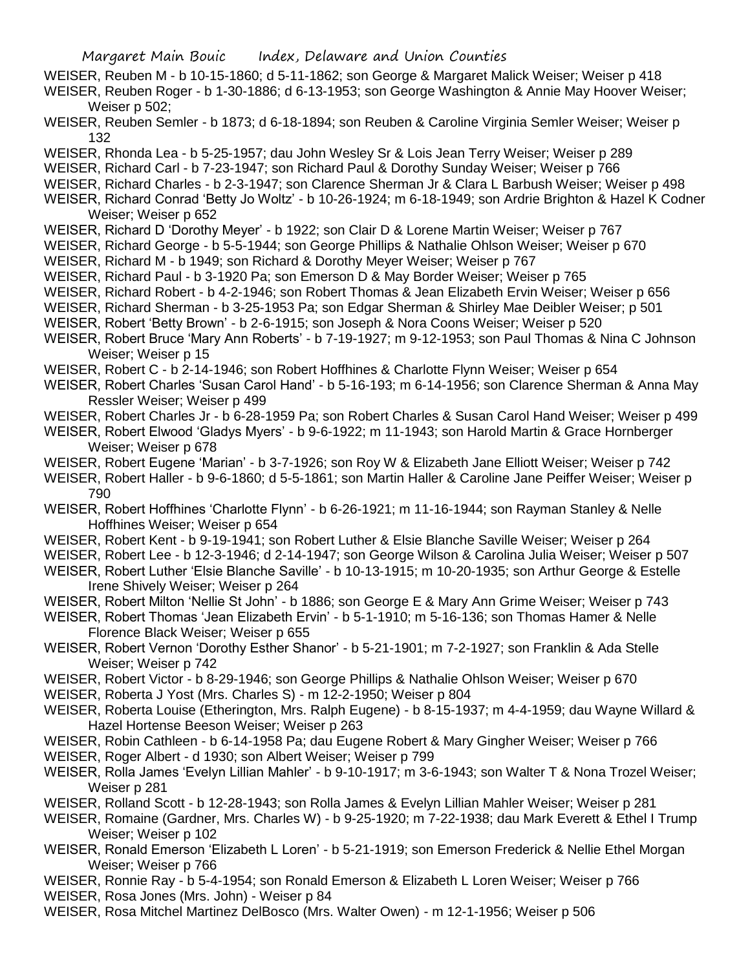- WEISER, Reuben M b 10-15-1860; d 5-11-1862; son George & Margaret Malick Weiser; Weiser p 418 WEISER, Reuben Roger - b 1-30-1886; d 6-13-1953; son George Washington & Annie May Hoover Weiser; Weiser p 502;
- WEISER, Reuben Semler b 1873; d 6-18-1894; son Reuben & Caroline Virginia Semler Weiser; Weiser p 132
- WEISER, Rhonda Lea b 5-25-1957; dau John Wesley Sr & Lois Jean Terry Weiser; Weiser p 289
- WEISER, Richard Carl b 7-23-1947; son Richard Paul & Dorothy Sunday Weiser; Weiser p 766
- WEISER, Richard Charles b 2-3-1947; son Clarence Sherman Jr & Clara L Barbush Weiser; Weiser p 498
- WEISER, Richard Conrad 'Betty Jo Woltz' b 10-26-1924; m 6-18-1949; son Ardrie Brighton & Hazel K Codner Weiser; Weiser p 652
- WEISER, Richard D 'Dorothy Meyer' b 1922; son Clair D & Lorene Martin Weiser; Weiser p 767
- WEISER, Richard George b 5-5-1944; son George Phillips & Nathalie Ohlson Weiser; Weiser p 670
- WEISER, Richard M b 1949; son Richard & Dorothy Meyer Weiser; Weiser p 767
- WEISER, Richard Paul b 3-1920 Pa; son Emerson D & May Border Weiser; Weiser p 765
- WEISER, Richard Robert b 4-2-1946; son Robert Thomas & Jean Elizabeth Ervin Weiser; Weiser p 656
- WEISER, Richard Sherman b 3-25-1953 Pa; son Edgar Sherman & Shirley Mae Deibler Weiser; p 501
- WEISER, Robert 'Betty Brown' b 2-6-1915; son Joseph & Nora Coons Weiser; Weiser p 520
- WEISER, Robert Bruce 'Mary Ann Roberts' b 7-19-1927; m 9-12-1953; son Paul Thomas & Nina C Johnson Weiser; Weiser p 15
- WEISER, Robert C b 2-14-1946; son Robert Hoffhines & Charlotte Flynn Weiser; Weiser p 654
- WEISER, Robert Charles 'Susan Carol Hand' b 5-16-193; m 6-14-1956; son Clarence Sherman & Anna May Ressler Weiser; Weiser p 499
- WEISER, Robert Charles Jr b 6-28-1959 Pa; son Robert Charles & Susan Carol Hand Weiser; Weiser p 499
- WEISER, Robert Elwood 'Gladys Myers' b 9-6-1922; m 11-1943; son Harold Martin & Grace Hornberger Weiser; Weiser p 678
- WEISER, Robert Eugene 'Marian' b 3-7-1926; son Roy W & Elizabeth Jane Elliott Weiser; Weiser p 742
- WEISER, Robert Haller b 9-6-1860; d 5-5-1861; son Martin Haller & Caroline Jane Peiffer Weiser; Weiser p 790
- WEISER, Robert Hoffhines 'Charlotte Flynn' b 6-26-1921; m 11-16-1944; son Rayman Stanley & Nelle Hoffhines Weiser; Weiser p 654
- WEISER, Robert Kent b 9-19-1941; son Robert Luther & Elsie Blanche Saville Weiser; Weiser p 264
- WEISER, Robert Lee b 12-3-1946; d 2-14-1947; son George Wilson & Carolina Julia Weiser; Weiser p 507
- WEISER, Robert Luther 'Elsie Blanche Saville' b 10-13-1915; m 10-20-1935; son Arthur George & Estelle Irene Shively Weiser; Weiser p 264
- WEISER, Robert Milton 'Nellie St John' b 1886; son George E & Mary Ann Grime Weiser; Weiser p 743
- WEISER, Robert Thomas 'Jean Elizabeth Ervin' b 5-1-1910; m 5-16-136; son Thomas Hamer & Nelle Florence Black Weiser; Weiser p 655
- WEISER, Robert Vernon 'Dorothy Esther Shanor' b 5-21-1901; m 7-2-1927; son Franklin & Ada Stelle Weiser; Weiser p 742
- WEISER, Robert Victor b 8-29-1946; son George Phillips & Nathalie Ohlson Weiser; Weiser p 670
- WEISER, Roberta J Yost (Mrs. Charles S) m 12-2-1950; Weiser p 804
- WEISER, Roberta Louise (Etherington, Mrs. Ralph Eugene) b 8-15-1937; m 4-4-1959; dau Wayne Willard & Hazel Hortense Beeson Weiser; Weiser p 263
- WEISER, Robin Cathleen b 6-14-1958 Pa; dau Eugene Robert & Mary Gingher Weiser; Weiser p 766
- WEISER, Roger Albert d 1930; son Albert Weiser; Weiser p 799
- WEISER, Rolla James 'Evelyn Lillian Mahler' b 9-10-1917; m 3-6-1943; son Walter T & Nona Trozel Weiser; Weiser p 281
- WEISER, Rolland Scott b 12-28-1943; son Rolla James & Evelyn Lillian Mahler Weiser; Weiser p 281
- WEISER, Romaine (Gardner, Mrs. Charles W) b 9-25-1920; m 7-22-1938; dau Mark Everett & Ethel I Trump Weiser; Weiser p 102
- WEISER, Ronald Emerson 'Elizabeth L Loren' b 5-21-1919; son Emerson Frederick & Nellie Ethel Morgan Weiser; Weiser p 766
- WEISER, Ronnie Ray b 5-4-1954; son Ronald Emerson & Elizabeth L Loren Weiser; Weiser p 766 WEISER, Rosa Jones (Mrs. John) - Weiser p 84
- WEISER, Rosa Mitchel Martinez DelBosco (Mrs. Walter Owen) m 12-1-1956; Weiser p 506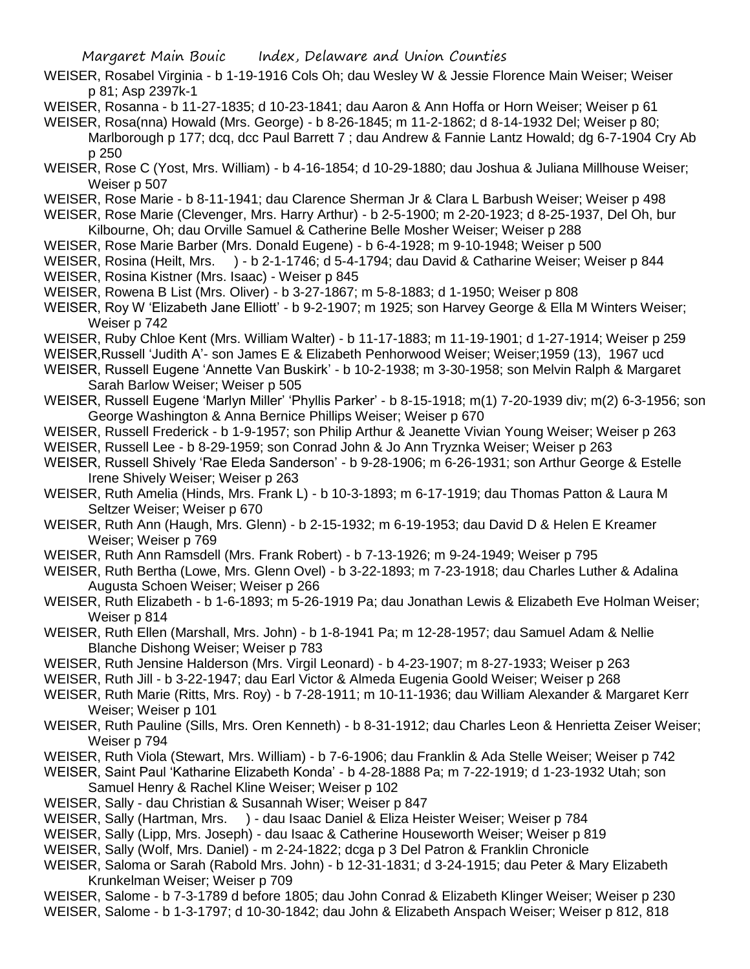- WEISER, Rosabel Virginia b 1-19-1916 Cols Oh; dau Wesley W & Jessie Florence Main Weiser; Weiser p 81; Asp 2397k-1
- WEISER, Rosanna b 11-27-1835; d 10-23-1841; dau Aaron & Ann Hoffa or Horn Weiser; Weiser p 61
- WEISER, Rosa(nna) Howald (Mrs. George) b 8-26-1845; m 11-2-1862; d 8-14-1932 Del; Weiser p 80; Marlborough p 177; dcq, dcc Paul Barrett 7 ; dau Andrew & Fannie Lantz Howald; dg 6-7-1904 Cry Ab p 250
- WEISER, Rose C (Yost, Mrs. William) b 4-16-1854; d 10-29-1880; dau Joshua & Juliana Millhouse Weiser; Weiser p 507
- WEISER, Rose Marie b 8-11-1941; dau Clarence Sherman Jr & Clara L Barbush Weiser; Weiser p 498
- WEISER, Rose Marie (Clevenger, Mrs. Harry Arthur) b 2-5-1900; m 2-20-1923; d 8-25-1937, Del Oh, bur Kilbourne, Oh; dau Orville Samuel & Catherine Belle Mosher Weiser; Weiser p 288
- WEISER, Rose Marie Barber (Mrs. Donald Eugene) b 6-4-1928; m 9-10-1948; Weiser p 500
- WEISER, Rosina (Heilt, Mrs. ) b 2-1-1746; d 5-4-1794; dau David & Catharine Weiser; Weiser p 844
- WEISER, Rosina Kistner (Mrs. Isaac) Weiser p 845
- WEISER, Rowena B List (Mrs. Oliver) b 3-27-1867; m 5-8-1883; d 1-1950; Weiser p 808
- WEISER, Roy W 'Elizabeth Jane Elliott' b 9-2-1907; m 1925; son Harvey George & Ella M Winters Weiser; Weiser p 742
- WEISER, Ruby Chloe Kent (Mrs. William Walter) b 11-17-1883; m 11-19-1901; d 1-27-1914; Weiser p 259
- WEISER,Russell 'Judith A'- son James E & Elizabeth Penhorwood Weiser; Weiser;1959 (13), 1967 ucd
- WEISER, Russell Eugene 'Annette Van Buskirk' b 10-2-1938; m 3-30-1958; son Melvin Ralph & Margaret Sarah Barlow Weiser; Weiser p 505
- WEISER, Russell Eugene 'Marlyn Miller' 'Phyllis Parker' b 8-15-1918; m(1) 7-20-1939 div; m(2) 6-3-1956; son George Washington & Anna Bernice Phillips Weiser; Weiser p 670
- WEISER, Russell Frederick b 1-9-1957; son Philip Arthur & Jeanette Vivian Young Weiser; Weiser p 263
- WEISER, Russell Lee b 8-29-1959; son Conrad John & Jo Ann Tryznka Weiser; Weiser p 263
- WEISER, Russell Shively 'Rae Eleda Sanderson' b 9-28-1906; m 6-26-1931; son Arthur George & Estelle Irene Shively Weiser; Weiser p 263
- WEISER, Ruth Amelia (Hinds, Mrs. Frank L) b 10-3-1893; m 6-17-1919; dau Thomas Patton & Laura M Seltzer Weiser; Weiser p 670
- WEISER, Ruth Ann (Haugh, Mrs. Glenn) b 2-15-1932; m 6-19-1953; dau David D & Helen E Kreamer Weiser; Weiser p 769
- WEISER, Ruth Ann Ramsdell (Mrs. Frank Robert) b 7-13-1926; m 9-24-1949; Weiser p 795
- WEISER, Ruth Bertha (Lowe, Mrs. Glenn Ovel) b 3-22-1893; m 7-23-1918; dau Charles Luther & Adalina Augusta Schoen Weiser; Weiser p 266
- WEISER, Ruth Elizabeth b 1-6-1893; m 5-26-1919 Pa; dau Jonathan Lewis & Elizabeth Eve Holman Weiser; Weiser p 814
- WEISER, Ruth Ellen (Marshall, Mrs. John) b 1-8-1941 Pa; m 12-28-1957; dau Samuel Adam & Nellie Blanche Dishong Weiser; Weiser p 783
- WEISER, Ruth Jensine Halderson (Mrs. Virgil Leonard) b 4-23-1907; m 8-27-1933; Weiser p 263
- WEISER, Ruth Jill b 3-22-1947; dau Earl Victor & Almeda Eugenia Goold Weiser; Weiser p 268
- WEISER, Ruth Marie (Ritts, Mrs. Roy) b 7-28-1911; m 10-11-1936; dau William Alexander & Margaret Kerr Weiser; Weiser p 101
- WEISER, Ruth Pauline (Sills, Mrs. Oren Kenneth) b 8-31-1912; dau Charles Leon & Henrietta Zeiser Weiser; Weiser p 794
- WEISER, Ruth Viola (Stewart, Mrs. William) b 7-6-1906; dau Franklin & Ada Stelle Weiser; Weiser p 742
- WEISER, Saint Paul 'Katharine Elizabeth Konda' b 4-28-1888 Pa; m 7-22-1919; d 1-23-1932 Utah; son Samuel Henry & Rachel Kline Weiser; Weiser p 102
- WEISER, Sally dau Christian & Susannah Wiser; Weiser p 847
- WEISER, Sally (Hartman, Mrs. ) dau Isaac Daniel & Eliza Heister Weiser; Weiser p 784
- WEISER, Sally (Lipp, Mrs. Joseph) dau Isaac & Catherine Houseworth Weiser; Weiser p 819
- WEISER, Sally (Wolf, Mrs. Daniel) m 2-24-1822; dcga p 3 Del Patron & Franklin Chronicle
- WEISER, Saloma or Sarah (Rabold Mrs. John) b 12-31-1831; d 3-24-1915; dau Peter & Mary Elizabeth Krunkelman Weiser; Weiser p 709
- WEISER, Salome b 7-3-1789 d before 1805; dau John Conrad & Elizabeth Klinger Weiser; Weiser p 230 WEISER, Salome - b 1-3-1797; d 10-30-1842; dau John & Elizabeth Anspach Weiser; Weiser p 812, 818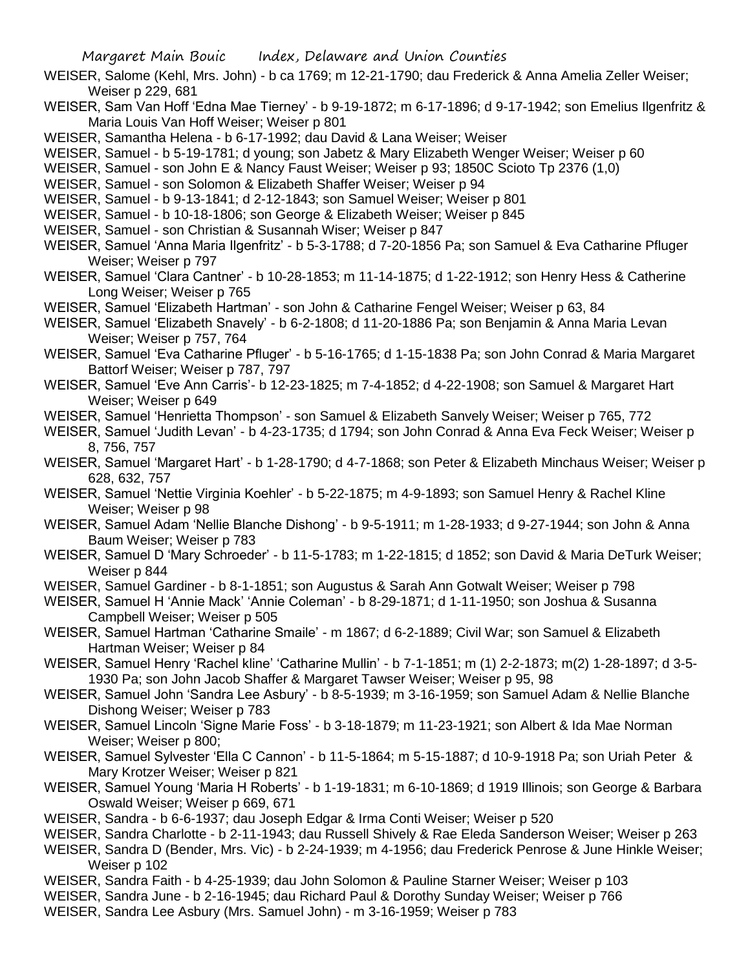- WEISER, Salome (Kehl, Mrs. John) b ca 1769; m 12-21-1790; dau Frederick & Anna Amelia Zeller Weiser; Weiser p 229, 681
- WEISER, Sam Van Hoff 'Edna Mae Tierney' b 9-19-1872; m 6-17-1896; d 9-17-1942; son Emelius Ilgenfritz & Maria Louis Van Hoff Weiser; Weiser p 801
- WEISER, Samantha Helena b 6-17-1992; dau David & Lana Weiser; Weiser

WEISER, Samuel - b 5-19-1781; d young; son Jabetz & Mary Elizabeth Wenger Weiser; Weiser p 60

- WEISER, Samuel son John E & Nancy Faust Weiser; Weiser p 93; 1850C Scioto Tp 2376 (1,0)
- WEISER, Samuel son Solomon & Elizabeth Shaffer Weiser; Weiser p 94
- WEISER, Samuel b 9-13-1841; d 2-12-1843; son Samuel Weiser; Weiser p 801
- WEISER, Samuel b 10-18-1806; son George & Elizabeth Weiser; Weiser p 845
- WEISER, Samuel son Christian & Susannah Wiser; Weiser p 847
- WEISER, Samuel 'Anna Maria Ilgenfritz' b 5-3-1788; d 7-20-1856 Pa; son Samuel & Eva Catharine Pfluger Weiser; Weiser p 797
- WEISER, Samuel 'Clara Cantner' b 10-28-1853; m 11-14-1875; d 1-22-1912; son Henry Hess & Catherine Long Weiser; Weiser p 765
- WEISER, Samuel 'Elizabeth Hartman' son John & Catharine Fengel Weiser; Weiser p 63, 84
- WEISER, Samuel 'Elizabeth Snavely' b 6-2-1808; d 11-20-1886 Pa; son Benjamin & Anna Maria Levan Weiser: Weiser p 757, 764
- WEISER, Samuel 'Eva Catharine Pfluger' b 5-16-1765; d 1-15-1838 Pa; son John Conrad & Maria Margaret Battorf Weiser; Weiser p 787, 797
- WEISER, Samuel 'Eve Ann Carris'- b 12-23-1825; m 7-4-1852; d 4-22-1908; son Samuel & Margaret Hart Weiser; Weiser p 649
- WEISER, Samuel 'Henrietta Thompson' son Samuel & Elizabeth Sanvely Weiser; Weiser p 765, 772
- WEISER, Samuel 'Judith Levan' b 4-23-1735; d 1794; son John Conrad & Anna Eva Feck Weiser; Weiser p 8, 756, 757
- WEISER, Samuel 'Margaret Hart' b 1-28-1790; d 4-7-1868; son Peter & Elizabeth Minchaus Weiser; Weiser p 628, 632, 757
- WEISER, Samuel 'Nettie Virginia Koehler' b 5-22-1875; m 4-9-1893; son Samuel Henry & Rachel Kline Weiser; Weiser p 98
- WEISER, Samuel Adam 'Nellie Blanche Dishong' b 9-5-1911; m 1-28-1933; d 9-27-1944; son John & Anna Baum Weiser; Weiser p 783
- WEISER, Samuel D 'Mary Schroeder' b 11-5-1783; m 1-22-1815; d 1852; son David & Maria DeTurk Weiser; Weiser p 844

WEISER, Samuel Gardiner - b 8-1-1851; son Augustus & Sarah Ann Gotwalt Weiser; Weiser p 798

- WEISER, Samuel H 'Annie Mack' 'Annie Coleman' b 8-29-1871; d 1-11-1950; son Joshua & Susanna Campbell Weiser; Weiser p 505
- WEISER, Samuel Hartman 'Catharine Smaile' m 1867; d 6-2-1889; Civil War; son Samuel & Elizabeth Hartman Weiser; Weiser p 84
- WEISER, Samuel Henry 'Rachel kline' 'Catharine Mullin' b 7-1-1851; m (1) 2-2-1873; m(2) 1-28-1897; d 3-5- 1930 Pa; son John Jacob Shaffer & Margaret Tawser Weiser; Weiser p 95, 98
- WEISER, Samuel John 'Sandra Lee Asbury' b 8-5-1939; m 3-16-1959; son Samuel Adam & Nellie Blanche Dishong Weiser; Weiser p 783
- WEISER, Samuel Lincoln 'Signe Marie Foss' b 3-18-1879; m 11-23-1921; son Albert & Ida Mae Norman Weiser; Weiser p 800;
- WEISER, Samuel Sylvester 'Ella C Cannon' b 11-5-1864; m 5-15-1887; d 10-9-1918 Pa; son Uriah Peter & Mary Krotzer Weiser; Weiser p 821
- WEISER, Samuel Young 'Maria H Roberts' b 1-19-1831; m 6-10-1869; d 1919 Illinois; son George & Barbara Oswald Weiser; Weiser p 669, 671
- WEISER, Sandra b 6-6-1937; dau Joseph Edgar & Irma Conti Weiser; Weiser p 520
- WEISER, Sandra Charlotte b 2-11-1943; dau Russell Shively & Rae Eleda Sanderson Weiser; Weiser p 263
- WEISER, Sandra D (Bender, Mrs. Vic) b 2-24-1939; m 4-1956; dau Frederick Penrose & June Hinkle Weiser; Weiser p 102
- WEISER, Sandra Faith b 4-25-1939; dau John Solomon & Pauline Starner Weiser; Weiser p 103
- WEISER, Sandra June b 2-16-1945; dau Richard Paul & Dorothy Sunday Weiser; Weiser p 766
- WEISER, Sandra Lee Asbury (Mrs. Samuel John) m 3-16-1959; Weiser p 783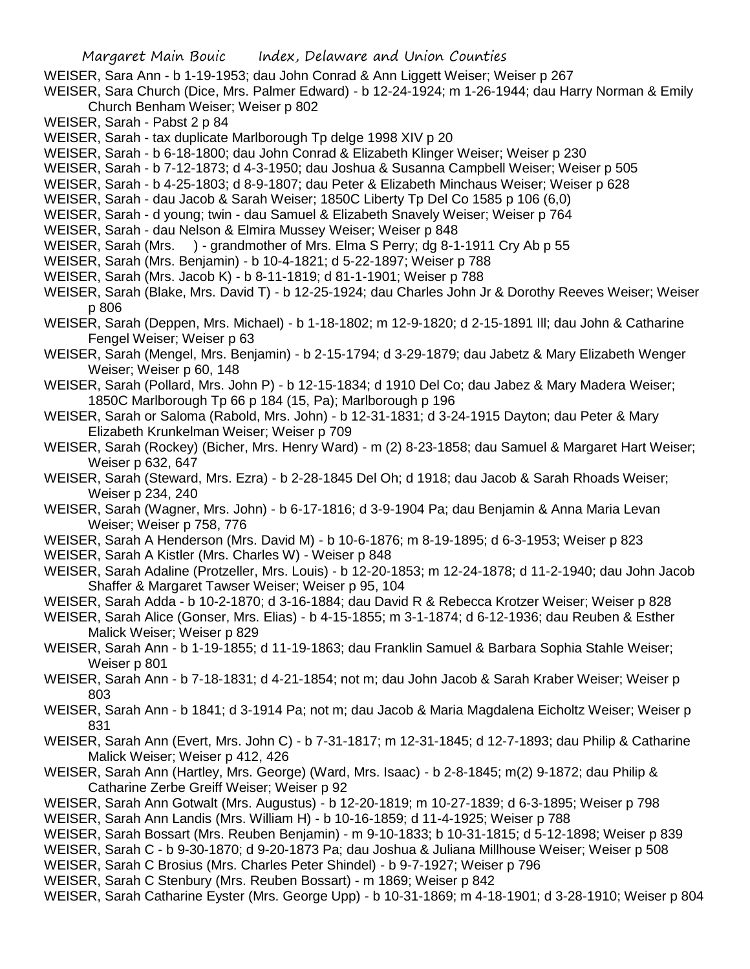- WEISER, Sara Ann b 1-19-1953; dau John Conrad & Ann Liggett Weiser; Weiser p 267
- WEISER, Sara Church (Dice, Mrs. Palmer Edward) b 12-24-1924; m 1-26-1944; dau Harry Norman & Emily Church Benham Weiser; Weiser p 802
- WEISER, Sarah Pabst 2 p 84
- WEISER, Sarah tax duplicate Marlborough Tp delge 1998 XIV p 20
- WEISER, Sarah b 6-18-1800; dau John Conrad & Elizabeth Klinger Weiser; Weiser p 230
- WEISER, Sarah b 7-12-1873; d 4-3-1950; dau Joshua & Susanna Campbell Weiser; Weiser p 505
- WEISER, Sarah b 4-25-1803; d 8-9-1807; dau Peter & Elizabeth Minchaus Weiser; Weiser p 628
- WEISER, Sarah dau Jacob & Sarah Weiser; 1850C Liberty Tp Del Co 1585 p 106 (6,0)
- WEISER, Sarah d young; twin dau Samuel & Elizabeth Snavely Weiser; Weiser p 764
- WEISER, Sarah dau Nelson & Elmira Mussey Weiser; Weiser p 848
- WEISER, Sarah (Mrs. ) grandmother of Mrs. Elma S Perry; dg 8-1-1911 Cry Ab p 55
- WEISER, Sarah (Mrs. Benjamin) b 10-4-1821; d 5-22-1897; Weiser p 788
- WEISER, Sarah (Mrs. Jacob K) b 8-11-1819; d 81-1-1901; Weiser p 788
- WEISER, Sarah (Blake, Mrs. David T) b 12-25-1924; dau Charles John Jr & Dorothy Reeves Weiser; Weiser p 806
- WEISER, Sarah (Deppen, Mrs. Michael) b 1-18-1802; m 12-9-1820; d 2-15-1891 Ill; dau John & Catharine Fengel Weiser; Weiser p 63
- WEISER, Sarah (Mengel, Mrs. Benjamin) b 2-15-1794; d 3-29-1879; dau Jabetz & Mary Elizabeth Wenger Weiser; Weiser p 60, 148
- WEISER, Sarah (Pollard, Mrs. John P) b 12-15-1834; d 1910 Del Co; dau Jabez & Mary Madera Weiser; 1850C Marlborough Tp 66 p 184 (15, Pa); Marlborough p 196
- WEISER, Sarah or Saloma (Rabold, Mrs. John) b 12-31-1831; d 3-24-1915 Dayton; dau Peter & Mary Elizabeth Krunkelman Weiser; Weiser p 709
- WEISER, Sarah (Rockey) (Bicher, Mrs. Henry Ward) m (2) 8-23-1858; dau Samuel & Margaret Hart Weiser; Weiser p 632, 647
- WEISER, Sarah (Steward, Mrs. Ezra) b 2-28-1845 Del Oh; d 1918; dau Jacob & Sarah Rhoads Weiser; Weiser p 234, 240
- WEISER, Sarah (Wagner, Mrs. John) b 6-17-1816; d 3-9-1904 Pa; dau Benjamin & Anna Maria Levan Weiser; Weiser p 758, 776
- WEISER, Sarah A Henderson (Mrs. David M) b 10-6-1876; m 8-19-1895; d 6-3-1953; Weiser p 823
- WEISER, Sarah A Kistler (Mrs. Charles W) Weiser p 848
- WEISER, Sarah Adaline (Protzeller, Mrs. Louis) b 12-20-1853; m 12-24-1878; d 11-2-1940; dau John Jacob Shaffer & Margaret Tawser Weiser; Weiser p 95, 104
- WEISER, Sarah Adda b 10-2-1870; d 3-16-1884; dau David R & Rebecca Krotzer Weiser; Weiser p 828
- WEISER, Sarah Alice (Gonser, Mrs. Elias) b 4-15-1855; m 3-1-1874; d 6-12-1936; dau Reuben & Esther Malick Weiser; Weiser p 829
- WEISER, Sarah Ann b 1-19-1855; d 11-19-1863; dau Franklin Samuel & Barbara Sophia Stahle Weiser; Weiser p 801
- WEISER, Sarah Ann b 7-18-1831; d 4-21-1854; not m; dau John Jacob & Sarah Kraber Weiser; Weiser p 803
- WEISER, Sarah Ann b 1841; d 3-1914 Pa; not m; dau Jacob & Maria Magdalena Eicholtz Weiser; Weiser p 831
- WEISER, Sarah Ann (Evert, Mrs. John C) b 7-31-1817; m 12-31-1845; d 12-7-1893; dau Philip & Catharine Malick Weiser; Weiser p 412, 426
- WEISER, Sarah Ann (Hartley, Mrs. George) (Ward, Mrs. Isaac) b 2-8-1845; m(2) 9-1872; dau Philip & Catharine Zerbe Greiff Weiser; Weiser p 92
- WEISER, Sarah Ann Gotwalt (Mrs. Augustus) b 12-20-1819; m 10-27-1839; d 6-3-1895; Weiser p 798
- WEISER, Sarah Ann Landis (Mrs. William H) b 10-16-1859; d 11-4-1925; Weiser p 788
- WEISER, Sarah Bossart (Mrs. Reuben Benjamin) m 9-10-1833; b 10-31-1815; d 5-12-1898; Weiser p 839
- WEISER, Sarah C b 9-30-1870; d 9-20-1873 Pa; dau Joshua & Juliana Millhouse Weiser; Weiser p 508
- WEISER, Sarah C Brosius (Mrs. Charles Peter Shindel) b 9-7-1927; Weiser p 796
- WEISER, Sarah C Stenbury (Mrs. Reuben Bossart) m 1869; Weiser p 842
- WEISER, Sarah Catharine Eyster (Mrs. George Upp) b 10-31-1869; m 4-18-1901; d 3-28-1910; Weiser p 804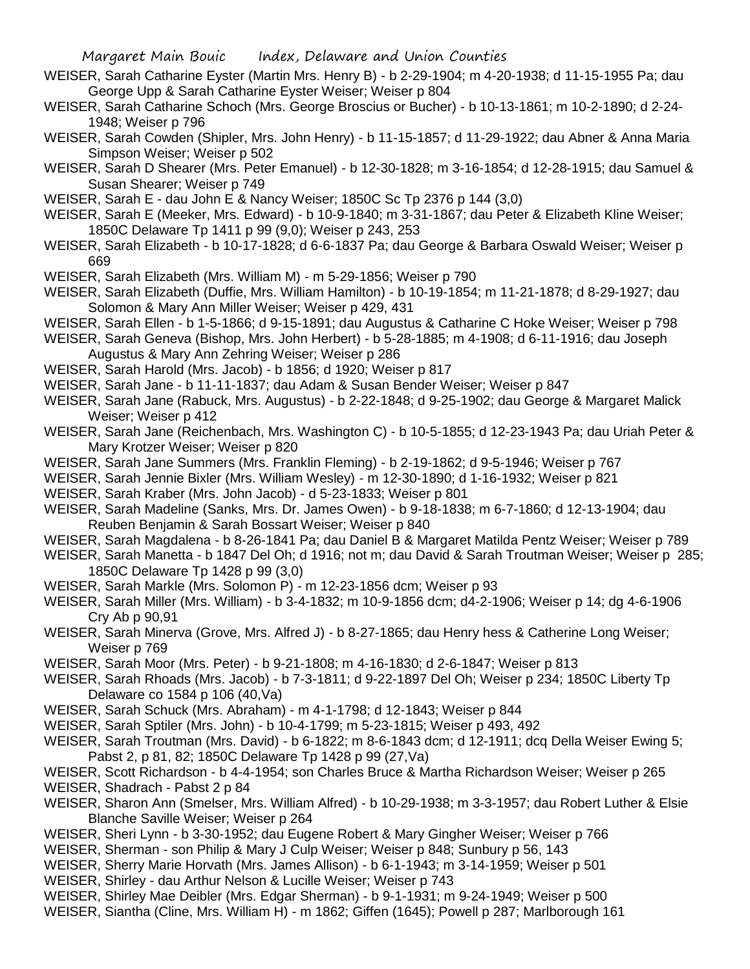- WEISER, Sarah Catharine Eyster (Martin Mrs. Henry B) b 2-29-1904; m 4-20-1938; d 11-15-1955 Pa; dau George Upp & Sarah Catharine Eyster Weiser; Weiser p 804
- WEISER, Sarah Catharine Schoch (Mrs. George Broscius or Bucher) b 10-13-1861; m 10-2-1890; d 2-24- 1948; Weiser p 796
- WEISER, Sarah Cowden (Shipler, Mrs. John Henry) b 11-15-1857; d 11-29-1922; dau Abner & Anna Maria Simpson Weiser; Weiser p 502
- WEISER, Sarah D Shearer (Mrs. Peter Emanuel) b 12-30-1828; m 3-16-1854; d 12-28-1915; dau Samuel & Susan Shearer; Weiser p 749
- WEISER, Sarah E dau John E & Nancy Weiser; 1850C Sc Tp 2376 p 144 (3,0)
- WEISER, Sarah E (Meeker, Mrs. Edward) b 10-9-1840; m 3-31-1867; dau Peter & Elizabeth Kline Weiser; 1850C Delaware Tp 1411 p 99 (9,0); Weiser p 243, 253
- WEISER, Sarah Elizabeth b 10-17-1828; d 6-6-1837 Pa; dau George & Barbara Oswald Weiser; Weiser p 669
- WEISER, Sarah Elizabeth (Mrs. William M) m 5-29-1856; Weiser p 790
- WEISER, Sarah Elizabeth (Duffie, Mrs. William Hamilton) b 10-19-1854; m 11-21-1878; d 8-29-1927; dau Solomon & Mary Ann Miller Weiser; Weiser p 429, 431
- WEISER, Sarah Ellen b 1-5-1866; d 9-15-1891; dau Augustus & Catharine C Hoke Weiser; Weiser p 798
- WEISER, Sarah Geneva (Bishop, Mrs. John Herbert) b 5-28-1885; m 4-1908; d 6-11-1916; dau Joseph Augustus & Mary Ann Zehring Weiser; Weiser p 286
- WEISER, Sarah Harold (Mrs. Jacob) b 1856; d 1920; Weiser p 817
- WEISER, Sarah Jane b 11-11-1837; dau Adam & Susan Bender Weiser; Weiser p 847
- WEISER, Sarah Jane (Rabuck, Mrs. Augustus) b 2-22-1848; d 9-25-1902; dau George & Margaret Malick Weiser; Weiser p 412
- WEISER, Sarah Jane (Reichenbach, Mrs. Washington C) b 10-5-1855; d 12-23-1943 Pa; dau Uriah Peter & Mary Krotzer Weiser; Weiser p 820
- WEISER, Sarah Jane Summers (Mrs. Franklin Fleming) b 2-19-1862; d 9-5-1946; Weiser p 767
- WEISER, Sarah Jennie Bixler (Mrs. William Wesley) m 12-30-1890; d 1-16-1932; Weiser p 821
- WEISER, Sarah Kraber (Mrs. John Jacob) d 5-23-1833; Weiser p 801
- WEISER, Sarah Madeline (Sanks, Mrs. Dr. James Owen) b 9-18-1838; m 6-7-1860; d 12-13-1904; dau Reuben Benjamin & Sarah Bossart Weiser; Weiser p 840
- WEISER, Sarah Magdalena b 8-26-1841 Pa; dau Daniel B & Margaret Matilda Pentz Weiser; Weiser p 789
- WEISER, Sarah Manetta b 1847 Del Oh; d 1916; not m; dau David & Sarah Troutman Weiser; Weiser p 285; 1850C Delaware Tp 1428 p 99 (3,0)
- WEISER, Sarah Markle (Mrs. Solomon P) m 12-23-1856 dcm; Weiser p 93
- WEISER, Sarah Miller (Mrs. William) b 3-4-1832; m 10-9-1856 dcm; d4-2-1906; Weiser p 14; dg 4-6-1906 Cry Ab p 90,91
- WEISER, Sarah Minerva (Grove, Mrs. Alfred J) b 8-27-1865; dau Henry hess & Catherine Long Weiser; Weiser p 769
- WEISER, Sarah Moor (Mrs. Peter) b 9-21-1808; m 4-16-1830; d 2-6-1847; Weiser p 813
- WEISER, Sarah Rhoads (Mrs. Jacob) b 7-3-1811; d 9-22-1897 Del Oh; Weiser p 234; 1850C Liberty Tp Delaware co 1584 p 106 (40,Va)
- WEISER, Sarah Schuck (Mrs. Abraham) m 4-1-1798; d 12-1843; Weiser p 844
- WEISER, Sarah Sptiler (Mrs. John) b 10-4-1799; m 5-23-1815; Weiser p 493, 492
- WEISER, Sarah Troutman (Mrs. David) b 6-1822; m 8-6-1843 dcm; d 12-1911; dcq Della Weiser Ewing 5; Pabst 2, p 81, 82; 1850C Delaware Tp 1428 p 99 (27,Va)
- WEISER, Scott Richardson b 4-4-1954; son Charles Bruce & Martha Richardson Weiser; Weiser p 265
- WEISER, Shadrach Pabst 2 p 84
- WEISER, Sharon Ann (Smelser, Mrs. William Alfred) b 10-29-1938; m 3-3-1957; dau Robert Luther & Elsie Blanche Saville Weiser; Weiser p 264
- WEISER, Sheri Lynn b 3-30-1952; dau Eugene Robert & Mary Gingher Weiser; Weiser p 766
- WEISER, Sherman son Philip & Mary J Culp Weiser; Weiser p 848; Sunbury p 56, 143
- WEISER, Sherry Marie Horvath (Mrs. James Allison) b 6-1-1943; m 3-14-1959; Weiser p 501
- WEISER, Shirley dau Arthur Nelson & Lucille Weiser; Weiser p 743
- WEISER, Shirley Mae Deibler (Mrs. Edgar Sherman) b 9-1-1931; m 9-24-1949; Weiser p 500
- WEISER, Siantha (Cline, Mrs. William H) m 1862; Giffen (1645); Powell p 287; Marlborough 161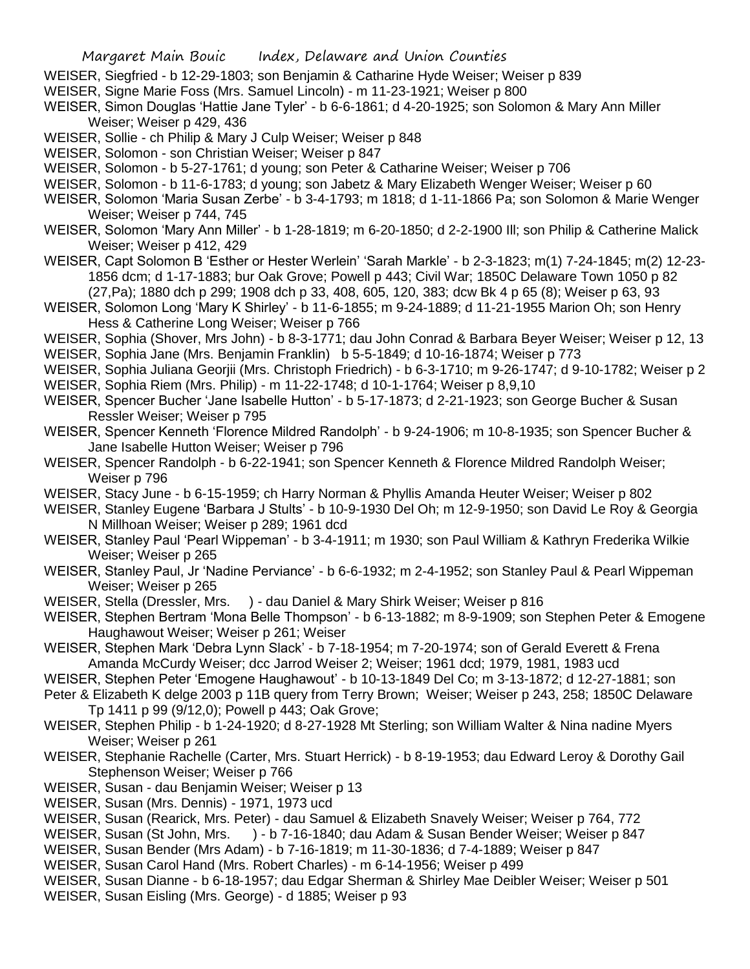- WEISER, Siegfried b 12-29-1803; son Benjamin & Catharine Hyde Weiser; Weiser p 839
- WEISER, Signe Marie Foss (Mrs. Samuel Lincoln) m 11-23-1921; Weiser p 800
- WEISER, Simon Douglas 'Hattie Jane Tyler' b 6-6-1861; d 4-20-1925; son Solomon & Mary Ann Miller Weiser; Weiser p 429, 436
- WEISER, Sollie ch Philip & Mary J Culp Weiser; Weiser p 848
- WEISER, Solomon son Christian Weiser; Weiser p 847
- WEISER, Solomon b 5-27-1761; d young; son Peter & Catharine Weiser; Weiser p 706
- WEISER, Solomon b 11-6-1783; d young; son Jabetz & Mary Elizabeth Wenger Weiser; Weiser p 60
- WEISER, Solomon 'Maria Susan Zerbe' b 3-4-1793; m 1818; d 1-11-1866 Pa; son Solomon & Marie Wenger Weiser; Weiser p 744, 745
- WEISER, Solomon 'Mary Ann Miller' b 1-28-1819; m 6-20-1850; d 2-2-1900 Ill; son Philip & Catherine Malick Weiser; Weiser p 412, 429
- WEISER, Capt Solomon B 'Esther or Hester Werlein' 'Sarah Markle' b 2-3-1823; m(1) 7-24-1845; m(2) 12-23- 1856 dcm; d 1-17-1883; bur Oak Grove; Powell p 443; Civil War; 1850C Delaware Town 1050 p 82 (27,Pa); 1880 dch p 299; 1908 dch p 33, 408, 605, 120, 383; dcw Bk 4 p 65 (8); Weiser p 63, 93
- WEISER, Solomon Long 'Mary K Shirley' b 11-6-1855; m 9-24-1889; d 11-21-1955 Marion Oh; son Henry Hess & Catherine Long Weiser; Weiser p 766
- WEISER, Sophia (Shover, Mrs John) b 8-3-1771; dau John Conrad & Barbara Beyer Weiser; Weiser p 12, 13
- WEISER, Sophia Jane (Mrs. Benjamin Franklin) b 5-5-1849; d 10-16-1874; Weiser p 773
- WEISER, Sophia Juliana Georjii (Mrs. Christoph Friedrich) b 6-3-1710; m 9-26-1747; d 9-10-1782; Weiser p 2
- WEISER, Sophia Riem (Mrs. Philip) m 11-22-1748; d 10-1-1764; Weiser p 8,9,10
- WEISER, Spencer Bucher 'Jane Isabelle Hutton' b 5-17-1873; d 2-21-1923; son George Bucher & Susan Ressler Weiser; Weiser p 795
- WEISER, Spencer Kenneth 'Florence Mildred Randolph' b 9-24-1906; m 10-8-1935; son Spencer Bucher & Jane Isabelle Hutton Weiser; Weiser p 796
- WEISER, Spencer Randolph b 6-22-1941; son Spencer Kenneth & Florence Mildred Randolph Weiser; Weiser p 796
- WEISER, Stacy June b 6-15-1959; ch Harry Norman & Phyllis Amanda Heuter Weiser; Weiser p 802
- WEISER, Stanley Eugene 'Barbara J Stults' b 10-9-1930 Del Oh; m 12-9-1950; son David Le Roy & Georgia N Millhoan Weiser; Weiser p 289; 1961 dcd
- WEISER, Stanley Paul 'Pearl Wippeman' b 3-4-1911; m 1930; son Paul William & Kathryn Frederika Wilkie Weiser; Weiser p 265
- WEISER, Stanley Paul, Jr 'Nadine Perviance' b 6-6-1932; m 2-4-1952; son Stanley Paul & Pearl Wippeman Weiser; Weiser p 265
- WEISER, Stella (Dressler, Mrs. ) dau Daniel & Mary Shirk Weiser; Weiser p 816
- WEISER, Stephen Bertram 'Mona Belle Thompson' b 6-13-1882; m 8-9-1909; son Stephen Peter & Emogene Haughawout Weiser; Weiser p 261; Weiser
- WEISER, Stephen Mark 'Debra Lynn Slack' b 7-18-1954; m 7-20-1974; son of Gerald Everett & Frena Amanda McCurdy Weiser; dcc Jarrod Weiser 2; Weiser; 1961 dcd; 1979, 1981, 1983 ucd
- WEISER, Stephen Peter 'Emogene Haughawout' b 10-13-1849 Del Co; m 3-13-1872; d 12-27-1881; son
- Peter & Elizabeth K delge 2003 p 11B query from Terry Brown; Weiser; Weiser p 243, 258; 1850C Delaware Tp 1411 p 99 (9/12,0); Powell p 443; Oak Grove;
- WEISER, Stephen Philip b 1-24-1920; d 8-27-1928 Mt Sterling; son William Walter & Nina nadine Myers Weiser; Weiser p 261
- WEISER, Stephanie Rachelle (Carter, Mrs. Stuart Herrick) b 8-19-1953; dau Edward Leroy & Dorothy Gail Stephenson Weiser; Weiser p 766
- WEISER, Susan dau Benjamin Weiser; Weiser p 13
- WEISER, Susan (Mrs. Dennis) 1971, 1973 ucd
- WEISER, Susan (Rearick, Mrs. Peter) dau Samuel & Elizabeth Snavely Weiser; Weiser p 764, 772
- WEISER, Susan (St John, Mrs. ) b 7-16-1840; dau Adam & Susan Bender Weiser; Weiser p 847
- WEISER, Susan Bender (Mrs Adam) b 7-16-1819; m 11-30-1836; d 7-4-1889; Weiser p 847
- WEISER, Susan Carol Hand (Mrs. Robert Charles) m 6-14-1956; Weiser p 499
- WEISER, Susan Dianne b 6-18-1957; dau Edgar Sherman & Shirley Mae Deibler Weiser; Weiser p 501
- WEISER, Susan Eisling (Mrs. George) d 1885; Weiser p 93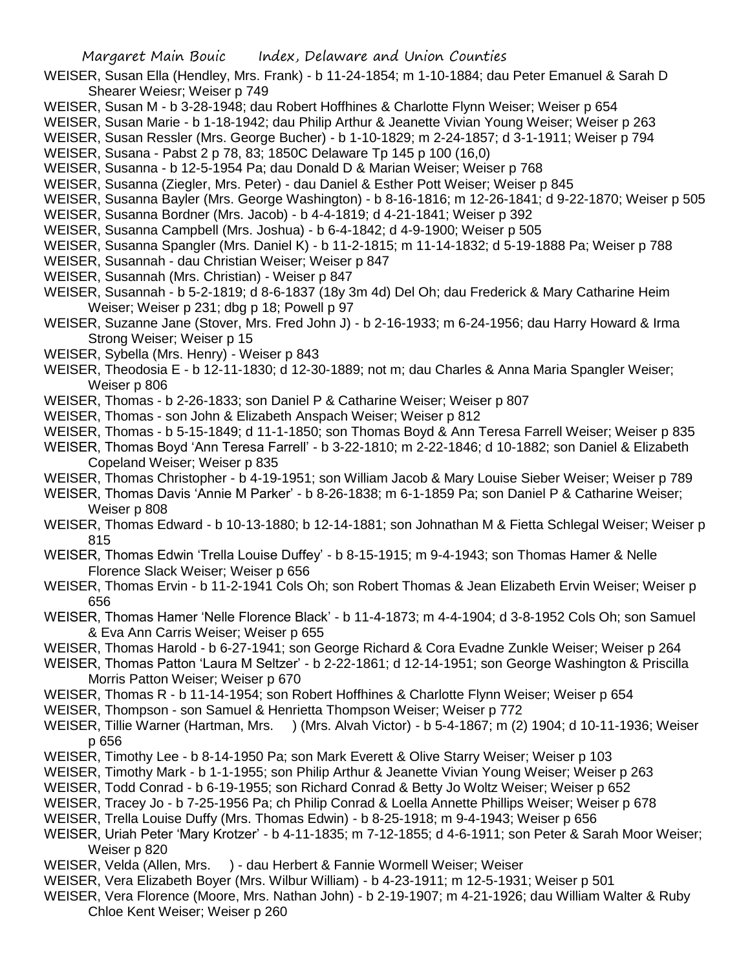- WEISER, Susan Ella (Hendley, Mrs. Frank) b 11-24-1854; m 1-10-1884; dau Peter Emanuel & Sarah D Shearer Weiesr; Weiser p 749
- WEISER, Susan M b 3-28-1948; dau Robert Hoffhines & Charlotte Flynn Weiser; Weiser p 654
- WEISER, Susan Marie b 1-18-1942; dau Philip Arthur & Jeanette Vivian Young Weiser; Weiser p 263
- WEISER, Susan Ressler (Mrs. George Bucher) b 1-10-1829; m 2-24-1857; d 3-1-1911; Weiser p 794
- WEISER, Susana Pabst 2 p 78, 83; 1850C Delaware Tp 145 p 100 (16,0)
- WEISER, Susanna b 12-5-1954 Pa; dau Donald D & Marian Weiser; Weiser p 768
- WEISER, Susanna (Ziegler, Mrs. Peter) dau Daniel & Esther Pott Weiser; Weiser p 845
- WEISER, Susanna Bayler (Mrs. George Washington) b 8-16-1816; m 12-26-1841; d 9-22-1870; Weiser p 505
- WEISER, Susanna Bordner (Mrs. Jacob) b 4-4-1819; d 4-21-1841; Weiser p 392
- WEISER, Susanna Campbell (Mrs. Joshua) b 6-4-1842; d 4-9-1900; Weiser p 505
- WEISER, Susanna Spangler (Mrs. Daniel K) b 11-2-1815; m 11-14-1832; d 5-19-1888 Pa; Weiser p 788
- WEISER, Susannah dau Christian Weiser; Weiser p 847
- WEISER, Susannah (Mrs. Christian) Weiser p 847
- WEISER, Susannah b 5-2-1819; d 8-6-1837 (18y 3m 4d) Del Oh; dau Frederick & Mary Catharine Heim Weiser; Weiser p 231; dbg p 18; Powell p 97
- WEISER, Suzanne Jane (Stover, Mrs. Fred John J) b 2-16-1933; m 6-24-1956; dau Harry Howard & Irma Strong Weiser; Weiser p 15
- WEISER, Sybella (Mrs. Henry) Weiser p 843
- WEISER, Theodosia E b 12-11-1830; d 12-30-1889; not m; dau Charles & Anna Maria Spangler Weiser; Weiser p 806
- WEISER, Thomas b 2-26-1833; son Daniel P & Catharine Weiser; Weiser p 807
- WEISER, Thomas son John & Elizabeth Anspach Weiser; Weiser p 812
- WEISER, Thomas b 5-15-1849; d 11-1-1850; son Thomas Boyd & Ann Teresa Farrell Weiser; Weiser p 835
- WEISER, Thomas Boyd 'Ann Teresa Farrell' b 3-22-1810; m 2-22-1846; d 10-1882; son Daniel & Elizabeth Copeland Weiser; Weiser p 835
- WEISER, Thomas Christopher b 4-19-1951; son William Jacob & Mary Louise Sieber Weiser; Weiser p 789
- WEISER, Thomas Davis 'Annie M Parker' b 8-26-1838; m 6-1-1859 Pa; son Daniel P & Catharine Weiser; Weiser p 808
- WEISER, Thomas Edward b 10-13-1880; b 12-14-1881; son Johnathan M & Fietta Schlegal Weiser; Weiser p 815
- WEISER, Thomas Edwin 'Trella Louise Duffey' b 8-15-1915; m 9-4-1943; son Thomas Hamer & Nelle Florence Slack Weiser; Weiser p 656
- WEISER, Thomas Ervin b 11-2-1941 Cols Oh; son Robert Thomas & Jean Elizabeth Ervin Weiser; Weiser p 656
- WEISER, Thomas Hamer 'Nelle Florence Black' b 11-4-1873; m 4-4-1904; d 3-8-1952 Cols Oh; son Samuel & Eva Ann Carris Weiser; Weiser p 655
- WEISER, Thomas Harold b 6-27-1941; son George Richard & Cora Evadne Zunkle Weiser; Weiser p 264
- WEISER, Thomas Patton 'Laura M Seltzer' b 2-22-1861; d 12-14-1951; son George Washington & Priscilla Morris Patton Weiser; Weiser p 670
- WEISER, Thomas R b 11-14-1954; son Robert Hoffhines & Charlotte Flynn Weiser; Weiser p 654
- WEISER, Thompson son Samuel & Henrietta Thompson Weiser; Weiser p 772
- WEISER, Tillie Warner (Hartman, Mrs. ) (Mrs. Alvah Victor) b 5-4-1867; m (2) 1904; d 10-11-1936; Weiser p 656
- WEISER, Timothy Lee b 8-14-1950 Pa; son Mark Everett & Olive Starry Weiser; Weiser p 103
- WEISER, Timothy Mark b 1-1-1955; son Philip Arthur & Jeanette Vivian Young Weiser; Weiser p 263
- WEISER, Todd Conrad b 6-19-1955; son Richard Conrad & Betty Jo Woltz Weiser; Weiser p 652
- WEISER, Tracey Jo b 7-25-1956 Pa; ch Philip Conrad & Loella Annette Phillips Weiser; Weiser p 678
- WEISER, Trella Louise Duffy (Mrs. Thomas Edwin) b 8-25-1918; m 9-4-1943; Weiser p 656
- WEISER, Uriah Peter 'Mary Krotzer' b 4-11-1835; m 7-12-1855; d 4-6-1911; son Peter & Sarah Moor Weiser; Weiser p 820
- WEISER, Velda (Allen, Mrs. ) dau Herbert & Fannie Wormell Weiser; Weiser
- WEISER, Vera Elizabeth Boyer (Mrs. Wilbur William) b 4-23-1911; m 12-5-1931; Weiser p 501
- WEISER, Vera Florence (Moore, Mrs. Nathan John) b 2-19-1907; m 4-21-1926; dau William Walter & Ruby Chloe Kent Weiser; Weiser p 260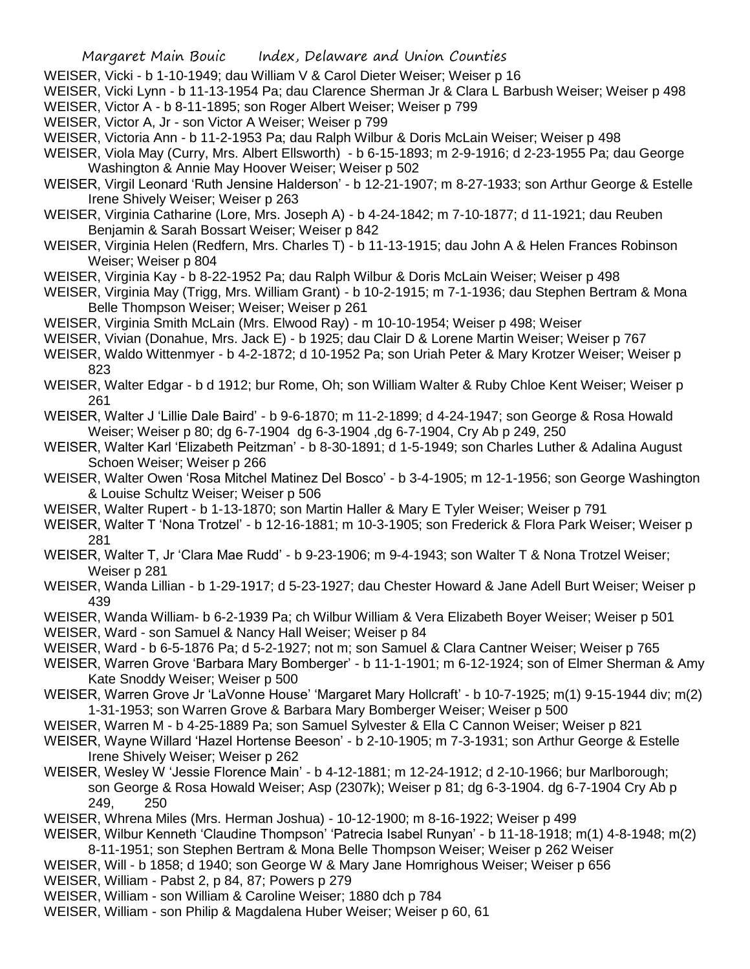## Margaret Main Bouic Index, Delaware and Union Counties

- WEISER, Vicki b 1-10-1949; dau William V & Carol Dieter Weiser; Weiser p 16
- WEISER, Vicki Lynn b 11-13-1954 Pa; dau Clarence Sherman Jr & Clara L Barbush Weiser; Weiser p 498
- WEISER, Victor A b 8-11-1895; son Roger Albert Weiser; Weiser p 799
- WEISER, Victor A, Jr son Victor A Weiser; Weiser p 799
- WEISER, Victoria Ann b 11-2-1953 Pa; dau Ralph Wilbur & Doris McLain Weiser; Weiser p 498
- WEISER, Viola May (Curry, Mrs. Albert Ellsworth) b 6-15-1893; m 2-9-1916; d 2-23-1955 Pa; dau George Washington & Annie May Hoover Weiser; Weiser p 502
- WEISER, Virgil Leonard 'Ruth Jensine Halderson' b 12-21-1907; m 8-27-1933; son Arthur George & Estelle Irene Shively Weiser; Weiser p 263
- WEISER, Virginia Catharine (Lore, Mrs. Joseph A) b 4-24-1842; m 7-10-1877; d 11-1921; dau Reuben Benjamin & Sarah Bossart Weiser; Weiser p 842
- WEISER, Virginia Helen (Redfern, Mrs. Charles T) b 11-13-1915; dau John A & Helen Frances Robinson Weiser; Weiser p 804
- WEISER, Virginia Kay b 8-22-1952 Pa; dau Ralph Wilbur & Doris McLain Weiser; Weiser p 498
- WEISER, Virginia May (Trigg, Mrs. William Grant) b 10-2-1915; m 7-1-1936; dau Stephen Bertram & Mona Belle Thompson Weiser; Weiser; Weiser p 261
- WEISER, Virginia Smith McLain (Mrs. Elwood Ray) m 10-10-1954; Weiser p 498; Weiser
- WEISER, Vivian (Donahue, Mrs. Jack E) b 1925; dau Clair D & Lorene Martin Weiser; Weiser p 767
- WEISER, Waldo Wittenmyer b 4-2-1872; d 10-1952 Pa; son Uriah Peter & Mary Krotzer Weiser; Weiser p 823
- WEISER, Walter Edgar b d 1912; bur Rome, Oh; son William Walter & Ruby Chloe Kent Weiser; Weiser p 261
- WEISER, Walter J 'Lillie Dale Baird' b 9-6-1870; m 11-2-1899; d 4-24-1947; son George & Rosa Howald Weiser; Weiser p 80; dg 6-7-1904 dg 6-3-1904 ,dg 6-7-1904, Cry Ab p 249, 250
- WEISER, Walter Karl 'Elizabeth Peitzman' b 8-30-1891; d 1-5-1949; son Charles Luther & Adalina August Schoen Weiser; Weiser p 266
- WEISER, Walter Owen 'Rosa Mitchel Matinez Del Bosco' b 3-4-1905; m 12-1-1956; son George Washington & Louise Schultz Weiser; Weiser p 506
- WEISER, Walter Rupert b 1-13-1870; son Martin Haller & Mary E Tyler Weiser; Weiser p 791
- WEISER, Walter T 'Nona Trotzel' b 12-16-1881; m 10-3-1905; son Frederick & Flora Park Weiser; Weiser p 281
- WEISER, Walter T, Jr 'Clara Mae Rudd' b 9-23-1906; m 9-4-1943; son Walter T & Nona Trotzel Weiser; Weiser p 281
- WEISER, Wanda Lillian b 1-29-1917; d 5-23-1927; dau Chester Howard & Jane Adell Burt Weiser; Weiser p 439
- WEISER, Wanda William- b 6-2-1939 Pa; ch Wilbur William & Vera Elizabeth Boyer Weiser; Weiser p 501
- WEISER, Ward son Samuel & Nancy Hall Weiser; Weiser p 84
- WEISER, Ward b 6-5-1876 Pa; d 5-2-1927; not m; son Samuel & Clara Cantner Weiser; Weiser p 765
- WEISER, Warren Grove 'Barbara Mary Bomberger' b 11-1-1901; m 6-12-1924; son of Elmer Sherman & Amy Kate Snoddy Weiser; Weiser p 500
- WEISER, Warren Grove Jr 'LaVonne House' 'Margaret Mary Hollcraft' b 10-7-1925; m(1) 9-15-1944 div; m(2) 1-31-1953; son Warren Grove & Barbara Mary Bomberger Weiser; Weiser p 500
- WEISER, Warren M b 4-25-1889 Pa; son Samuel Sylvester & Ella C Cannon Weiser; Weiser p 821
- WEISER, Wayne Willard 'Hazel Hortense Beeson' b 2-10-1905; m 7-3-1931; son Arthur George & Estelle Irene Shively Weiser; Weiser p 262
- WEISER, Wesley W 'Jessie Florence Main' b 4-12-1881; m 12-24-1912; d 2-10-1966; bur Marlborough; son George & Rosa Howald Weiser; Asp (2307k); Weiser p 81; dg 6-3-1904. dg 6-7-1904 Cry Ab p 249, 250
- WEISER, Whrena Miles (Mrs. Herman Joshua) 10-12-1900; m 8-16-1922; Weiser p 499
- WEISER, Wilbur Kenneth 'Claudine Thompson' 'Patrecia Isabel Runyan' b 11-18-1918; m(1) 4-8-1948; m(2) 8-11-1951; son Stephen Bertram & Mona Belle Thompson Weiser; Weiser p 262 Weiser
- WEISER, Will b 1858; d 1940; son George W & Mary Jane Homrighous Weiser; Weiser p 656
- WEISER, William Pabst 2, p 84, 87; Powers p 279
- WEISER, William son William & Caroline Weiser; 1880 dch p 784
- WEISER, William son Philip & Magdalena Huber Weiser; Weiser p 60, 61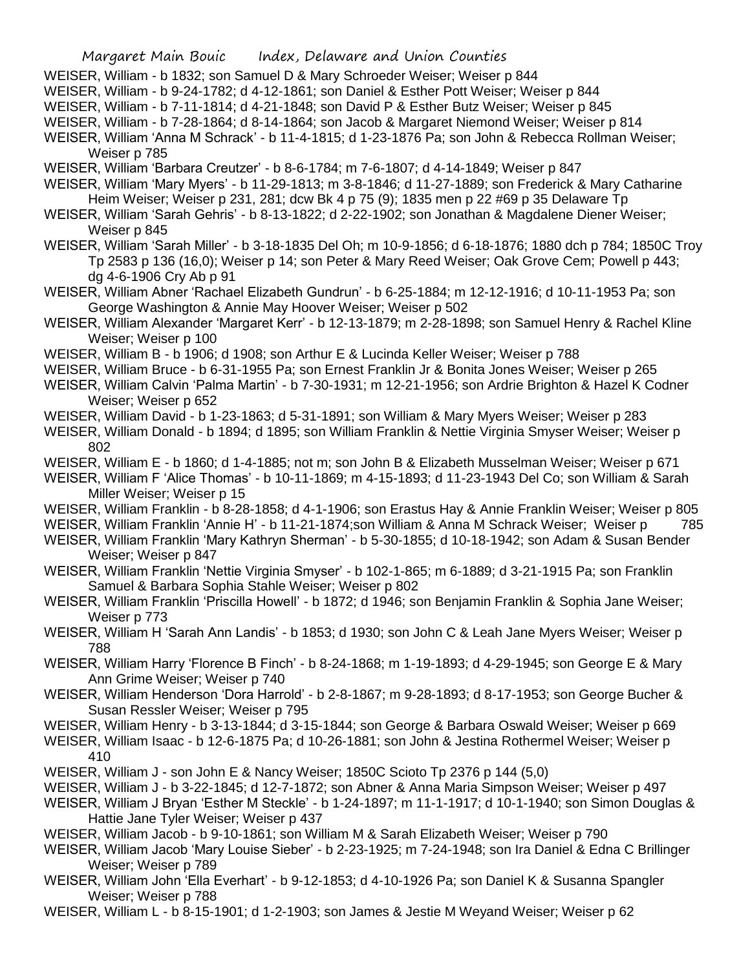WEISER, William - b 1832; son Samuel D & Mary Schroeder Weiser; Weiser p 844

WEISER, William - b 9-24-1782; d 4-12-1861; son Daniel & Esther Pott Weiser; Weiser p 844

WEISER, William - b 7-11-1814; d 4-21-1848; son David P & Esther Butz Weiser; Weiser p 845

WEISER, William - b 7-28-1864; d 8-14-1864; son Jacob & Margaret Niemond Weiser; Weiser p 814

WEISER, William 'Anna M Schrack' - b 11-4-1815; d 1-23-1876 Pa; son John & Rebecca Rollman Weiser; Weiser p 785

WEISER, William 'Barbara Creutzer' - b 8-6-1784; m 7-6-1807; d 4-14-1849; Weiser p 847

WEISER, William 'Mary Myers' - b 11-29-1813; m 3-8-1846; d 11-27-1889; son Frederick & Mary Catharine Heim Weiser; Weiser p 231, 281; dcw Bk 4 p 75 (9); 1835 men p 22 #69 p 35 Delaware Tp

- WEISER, William 'Sarah Gehris' b 8-13-1822; d 2-22-1902; son Jonathan & Magdalene Diener Weiser; Weiser p 845
- WEISER, William 'Sarah Miller' b 3-18-1835 Del Oh; m 10-9-1856; d 6-18-1876; 1880 dch p 784; 1850C Troy Tp 2583 p 136 (16,0); Weiser p 14; son Peter & Mary Reed Weiser; Oak Grove Cem; Powell p 443; dg 4-6-1906 Cry Ab p 91
- WEISER, William Abner 'Rachael Elizabeth Gundrun' b 6-25-1884; m 12-12-1916; d 10-11-1953 Pa; son George Washington & Annie May Hoover Weiser; Weiser p 502
- WEISER, William Alexander 'Margaret Kerr' b 12-13-1879; m 2-28-1898; son Samuel Henry & Rachel Kline Weiser; Weiser p 100
- WEISER, William B b 1906; d 1908; son Arthur E & Lucinda Keller Weiser; Weiser p 788
- WEISER, William Bruce b 6-31-1955 Pa; son Ernest Franklin Jr & Bonita Jones Weiser; Weiser p 265
- WEISER, William Calvin 'Palma Martin' b 7-30-1931; m 12-21-1956; son Ardrie Brighton & Hazel K Codner Weiser; Weiser p 652

WEISER, William David - b 1-23-1863; d 5-31-1891; son William & Mary Myers Weiser; Weiser p 283

WEISER, William Donald - b 1894; d 1895; son William Franklin & Nettie Virginia Smyser Weiser; Weiser p 802

- WEISER, William E b 1860; d 1-4-1885; not m; son John B & Elizabeth Musselman Weiser; Weiser p 671
- WEISER, William F 'Alice Thomas' b 10-11-1869; m 4-15-1893; d 11-23-1943 Del Co; son William & Sarah Miller Weiser; Weiser p 15
- WEISER, William Franklin b 8-28-1858; d 4-1-1906; son Erastus Hay & Annie Franklin Weiser; Weiser p 805
- WEISER, William Franklin 'Annie H' b 11-21-1874;son William & Anna M Schrack Weiser; Weiser p 785
- WEISER, William Franklin 'Mary Kathryn Sherman' b 5-30-1855; d 10-18-1942; son Adam & Susan Bender Weiser; Weiser p 847
- WEISER, William Franklin 'Nettie Virginia Smyser' b 102-1-865; m 6-1889; d 3-21-1915 Pa; son Franklin Samuel & Barbara Sophia Stahle Weiser; Weiser p 802
- WEISER, William Franklin 'Priscilla Howell' b 1872; d 1946; son Benjamin Franklin & Sophia Jane Weiser; Weiser p 773
- WEISER, William H 'Sarah Ann Landis' b 1853; d 1930; son John C & Leah Jane Myers Weiser; Weiser p 788
- WEISER, William Harry 'Florence B Finch' b 8-24-1868; m 1-19-1893; d 4-29-1945; son George E & Mary Ann Grime Weiser; Weiser p 740
- WEISER, William Henderson 'Dora Harrold' b 2-8-1867; m 9-28-1893; d 8-17-1953; son George Bucher & Susan Ressler Weiser; Weiser p 795
- WEISER, William Henry b 3-13-1844; d 3-15-1844; son George & Barbara Oswald Weiser; Weiser p 669
- WEISER, William Isaac b 12-6-1875 Pa; d 10-26-1881; son John & Jestina Rothermel Weiser; Weiser p 410
- WEISER, William J son John E & Nancy Weiser; 1850C Scioto Tp 2376 p 144 (5,0)
- WEISER, William J b 3-22-1845; d 12-7-1872; son Abner & Anna Maria Simpson Weiser; Weiser p 497
- WEISER, William J Bryan 'Esther M Steckle' b 1-24-1897; m 11-1-1917; d 10-1-1940; son Simon Douglas & Hattie Jane Tyler Weiser; Weiser p 437
- WEISER, William Jacob b 9-10-1861; son William M & Sarah Elizabeth Weiser; Weiser p 790
- WEISER, William Jacob 'Mary Louise Sieber' b 2-23-1925; m 7-24-1948; son Ira Daniel & Edna C Brillinger Weiser; Weiser p 789
- WEISER, William John 'Ella Everhart' b 9-12-1853; d 4-10-1926 Pa; son Daniel K & Susanna Spangler Weiser; Weiser p 788
- WEISER, William L b 8-15-1901; d 1-2-1903; son James & Jestie M Weyand Weiser; Weiser p 62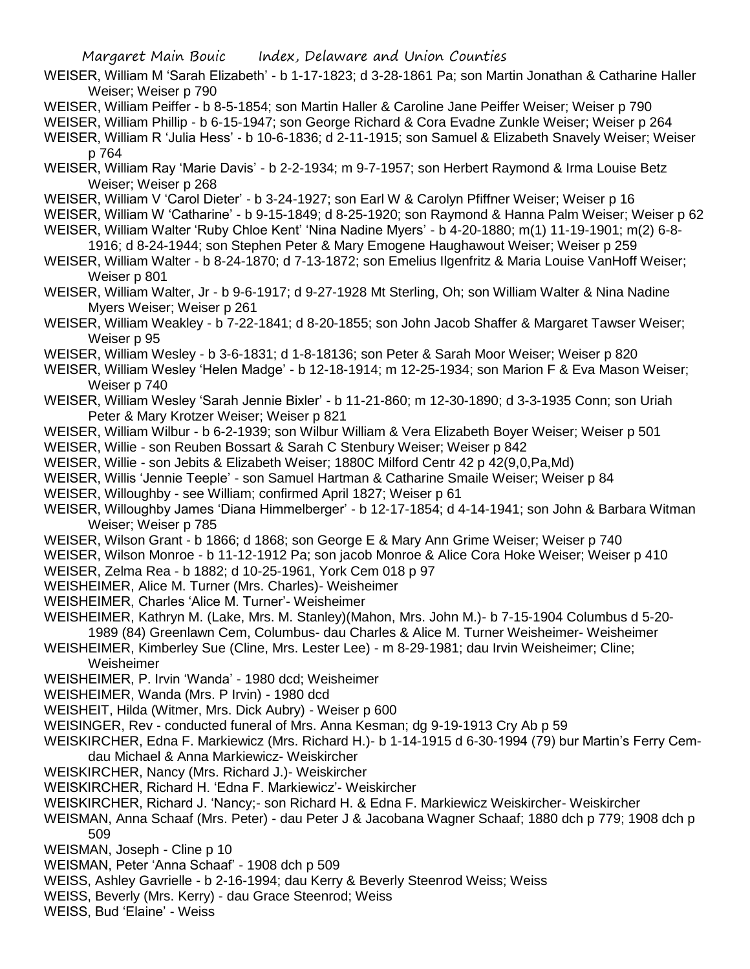Margaret Main Bouic Index, Delaware and Union Counties

WEISER, William M 'Sarah Elizabeth' - b 1-17-1823; d 3-28-1861 Pa; son Martin Jonathan & Catharine Haller Weiser; Weiser p 790

- WEISER, William Peiffer b 8-5-1854; son Martin Haller & Caroline Jane Peiffer Weiser; Weiser p 790
- WEISER, William Phillip b 6-15-1947; son George Richard & Cora Evadne Zunkle Weiser; Weiser p 264

WEISER, William R 'Julia Hess' - b 10-6-1836; d 2-11-1915; son Samuel & Elizabeth Snavely Weiser; Weiser p 764

- WEISER, William Ray 'Marie Davis' b 2-2-1934; m 9-7-1957; son Herbert Raymond & Irma Louise Betz Weiser; Weiser p 268
- WEISER, William V 'Carol Dieter' b 3-24-1927; son Earl W & Carolyn Pfiffner Weiser; Weiser p 16
- WEISER, William W 'Catharine' b 9-15-1849; d 8-25-1920; son Raymond & Hanna Palm Weiser; Weiser p 62
- WEISER, William Walter 'Ruby Chloe Kent' 'Nina Nadine Myers' b 4-20-1880; m(1) 11-19-1901; m(2) 6-8- 1916; d 8-24-1944; son Stephen Peter & Mary Emogene Haughawout Weiser; Weiser p 259
- WEISER, William Walter b 8-24-1870; d 7-13-1872; son Emelius Ilgenfritz & Maria Louise VanHoff Weiser; Weiser p 801
- WEISER, William Walter, Jr b 9-6-1917; d 9-27-1928 Mt Sterling, Oh; son William Walter & Nina Nadine Myers Weiser; Weiser p 261
- WEISER, William Weakley b 7-22-1841; d 8-20-1855; son John Jacob Shaffer & Margaret Tawser Weiser; Weiser p 95
- WEISER, William Wesley b 3-6-1831; d 1-8-18136; son Peter & Sarah Moor Weiser; Weiser p 820
- WEISER, William Wesley 'Helen Madge' b 12-18-1914; m 12-25-1934; son Marion F & Eva Mason Weiser; Weiser p 740
- WEISER, William Wesley 'Sarah Jennie Bixler' b 11-21-860; m 12-30-1890; d 3-3-1935 Conn; son Uriah Peter & Mary Krotzer Weiser; Weiser p 821
- WEISER, William Wilbur b 6-2-1939; son Wilbur William & Vera Elizabeth Boyer Weiser; Weiser p 501 WEISER, Willie - son Reuben Bossart & Sarah C Stenbury Weiser; Weiser p 842
- WEISER, Willie son Jebits & Elizabeth Weiser; 1880C Milford Centr 42 p 42(9,0,Pa,Md)
- WEISER, Willis 'Jennie Teeple' son Samuel Hartman & Catharine Smaile Weiser; Weiser p 84
- WEISER, Willoughby see William; confirmed April 1827; Weiser p 61
- WEISER, Willoughby James 'Diana Himmelberger' b 12-17-1854; d 4-14-1941; son John & Barbara Witman Weiser; Weiser p 785
- WEISER, Wilson Grant b 1866; d 1868; son George E & Mary Ann Grime Weiser; Weiser p 740
- WEISER, Wilson Monroe b 11-12-1912 Pa; son jacob Monroe & Alice Cora Hoke Weiser; Weiser p 410
- WEISER, Zelma Rea b 1882; d 10-25-1961, York Cem 018 p 97
- WEISHEIMER, Alice M. Turner (Mrs. Charles)- Weisheimer
- WEISHEIMER, Charles 'Alice M. Turner'- Weisheimer
- WEISHEIMER, Kathryn M. (Lake, Mrs. M. Stanley)(Mahon, Mrs. John M.)- b 7-15-1904 Columbus d 5-20- 1989 (84) Greenlawn Cem, Columbus- dau Charles & Alice M. Turner Weisheimer- Weisheimer
- WEISHEIMER, Kimberley Sue (Cline, Mrs. Lester Lee) m 8-29-1981; dau Irvin Weisheimer; Cline; Weisheimer
- WEISHEIMER, P. Irvin 'Wanda' 1980 dcd; Weisheimer
- WEISHEIMER, Wanda (Mrs. P Irvin) 1980 dcd
- WEISHEIT, Hilda (Witmer, Mrs. Dick Aubry) Weiser p 600
- WEISINGER, Rev conducted funeral of Mrs. Anna Kesman; dg 9-19-1913 Cry Ab p 59
- WEISKIRCHER, Edna F. Markiewicz (Mrs. Richard H.)- b 1-14-1915 d 6-30-1994 (79) bur Martin's Ferry Cemdau Michael & Anna Markiewicz- Weiskircher
- WEISKIRCHER, Nancy (Mrs. Richard J.)- Weiskircher
- WEISKIRCHER, Richard H. 'Edna F. Markiewicz'- Weiskircher
- WEISKIRCHER, Richard J. 'Nancy;- son Richard H. & Edna F. Markiewicz Weiskircher- Weiskircher
- WEISMAN, Anna Schaaf (Mrs. Peter) dau Peter J & Jacobana Wagner Schaaf; 1880 dch p 779; 1908 dch p 509
- WEISMAN, Joseph Cline p 10
- WEISMAN, Peter 'Anna Schaaf' 1908 dch p 509
- WEISS, Ashley Gavrielle b 2-16-1994; dau Kerry & Beverly Steenrod Weiss; Weiss
- WEISS, Beverly (Mrs. Kerry) dau Grace Steenrod; Weiss
- WEISS, Bud 'Elaine' Weiss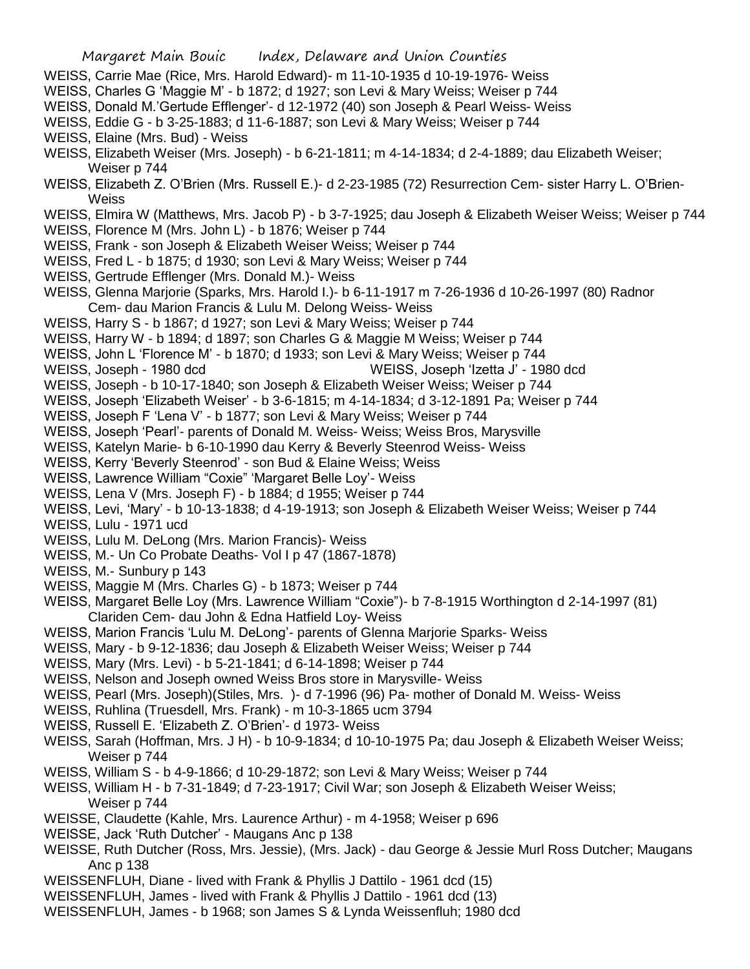- WEISS, Carrie Mae (Rice, Mrs. Harold Edward)- m 11-10-1935 d 10-19-1976- Weiss
- WEISS, Charles G 'Maggie M' b 1872; d 1927; son Levi & Mary Weiss; Weiser p 744
- WEISS, Donald M.'Gertude Efflenger'- d 12-1972 (40) son Joseph & Pearl Weiss- Weiss
- WEISS, Eddie G b 3-25-1883; d 11-6-1887; son Levi & Mary Weiss; Weiser p 744
- WEISS, Elaine (Mrs. Bud) Weiss
- WEISS, Elizabeth Weiser (Mrs. Joseph) b 6-21-1811; m 4-14-1834; d 2-4-1889; dau Elizabeth Weiser; Weiser p 744
- WEISS, Elizabeth Z. O'Brien (Mrs. Russell E.)- d 2-23-1985 (72) Resurrection Cem- sister Harry L. O'Brien-**Weiss**
- WEISS, Elmira W (Matthews, Mrs. Jacob P) b 3-7-1925; dau Joseph & Elizabeth Weiser Weiss; Weiser p 744
- WEISS, Florence M (Mrs. John L) b 1876; Weiser p 744
- WEISS, Frank son Joseph & Elizabeth Weiser Weiss; Weiser p 744
- WEISS, Fred L b 1875; d 1930; son Levi & Mary Weiss; Weiser p 744
- WEISS, Gertrude Efflenger (Mrs. Donald M.)- Weiss
- WEISS, Glenna Marjorie (Sparks, Mrs. Harold I.)- b 6-11-1917 m 7-26-1936 d 10-26-1997 (80) Radnor Cem- dau Marion Francis & Lulu M. Delong Weiss- Weiss
- WEISS, Harry S b 1867; d 1927; son Levi & Mary Weiss; Weiser p 744
- WEISS, Harry W b 1894; d 1897; son Charles G & Maggie M Weiss; Weiser p 744
- WEISS, John L 'Florence M' b 1870; d 1933; son Levi & Mary Weiss; Weiser p 744
- WEISS, Joseph 1980 dcd WEISS, Joseph 'Izetta J' 1980 dcd
- WEISS, Joseph b 10-17-1840; son Joseph & Elizabeth Weiser Weiss; Weiser p 744
- WEISS, Joseph 'Elizabeth Weiser' b 3-6-1815; m 4-14-1834; d 3-12-1891 Pa; Weiser p 744
- WEISS, Joseph F 'Lena V' b 1877; son Levi & Mary Weiss; Weiser p 744
- WEISS, Joseph 'Pearl'- parents of Donald M. Weiss- Weiss; Weiss Bros, Marysville
- WEISS, Katelyn Marie- b 6-10-1990 dau Kerry & Beverly Steenrod Weiss- Weiss
- WEISS, Kerry 'Beverly Steenrod' son Bud & Elaine Weiss; Weiss
- WEISS, Lawrence William "Coxie" 'Margaret Belle Loy'- Weiss
- WEISS, Lena V (Mrs. Joseph F) b 1884; d 1955; Weiser p 744
- WEISS, Levi, 'Mary' b 10-13-1838; d 4-19-1913; son Joseph & Elizabeth Weiser Weiss; Weiser p 744
- WEISS, Lulu 1971 ucd
- WEISS, Lulu M. DeLong (Mrs. Marion Francis)- Weiss
- WEISS, M.- Un Co Probate Deaths- Vol I p 47 (1867-1878)
- WEISS, M.- Sunbury p 143
- WEISS, Maggie M (Mrs. Charles G) b 1873; Weiser p 744
- WEISS, Margaret Belle Loy (Mrs. Lawrence William "Coxie")- b 7-8-1915 Worthington d 2-14-1997 (81) Clariden Cem- dau John & Edna Hatfield Loy- Weiss
- WEISS, Marion Francis 'Lulu M. DeLong'- parents of Glenna Marjorie Sparks- Weiss
- WEISS, Mary b 9-12-1836; dau Joseph & Elizabeth Weiser Weiss; Weiser p 744
- WEISS, Mary (Mrs. Levi) b 5-21-1841; d 6-14-1898; Weiser p 744
- WEISS, Nelson and Joseph owned Weiss Bros store in Marysville- Weiss
- WEISS, Pearl (Mrs. Joseph)(Stiles, Mrs. )- d 7-1996 (96) Pa- mother of Donald M. Weiss- Weiss
- WEISS, Ruhlina (Truesdell, Mrs. Frank) m 10-3-1865 ucm 3794
- WEISS, Russell E. 'Elizabeth Z. O'Brien'- d 1973- Weiss
- WEISS, Sarah (Hoffman, Mrs. J H) b 10-9-1834; d 10-10-1975 Pa; dau Joseph & Elizabeth Weiser Weiss; Weiser p 744
- WEISS, William S b 4-9-1866; d 10-29-1872; son Levi & Mary Weiss; Weiser p 744
- WEISS, William H b 7-31-1849; d 7-23-1917; Civil War; son Joseph & Elizabeth Weiser Weiss; Weiser p 744
- WEISSE, Claudette (Kahle, Mrs. Laurence Arthur) m 4-1958; Weiser p 696
- WEISSE, Jack 'Ruth Dutcher' Maugans Anc p 138
- WEISSE, Ruth Dutcher (Ross, Mrs. Jessie), (Mrs. Jack) dau George & Jessie Murl Ross Dutcher; Maugans Anc p 138
- WEISSENFLUH, Diane lived with Frank & Phyllis J Dattilo 1961 dcd (15)
- WEISSENFLUH, James lived with Frank & Phyllis J Dattilo 1961 dcd (13)
- WEISSENFLUH, James b 1968; son James S & Lynda Weissenfluh; 1980 dcd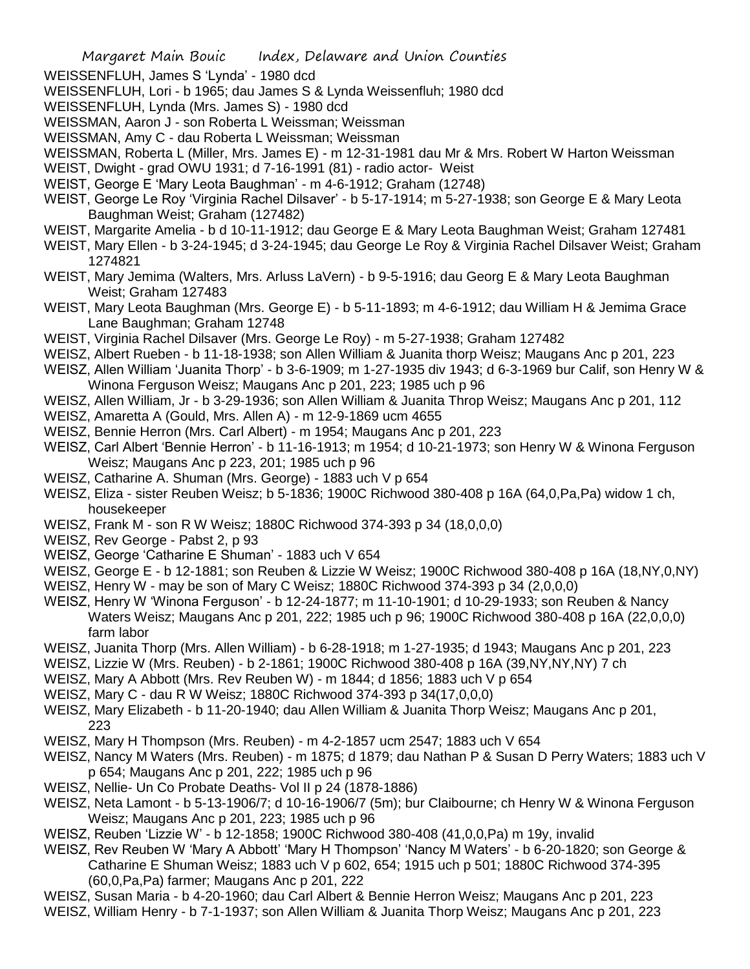- WEISSENFLUH, James S 'Lynda' 1980 dcd
- WEISSENFLUH, Lori b 1965; dau James S & Lynda Weissenfluh; 1980 dcd
- WEISSENFLUH, Lynda (Mrs. James S) 1980 dcd
- WEISSMAN, Aaron J son Roberta L Weissman; Weissman
- WEISSMAN, Amy C dau Roberta L Weissman; Weissman
- WEISSMAN, Roberta L (Miller, Mrs. James E) m 12-31-1981 dau Mr & Mrs. Robert W Harton Weissman
- WEIST, Dwight grad OWU 1931; d 7-16-1991 (81) radio actor- Weist
- WEIST, George E 'Mary Leota Baughman' m 4-6-1912; Graham (12748)
- WEIST, George Le Roy 'Virginia Rachel Dilsaver' b 5-17-1914; m 5-27-1938; son George E & Mary Leota Baughman Weist; Graham (127482)
- WEIST, Margarite Amelia b d 10-11-1912; dau George E & Mary Leota Baughman Weist; Graham 127481
- WEIST, Mary Ellen b 3-24-1945; d 3-24-1945; dau George Le Roy & Virginia Rachel Dilsaver Weist; Graham 1274821
- WEIST, Mary Jemima (Walters, Mrs. Arluss LaVern) b 9-5-1916; dau Georg E & Mary Leota Baughman Weist; Graham 127483
- WEIST, Mary Leota Baughman (Mrs. George E) b 5-11-1893; m 4-6-1912; dau William H & Jemima Grace Lane Baughman; Graham 12748
- WEIST, Virginia Rachel Dilsaver (Mrs. George Le Roy) m 5-27-1938; Graham 127482
- WEISZ, Albert Rueben b 11-18-1938; son Allen William & Juanita thorp Weisz; Maugans Anc p 201, 223
- WEISZ, Allen William 'Juanita Thorp' b 3-6-1909; m 1-27-1935 div 1943; d 6-3-1969 bur Calif, son Henry W & Winona Ferguson Weisz; Maugans Anc p 201, 223; 1985 uch p 96
- WEISZ, Allen William, Jr b 3-29-1936; son Allen William & Juanita Throp Weisz; Maugans Anc p 201, 112
- WEISZ, Amaretta A (Gould, Mrs. Allen A) m 12-9-1869 ucm 4655
- WEISZ, Bennie Herron (Mrs. Carl Albert) m 1954; Maugans Anc p 201, 223
- WEISZ, Carl Albert 'Bennie Herron' b 11-16-1913; m 1954; d 10-21-1973; son Henry W & Winona Ferguson Weisz; Maugans Anc p 223, 201; 1985 uch p 96
- WEISZ, Catharine A. Shuman (Mrs. George) 1883 uch V p 654
- WEISZ, Eliza sister Reuben Weisz; b 5-1836; 1900C Richwood 380-408 p 16A (64,0,Pa,Pa) widow 1 ch, housekeeper
- WEISZ, Frank M son R W Weisz; 1880C Richwood 374-393 p 34 (18,0,0,0)
- WEISZ, Rev George Pabst 2, p 93
- WEISZ, George 'Catharine E Shuman' 1883 uch V 654
- WEISZ, George E b 12-1881; son Reuben & Lizzie W Weisz; 1900C Richwood 380-408 p 16A (18,NY,0,NY)
- WEISZ, Henry W may be son of Mary C Weisz; 1880C Richwood 374-393 p 34 (2,0,0,0)
- WEISZ, Henry W 'Winona Ferguson' b 12-24-1877; m 11-10-1901; d 10-29-1933; son Reuben & Nancy Waters Weisz; Maugans Anc p 201, 222; 1985 uch p 96; 1900C Richwood 380-408 p 16A (22,0,0,0) farm labor
- WEISZ, Juanita Thorp (Mrs. Allen William) b 6-28-1918; m 1-27-1935; d 1943; Maugans Anc p 201, 223
- WEISZ, Lizzie W (Mrs. Reuben) b 2-1861; 1900C Richwood 380-408 p 16A (39,NY,NY,NY) 7 ch
- WEISZ, Mary A Abbott (Mrs. Rev Reuben W) m 1844; d 1856; 1883 uch V p 654
- WEISZ, Mary C dau R W Weisz; 1880C Richwood 374-393 p 34(17,0,0,0)
- WEISZ, Mary Elizabeth b 11-20-1940; dau Allen William & Juanita Thorp Weisz; Maugans Anc p 201, 223
- WEISZ, Mary H Thompson (Mrs. Reuben) m 4-2-1857 ucm 2547; 1883 uch V 654
- WEISZ, Nancy M Waters (Mrs. Reuben) m 1875; d 1879; dau Nathan P & Susan D Perry Waters; 1883 uch V p 654; Maugans Anc p 201, 222; 1985 uch p 96
- WEISZ, Nellie- Un Co Probate Deaths- Vol II p 24 (1878-1886)
- WEISZ, Neta Lamont b 5-13-1906/7; d 10-16-1906/7 (5m); bur Claibourne; ch Henry W & Winona Ferguson Weisz; Maugans Anc p 201, 223; 1985 uch p 96
- WEISZ, Reuben 'Lizzie W' b 12-1858; 1900C Richwood 380-408 (41,0,0,Pa) m 19y, invalid
- WEISZ, Rev Reuben W 'Mary A Abbott' 'Mary H Thompson' 'Nancy M Waters' b 6-20-1820; son George & Catharine E Shuman Weisz; 1883 uch V p 602, 654; 1915 uch p 501; 1880C Richwood 374-395 (60,0,Pa,Pa) farmer; Maugans Anc p 201, 222
- WEISZ, Susan Maria b 4-20-1960; dau Carl Albert & Bennie Herron Weisz; Maugans Anc p 201, 223
- WEISZ, William Henry b 7-1-1937; son Allen William & Juanita Thorp Weisz; Maugans Anc p 201, 223